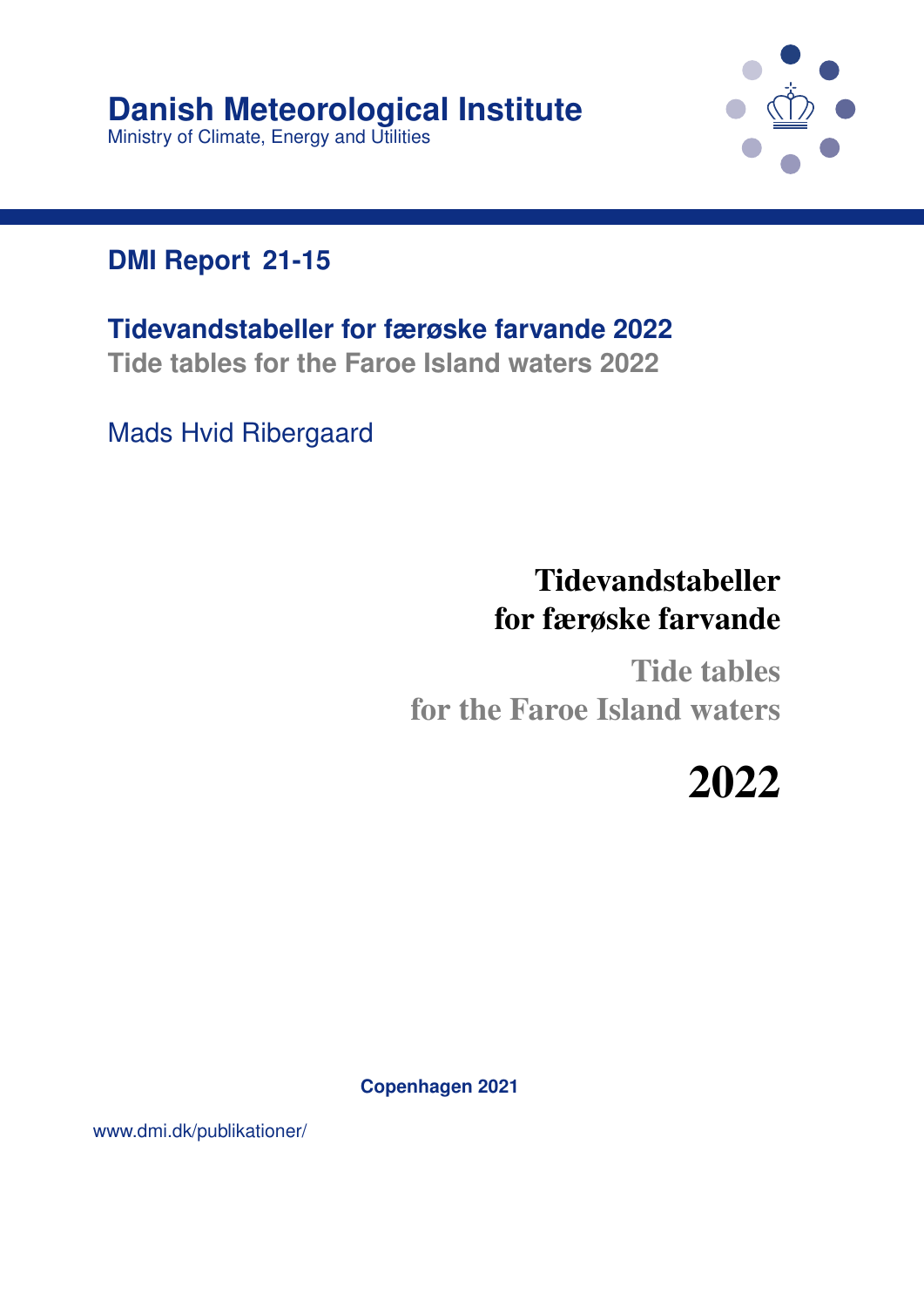

#### **DMI Report 21-15**

**Tidevandstabeller for færøske farvande 2022 Tide tables for the Faroe Island waters 2022**

Mads Hvid Ribergaard

# Tidevandstabeller for færøske farvande

Tide tables for the Faroe Island waters

2022

**Copenhagen 2021**

www.dmi.dk/publikationer/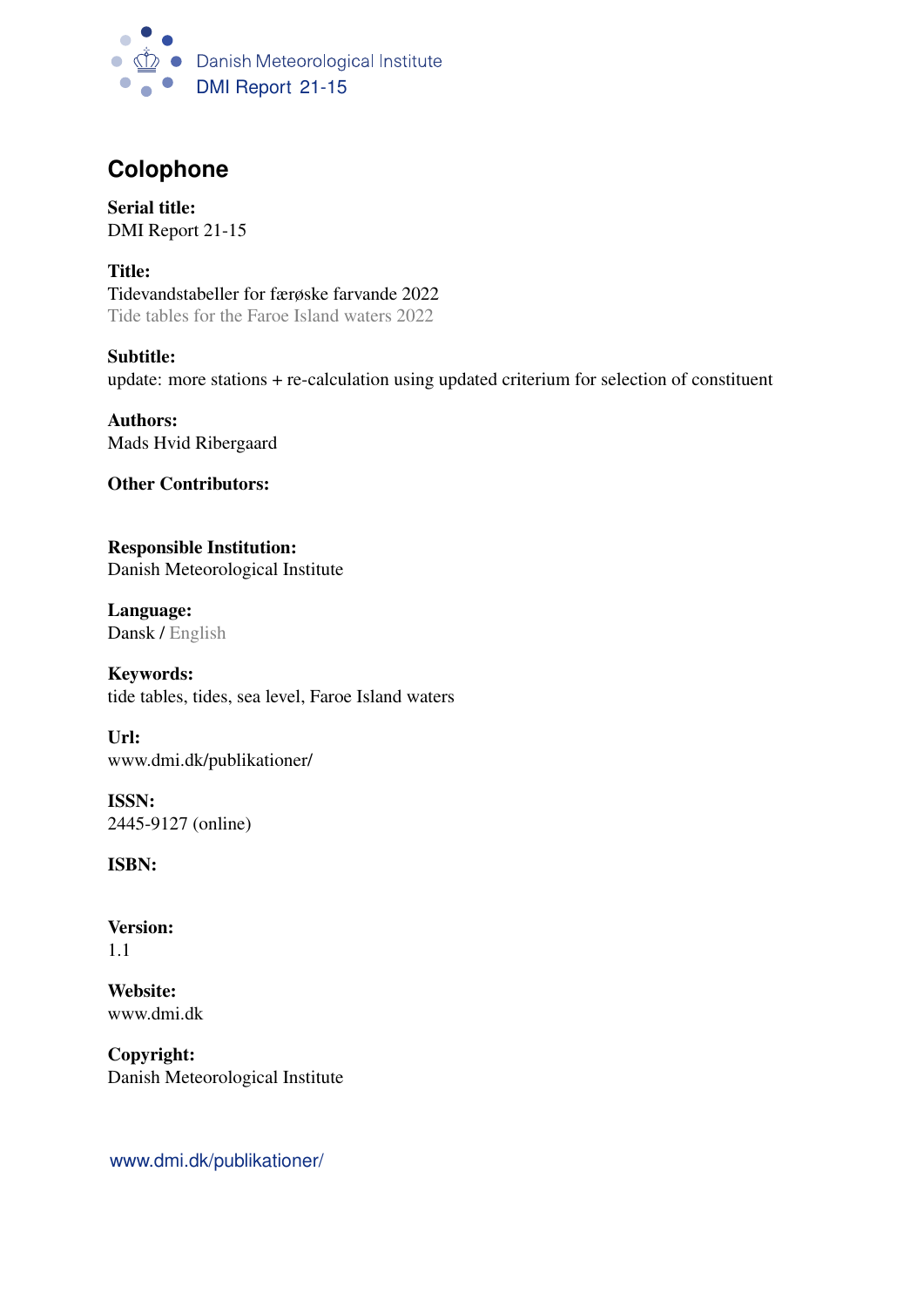

#### **Colophone**

Serial title: DMI Report 21-15

Title: Tidevandstabeller for færøske farvande 2022 Tide tables for the Faroe Island waters 2022

Subtitle: update: more stations + re-calculation using updated criterium for selection of constituent

Authors: Mads Hvid Ribergaard

Other Contributors:

Responsible Institution: Danish Meteorological Institute

Language: Dansk / English

Keywords: tide tables, tides, sea level, Faroe Island waters

Url: www.dmi.dk/publikationer/

ISSN: 2445-9127 (online)

ISBN:

Version: 1.1

Website: www.dmi.dk

Copyright: Danish Meteorological Institute

www.dmi.dk/publikationer/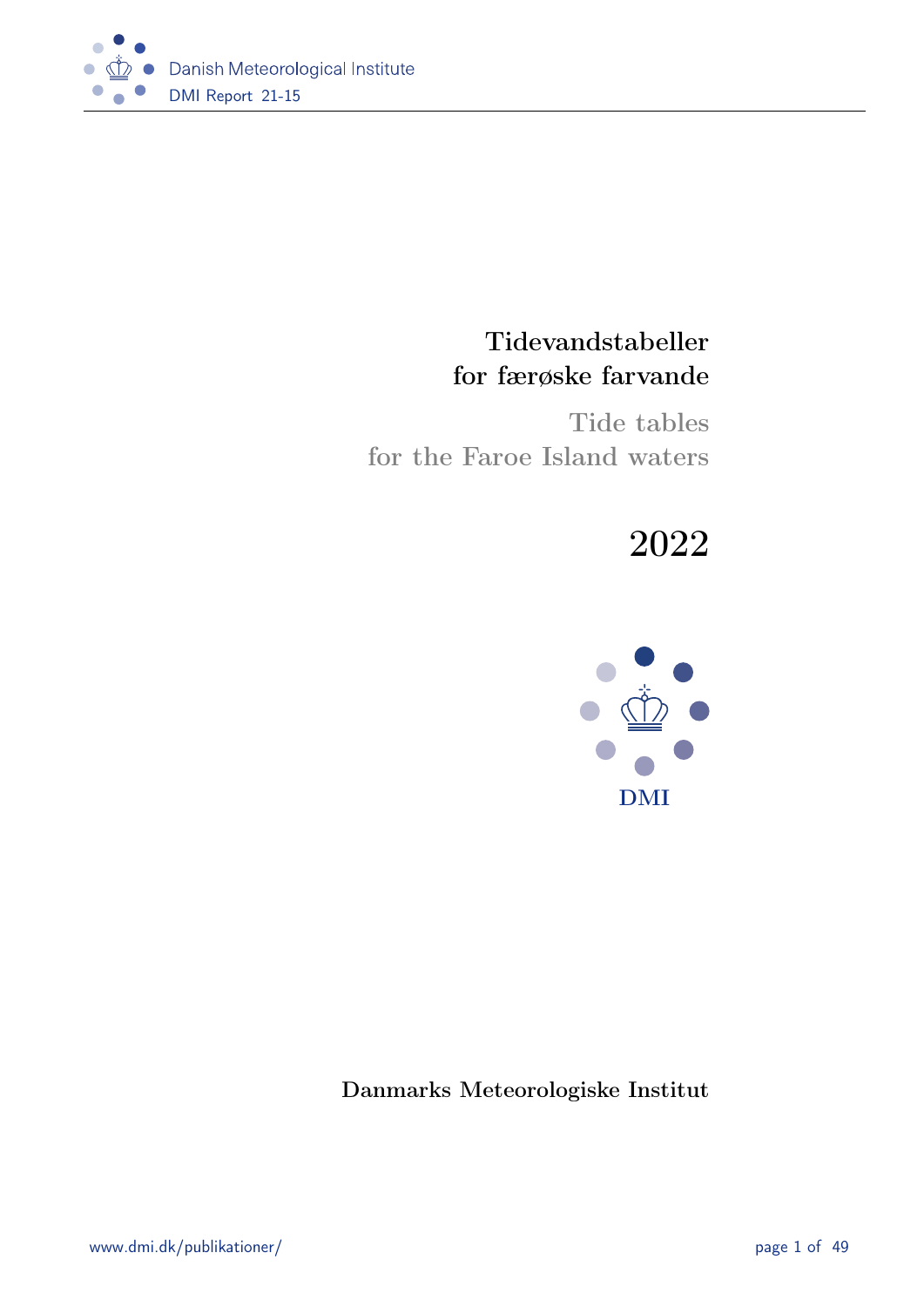

#### Tidevandstabeller for færøske farvande

Tide tables for the Faroe Island waters

# 2022



Danmarks Meteorologiske Institut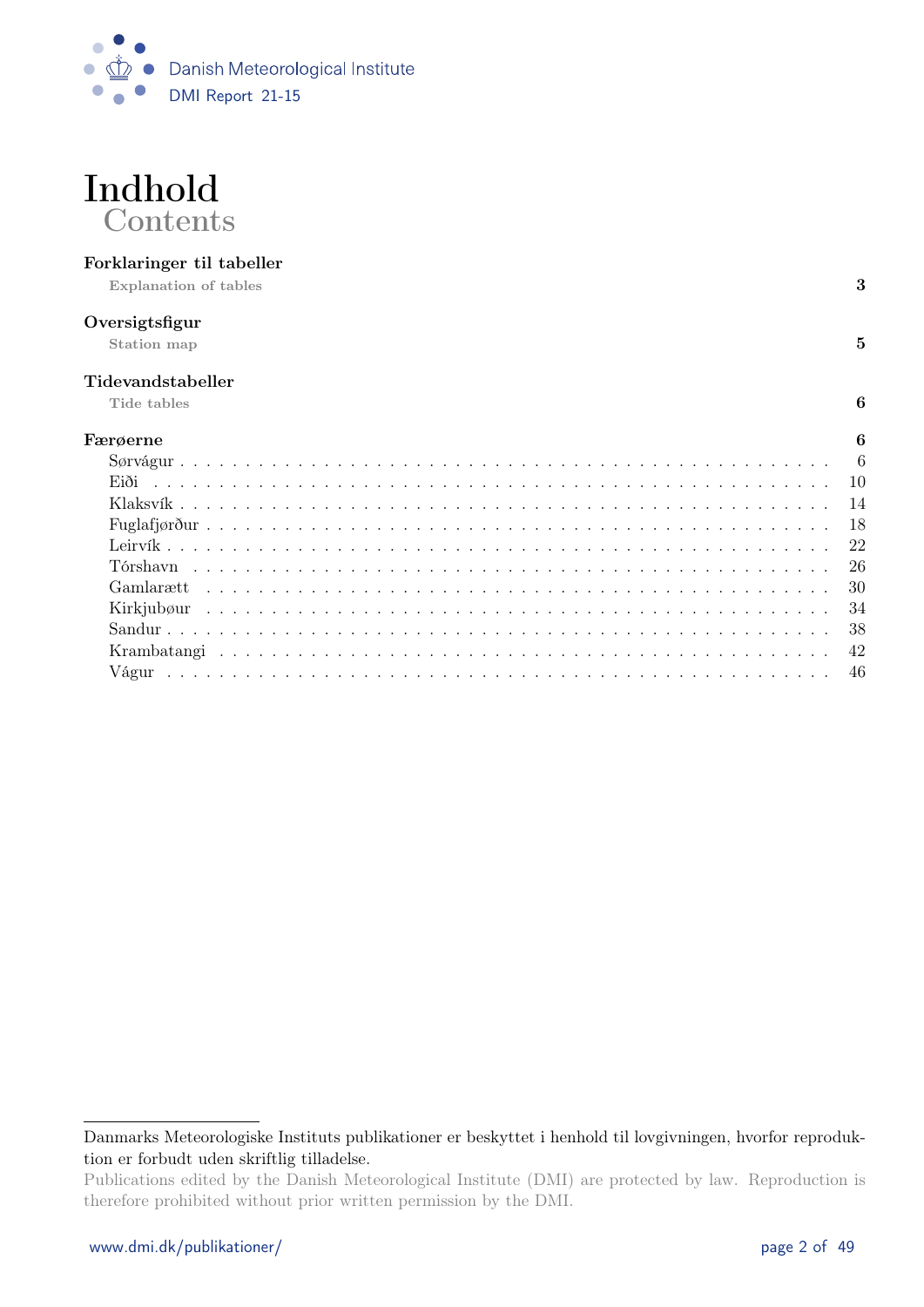



#### Forklaringer til tabeller

Explanation of tables 3

#### Oversigtsfigur

Station map  $5$ 

#### Tidevandstabeller

Tide tables  $\qquad \qquad \textbf{6}$ 

| Færøerne<br>6 |
|---------------|
|               |
|               |
|               |
|               |
|               |
|               |
|               |
|               |
|               |
|               |
|               |

Danmarks Meteorologiske Instituts publikationer er beskyttet i henhold til lovgivningen, hvorfor reproduktion er forbudt uden skriftlig tilladelse.

Publications edited by the Danish Meteorological Institute (DMI) are protected by law. Reproduction is therefore prohibited without prior written permission by the DMI.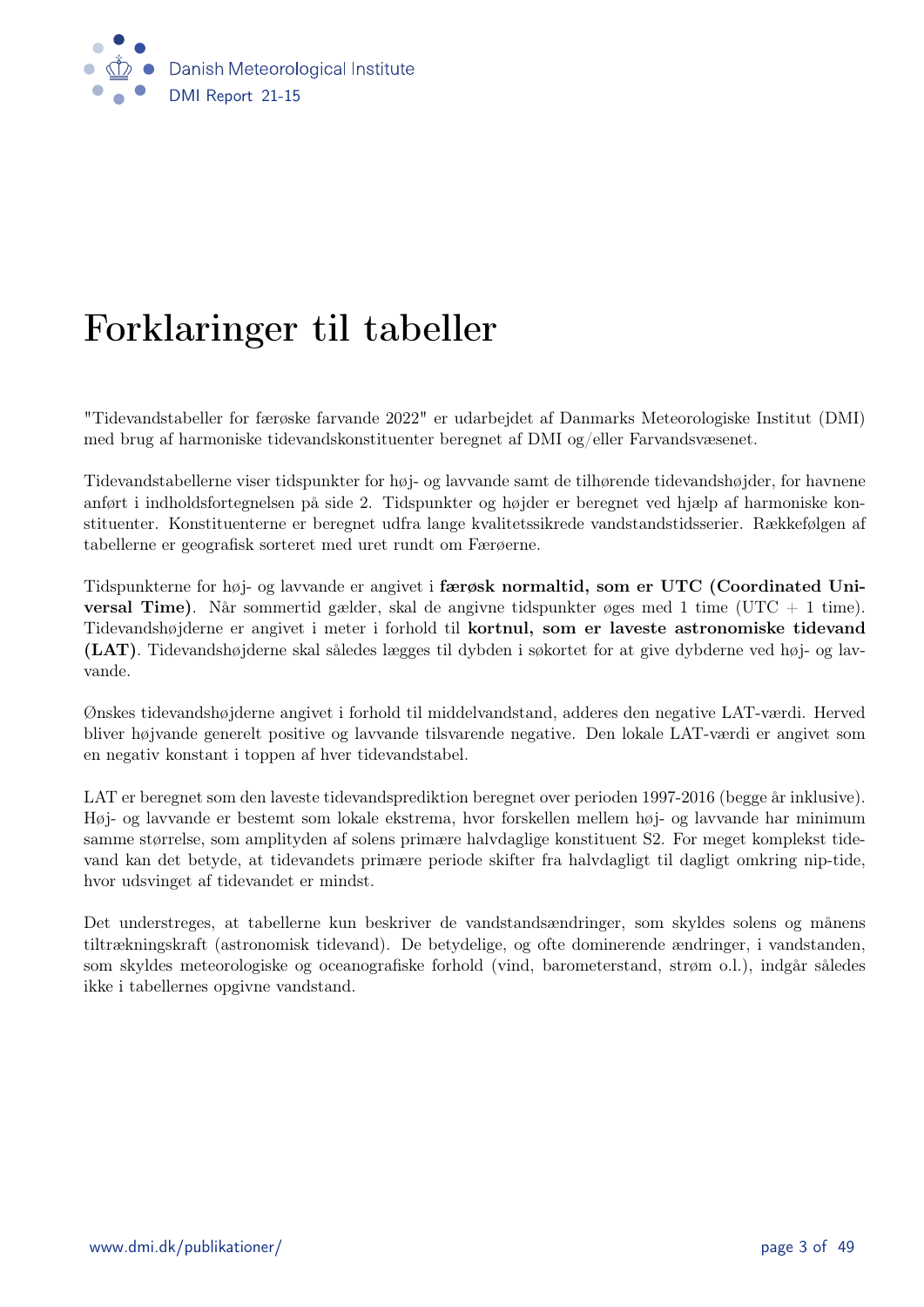

# Forklaringer til tabeller

"Tidevandstabeller for færøske farvande 2022" er udarbejdet af Danmarks Meteorologiske Institut (DMI) med brug af harmoniske tidevandskonstituenter beregnet af DMI og/eller Farvandsvæsenet.

Tidevandstabellerne viser tidspunkter for høj- og lavvande samt de tilhørende tidevandshøjder, for havnene anført i indholdsfortegnelsen på side 2. Tidspunkter og højder er beregnet ved hjælp af harmoniske konstituenter. Konstituenterne er beregnet udfra lange kvalitetssikrede vandstandstidsserier. Rækkefølgen af tabellerne er geografisk sorteret med uret rundt om Færøerne.

Tidspunkterne for høj- og lavvande er angivet i færøsk normaltid, som er UTC (Coordinated Uni**versal Time**). Når sommertid gælder, skal de angivne tidspunkter øges med 1 time (UTC + 1 time). Tidevandshøjderne er angivet i meter i forhold til kortnul, som er laveste astronomiske tidevand (LAT). Tidevandshøjderne skal således lægges til dybden i søkortet for at give dybderne ved høj- og lavvande.

Ønskes tidevandshøjderne angivet i forhold til middelvandstand, adderes den negative LAT-værdi. Herved bliver højvande generelt positive og lavvande tilsvarende negative. Den lokale LAT-værdi er angivet som en negativ konstant i toppen af hver tidevandstabel.

LAT er beregnet som den laveste tidevandsprediktion beregnet over perioden 1997-2016 (begge år inklusive). Høj- og lavvande er bestemt som lokale ekstrema, hvor forskellen mellem høj- og lavvande har minimum samme størrelse, som amplityden af solens primære halvdaglige konstituent S2. For meget komplekst tidevand kan det betyde, at tidevandets primære periode skifter fra halvdagligt til dagligt omkring nip-tide, hvor udsvinget af tidevandet er mindst.

Det understreges, at tabellerne kun beskriver de vandstandsændringer, som skyldes solens og månens tiltrækningskraft (astronomisk tidevand). De betydelige, og ofte dominerende ændringer, i vandstanden, som skyldes meteorologiske og oceanografiske forhold (vind, barometerstand, strøm o.l.), indgår således ikke i tabellernes opgivne vandstand.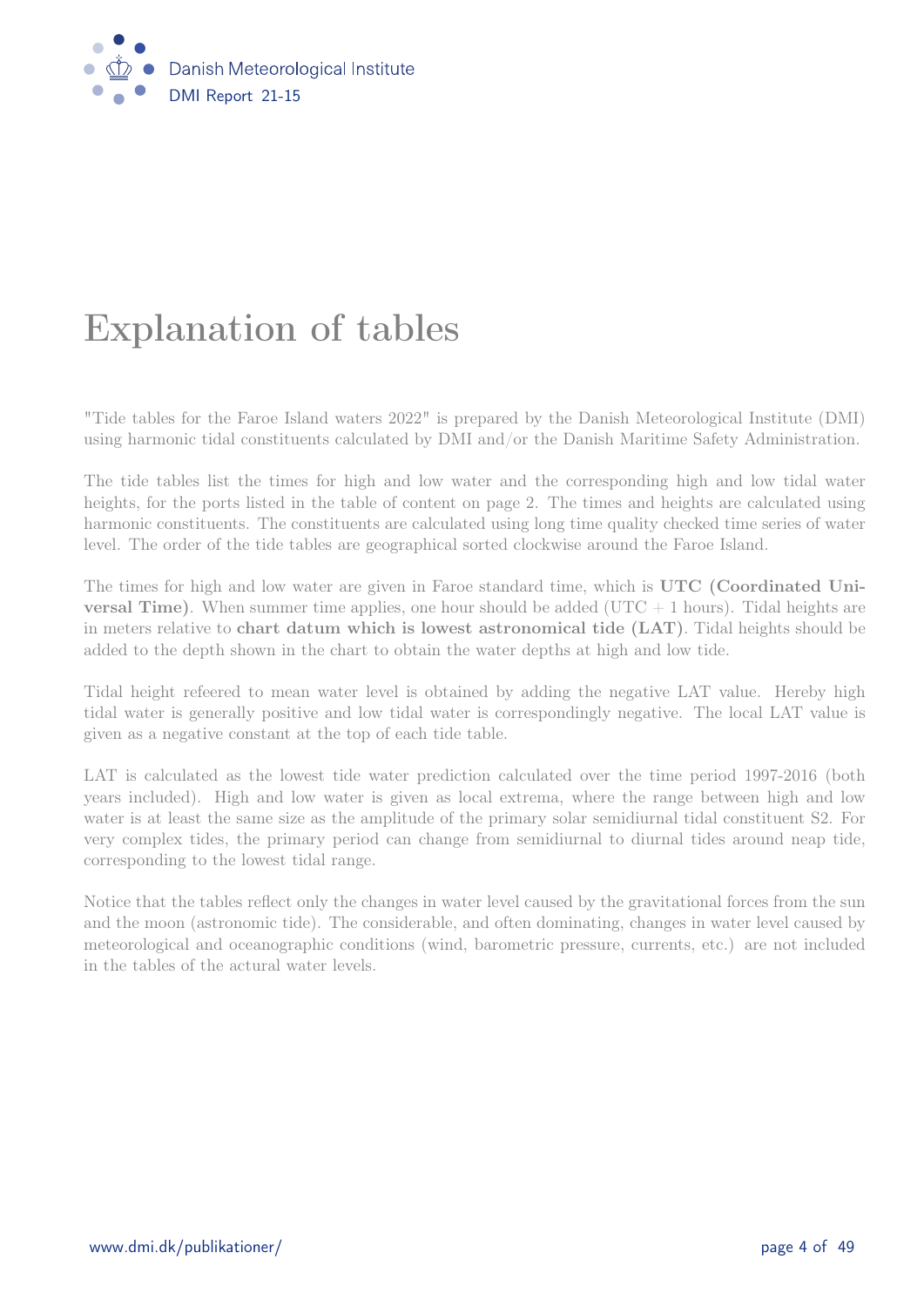

# Explanation of tables

"Tide tables for the Faroe Island waters 2022" is prepared by the Danish Meteorological Institute (DMI) using harmonic tidal constituents calculated by DMI and/or the Danish Maritime Safety Administration.

The tide tables list the times for high and low water and the corresponding high and low tidal water heights, for the ports listed in the table of content on page 2. The times and heights are calculated using harmonic constituents. The constituents are calculated using long time quality checked time series of water level. The order of the tide tables are geographical sorted clockwise around the Faroe Island.

The times for high and low water are given in Faroe standard time, which is UTC (Coordinated Uni**versal Time**). When summer time applies, one hour should be added ( $UTC + 1$  hours). Tidal heights are in meters relative to chart datum which is lowest astronomical tide (LAT). Tidal heights should be added to the depth shown in the chart to obtain the water depths at high and low tide.

Tidal height refeered to mean water level is obtained by adding the negative LAT value. Hereby high tidal water is generally positive and low tidal water is correspondingly negative. The local LAT value is given as a negative constant at the top of each tide table.

LAT is calculated as the lowest tide water prediction calculated over the time period 1997-2016 (both years included). High and low water is given as local extrema, where the range between high and low water is at least the same size as the amplitude of the primary solar semidiurnal tidal constituent S2. For very complex tides, the primary period can change from semidiurnal to diurnal tides around neap tide, corresponding to the lowest tidal range.

Notice that the tables reflect only the changes in water level caused by the gravitational forces from the sun and the moon (astronomic tide). The considerable, and often dominating, changes in water level caused by meteorological and oceanographic conditions (wind, barometric pressure, currents, etc.) are not included in the tables of the actural water levels.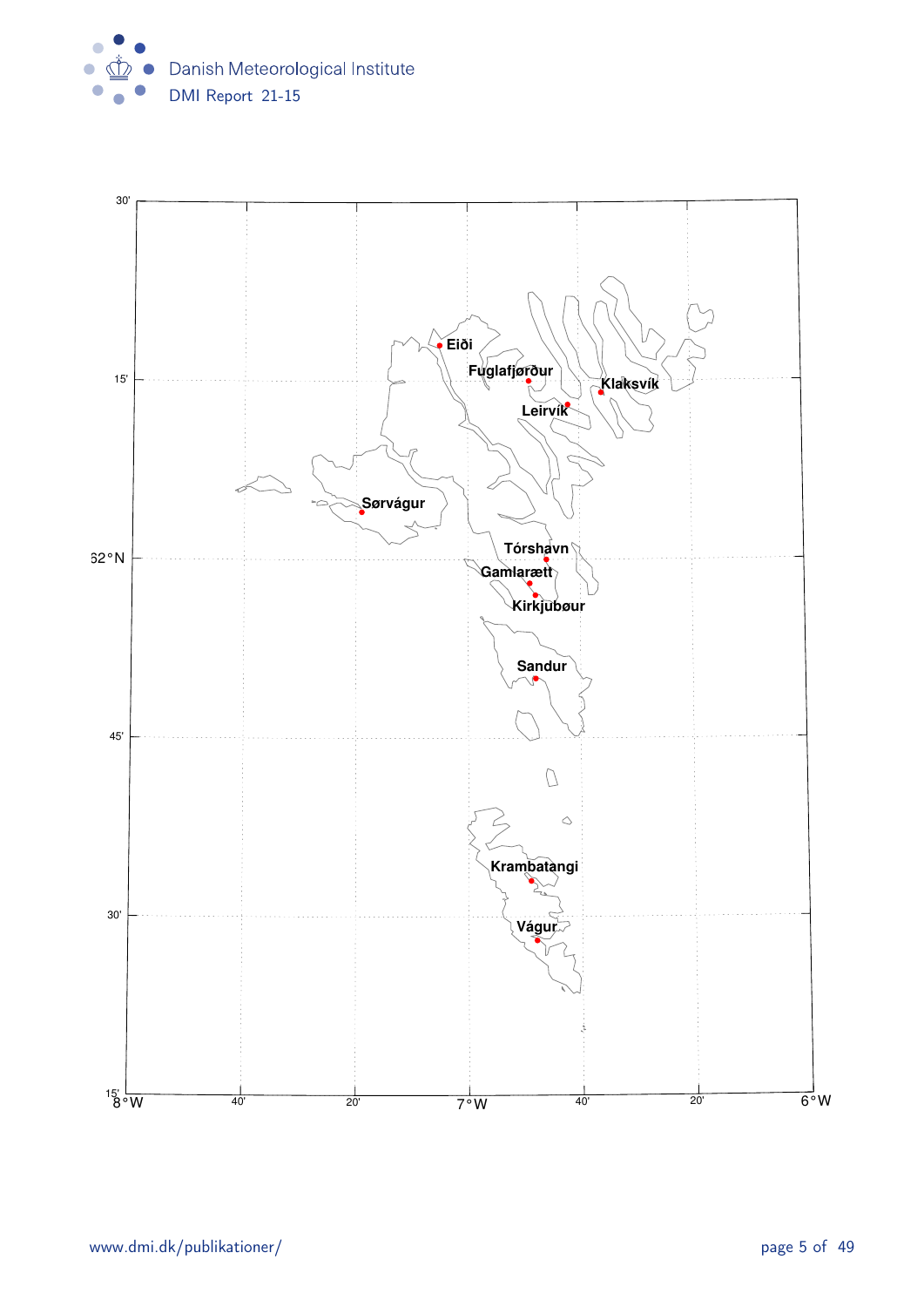

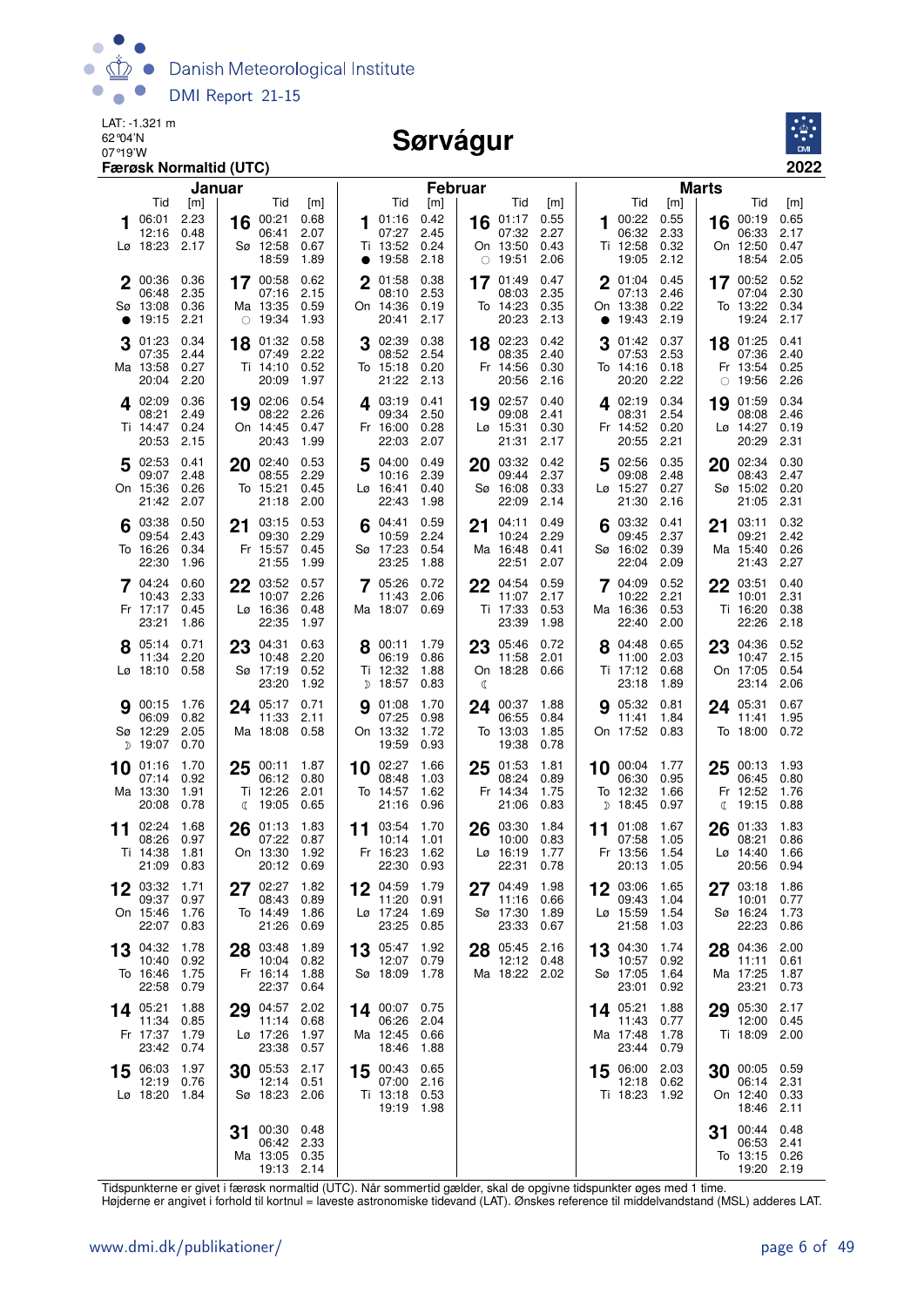

#### Sørvágur



|    |                                                  | Januar                       |    |                                                      |                              |    |                                                         | <b>Februar</b>               |    |                                                  |                              |    |                                                 |                              | Marts   |                                                  |                              |
|----|--------------------------------------------------|------------------------------|----|------------------------------------------------------|------------------------------|----|---------------------------------------------------------|------------------------------|----|--------------------------------------------------|------------------------------|----|-------------------------------------------------|------------------------------|---------|--------------------------------------------------|------------------------------|
|    | Tid                                              | [m]                          |    | Tid                                                  | [m]                          |    | Tid                                                     | [m]                          |    | Tid                                              | [m]                          |    | Tid                                             | [m]                          |         | Tid                                              | [m]                          |
|    | 06:01<br>12:16<br>Lø 18:23                       | 2.23<br>0.48<br>2.17         | 16 | 00:21<br>06:41<br>Sø 12:58<br>18:59                  | 0.68<br>2.07<br>0.67<br>1.89 |    | 101:16<br>07:27<br>Ti 13:52<br>$\bullet$ 19:58          | 0.42<br>2.45<br>0.24<br>2.18 |    | 16 $01:17$<br>07:32<br>On 13:50<br>$\circ$ 19:51 | 0.55<br>2.27<br>0.43<br>2.06 |    | 100:22<br>06:32<br>Ti 12:58<br>19:05            | 0.55<br>2.33<br>0.32<br>2.12 | 16      | 00:19<br>06:33<br>On 12:50<br>18:54              | 0.65<br>2.17<br>0.47<br>2.05 |
|    | 2 00:36<br>06:48<br>Sø 13:08<br>19:15            | 0.36<br>2.35<br>0.36<br>2.21 |    | 17 00:58<br>07:16<br>Ma 13:35<br>$\circ$ 19:34       | 0.62<br>2.15<br>0.59<br>1.93 |    | 2 01:58<br>08:10<br>On 14:36<br>20:41                   | 0.38<br>2.53<br>0.19<br>2.17 |    | 17 01:49<br>08:03<br>To 14:23<br>20:23           | 0.47<br>2.35<br>0.35<br>2.13 |    | 2 01:04 0.45<br>07:13<br>On 13:38<br>19:43 2.19 | 2.46<br>0.22                 |         | 17 00:52 0.52<br>07:04<br>To 13:22<br>19:24      | 2.30<br>0.34<br>2.17         |
|    | 01:23<br>07:35<br>Ma 13:58<br>20:04              | 0.34<br>2.44<br>0.27<br>2.20 |    | 18 01:32<br>07:49<br>Ti 14:10<br>20:09               | 0.58<br>2.22<br>0.52<br>1.97 |    | 02:39 0.38<br>08:52 2.54<br>To 15:18 0.20<br>21:22 2.13 |                              |    | 18 02:23<br>08:35<br>Fr 14:56<br>20:56           | 0.42<br>2.40<br>0.30<br>2.16 | 3  | 01:42 0.37<br>07:53<br>To 14:16 0.18<br>20:20   | 2.53<br>-2.22                |         | 18 01:25<br>07:36<br>Fr 13:54<br>$\circ$ 19:56   | 0.41<br>2.40<br>0.25<br>2.26 |
|    | 402:09<br>08:21<br>Ti 14:47<br>20:53             | 0.36<br>2.49<br>0.24<br>2.15 |    | 19 02:06 0.54<br>08:22<br>On 14:45<br>20:43          | 2.26<br>0.47<br>1.99         |    | 4 03:19 0.41<br>09:34<br>Fr 16:00<br>22:03              | 2.50<br>0.28<br>2.07         |    | 19 02:57<br>09:08<br>$Lg$ 15:31<br>21:31         | 0.40<br>2.41<br>0.30<br>2.17 |    | 4 02:19 0.34<br>08:31<br>Fr 14:52<br>20:55      | 2.54<br>0.20<br>2.21         | 19      | 01:59<br>08:08<br>Lø 14:27<br>20:29              | 0.34<br>2.46<br>0.19<br>2.31 |
|    | $5^{02:53}$<br>09:07<br>On 15:36<br>21:42        | 0.41<br>2.48<br>0.26<br>2.07 |    | $20^{02:40}$<br>08:55<br>To 15:21<br>21:18           | 0.53<br>2.29<br>0.45<br>2.00 |    | 504:00<br>10:16 2.39<br>$L\varnothing$ 16:41<br>22:43   | 0.49<br>0.40<br>1.98         | 20 | 03:32<br>09:44<br>Sø 16:08<br>22:09              | 0.42<br>2.37<br>0.33<br>2.14 |    | 5 02:56<br>09:08<br>Lø 15:27<br>21:30           | 0.35<br>2.48<br>0.27<br>2.16 | 20      | 02:34<br>08:43<br>Sø 15:02<br>21:05              | 0.30<br>2.47<br>0.20<br>2.31 |
|    | 03:38<br>09:54<br>To 16:26<br>22:30              | 0.50<br>2.43<br>0.34<br>1.96 |    | 21 03:15<br>09:30<br>Fr 15:57<br>21:55               | 0.53<br>2.29<br>0.45<br>1.99 | 6  | 04:41<br>10:59<br>Sø 17:23<br>23:25                     | 0.59<br>2.24<br>0.54<br>1.88 | 21 | 04:11<br>10:24<br>Ma 16:48<br>22:51              | 0.49<br>2.29<br>0.41<br>2.07 |    | 03:32<br>09:45<br>Sø 16:02<br>22:04             | 0.41<br>2.37<br>0.39<br>2.09 | 21      | 03:11<br>09:21<br>Ma 15:40<br>21:43              | 0.32<br>2.42<br>0.26<br>2.27 |
|    | 7 04:24<br>10:43<br>Fr 17:17<br>23:21            | 0.60<br>2.33<br>0.45<br>1.86 |    | 22 03:52<br>10:07<br>$Lg$ 16:36<br>22:35             | 0.57<br>2.26<br>0.48<br>1.97 |    | 7 05:26<br>11:43<br>Ma 18:07 0.69                       | 0.72<br>2.06                 |    | 22 04:54<br>11:07<br>Ti 17:33<br>23:39           | 0.59<br>2.17<br>0.53<br>1.98 |    | 7 04:09 0.52<br>10:22<br>Ma 16:36<br>22:40      | 2.21<br>0.53<br>2.00         | 22      | 03:51<br>10:01<br>Ti 16:20<br>22:26              | 0.40<br>2.31<br>0.38<br>2.18 |
|    | 8 05:14 0.71<br>11:34<br>Lø 18:10 0.58           | 2.20                         | 23 | 04:31<br>10:48<br>Sø 17:19<br>23:20                  | 0.63<br>2.20<br>0.52<br>1.92 |    | 00:11<br>06:19<br>Ti 12:32<br>D 18:57                   | 1.79<br>0.86<br>1.88<br>0.83 | €  | 23 05:46<br>11:58<br>On 18:28                    | 0.72<br>2.01<br>0.66         |    | 8 04:48<br>11:00<br>Ti 17:12<br>23:18           | 0.65<br>2.03<br>0.68<br>1.89 | 23      | 04:36<br>10:47<br>On 17:05<br>23:14              | 0.52<br>2.15<br>0.54<br>2.06 |
|    | <b>9</b> 00:15<br>06:09<br>Sø 12:29<br>$D$ 19:07 | 1.76<br>0.82<br>2.05<br>0.70 |    | 24 05:17 0.71<br>11:33<br>Ma 18:08 0.58              | 2.11                         | 9  | 01:08<br>07:25<br>On 13:32<br>19:59                     | 1.70<br>0.98<br>1.72<br>0.93 |    | 24 00:37<br>06:55<br>To 13:03<br>19:38           | 1.88<br>0.84<br>1.85<br>0.78 |    | 9 05:32<br>11:41<br>On 17:52 0.83               | 0.81<br>1.84                 |         | 24 05:31<br>11:41<br>To 18:00 0.72               | 0.67<br>1.95                 |
|    | 10 01:16<br>07:14<br>Ma 13:30<br>20:08           | 1.70<br>0.92<br>1.91<br>0.78 |    | $25\frac{00:11}{20}$<br>06:12<br>Ti 12:26<br>《 19:05 | 1.87<br>0.80<br>2.01<br>0.65 |    | 10 02:27<br>08:48<br>To 14:57<br>21:16                  | 1.66<br>1.03<br>1.62<br>0.96 |    | $25$ 01:53<br>08:24<br>Fr 14:34<br>21:06         | 1.81<br>0.89<br>1.75<br>0.83 |    | 10 00:04<br>06:30<br>To 12:32<br>D 18:45 0.97   | 1.77<br>0.95<br>1.66         | 25<br>ℂ | 00:13<br>06:45<br>Fr 12:52<br>19:15              | 1.93<br>0.80<br>1.76<br>0.88 |
| 11 | 02:24<br>08:26<br>Ti 14:38<br>21:09              | 1.68<br>0.97<br>1.81<br>0.83 | 26 | 01:13<br>07:22<br>On 13:30<br>20:12 0.69             | 1.83<br>0.87<br>1.92         |    | 11 03:54<br>10:14<br>Fr 16:23<br>22:30 0.93             | 1.70<br>1.01<br>1.62         |    | 26 03:30<br>10:00<br>$Lo$ 16:19<br>22:31         | 1.84<br>0.83<br>1.77<br>0.78 | 11 | 01:08<br>07:58<br>Fr 13:56<br>20:13             | 1.67<br>1.05<br>1.54<br>1.05 | 26      | 01:33<br>08:21<br>$L\varnothing$ 14:40<br>20:56  | 1.83<br>0.86<br>1.66<br>0.94 |
| 12 | 03:32<br>09:37<br>On 15:46<br>22:07              | 1.71<br>0.97<br>1.76<br>0.83 |    | 27 02:27<br>08:43<br>To 14:49<br>21:26               | 1.82<br>0.89<br>1.86<br>0.69 |    | 04:59 1.79<br>11:20<br>Lø 17:24<br>23:25                | 0.91<br>1.69<br>0.85         | 27 | 04:49<br>11:16<br>Sø 17:30<br>23:33              | 1.98<br>0.66<br>1.89<br>0.67 |    | 12 03:06<br>09:43<br>Lø 15:59<br>21:58          | 1.65<br>1.04<br>1.54<br>1.03 | 27      | 03:18<br>10:01<br>Sø 16:24<br>22:23              | 1.86<br>0.77<br>1.73<br>0.86 |
| 13 | 04:32<br>10:40<br>To 16:46<br>22:58              | 1.78<br>0.92<br>1.75<br>0.79 |    | 28 03:48<br>10:04<br>Fr 16:14<br>22:37               | 1.89<br>0.82<br>1.88<br>0.64 | 13 | 05:47<br>12:07<br>Sø 18:09                              | 1.92<br>0.79<br>1.78         | 28 | 05:45<br>12:12 0.48<br>Ma 18:22 2.02             | 2.16                         |    | 13 04:30<br>10:57<br>Sø 17:05<br>23:01          | 1.74<br>0.92<br>1.64<br>0.92 | 28      | 04:36<br>11:11<br>Ma 17:25<br>23:21              | 2.00<br>0.61<br>1.87<br>0.73 |
|    | 14 05:21<br>11:34<br>Fr 17:37<br>23:42           | 1.88<br>0.85<br>1.79<br>0.74 | 29 | 04:57<br>11:14<br>Lø 17:26<br>23:38                  | 2.02<br>0.68<br>1.97<br>0.57 |    | 14 00:07 0.75<br>06:26<br>Ma 12:45<br>18:46             | 2.04<br>0.66<br>1.88         |    |                                                  |                              |    | 14 05:21<br>11:43<br>Ma 17:48<br>23:44          | 1.88<br>0.77<br>1.78<br>0.79 | 29      | 05:30<br>12:00<br>Ti 18:09 2.00                  | 2.17<br>0.45                 |
| 15 | 06:03<br>12:19<br>Lø 18:20 1.84                  | 1.97<br>0.76                 |    | 30 05:53<br>12:14<br>Sø 18:23 2.06                   | 2.17<br>0.51                 |    | 15 00:43 0.65<br>07:00<br>Ti 13:18 0.53<br>19:19 1.98   | 2.16                         |    |                                                  |                              |    | 15 06:00<br>12:18<br>Ti 18:23 1.92              | 2.03<br>0.62                 |         | 30 00:05 0.59<br>06:14<br>On 12:40 0.33<br>18:46 | 2.31<br>2.11                 |
|    |                                                  |                              |    | 00:30<br>06:42<br>Ma 13:05 0.35<br>19:13 2.14        | 0.48<br>2.33                 |    |                                                         |                              |    |                                                  |                              |    |                                                 |                              | 31      | 00:44<br>06:53<br>To 13:15<br>19:20 2.19         | 0.48<br>2.41<br>0.26         |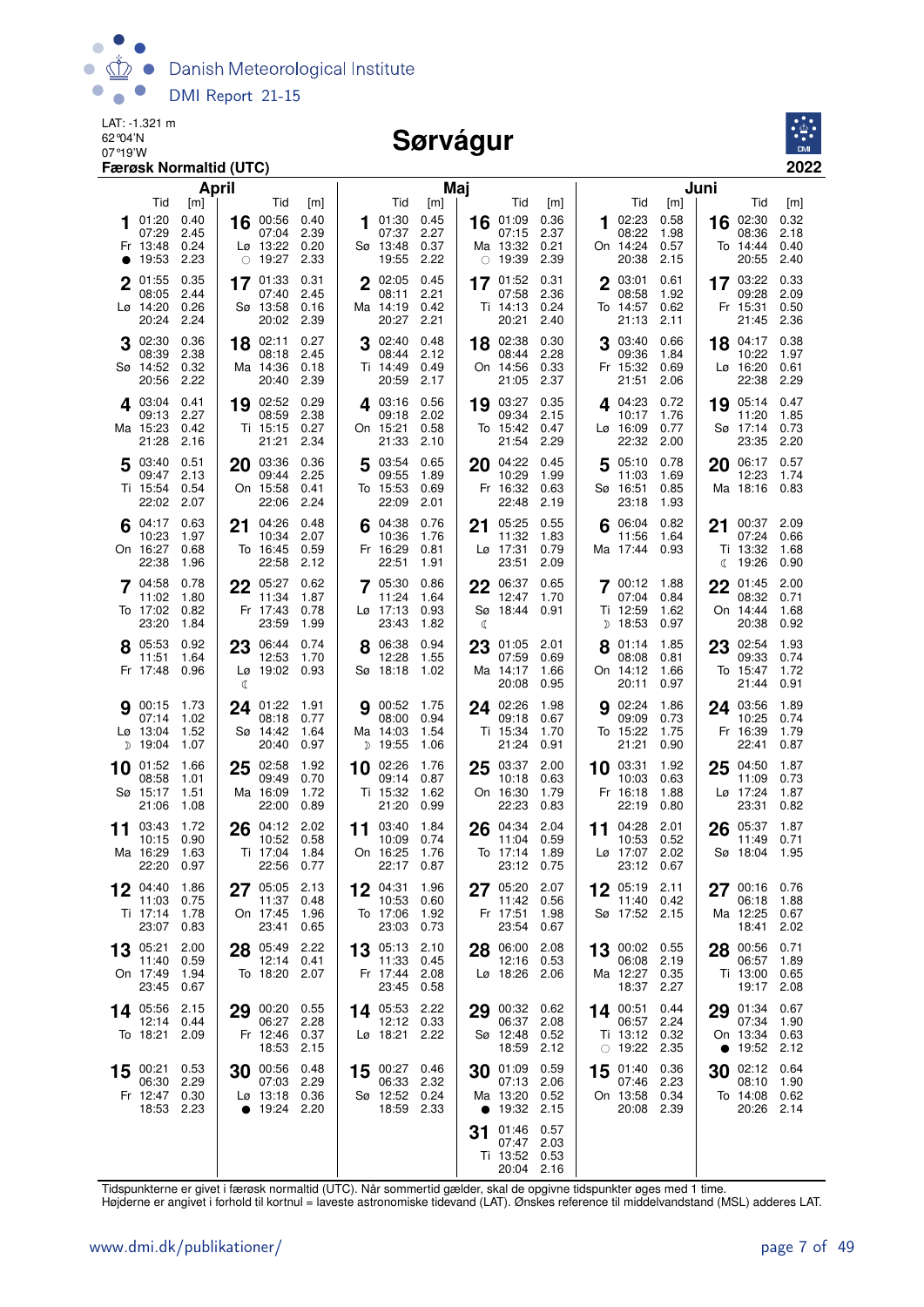

#### Sørvágur



| April                                                                                                                                  |                                                                   |                                                            | Maj                                 |                                                       |                                     |    |                                                               |                                     | Juni      |                                                    |                                     |
|----------------------------------------------------------------------------------------------------------------------------------------|-------------------------------------------------------------------|------------------------------------------------------------|-------------------------------------|-------------------------------------------------------|-------------------------------------|----|---------------------------------------------------------------|-------------------------------------|-----------|----------------------------------------------------|-------------------------------------|
| Tid<br>[m]<br>01:20<br>0.40<br>00:56<br>16<br>07:29<br>2.45<br>07:04<br>0.24<br>Lø 13:22<br>Fr 13:48<br>2.23<br>$\circ$ 19:27<br>19:53 | Tid<br>[m]<br>0.40<br>2.39<br>0.20<br>2.33                        | Tid<br>01:30<br>07:37<br>Sø 13:48<br>19:55                 | [m]<br>0.45<br>2.27<br>0.37<br>2.22 | Tid<br>16 01:09<br>07:15<br>Ma 13:32<br>$\circ$ 19:39 | [m]<br>0.36<br>2.37<br>0.21<br>2.39 | 1  | Tid<br>02:23<br>08:22<br>On 14:24<br>20:38                    | [m]<br>0.58<br>1.98<br>0.57<br>2.15 | 16        | Tid<br>02:30<br>08:36<br>To 14:44<br>20:55         | [m]<br>0.32<br>2.18<br>0.40<br>2.40 |
| 0.35<br>2 01:55<br>$17^{01:33}$<br>2.44<br>08:05<br>07:40<br>Lø 14:20<br>0.26<br>Sø 13:58<br>20:24<br>2.24<br>20:02                    | 0.31<br>2.45<br>0.16<br>2.39                                      | $2^{02:05}$<br>08:11<br>Ma 14:19<br>20:27                  | 0.45<br>2.21<br>0.42<br>2.21        | 17 01:52<br>07:58<br>Ti 14:13<br>20:21                | 0.31<br>2.36<br>0.24<br>2.40        |    | 2 03:01<br>08:58<br>To 14:57<br>21:13                         | 0.61<br>1.92<br>0.62<br>2.11        |           | 17 03:22<br>09:28<br>Fr 15:31<br>21:45             | 0.33<br>2.09<br>0.50<br>2.36        |
| 0.36<br>02:30<br>18 02:11<br>2.38<br>08:18<br>08:39<br>Sø 14:52<br>0.32<br>Ma 14:36<br>20:56<br>2.22<br>20:40                          | 0.27<br>2.45<br>0.18<br>2.39                                      | $3^{02:40}$<br>08:44<br>Ti 14:49<br>20:59 2.17             | 0.48<br>2.12<br>0.49                | 18 02:38<br>08:44<br>On 14:56<br>21:05                | 0.30<br>2.28<br>0.33<br>2.37        |    | 03:40<br>09:36<br>Fr 15:32<br>21:51                           | 0.66<br>1.84<br>0.69<br>2.06        |           | 18 04:17<br>10:22<br>$Lg$ 16:20<br>22:38           | 0.38<br>1.97<br>0.61<br>2.29        |
| 19 02:52<br>403:04<br>0.41<br>09:13<br>2.27<br>08:59<br>Ma 15:23<br>0.42<br>Ti 15:15<br>21:21<br>21:28<br>2.16                         | 0.29<br>2.38<br>0.27<br>2.34                                      | 403:16<br>09:18<br>On 15:21<br>21:33                       | 0.56<br>2.02<br>0.58<br>2.10        | 19 03:27<br>09:34<br>To 15:42<br>21:54                | 0.35<br>2.15<br>0.47<br>2.29        |    | $4^{04:23}$<br>10:17<br>$L\sigma$ 16:09<br>22:32              | 0.72<br>1.76<br>0.77<br>2.00        |           | 19 05:14<br>11:20<br>Sø 17:14<br>23:35             | 0.47<br>1.85<br>0.73<br>2.20        |
| 0.51<br>5 03:40<br>03:36<br>20<br>2.13<br>09:47<br>09:44<br>0.54<br>Ti 15:54<br>On 15:58<br>22:02<br>2.07<br>22:06                     | 0.36<br>2.25<br>0.41<br>2.24                                      | 03:54<br>5<br>09:55<br>To 15:53<br>22:09                   | 0.65<br>1.89<br>0.69<br>2.01        | 04:22<br>20<br>10:29<br>Fr 16:32<br>22:48             | 0.45<br>1.99<br>0.63<br>2.19        | 5  | 05:10<br>11:03<br>Sø 16:51<br>23:18                           | 0.78<br>1.69<br>0.85<br>1.93        | 20        | 06:17<br>12:23<br>Ma 18:16                         | 0.57<br>1.74<br>0.83                |
| 0.63<br>$6^{04:17}$<br>04:26<br>21<br>10:23<br>1.97<br>10:34<br>On 16:27<br>0.68<br>To 16:45<br>22:58<br>22:38<br>1.96                 | 0.48<br>2.07<br>0.59<br>2.12                                      | 04:38<br>10:36<br>Fr 16:29<br>22:51                        | 0.76<br>1.76<br>0.81<br>1.91        | 05:25<br>21<br>11:32<br>Lø 17:31<br>23:51             | 0.55<br>1.83<br>0.79<br>2.09        | 6  | 06:04<br>11:56<br>Ma 17:44                                    | 0.82<br>1.64<br>0.93                | 21<br>C   | 00:37<br>07:24<br>Ti 13:32<br>19:26                | 2.09<br>0.66<br>1.68<br>0.90        |
| 7 04:58<br>0.78<br>05:27<br>22<br>11:02<br>1.80<br>11:34<br>To 17:02<br>0.82<br>Fr 17:43<br>23:20<br>1.84<br>23:59                     | 0.62<br>1.87<br>0.78<br>1.99                                      | 7 05:30<br>11:24<br>Lø 17:13<br>23:43                      | 0.86<br>1.64<br>0.93<br>1.82        | 06:37<br>22<br>12:47<br>Sø 18:44<br>₫                 | 0.65<br>1.70<br>0.91                |    | 700:12<br>07:04<br>Ti 12:59<br>$D$ 18:53                      | 1.88<br>0.84<br>1.62<br>0.97        | 22        | 01:45<br>08:32<br>On 14:44<br>20:38                | 2.00<br>0.71<br>1.68<br>0.92        |
| 0.92<br>23 06:44<br>8 05:53<br>12:53<br>11:51<br>1.64<br>Fr 17:48<br>0.96<br>C                                                         | 0.74<br>1.70<br>Lø 19:02 0.93                                     | 8 06:38<br>12:28<br>Sø 18:18                               | 0.94<br>1.55<br>1.02                | 23 01:05<br>07:59<br>Ma 14:17<br>20:08                | 2.01<br>0.69<br>1.66<br>0.95        |    | 8 01:14<br>08:08<br>On 14:12<br>20:11                         | 1.85<br>0.81<br>1.66<br>0.97        |           | 23 02:54<br>09:33<br>To 15:47<br>21:44             | 1.93<br>0.74<br>1.72<br>0.91        |
| <b>9</b> 00:15<br>1.73<br>01:22<br>24<br>07:14<br>1.02<br>08:18<br>1.52<br>Sø 14:42<br>Lø 13:04<br>$D$ 19:04<br>1.07<br>20:40          | - 1.91<br>0.77<br>1.64<br>0.97                                    | 00:52 1.75<br>9<br>08:00<br>Ma 14:03<br>D 19:55            | 0.94<br>1.54<br>1.06                | 24 02:26<br>09:18<br>Ti 15:34<br>21:24                | 1.98<br>0.67<br>1.70<br>0.91        | 9  | 02:24<br>09:09<br>To 15:22<br>21:21                           | 1.86<br>0.73<br>1.75<br>0.90        |           | 24 03:56<br>10:25<br>Fr 16:39<br>22:41             | 1.89<br>0.74<br>1.79<br>0.87        |
| 02:58<br>10 01:52<br>1.66<br>25<br>09:49<br>08:58<br>1.01<br>Sø 15:17<br>1.51<br>Ma 16:09<br>21:06<br>1.08<br>22:00                    | 1.92<br>0.70<br>1.72<br>0.89                                      | 10 02:26<br>09:14<br>Ti 15:32<br>21:20                     | 1.76<br>0.87<br>1.62<br>0.99        | 25 03:37<br>10:18<br>On 16:30<br>22:23                | 2.00<br>0.63<br>1.79<br>0.83        |    | 10 03:31<br>10:03<br>Fr 16:18<br>22:19                        | 1.92<br>0.63<br>1.88<br>0.80        | 25        | 04:50<br>11:09<br>Lø 17:24<br>23:31                | 1.87<br>0.73<br>1.87<br>0.82        |
| 03:43<br>1.72<br>04:12<br>26<br>11<br>0.90<br>10:52<br>10:15<br>Ma 16:29<br>1.63<br>Ti 17:04<br>22:20<br>22:56<br>0.97                 | 2.02<br>0.58<br>1.84<br>0.77                                      | 03:40<br>11<br>10:09<br>On 16:25<br>22:17                  | 1.84<br>0.74<br>1.76<br>0.87        | 04:34<br>26<br>11:04<br>To 17:14<br>23:12             | 2.04<br>0.59<br>1.89<br>0.75        | 11 | 04:28<br>10:53<br>Lø 17:07<br>23:12 0.67                      | 2.01<br>0.52<br>2.02                | 26        | 05:37<br>11:49<br>Sø 18:04                         | 1.87<br>0.71<br>1.95                |
| 1.86<br>04:40<br>12<br>11:03<br>0.75<br>Ti 17:14<br>1.78<br>On 17:45<br>23:07<br>23:41<br>0.83                                         | 05:05 2.13<br>11:37<br>0.48<br>1.96<br>0.65                       | 12<br>04:31<br>10:53<br>To 17:06<br>23:03                  | 1.96<br>0.60<br>1.92<br>0.73        | 27 05:20<br>11:42<br>Fr 17:51<br>23:54                | 2.07<br>0.56<br>1.98<br>0.67        |    | 12 05:19 2.11<br>11:40 0.42<br>Sø 17:52 2.15                  |                                     | 27        | 00:16 0.76<br>06:18<br>Ma 12:25<br>18:41           | 1.88<br>0.67<br>2.02                |
| 05:21<br>2.00<br>28 05:49<br>13<br>0.59<br>11:40<br>On 17:49<br>1.94<br>0.67<br>23:45                                                  | 2.22<br>12:14 0.41<br>To 18:20 2.07                               | 13 05:13 2.10<br>11:33<br>Fr 17:44 2.08<br>23:45 0.58      | 0.45                                | 28 06:00<br>12:16<br>Lø 18:26 2.06                    | 2.08<br>0.53                        |    | 13 00:02 0.55<br>06:08 2.19<br>Ma 12:27 0.35<br>18:37 2.27    |                                     | 28        | 00:56<br>06:57<br>Ti 13:00 0.65<br>19:17           | 0.71<br>1.89<br>2.08                |
| 14 05:56 2.15<br>06:27<br>12:14 0.44<br>To 18:21 2.09<br>18:53                                                                         | 29 00:20 0.55<br>2.28<br>Fr 12:46 0.37<br>2.15                    | 14 05:53 2.22<br>12:12 0.33<br>Lø 18:21 2.22               |                                     | 29 00:32<br>06:37<br>Sø 12:48<br>18:59                | 0.62<br>2.08<br>0.52<br>2.12        |    | 14 00:51 0.44<br>06:57 2.24<br>Ti 13:12 0.32<br>$\circ$ 19:22 | 2.35                                | $\bullet$ | 29 01:34<br>07:34<br>On 13:34<br>19:52             | 0.67<br>1.90<br>0.63<br>2.12        |
| 15 00:21 0.53<br>30<br>2.29<br>06:30<br>Fr 12:47 0.30<br>18:53 2.23                                                                    | 00:56 0.48<br>07:03 2.29<br>Lø 13:18 0.36<br>$\bullet$ 19:24 2.20 | 15 00:27 0.46<br>06:33 2.32<br>Sø 12:52 0.24<br>18:59 2.33 |                                     | 30 01:09<br>07:13<br>Ma 13:20<br>• $19:32$            | 0.59<br>2.06<br>0.52<br>2.15        |    | 15 01:40 0.36<br>07:46 2.23<br>On 13:58 0.34<br>20:08 2.39    |                                     | 30        | 02:12 0.64<br>08:10<br>To 14:08 0.62<br>20:26 2.14 | 1.90                                |
|                                                                                                                                        |                                                                   |                                                            |                                     | 01:46<br>31<br>07:47<br>Ti 13:52 0.53<br>20:04 2.16   | 0.57<br>2.03                        |    |                                                               |                                     |           |                                                    |                                     |

Tidspunkterne er givet i færøsk normaltid (UTC). Når sommertid gælder, skal de opgivne tidspunkter øges med 1 time.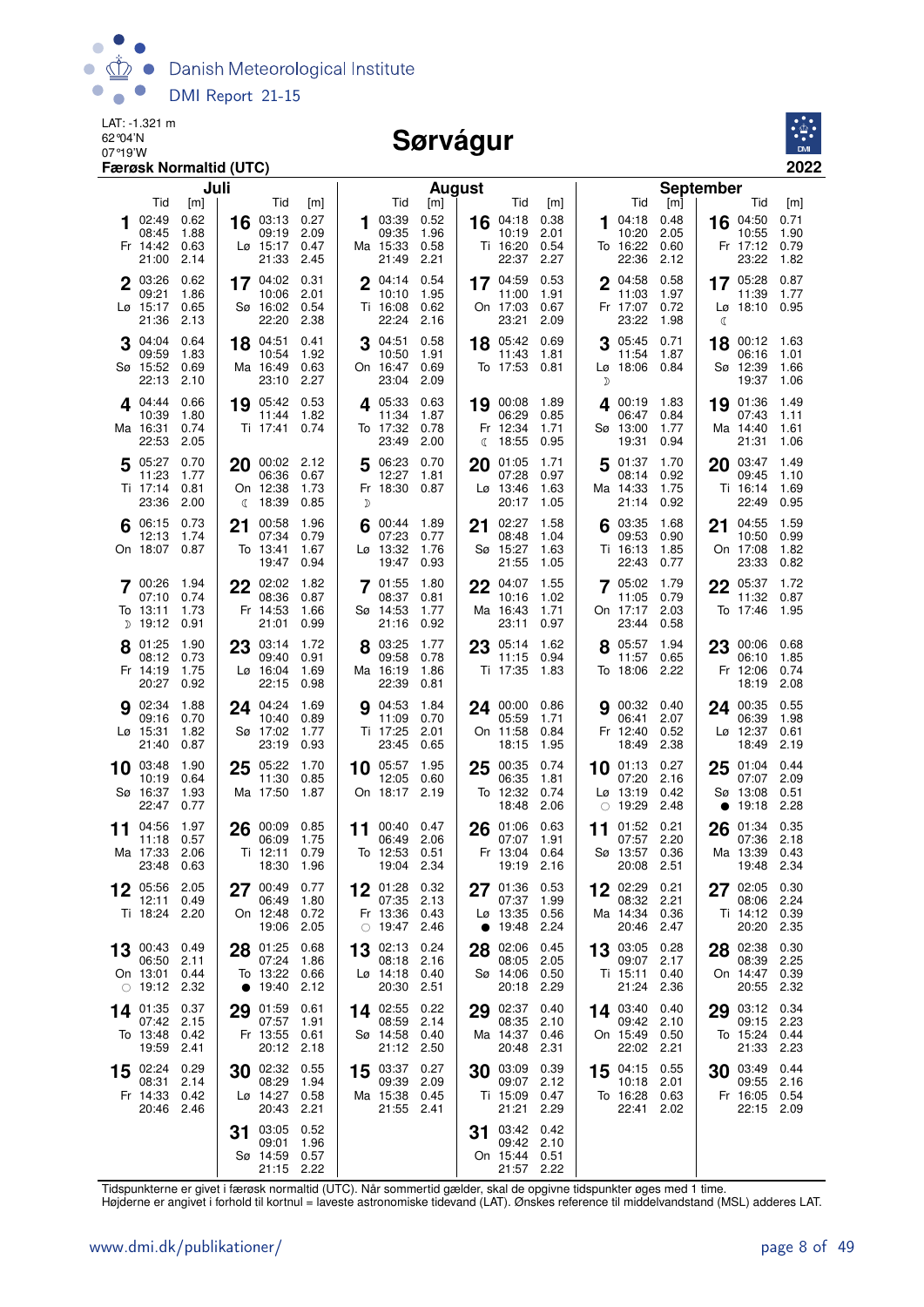

#### Sørvágur



| Juli                                      |                                                   | <b>August</b>                           |                                               |                                      | <b>September</b>                     |
|-------------------------------------------|---------------------------------------------------|-----------------------------------------|-----------------------------------------------|--------------------------------------|--------------------------------------|
| Tid                                       | Tid                                               | Tid                                     | <b>Tid</b>                                    | Tid                                  | Tid                                  |
| [m]                                       | [m]                                               | [m]                                     | [m]                                           | $[m]$                                | [m]                                  |
| 02:49<br>0.62<br>1<br>1.88<br>08:45       | 16 03:13 0.27<br>09:19<br>2.09                    | 0.52<br>103:39<br>09:35<br>1.96         | 16 04:18<br>0.38<br>2.01<br>10:19             | 04:18<br>0.48<br>1<br>10:20<br>2.05  | 16 04:50<br>0.71<br>1.90<br>10:55    |
| Fr 14:42                                  | Lø 15:17                                          | Ma 15:33                                | 0.54                                          | To 16:22                             | 0.79                                 |
| 0.63                                      | 0.47                                              | 0.58                                    | Ti 16:20                                      | 0.60                                 | Fr 17:12                             |
| 2.14                                      | 21:33                                             | 2.21                                    | 22:37                                         | 22:36                                | 23:22                                |
| 21:00                                     | 2.45                                              | 21:49                                   | 2.27                                          | 2.12                                 | 1.82                                 |
| 2 03:26                                   | 17 04:02                                          | 0.54                                    | 0.53                                          | 04:58                                | 17 05:28                             |
| 0.62                                      | 0.31                                              | $2^{04:14}$                             | 17 04:59                                      | 0.58                                 | 0.87                                 |
| 09:21                                     | 10:06                                             | 1.95                                    | 11:00                                         | 11:03                                | 11:39                                |
| 1.86                                      | 2.01                                              | 10:10                                   | 1.91                                          | 1.97                                 | 1.77                                 |
| Lø 15:17<br>0.65<br>21:36<br>2.13         | Sø 16:02<br>0.54<br>22:20<br>2.38                 | Ti 16:08<br>0.62<br>22:24<br>2.16       | On 17:03<br>0.67<br>23:21<br>2.09             | 0.72<br>Fr 17:07<br>23:22<br>1.98    | Lø 18:10 0.95<br>ℭ                   |
| 0.64<br>$3^{04:04}$                       | 0.41                                              | 0.58<br>3 04:51                         | 0.69<br>18 05:42                              | $3^{05:45}$<br>0.71                  | 00:12 1.63                           |
| 09:59<br>1.83                             | 18 04:51<br>10:54<br>1.92                         | 10:50<br>1.91                           | 11:43<br>1.81                                 | 11:54<br>1.87                        | 18<br>06:16<br>1.01                  |
| Sø 15:52                                  | Ma 16:49                                          | On 16:47                                | To 17:53                                      | Lø 18:06                             | Sø 12:39                             |
| 0.69                                      | 0.63                                              | 0.69                                    | 0.81                                          | 0.84                                 | 1.66                                 |
| 22:13<br>2.10                             | 2.27<br>23:10                                     | 2.09<br>23:04                           |                                               | D                                    | 19:37<br>1.06                        |
| 0.66                                      | 19 05:42 0.53                                     | 4 05:33                                 | 19 00:08                                      | 400:19                               | 19 01:36                             |
| 404:44                                    |                                                   | 0.63                                    | 1.89                                          | 1.83                                 | 1.49                                 |
| 10:39                                     | 11:44                                             | 11:34                                   | 06:29                                         | 06:47                                | 07:43                                |
| 1.80                                      | 1.82                                              | 1.87                                    | 0.85                                          | 0.84                                 | 1.11                                 |
| Ma 16:31                                  | Ti 17:41                                          | To 17:32                                | Fr 12:34                                      | Sø 13:00                             | Ma 14:40                             |
| 0.74                                      | 0.74                                              | 0.78                                    | 1.71                                          | 1.77                                 | 1.61                                 |
| 22:53<br>2.05                             |                                                   | 23:49<br>2.00                           | 18:55<br>0.95<br>€                            | 19:31<br>0.94                        | 21:31<br>1.06                        |
| 5 $05:27$<br>0.70                         | 20 00:02 2.12                                     | 5 06:23<br>0.70                         | 20<br>01:05<br>1.71                           | 5<br>01:37<br>1.70                   | 20 03:47<br>1.49                     |
| 11:23                                     | 06:36                                             | 12:27                                   | 07:28                                         | 08:14                                | 09:45                                |
| 1.77                                      | 0.67                                              | 1.81                                    | 0.97                                          | 0.92                                 | 1.10                                 |
| Ti 17:14<br>0.81<br>23:36<br>2.00         | On 12:38<br>1.73<br>18:39<br>0.85<br>$\mathbb{C}$ | Fr 18:30 0.87<br>D                      | $L\varnothing$ 13:46<br>1.63<br>1.05<br>20:17 | Ma 14:33<br>1.75<br>21:14<br>0.92    | Ti 16:14<br>1.69<br>22:49<br>0.95    |
|                                           |                                                   |                                         |                                               |                                      |                                      |
| 0.73<br>06:15<br>12:13<br>1.74            | 1.96<br>00:58<br>21<br>07:34<br>0.79              | 00:44 1.89<br>07:23<br>0.77             | 02:27<br>1.58<br>21<br>08:48<br>1.04          | 03:35<br>1.68<br>09:53<br>0.90       | 1.59<br>04:55<br>21<br>10:50<br>0.99 |
| On 18:07                                  | To 13:41                                          | Lø 13:32                                | Sø 15:27                                      | Ti 16:13                             | On 17:08                             |
| 0.87                                      | 1.67                                              | 1.76                                    | 1.63                                          | 1.85                                 | 1.82                                 |
|                                           | 19:47                                             | 19:47                                   | 21:55                                         | 22:43                                | 23:33                                |
|                                           | 0.94                                              | 0.93                                    | 1.05                                          | 0.77                                 | 0.82                                 |
| 7 00:26                                   | 22 02:02                                          | 7 01:55                                 | 1.55                                          | 7 05:02                              | 22 05:37                             |
| 1.94                                      | 1.82                                              | 1.80                                    | 22 04:07                                      | 1.79                                 | 1.72                                 |
| 07:10                                     | 08:36                                             | 08:37                                   | 1.02                                          | 0.79                                 | 11:32                                |
| 0.74                                      | 0.87                                              | 0.81                                    | 10:16                                         | 11:05                                | 0.87                                 |
| 1.73                                      | Fr 14:53                                          | Sø 14:53                                | Ma 16:43                                      | 2.03                                 | To 17:46                             |
| To 13:11                                  | 1.66                                              | 1.77                                    | 1.71                                          | On 17:17                             | 1.95                                 |
| ກ 19:12                                   | 21:01                                             | 21:16                                   | 23:11                                         | 0.58                                 |                                      |
| 0.91                                      | 0.99                                              | 0.92                                    | 0.97                                          | 23:44                                |                                      |
| 01:25                                     | 23 03:14                                          | 03:25                                   | 23 05:14                                      | 05:57                                | 00:06 0.68                           |
| 1.90                                      | 1.72                                              | 1.77                                    | 1.62                                          | 1.94                                 | 23                                   |
| 0.73                                      | 09:40                                             | 09:58                                   | 11:15                                         | 11:57                                | 1.85                                 |
| 08:12                                     | 0.91                                              | 0.78                                    | 0.94                                          | 0.65                                 | 06:10                                |
| Fr 14:19                                  | Lø 16:04                                          | Ma 16:19                                | Ti 17:35                                      | To 18:06                             | 0.74                                 |
| 1.75                                      | 1.69                                              | 1.86                                    | 1.83                                          | 2.22                                 | Fr 12:06                             |
| 20:27<br>0.92                             | 22:15<br>0.98                                     | 22:39<br>0.81                           |                                               |                                      | 18:19<br>2.08                        |
| 1.88<br>902:34<br>09:16<br>0.70           | 24 04:24<br>1.69<br>10:40<br>0.89                 | 1.84<br><b>g</b> 04:53<br>11:09<br>0.70 | 24 00:00<br>0.86<br>1.71<br>05:59             | <b>9</b> 00:32 0.40<br>2.07<br>06:41 | 0.55<br>24 00:35<br>1.98<br>06:39    |
| Lø 15:31                                  | Sø 17:02                                          | Ti 17:25                                | On 11:58                                      | Fr 12:40                             | Lø 12:37                             |
| 1.82                                      | 1.77                                              | 2.01                                    | 0.84                                          | 0.52                                 | 0.61                                 |
| 21:40                                     | 23:19                                             | 23:45                                   | 18:15                                         | 2.38                                 | 18:49                                |
| 0.87                                      | 0.93                                              | 0.65                                    | 1.95                                          | 18:49                                | 2.19                                 |
| 1.90<br>03:48<br>10                       | 05:22<br>1.70<br>25                               | 1.95<br>$10^{-05:57}$                   | 0.74<br>00:35<br>25                           | $10$ 01:13<br>0.27                   | 0.44<br>01:04<br>25                  |
| 10:19                                     | 11:30                                             | 12:05                                   | 06:35                                         | 07:20                                | 07:07                                |
| 0.64                                      | 0.85                                              | 0.60                                    | 1.81                                          | 2.16                                 | 2.09                                 |
| 1.93                                      | Ma 17:50                                          | 2.19                                    | To 12:32                                      | $Lg$ 13:19                           | 0.51                                 |
| Sø 16:37                                  | 1.87                                              | On 18:17                                | 0.74                                          | 0.42                                 | Sø 13:08                             |
| 22:47<br>0.77                             |                                                   |                                         | 18:48<br>2.06                                 | 2.48<br>19:29<br>$\bigcirc$          | 19:18<br>2.28<br>$\bullet$           |
| 1.97<br>04:56<br>11                       | 0.85                                              | 00:40<br>0.47                           | 26 01:06<br>0.63                              | 01:52<br>0.21<br>11                  | 0.35<br>26<br>01:34                  |
| 0.57<br>11:18                             | 06:09<br>1.75                                     | 11<br>06:49<br>2.06                     | 07:07<br>1.91                                 | 07:57<br>2.20                        | 07:36<br>2.18                        |
| Ma 17:33                                  | Ti 12:11                                          | To 12:53                                | Fr 13:04                                      | Sø 13:57                             | Ma 13:39                             |
| 2.06                                      | 0.79                                              | 0.51                                    | 0.64                                          | 0.36                                 | 0.43                                 |
| 23:48 0.63                                | 18:30<br>1.96                                     | 19:04 2.34                              | 19:19<br>2.16                                 | 2.51<br>20:08                        | 19:48 2.34                           |
| 05:56<br>2.05<br>12:11<br>0.49            | 00:49<br>0.77<br>27<br>06:49<br>1.80              | $12^{01:28}$<br>0.32<br>07:35<br>2.13   | 0.53<br>01:36<br>27<br>07:37<br>1.99          | 02:29<br>0.21<br>08:32<br>2.21       | 02:05<br>0.30<br>27<br>08:06<br>2.24 |
| Ti 18:24                                  | On 12:48                                          | Fr 13:36                                | Lø 13:35                                      | Ma 14:34                             | Ti 14:12                             |
| 2.20                                      | 0.72                                              | 0.43                                    | 0.56                                          | 0.36                                 | 0.39                                 |
|                                           | 19:06<br>2.05                                     | $\circ$ 19:47 2.46                      | 19:48<br>2.24<br>$\bullet$                    | 20:46<br>2.47                        | 20:20<br>2.35                        |
| 0.49<br>13 00:43                          | 28 01:25<br>0.68                                  | 02:13<br>0.24<br>13                     | 02:06<br>0.45<br>28                           | 13 03:05<br>0.28                     | 28 02:38<br>0.30                     |
| 06:50                                     | 07:24                                             | 08:18                                   | 08:05                                         | 09:07                                | 2.25                                 |
| 2.11                                      | 1.86                                              | 2.16                                    | 2.05                                          | 2.17                                 | 08:39                                |
| On 13:01<br>0.44<br>2.32<br>$\circ$ 19:12 | To 13:22<br>0.66<br>19:40<br>2.12<br>$\bullet$    | Lø 14:18<br>0.40<br>2.51<br>20:30       | 0.50<br>Sø 14:06<br>2.29<br>20:18             | Ti 15:11<br>0.40<br>21:24<br>2.36    | 0.39<br>On 14:47<br>2.32<br>20:55    |
| 01:35                                     | 01:59                                             | 14 02:55                                | 02:37                                         | 14 03:40                             | 03:12                                |
| 0.37                                      | 0.61                                              | 0.22                                    | 0.40                                          | 0.40                                 | 0.34                                 |
| 14<br>07:42<br>2.15                       | 29<br>07:57<br>1.91                               | 08:59<br>2.14                           | 29<br>08:35<br>2.10                           | 09:42<br>2.10                        | 29<br>2.23<br>09:15                  |
| To 13:48                                  | Fr 13:55                                          | Sø 14:58                                | Ma 14:37                                      | 0.50                                 | 0.44                                 |
| 0.42                                      | 0.61                                              | 0.40                                    | 0.46                                          | On 15:49                             | To 15:24                             |
| 19:59                                     | 20:12                                             | 2.50                                    | 20:48                                         | 22:02                                | 21:33                                |
| 2.41                                      | 2.18                                              | 21:12                                   | 2.31                                          | 2.21                                 | 2.23                                 |
| 15 02:24<br>0.29<br>08:31<br>2.14         | 30 02:32<br>0.55<br>08:29<br>1.94                 | 03:37<br>0.27<br>15<br>09:39<br>2.09    | 03:09<br>0.39<br>30<br>09:07<br>2.12          | 04:15<br>0.55<br>15<br>10:18<br>2.01 | 03:49<br>0.44<br>30<br>09:55<br>2.16 |
| Fr 14:33                                  | Lø 14:27                                          | Ma 15:38                                | Ti 15:09                                      | To 16:28                             | Fr 16:05                             |
| 0.42                                      | 0.58                                              | 0.45                                    | 0.47                                          | 0.63                                 | 0.54                                 |
| 20:46                                     | 20:43                                             | 21:55                                   | 21:21                                         | 22:41                                | 22:15                                |
| 2.46                                      | 2.21                                              | 2.41                                    | 2.29                                          | 2.02                                 | 2.09                                 |
|                                           | 03:05<br>0.52<br>31                               |                                         | 03:42<br>0.42<br>31                           |                                      |                                      |
|                                           | 09:01<br>1.96                                     |                                         | 09:42<br>2.10                                 |                                      |                                      |
|                                           | Sø 14:59 0.57<br>21:15 2.22                       |                                         | On 15:44<br>0.51<br>21:57<br>2.22             |                                      |                                      |

Tidspunkterne er givet i færøsk normaltid (UTC). Når sommertid gælder, skal de opgivne tidspunkter øges med 1 time.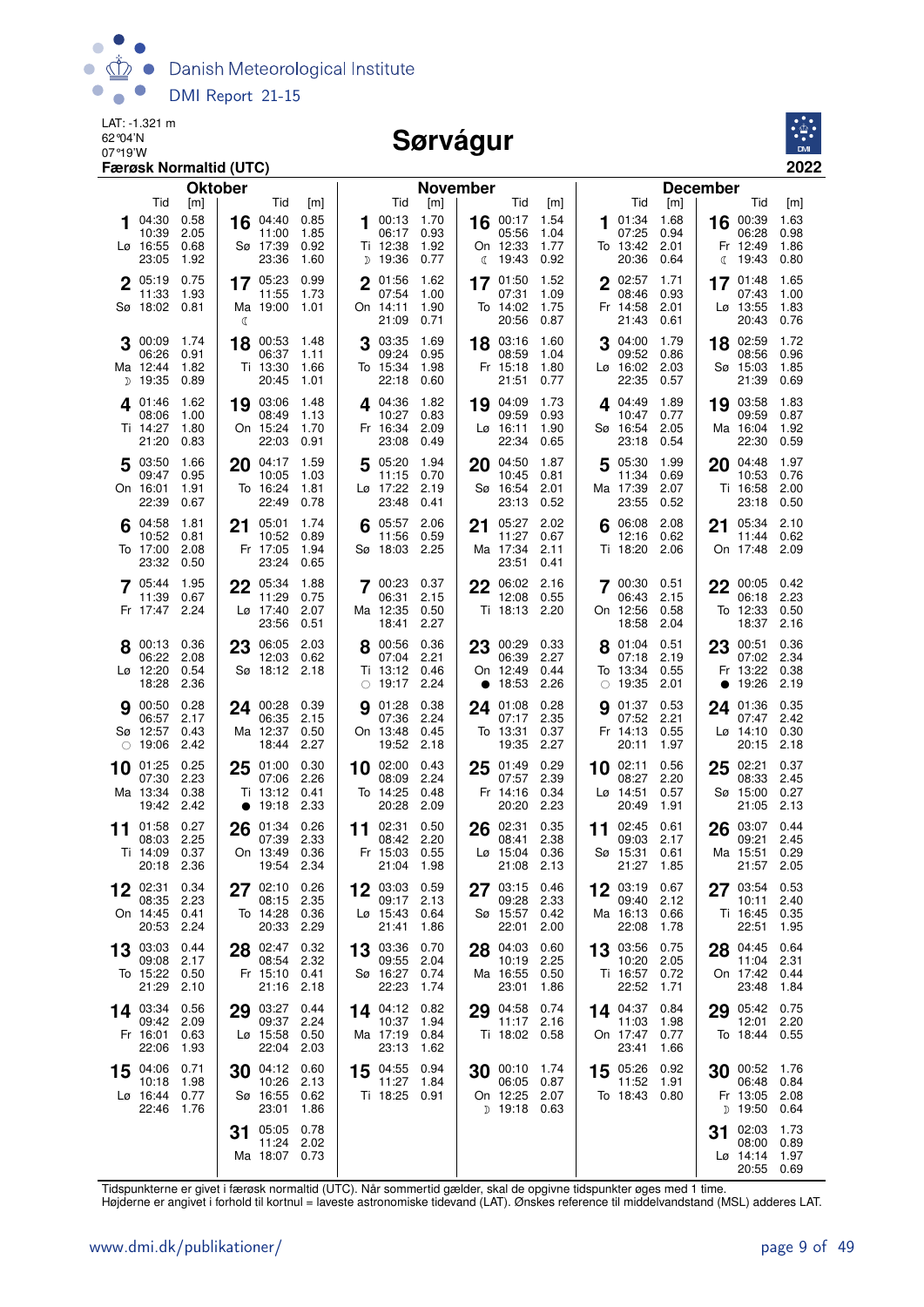

#### Sørvágur



|    |                                                       | <b>Færøsk Normaltid (UTC)</b>       |                |                                                            |                                     |             |                                                       |                                     |    |                                                              |                                     |    |                                                       |                                     |                                                          | 2022                                        |
|----|-------------------------------------------------------|-------------------------------------|----------------|------------------------------------------------------------|-------------------------------------|-------------|-------------------------------------------------------|-------------------------------------|----|--------------------------------------------------------------|-------------------------------------|----|-------------------------------------------------------|-------------------------------------|----------------------------------------------------------|---------------------------------------------|
|    |                                                       |                                     | <b>Oktober</b> |                                                            |                                     |             |                                                       | <b>November</b>                     |    |                                                              |                                     |    |                                                       |                                     | <b>December</b>                                          |                                             |
| 1  | Tid<br>04:30<br>10:39<br>Lø 16:55<br>23:05            | [m]<br>0.58<br>2.05<br>0.68<br>1.92 | 16             | Tid<br>04:40<br>11:00<br>Sø 17:39<br>23:36                 | [m]<br>0.85<br>1.85<br>0.92<br>1.60 | 1           | Tid<br>00:13<br>06:17<br>Ti 12:38<br>D 19:36          | [m]<br>1.70<br>0.93<br>1.92<br>0.77 |    | Tid<br>16 $00:17$<br>05:56<br>On 12:33<br>(19:43)            | [m]<br>1.54<br>1.04<br>1.77<br>0.92 | 1  | Tid<br>01:34<br>07:25<br>To 13:42<br>20:36            | [m]<br>1.68<br>0.94<br>2.01<br>0.64 | Tid<br>16 00:39<br>06:28<br>Fr 12:49<br>19:43<br>C       | [m]<br>1.63<br>0.98<br>1.86<br>0.80         |
|    | 2 05:19<br>11:33<br>Sø 18:02 0.81                     | 0.75<br>1.93                        | ℂ              | 17 05:23<br>11:55<br>Ma 19:00                              | 0.99<br>1.73<br>1.01                | $\mathbf 2$ | 01:56<br>07:54<br>On 14:11<br>21:09                   | 1.62<br>1.00<br>1.90<br>0.71        |    | 17 01:50<br>07:31<br>To 14:02<br>20:56                       | 1.52<br>1.09<br>1.75<br>0.87        |    | 2 02:57<br>08:46<br>Fr 14:58<br>21:43                 | 1.71<br>0.93<br>2.01<br>0.61        | 17 01:48<br>07:43<br>Lø 13:55<br>20:43                   | 1.65<br>1.00<br>1.83<br>0.76                |
|    | 00:09<br>06:26<br>Ma 12:44<br>D 19:35                 | 1.74<br>0.91<br>1.82<br>0.89        | 18             | 00:53<br>06:37<br>Ti 13:30<br>20:45                        | - 1.48<br>1.11<br>1.66<br>1.01      |             | 03:35<br>09:24<br>To 15:34<br>22:18                   | 1.69<br>0.95<br>1.98<br>0.60        | 18 | 03:16<br>08:59<br>Fr 15:18<br>21:51                          | 1.60<br>1.04<br>1.80<br>0.77        |    | 04:00<br>09:52<br>Lø 16:02 2.03<br>22:35              | 1.79<br>0.86<br>0.57                | 02:59<br>18<br>08:56<br>Sø 15:03<br>21:39                | 1.72<br>0.96<br>1.85<br>0.69                |
|    | 4 01:46<br>08:06<br>Ti 14:27<br>21:20                 | 1.62<br>1.00<br>1.80<br>0.83        |                | 19 03:06<br>08:49<br>On 15:24<br>22:03                     | 1.48<br>1.13<br>1.70<br>0.91        |             | 4 04:36<br>10:27<br>Fr 16:34<br>23:08                 | 1.82<br>0.83<br>2.09<br>0.49        |    | 19 04:09<br>09:59<br>$L\varnothing$ 16:11<br>22:34           | 1.73<br>0.93<br>1.90<br>0.65        |    | $4^{04:49}$<br>10:47 0.77<br>Sø 16:54 2.05<br>23:18   | 1.89<br>0.54                        | 03:58<br>19<br>09:59<br>Ma 16:04<br>22:30                | 1.83<br>0.87<br>1.92<br>0.59                |
|    | 5 03:50<br>09:47<br>On 16:01<br>22:39                 | 1.66<br>0.95<br>1.91<br>0.67        | 20             | 04:17<br>10:05<br>To 16:24<br>22:49                        | 1.59<br>1.03<br>1.81<br>0.78        | 5           | 05:20<br>11:15<br>Lø 17:22<br>23:48                   | 1.94<br>0.70<br>2.19<br>0.41        |    | 20 04:50<br>10:45<br>Sø 16:54<br>23:13                       | 1.87<br>0.81<br>2.01<br>0.52        | 5  | 05:30<br>11:34<br>Ma 17:39<br>23:55                   | 1.99<br>0.69<br>2.07<br>0.52        | 20 04:48<br>10:53<br>Ti 16:58<br>23:18                   | - 1.97<br>0.76<br>2.00<br>0.50              |
|    | 04:58<br>10:52<br>To 17:00<br>23:32                   | 1.81<br>0.81<br>2.08<br>0.50        | 21             | 05:01<br>10:52<br>Fr 17:05<br>23:24                        | 1.74<br>0.89<br>1.94<br>0.65        |             | 05:57<br>11:56<br>Sø 18:03                            | 2.06<br>0.59<br>2.25                | 21 | 05:27<br>11:27<br>Ma 17:34<br>23:51                          | 2.02<br>0.67<br>2.11<br>0.41        | 6  | 06:08<br>12:16<br>Ti 18:20                            | 2.08<br>0.62<br>2.06                | 05:34<br>21<br>11:44<br>On 17:48                         | 2.10<br>0.62<br>2.09                        |
|    | 7 05:44<br>11:39<br>Fr 17:47 2.24                     | 1.95<br>0.67                        |                | 22 05:34<br>11:29<br>$L\varnothing$ 17:40<br>23:56         | 1.88<br>0.75<br>2.07<br>0.51        |             | $7^{00:23}$<br>06:31<br>Ma 12:35<br>18:41             | 0.37<br>2.15<br>0.50<br>2.27        |    | $22^{06:02}$<br>12:08<br>Ti 18:13 2.20                       | 2.16<br>0.55                        |    | 7 00:30 0.51<br>06:43<br>On 12:56<br>18:58            | 2.15<br>0.58<br>2.04                | $22^{00:05}$ 0.42<br>06:18<br>To 12:33<br>18:37          | 2.23<br>0.50<br>2.16                        |
|    | 8 00:13 0.36<br>06:22<br>Lø 12:20<br>18:28            | 2.08<br>0.54<br>2.36                | 23             | 06:05 2.03<br>12:03<br>Sø 18:12 2.18                       | 0.62                                |             | 00:56 0.36<br>07:04<br>Ti 13:12<br>$\circ$ 19:17 2.24 | 2.21<br>0.46                        | 23 | 00:29<br>06:39<br>On 12:49<br>• 18:53                        | 0.33<br>2.27<br>0.44<br>2.26        |    | 01:04 0.51<br>07:18<br>To 13:34<br>$\circ$ 19:35 2.01 | 2.19<br>0.55                        | 23 00:51 0.36<br>07:02<br>Fr 13:22<br>19:26<br>$\bullet$ | - 2.34<br>0.38<br>2.19                      |
|    | 90:50<br>06:57<br>Sø 12:57<br>$\circ$ 19:06           | 0.28<br>2.17<br>0.43<br>2.42        |                | 24 00:28 0.39<br>06:35<br>Ma 12:37<br>18:44                | 2.15<br>0.50<br>2.27                | 9           | 01:28<br>07:36<br>On 13:48<br>19:52                   | 0.38<br>2.24<br>0.45<br>2.18        | 24 | 01:08<br>07:17<br>To 13:31<br>19:35                          | 0.28<br>2.35<br>0.37<br>2.27        | g  | 01:37<br>07:52<br>Fr 14:13<br>20:11                   | 0.53<br>2.21<br>0.55<br>1.97        | 24 01:36 0.35<br>07:47<br>Lø 14:10<br>20:15              | 2.42<br>0.30<br>2.18                        |
| 10 | 01:25<br>07:30<br>Ma 13:34<br>19:42 2.42              | 0.25<br>2.23<br>0.38                | 25             | 01:00<br>07:06<br>Ti 13:12<br>$\bullet$ 19:18 2.33         | 0.30<br>2.26<br>0.41                |             | 10 02:00<br>08:09<br>To 14:25<br>20:28                | 0.43<br>2.24<br>0.48<br>2.09        | 25 | 01:49<br>07:57<br>Fr 14:16<br>20:20                          | 0.29<br>2.39<br>0.34<br>2.23        | 10 | 02:11<br>08:27<br>Lø 14:51<br>20:49                   | 0.56<br>2.20<br>0.57<br>1.91        | 02:21<br>25<br>08:33<br>Sø 15:00<br>21:05                | 0.37<br>2.45<br>0.27<br>2.13                |
| 11 | 01:58<br>08:03 2.25<br>Ti 14:09 0.37<br>20:18 2.36    | 0.27                                |                | $26^{01:34}$<br>07:39<br>On 13:49 0.36<br>19:54 2.34       | 0.26<br>2.33                        |             | 11 $02:31$<br>08:42<br>Fr 15:03 0.55<br>21:04 1.98    | 0.50<br>2.20                        |    | 26 02:31<br>08:41<br>Lø 15:04 0.36<br>21:08 2.13             | 0.35<br>2.38                        |    | 11 $02:45$<br>09:03<br>Sø 15:31 0.61<br>21:27 1.85    | 0.61<br>2.17                        | 26 03:07<br>09:21<br>Ma 15:51 0.29                       | 0.44<br>2.45<br>21:57 2.05                  |
|    | 02:31<br>08:35 2.23<br>On 14:45 0.41<br>20:53 2.24    | 0.34                                |                | 27 02:10 0.26<br>08:15 2.35<br>To 14:28 0.36<br>20:33 2.29 |                                     |             | 12 03:03 0.59<br>09:17 2.13<br>Lø 15:43 0.64<br>21:41 | 1.86                                |    | 27 03:15<br>09:28<br>Sø 15:57 0.42<br>22:01                  | 0.46<br>2.33<br>2.00                |    | 12 03:19<br>09:40<br>Ma 16:13 0.66<br>22:08           | 0.67<br>2.12<br>1.78                | 27 03:54<br>22:51                                        | 0.53<br>10:11 2.40<br>Ti 16:45 0.35<br>1.95 |
|    | 13 03:03 0.44<br>09:08 2.17<br>To 15:22 0.50<br>21:29 | 2.10                                |                | 28 02:47 0.32<br>08:54 2.32<br>Fr 15:10 0.41<br>21:16 2.18 |                                     |             | 13 03:36<br>09:55<br>Sø 16:27 0.74<br>22:23           | 0.70<br>2.04<br>1.74                |    | 28 04:03<br>10:19<br>Ma 16:55<br>23:01                       | 0.60<br>2.25<br>0.50<br>1.86        |    | 13 03:56<br>10:20<br>Ti 16:57 0.72<br>22:52           | 0.75<br>2.05<br>1.71                | 28 04:45 0.64<br>On 17:42 0.44<br>23:48                  | 11:04 2.31<br>1.84                          |
|    | 14 03:34 0.56<br>09:42 2.09<br>Fr 16:01<br>22:06      | 0.63<br>1.93                        |                | 29 03:27 0.44<br>09:37 2.24<br>Lø 15:58<br>22:04           | 0.50<br>2.03                        |             | 14 04:12<br>10:37 1.94<br>Ma 17:19 0.84<br>23:13      | 0.82<br>1.62                        |    | 29 04:58<br>11:17 2.16<br>Ti 18:02 0.58                      | 0.74                                |    | 14 $04:37$<br>11:03<br>On 17:47<br>23:41              | 0.84<br>1.98<br>0.77<br>1.66        | 29 05:42 0.75<br>To 18:44 0.55                           | 12:01 2.20                                  |
|    | 15 04:06 0.71<br>10:18<br>Lø 16:44 0.77<br>22:46 1.76 | 1.98                                |                | 30 04:12<br>10:26 2.13<br>Sø 16:55 0.62<br>23:01           | 0.60<br>1.86                        |             | 15 04:55 0.94<br>11:27 1.84<br>Ti 18:25 0.91          |                                     |    | 30 00:10 1.74<br>06:05 0.87<br>On 12:25 2.07<br>D 19:18 0.63 |                                     |    | 15 05:26 0.92<br>11:52<br>To 18:43 0.80               | 1.91                                | $30^{00:52}$ 1.76                                        | 06:48 0.84<br>Fr 13:05 2.08<br>D 19:50 0.64 |
|    |                                                       |                                     | 31             | 05:05<br>11:24 2.02<br>Ma 18:07 0.73                       | 0.78                                |             |                                                       |                                     |    |                                                              |                                     |    |                                                       |                                     | 02:03<br>31<br>Lø 14:14 1.97                             | 1.73<br>08:00 0.89<br>20:55 0.69            |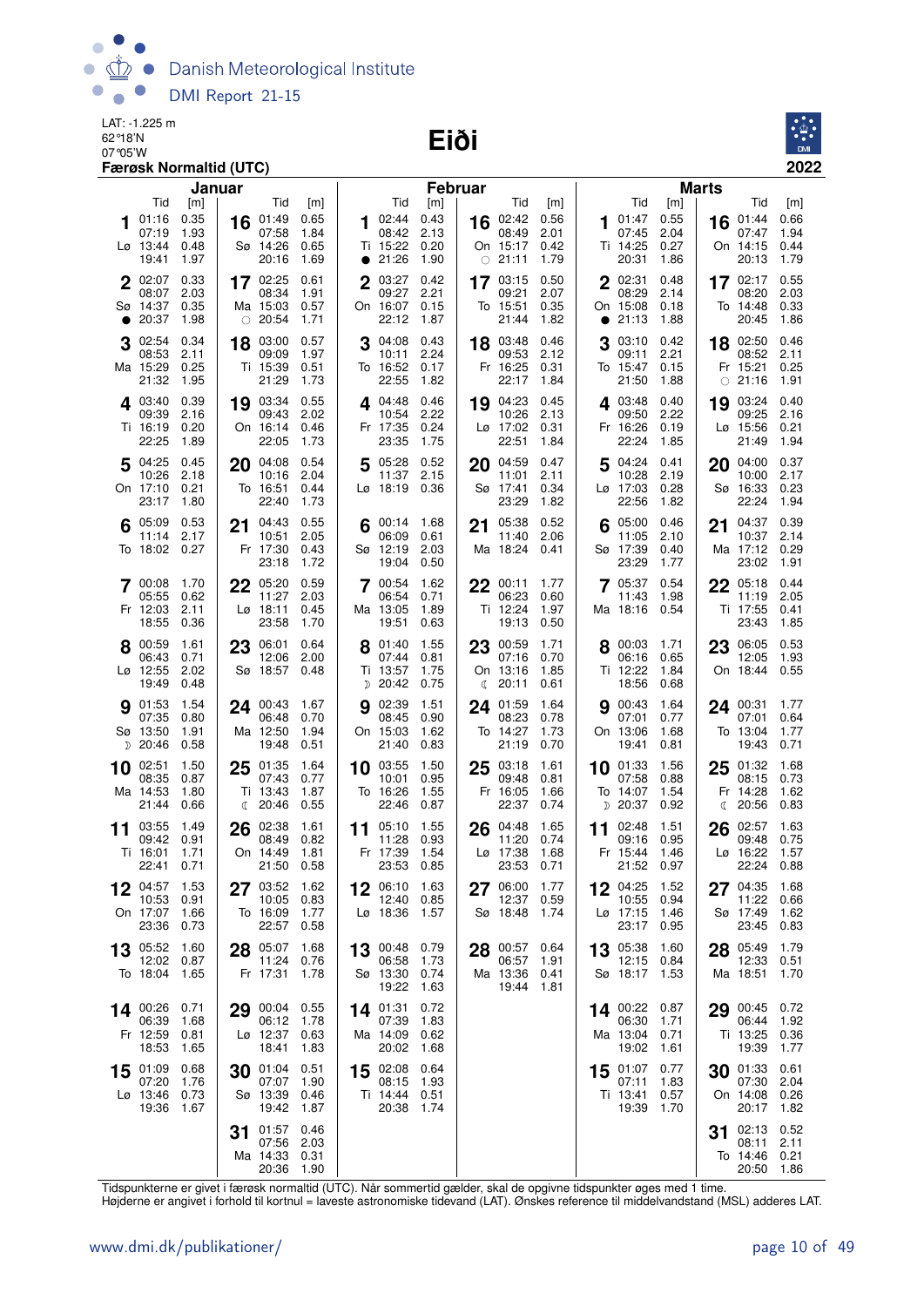Danish Meteorological Institute  $\bullet$  $\bullet$ DMI Report 21-15

LAT: -1.225 m 62°18'N

07°05'W **Eiði**



|    |                         | Januar       |    |                   |              |    |                                    | <b>Februar</b> |    |                           |              |           |                         |              | <b>Marts</b> |                           |              |
|----|-------------------------|--------------|----|-------------------|--------------|----|------------------------------------|----------------|----|---------------------------|--------------|-----------|-------------------------|--------------|--------------|---------------------------|--------------|
|    | Tid<br>01:16            | [m]<br>0.35  | 16 | Tid<br>01:49      | [m]<br>0.65  | 1. | Tid<br>02:44                       | [m]<br>0.43    | 16 | Tid<br>02:42              | [m]<br>0.56  |           | Tid<br><b>1</b> 01:47   | [m]<br>0.55  |              | Tid<br>$16$ 01:44         | [m]<br>0.66  |
|    | 07:19                   | 1.93         |    | 07:58             | 1.84         |    | 08:42                              | 2.13           |    | 08:49                     | 2.01         |           | 07:45                   | 2.04         |              | 07:47                     | 1.94         |
|    | Lø 13:44<br>19:41       | 0.48<br>1.97 |    | Sø 14:26<br>20:16 | 0.65<br>1.69 |    | Ti 15:22<br>• 21:26                | 0.20<br>1.90   |    | On 15:17<br>$\circ$ 21:11 | 0.42<br>1.79 |           | Ti 14:25<br>20:31       | 0.27<br>1.86 |              | On 14:15<br>20:13         | 0.44<br>1.79 |
|    | 2 02:07                 | 0.33         |    | 17 02:25          | 0.61         |    | 2 03:27                            | 0.42           |    | $17^{03:15}$              | 0.50         |           | 2 02:31                 | 0.48         |              | 17 $02:17$                | 0.55         |
|    | 08:07<br>Sø 14:37       | 2.03<br>0.35 |    | 08:34<br>Ma 15:03 | 1.91<br>0.57 |    | 09:27<br>On 16:07                  | 2.21<br>0.15   |    | 09:21<br>To 15:51         | 2.07<br>0.35 |           | 08:29<br>On 15:08       | 2.14<br>0.18 |              | 08:20<br>To 14:48         | 2.03<br>0.33 |
| ●  | 20:37                   | 1.98         |    | $\circ$ 20:54     | 1.71         |    | 22:12                              | 1.87           |    | 21:44                     | 1.82         | $\bullet$ | 21:13                   | 1.88         |              | 20:45                     | 1.86         |
|    | 02:54<br>08:53          | 0.34<br>2.11 |    | 18 03:00<br>09:09 | 0.57<br>1.97 |    | 04:08<br>10:11                     | 0.43<br>2.24   |    | 18 03:48<br>09:53         | 0.46<br>2.12 | 3         | 03:10<br>09:11          | 0.42<br>2.21 |              | 18 02:50<br>08:52         | 0.46<br>2.11 |
|    | Ma 15:29<br>21:32       | 0.25<br>1.95 |    | Ti 15:39<br>21:29 | 0.51<br>1.73 |    | To 16:52<br>22:55                  | 0.17<br>1.82   |    | Fr 16:25<br>22:17         | 0.31<br>1.84 |           | To 15:47 0.15<br>21:50  | 1.88         |              | Fr 15:21<br>$\circ$ 21:16 | 0.25<br>1.91 |
|    | 403:40                  | 0.39         |    | 19 03:34          | 0.55         |    | $4^{04:48}$                        | 0.46           | 19 | 04:23                     | 0.45         |           | $4^{03:48}$             | 0.40         | 19           | 03:24                     | 0.40         |
|    | 09:39                   | 2.16         |    | 09:43             | 2.02         |    | 10:54                              | 2.22           |    | 10:26                     | 2.13         |           | 09:50                   | 2.22         |              | 09:25                     | 2.16         |
|    | Ti 16:19<br>22:25       | 0.20<br>1.89 |    | On 16:14<br>22:05 | 0.46<br>1.73 |    | Fr 17:35<br>23:35                  | 0.24<br>1.75   |    | Lø 17:02<br>22:51         | 0.31<br>1.84 |           | Fr 16:26<br>22:24       | 0.19<br>1.85 |              | Lø 15:56<br>21:49         | 0.21<br>1.94 |
| 5  | 04:25                   | 0.45         | 20 | 04:08             | 0.54         |    | 5 05:28                            | 0.52           | 20 | 04:59                     | 0.47         | 5         | 04:24 0.41              |              | 20           | 04:00                     | 0.37         |
|    | 10:26<br>On 17:10       | 2.18<br>0.21 |    | 10:16<br>To 16:51 | 2.04<br>0.44 |    | 11:37<br>$L\varnothing$ 18:19 0.36 | 2.15           |    | 11:01<br>Sø 17:41         | 2.11<br>0.34 |           | 10:28<br>Lø 17:03       | 2.19<br>0.28 |              | 10:00<br>Sø 16:33         | 2.17<br>0.23 |
|    | 23:17                   | 1.80         |    | 22:40             | 1.73         |    |                                    |                |    | 23:29                     | 1.82         |           | 22:56                   | 1.82         |              | 22:24                     | 1.94         |
|    | 05:09<br>11:14          | 0.53<br>2.17 |    | 21 04:43<br>10:51 | 0.55<br>2.05 |    | 00:14 1.68<br>06:09                | 0.61           | 21 | 05:38<br>11:40            | 0.52<br>2.06 | 6         | 05:00<br>11:05          | 0.46<br>2.10 | 21           | 04:37<br>10:37            | 0.39<br>2.14 |
|    | To 18:02                | 0.27         |    | Fr 17:30<br>23:18 | 0.43<br>1.72 |    | Sø 12:19<br>19:04                  | 2.03<br>0.50   |    | Ma 18:24                  | 0.41         |           | Sø 17:39<br>23:29       | 0.40<br>1.77 |              | Ma 17:12<br>23:02         | 0.29<br>1.91 |
|    | 7 00:08                 | 1.70         |    | 22 05:20          | 0.59         |    | 7 00:54                            | 1.62           |    | $22^{00:11}$              | 1.77         |           | $7^{05:37}$             | 0.54         |              | 22 05:18                  | 0.44         |
|    | 05:55                   | 0.62         |    | 11:27             | 2.03         |    | 06:54                              | 0.71           |    | 06:23                     | 0.60         |           | 11:43                   | 1.98         |              | 11:19                     | 2.05         |
|    | Fr 12:03<br>18:55       | 2.11<br>0.36 |    | Lø 18:11<br>23:58 | 0.45<br>1.70 |    | Ma 13:05<br>19:51                  | 1.89<br>0.63   |    | Ti 12:24<br>19:13         | 1.97<br>0.50 |           | Ma 18:16 0.54           |              |              | Ti 17:55<br>23:43         | 0.41<br>1.85 |
|    | 8 00:59                 | 1.61         |    | 23 06:01          | 0.64         |    | 8 01:40                            | 1.55           |    | 23 00:59                  | 1.71         |           | 8 00:03                 | 1.71         |              | 23 06:05                  | 0.53         |
|    | 06:43<br>Lø 12:55       | 0.71<br>2.02 |    | 12:06<br>Sø 18:57 | 2.00<br>0.48 |    | 07:44<br>Ti 13:57                  | 0.81<br>1.75   |    | 07:16<br>On 13:16         | 0.70<br>1.85 |           | 06:16<br>Ti 12:22       | 0.65<br>1.84 |              | 12:05<br>On 18:44         | 1.93<br>0.55 |
|    | 19:49                   | 0.48         |    |                   |              |    | $D$ 20:42                          | 0.75           | ℂ  | 20:11                     | 0.61         |           | 18:56                   | 0.68         |              |                           |              |
|    | <b>9</b> 01:53<br>07:35 | 1.54<br>0.80 |    | 24 00:43<br>06:48 | 1.67<br>0.70 | 9  | 02:39<br>08:45                     | 1.51<br>0.90   | 24 | 01:59<br>08:23            | 1.64<br>0.78 |           | <b>9</b> 00:43<br>07:01 | 1.64<br>0.77 |              | 24 00:31<br>07:01         | 1.77<br>0.64 |
|    | Sø 13:50<br>$D$ 20:46   | 1.91<br>0.58 |    | Ma 12:50<br>19:48 | 1.94<br>0.51 |    | On 15:03<br>21:40                  | 1.62<br>0.83   |    | To 14:27<br>21:19         | 1.73<br>0.70 |           | On 13:06<br>19:41       | 1.68<br>0.81 |              | To 13:04<br>19:43         | 1.77<br>0.71 |
|    | 10 02:51                | 1.50         | 25 | 01:35             | 1.64         |    | 10 03:55                           | 1.50           | 25 | 03:18                     | 1.61         |           | $10^{01:33}$            | 1.56         | 25           | 01:32                     | 1.68         |
|    | 08:35                   | 0.87         |    | 07:43<br>Ti 13:43 | 0.77         |    | 10:01                              | 0.95           |    | 09:48                     | 0.81         |           | 07:58<br>To 14:07       | 0.88         |              | 08:15                     | 0.73         |
|    | Ma 14:53<br>21:44       | 1.80<br>0.66 |    | <b>€ 20:46</b>    | 1.87<br>0.55 |    | To 16:26<br>22:46                  | 1.55<br>0.87   |    | Fr 16:05<br>22:37         | 1.66<br>0.74 |           | <sub>D</sub> 20:37      | 1.54<br>0.92 | C            | Fr 14:28<br>20:56         | 1.62<br>0.83 |
| 11 | 03:55                   | 1.49         | 26 | 02:38             | 1.61         | 11 | 05:10                              | 1.55           | 26 | 04:48                     | 1.65         | 11        | 02:48                   | 1.51         | 26           | 02:57                     | 1.63         |
|    | 09:42<br>Ti 16:01       | 0.91<br>1.71 |    | 08:49<br>On 14:49 | 0.82<br>1.81 |    | 11:28<br>Fr 17:39                  | 0.93<br>1.54   |    | 11:20<br>Lø 17:38         | 0.74<br>1.68 |           | 09:16<br>Fr 15:44       | 0.95<br>1.46 |              | 09:48<br>Lø 16:22         | 0.75<br>1.57 |
|    | 22:41                   | 0.71         |    | 21:50             | 0.58         |    | 23:53                              | 0.85           |    | 23:53                     | 0.71         |           | 21:52 0.97              |              |              | 22:24                     | 0.88         |
| 12 | 04:57<br>10:53          | 1.53<br>0.91 |    | 27 03:52<br>10:05 | 1.62<br>0.83 |    | 06:10<br>12:40                     | 1.63<br>0.85   | 27 | 06:00<br>12:37            | 1.77<br>0.59 |           | 12 04:25<br>10:55       | 1.52<br>0.94 | 27           | 04:35<br>11:22            | 1.68<br>0.66 |
|    | On 17:07<br>23:36       | 1.66<br>0.73 |    | To 16:09<br>22:57 | 1.77<br>0.58 |    | Lø 18:36                           | 1.57           |    | Sø 18:48                  | 1.74         |           | Lø 17:15<br>23:17       | 1.46<br>0.95 |              | Sø 17:49<br>23:45         | 1.62<br>0.83 |
| 13 | 05:52                   | 1.60         |    | 28 05:07          | 1.68         | 13 | 00:48                              | 0.79           | 28 | 00:57                     | 0.64         | 13        | 05:38                   | 1.60         | 28           | 05:49                     | 1.79         |
|    | 12:02                   | 0.87         |    | 11:24             | 0.76         |    | 06:58                              | 1.73           |    | 06:57                     | 1.91         |           | 12:15                   | 0.84         |              | 12:33                     | 0.51         |
|    | To 18:04                | 1.65         |    | Fr 17:31          | 1.78         |    | Sø 13:30<br>19:22                  | 0.74<br>1.63   |    | Ma 13:36<br>19:44         | 0.41<br>1.81 |           | Sø 18:17                | 1.53         |              | Ma 18:51                  | 1.70         |
|    | 14 00:26                | 0.71         |    | 29 00:04          | 0.55         |    | 14 01:31                           | 0.72           |    |                           |              |           | 14 00:22                | 0.87         | 29           | 00:45                     | 0.72         |
|    | 06:39<br>Fr 12:59       | 1.68<br>0.81 |    | 06:12<br>Lø 12:37 | 1.78<br>0.63 |    | 07:39<br>Ma 14:09                  | 1.83<br>0.62   |    |                           |              |           | 06:30<br>Ma 13:04 0.71  | 1.71         |              | 06:44<br>Ti 13:25         | 1.92<br>0.36 |
|    | 18:53                   | 1.65         |    | 18:41             | 1.83         |    | 20:02                              | 1.68           |    |                           |              |           | 19:02                   | 1.61         |              | 19:39                     | 1.77         |
| 15 | 01:09<br>07:20          | 0.68<br>1.76 | 30 | 01:04<br>07:07    | 0.51<br>1.90 |    | 15 02:08<br>08:15                  | 0.64<br>1.93   |    |                           |              |           | 15 01:07<br>07:11       | 0.77<br>1.83 | 30           | 01:33<br>07:30            | 0.61<br>2.04 |
|    | Lø 13:46<br>19:36       | 0.73<br>1.67 |    | Sø 13:39<br>19:42 | 0.46<br>1.87 |    | Ti 14:44<br>20:38                  | 0.51<br>1.74   |    |                           |              |           | Ti 13:41 0.57<br>19:39  | 1.70         |              | On 14:08<br>20:17         | 0.26<br>1.82 |
|    |                         |              |    | 01:57             | 0.46         |    |                                    |                |    |                           |              |           |                         |              |              | 02:13                     | 0.52         |
|    |                         |              | 31 | 07:56             | 2.03         |    |                                    |                |    |                           |              |           |                         |              | 31           | 08:11                     | 2.11         |
|    |                         |              |    | Ma 14:33<br>20:36 | 0.31<br>1.90 |    |                                    |                |    |                           |              |           |                         |              |              | To 14:46<br>20:50         | 0.21<br>1.86 |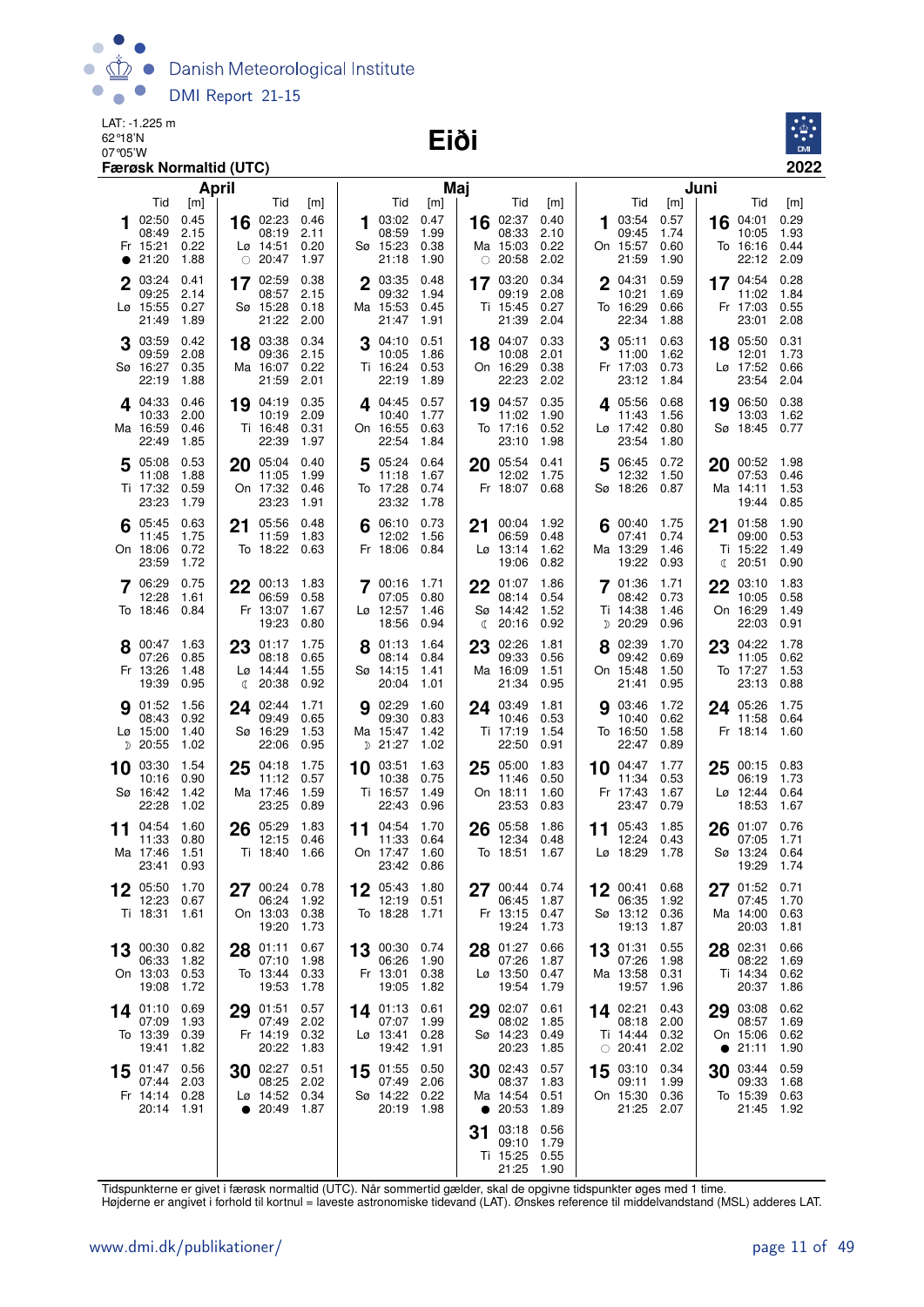Danish Meteorological Institute  $\bullet$ DMI Report 21-15

LAT: -1.225 m 62 °18'N<br>07 °05'W **Eiði** 



|           |                               | Færøsk Normaltid (UTC) |    |                                       |              |    |                                    |              |           |                           |              |    |                             |              |           |                        | 2022           |
|-----------|-------------------------------|------------------------|----|---------------------------------------|--------------|----|------------------------------------|--------------|-----------|---------------------------|--------------|----|-----------------------------|--------------|-----------|------------------------|----------------|
|           |                               | April                  |    |                                       |              |    |                                    |              | Maj       |                           |              |    |                             |              | Juni      |                        |                |
| 1         | Tid<br>02:50                  | [m]<br>0.45            | 16 | Tid<br>02:23                          | [m]<br>0.46  | 1  | Tid<br>03:02                       | [m]<br>0.47  |           | Tid<br>16 $02:37$         | [m]<br>0.40  |    | Tid<br>03:54                | [m]<br>0.57  | 16        | Tid<br>04:01           | [m]<br>0.29    |
|           | 08:49                         | 2.15                   |    | 08:19                                 | 2.11         |    | 08:59                              | 1.99         |           | 08:33                     | 2.10         |    | 09:45                       | 1.74         |           | 10:05                  | 1.93           |
| $\bullet$ | Fr 15:21<br>21:20             | 0.22<br>1.88           |    | $L\varnothing$ 14:51<br>$\circ$ 20:47 | 0.20<br>1.97 |    | Sø 15:23<br>21:18                  | 0.38<br>1.90 |           | Ma 15:03<br>$\circ$ 20:58 | 0.22<br>2.02 |    | On 15:57<br>21:59           | 0.60<br>1.90 |           | To 16:16<br>22:12      | 0.44<br>2.09   |
|           | 03:24                         | 0.41                   |    | 17 02:59                              | 0.38         |    | 2 03:35                            | 0.48         |           | 17 03:20                  | 0.34         |    | 2 04:31                     | 0.59         |           | 17 04:54 0.28          |                |
|           | 09:25<br>Lø 15:55             | 2.14<br>0.27           |    | 08:57<br>Sø 15:28                     | 2.15<br>0.18 |    | 09:32<br>Ma 15:53                  | 1.94<br>0.45 |           | 09:19<br>Ti 15:45         | 2.08<br>0.27 |    | 10:21<br>To 16:29           | 1.69<br>0.66 |           | 11:02<br>Fr 17:03      | 1.84<br>0.55   |
|           | 21:49                         | 1.89                   |    | 21:22                                 | 2.00         |    | 21:47                              | 1.91         |           | 21:39                     | 2.04         |    | 22:34                       | 1.88         |           | 23:01 2.08             |                |
|           | 03:59<br>09:59                | 0.42<br>2.08           |    | 18 03:38<br>09:36                     | 0.34<br>2.15 |    | $3^{04:10}$<br>10:05               | 0.51<br>1.86 |           | 18 04:07<br>10:08         | 0.33<br>2.01 |    | 3 05:11<br>11:00            | 0.63<br>1.62 |           | 18 05:50<br>12:01      | 0.31<br>1.73   |
|           | Sø 16:27<br>22:19             | 0.35<br>1.88           |    | Ma 16:07<br>21:59                     | 0.22<br>2.01 |    | Ti 16:24<br>22:19                  | 0.53<br>1.89 |           | On 16:29<br>22:23         | 0.38<br>2.02 |    | Fr 17:03<br>23:12           | 0.73<br>1.84 |           | Lø 17:52 0.66<br>23:54 | 2.04           |
|           | 4.04:33                       | 0.46                   |    | 19 04:19                              | 0.35         |    | 4.04:45                            | 0.57         |           | 19 04:57                  | 0.35         |    | <b>4</b> 05:56              | 0.68         | 19        | 06:50 0.38             |                |
|           | 10:33<br>Ma 16:59             | 2.00<br>0.46           |    | 10:19<br>Ti 16:48                     | 2.09<br>0.31 |    | 10:40<br>On 16:55                  | 1.77<br>0.63 |           | 11:02<br>To 17:16         | 1.90<br>0.52 |    | 11:43<br>Lø 17:42           | 1.56<br>0.80 |           | 13:03<br>Sø 18:45      | 1.62<br>0.77   |
|           | 22:49                         | 1.85                   |    | 22:39                                 | 1.97         |    | 22:54                              | 1.84         |           | 23:10                     | 1.98         |    | 23:54                       | 1.80         |           |                        |                |
|           | 5 05:08<br>11:08              | 0.53<br>1.88           |    | 20 05:04<br>11:05                     | 0.40<br>1.99 |    | 5 05:24<br>11:18                   | 0.64<br>1.67 | 20        | 05:54<br>12:02            | 0.41<br>1.75 |    | 5 06:45 0.72<br>12:32       | 1.50         |           | 20 00:52<br>07:53      | 1.98<br>0.46   |
|           | Ti 17:32                      | 0.59                   |    | On 17:32                              | 0.46         |    | To 17:28                           | 0.74         |           | Fr 18:07 0.68             |              |    | Sø 18:26 0.87               |              |           | Ma 14:11               | 1.53           |
|           | 23:23<br>05:45                | 1.79<br>0.63           |    | 23:23<br>05:56                        | 1.91<br>0.48 |    | 23:32<br>06:10                     | 1.78<br>0.73 |           | 00:04                     | 1.92         |    | 00:40                       | 1.75         |           | 19:44<br>01:58         | 0.85<br>1.90   |
| 6         | 11:45                         | 1.75                   | 21 | 11:59                                 | 1.83         |    | 12:02                              | 1.56         | 21        | 06:59                     | 0.48         |    | 07:41                       | 0.74         | 21        | 09:00                  | 0.53           |
|           | On 18:06<br>23:59             | 0.72<br>1.72           |    | To 18:22 0.63                         |              |    | Fr 18:06                           | 0.84         |           | $L\sigma$ 13:14<br>19:06  | 1.62<br>0.82 |    | Ma 13:29<br>19:22           | 1.46<br>0.93 | ℂ         | Ti 15:22<br>20:51      | 1.49<br>0.90   |
|           | 7 06:29                       | 0.75                   |    | 22 00:13                              | 1.83         |    | 7 00:16 1.71                       |              | 22        | 01:07                     | 1.86         |    | 7 01:36                     | 1.71         |           | 22 03:10               | 1.83           |
|           | 12:28<br>To 18:46             | 1.61<br>0.84           |    | 06:59<br>Fr 13:07                     | 0.58<br>1.67 |    | 07:05<br>Lø 12:57                  | 0.80<br>1.46 |           | 08:14<br>Sø 14:42         | 0.54<br>1.52 |    | 08:42<br>Ti 14:38           | 0.73<br>1.46 |           | 10:05<br>On 16:29      | 0.58<br>1.49   |
|           |                               |                        |    | 19:23                                 | 0.80         |    | 18:56                              | 0.94         | €         | 20:16                     | 0.92         |    | $D$ 20:29                   | 0.96         |           | 22:03                  | 0.91           |
|           | $8^{00:47}$<br>07:26          | 1.63<br>0.85           | 23 | 01:17<br>08:18                        | 1.75<br>0.65 |    | 01:13<br>08:14                     | 1.64<br>0.84 | 23        | 02:26<br>09:33            | 1.81<br>0.56 |    | 8 02:39<br>09:42            | 1.70<br>0.69 | 23        | 04:22<br>11:05         | - 1.78<br>0.62 |
|           | Fr 13:26<br>19:39             | 1.48<br>0.95           | ℂ  | Lø 14:44<br>20:38                     | 1.55<br>0.92 |    | Sø 14:15<br>20:04                  | 1.41<br>1.01 |           | Ma 16:09<br>21:34         | 1.51<br>0.95 |    | On 15:48<br>21:41           | 1.50<br>0.95 |           | To 17:27<br>23:13      | 1.53<br>0.88   |
|           | <b>9</b> 01:52                | 1.56                   | 24 | 02:44                                 | 1.71         |    | <b>9</b> 02:29                     | 1.60         |           | 24 03:49                  | 1.81         |    | <b>9</b> 03:46              | 1.72         |           | 24 05:26               | - 1.75         |
|           | 08:43<br>$L\varnothing$ 15:00 | 0.92<br>1.40           |    | 09:49<br>Sø 16:29                     | 0.65<br>1.53 |    | 09:30<br>Ma 15:47                  | 0.83<br>1.42 |           | 10:46<br>Ti 17:19         | 0.53<br>1.54 |    | 10:40<br>To 16:50           | 0.62<br>1.58 |           | 11:58<br>Fr 18:14      | 0.64<br>1.60   |
|           | $D$ 20:55                     | 1.02                   |    | 22:06                                 | 0.95         |    | D 21:27                            | 1.02         |           | 22:50                     | 0.91         |    | 22:47                       | 0.89         |           |                        |                |
| 10        | 03:30<br>10:16                | 1.54<br>0.90           | 25 | 04:18<br>11:12                        | 1.75<br>0.57 | 10 | 03:51<br>10:38                     | 1.63<br>0.75 | 25        | 05:00<br>11:46            | 1.83<br>0.50 | 10 | 04:47<br>11:34              | 1.77<br>0.53 | 25        | 00:15<br>06:19         | 0.83<br>1.73   |
|           | Sø 16:42<br>22:28             | 1.42<br>1.02           |    | Ma 17:46<br>23:25                     | 1.59<br>0.89 |    | Ti 16:57<br>22:43                  | 1.49<br>0.96 |           | On 18:11<br>23:53         | 1.60<br>0.83 |    | Fr 17:43<br>23:47           | 1.67<br>0.79 |           | Lø 12:44<br>18:53      | 0.64<br>1.67   |
| 11        | 04:54                         | 1.60                   |    | $26^{05:29}$                          | 1.83         |    | 11 04:54                           | 1.70         | 26        | 05:58                     | 1.86         | 11 | 05:43                       | 1.85         |           | $26$ 01:07             | 0.76           |
|           | 11:33<br>Ma 17:46 1.51        | 0.80                   |    | 12:15<br>Ti 18:40 1.66                | 0.46         |    | 11:33<br>On 17:47 1.60             | 0.64         |           | 12:34<br>To 18:51 1.67    | 0.48         |    | 12:24 0.43<br>Lø 18:29 1.78 |              |           | 07:05<br>Sø 13:24 0.64 | 1.71           |
|           | 23:41 0.93                    |                        |    |                                       |              |    | 23:42 0.86                         |              |           |                           |              |    |                             |              |           | 19:29                  | - 1.74         |
|           | 12 05:50<br>12:23             | 1.70<br>0.67           |    | 27 00:24 0.78<br>06:24                | 1.92         |    | 12 05:43<br>12:19                  | 1.80<br>0.51 |           | $27^{00.44}$<br>06:45     | 0.74<br>1.87 |    | $12^{00:41}$<br>06:35       | 0.68<br>1.92 |           | 27 01:52<br>07:45      | 0.71<br>1.70   |
|           | Ti 18:31                      | 1.61                   |    | On 13:03                              | 0.38         |    | To 18:28                           | 1.71         |           | Fr 13:15                  | 0.47         |    | Sø 13:12 0.36               |              |           | Ma 14:00               | 0.63           |
|           |                               |                        |    | 19:20                                 | 1.73         |    |                                    |              |           | 19:24                     | 1.73         |    | 19:13                       | 1.87         |           | 20:03                  | 1.81           |
|           | 13 00:30<br>06:33             | 0.82<br>1.82           |    | 28 01:11<br>07:10                     | 0.67<br>1.98 |    | 13 00:30 0.74<br>06:26             | 1.90         |           | 28 01:27<br>07:26         | 0.66<br>1.87 |    | 13 01:31<br>07:26           | 0.55<br>1.98 |           | 28 02:31<br>08:22      | 0.66<br>1.69   |
|           | On 13:03<br>19:08             | 0.53<br>1.72           |    | To 13:44<br>19:53                     | 0.33<br>1.78 |    | Fr 13:01<br>19:05                  | 0.38<br>1.82 |           | Lø 13:50<br>19:54         | 0.47<br>1.79 |    | Ma 13:58<br>19:57           | 0.31<br>1.96 |           | Ti 14:34 0.62<br>20:37 | 1.86           |
|           | 14 01:10                      | 0.69                   |    | 29 01:51                              | 0.57         |    | 14 01:13                           | 0.61         |           | 29 02:07                  | 0.61         |    | 14 02:21                    | 0.43         |           | 29 03:08               | 0.62           |
|           | 07:09<br>To 13:39             | 1.93<br>0.39           |    | 07:49<br>Fr 14:19                     | 2.02<br>0.32 |    | 07:07 1.99<br>$L\varnothing$ 13:41 | 0.28         |           | 08:02<br>Sø 14:23         | 1.85<br>0.49 |    | 08:18 2.00<br>Ti 14:44 0.32 |              |           | 08:57<br>On 15:06      | 1.69<br>0.62   |
|           | 19:41                         | 1.82                   |    | 20:22                                 | 1.83         |    | 19:42                              | 1.91         |           | 20:23                     | 1.85         |    | $\circ$ 20:41               | 2.02         | $\bullet$ | 21:11                  | 1.90           |
|           | $15^{01:47}$<br>07:44         | 0.56<br>2.03           |    | 30 02:27<br>08:25                     | 0.51<br>2.02 |    | 15 01:55<br>07:49                  | 0.50<br>2.06 |           | 30 02:43<br>08:37         | 0.57<br>1.83 |    | 15 03:10<br>09:11           | 0.34<br>1.99 |           | $30^{03:44}$<br>09:33  | 0.59<br>1.68   |
|           | Fr 14:14 0.28<br>20:14 1.91   |                        |    | Lø 14:52 0.34<br>$\bullet$ 20:49      | 1.87         |    | Sø 14:22<br>20:19                  | 0.22<br>1.98 | $\bullet$ | Ma 14:54<br>20:53         | 0.51<br>1.89 |    | On 15:30<br>21:25           | 0.36<br>2.07 |           | To 15:39 0.63<br>21:45 | 1.92           |
|           |                               |                        |    |                                       |              |    |                                    |              | 31        | 03:18                     | 0.56         |    |                             |              |           |                        |                |
|           |                               |                        |    |                                       |              |    |                                    |              |           | 09:10<br>Ti 15:25 0.55    | 1.79         |    |                             |              |           |                        |                |
|           |                               |                        |    |                                       |              |    |                                    |              |           | 21:25 1.90                |              |    |                             |              |           |                        |                |

Tidspunkterne er givet i færøsk normaltid (UTC). Når sommertid gælder, skal de opgivne tidspunkter øges med 1 time.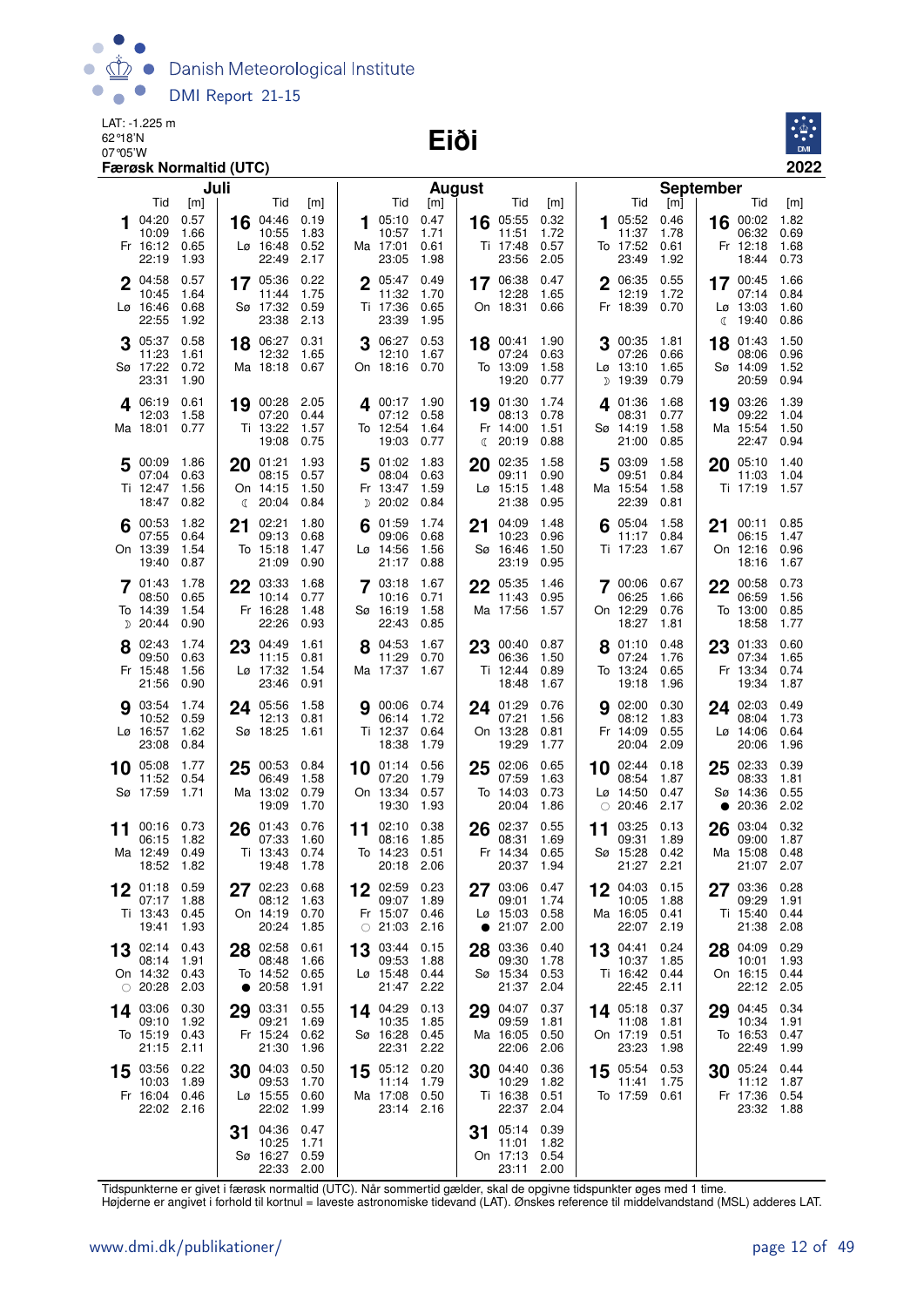Danish Meteorological Institute  $\bullet$  $\bullet$ DMI Report 21-15

LAT: -1.225 m 62°18'N

#### 07°05'W **Eiði**



|    |                                                   | Juli                         |              |                                               |                              |    |                                                       | <b>August</b>                |              |                                               |                              |    |                                                              | <b>September</b>             |                 |                                                    |                              |
|----|---------------------------------------------------|------------------------------|--------------|-----------------------------------------------|------------------------------|----|-------------------------------------------------------|------------------------------|--------------|-----------------------------------------------|------------------------------|----|--------------------------------------------------------------|------------------------------|-----------------|----------------------------------------------------|------------------------------|
|    | Tid<br>04:20<br>10:09<br>Fr 16:12                 | [m]<br>0.57<br>1.66<br>0.65  | 16           | Tid<br>04:46<br>10:55                         | [m]<br>0.19<br>1.83<br>0.52  | 1  | Tid<br>05:10<br>10:57<br>Ma 17:01                     | [m]<br>0.47<br>1.71          |              | Tid<br>16 05:55<br>11:51                      | [m]<br>0.32<br>1.72<br>0.57  | 1  | Tid<br>05:52<br>11:37<br>To 17:52                            | [m]<br>0.46<br>1.78          |                 | Tid<br>16 00:02<br>06:32<br>Fr 12:18               | [m]<br>1.82<br>0.69          |
|    | 22:19                                             | 1.93                         |              | Lø 16:48<br>22:49                             | 2.17                         |    | 23:05                                                 | 0.61<br>1.98                 |              | Ti 17:48<br>23:56                             | 2.05                         |    | 23:49                                                        | 0.61<br>1.92                 |                 | 18:44                                              | 1.68<br>0.73                 |
|    | 2 04:58<br>10:45<br>$L\varnothing$ 16:46<br>22:55 | 0.57<br>1.64<br>0.68<br>1.92 |              | 17 05:36<br>11:44<br>Sø 17:32<br>23:38        | 0.22<br>1.75<br>0.59<br>2.13 |    | 2005:47<br>11:32<br>Ti 17:36<br>23:39                 | 0.49<br>1.70<br>0.65<br>1.95 |              | 17 06:38<br>12:28<br>On 18:31                 | 0.47<br>1.65<br>0.66         |    | 2 06:35<br>12:19<br>Fr 18:39                                 | 0.55<br>1.72<br>0.70         | ℂ               | 17 00:45<br>07:14<br>$L\varnothing$ 13:03<br>19:40 | 1.66<br>0.84<br>1.60<br>0.86 |
|    | 05:37<br>11:23<br>Sø 17:22<br>23:31               | 0.58<br>1.61<br>0.72<br>1.90 |              | 18 06:27<br>12:32<br>Ma 18:18 0.67            | 0.31<br>1.65                 | 3  | 06:27<br>12:10<br>On 18:16                            | 0.53<br>1.67<br>0.70         | 18           | 00:41<br>07:24<br>To 13:09<br>19:20           | 1.90<br>0.63<br>1.58<br>0.77 | D  | 3 00:35<br>07:26<br>$L\varnothing$ 13:10<br>19:39            | 1.81<br>0.66<br>1.65<br>0.79 | 18              | 01:43<br>08:06<br>Sø 14:09<br>20:59                | 1.50<br>0.96<br>1.52<br>0.94 |
|    | 406:19<br>12:03<br>Ma 18:01                       | 0.61<br>1.58<br>0.77         |              | 19 00:28<br>07:20<br>Ti 13:22<br>19:08        | 2.05<br>0.44<br>1.57<br>0.75 |    | 1.90 17 1.90<br>07:12<br>To 12:54<br>19:03            | 0.58<br>1.64<br>0.77         | $\mathbb{C}$ | 19 01:30<br>08:13<br>Fr 14:00<br>20:19        | 1.74<br>0.78<br>1.51<br>0.88 | 4  | 01:36<br>08:31<br>Sø 14:19<br>21:00                          | 1.68<br>0.77<br>1.58<br>0.85 |                 | 19 03:26<br>09:22<br>Ma 15:54<br>22:47             | 1.39<br>1.04<br>1.50<br>0.94 |
|    | 5 00:09<br>07:04<br>Ti 12:47<br>18:47             | 1.86<br>0.63<br>1.56<br>0.82 | $\mathbb{C}$ | 20 01:21<br>08:15<br>On 14:15<br>20:04        | 1.93<br>0.57<br>1.50<br>0.84 |    | 5 01:02<br>08:04<br>Fr 13:47<br><sub>D</sub> 20:02    | 1.83<br>0.63<br>1.59<br>0.84 | 20           | 02:35<br>09:11<br>$Lo$ 15:15<br>21:38         | 1.58<br>0.90<br>1.48<br>0.95 | 5  | 03:09<br>09:51<br>Ma 15:54<br>22:39                          | 1.58<br>0.84<br>1.58<br>0.81 | 20              | 05:10<br>11:03<br>Ti 17:19                         | 1.40<br>1.04<br>1.57         |
|    | 00:53<br>07:55<br>On 13:39<br>19:40               | 1.82<br>0.64<br>1.54<br>0.87 | 21           | 02:21<br>09:13<br>To 15:18<br>21:09           | 1.80<br>0.68<br>1.47<br>0.90 |    | 01:59<br>09:06<br>$Lg$ 14:56<br>21:17                 | 1.74<br>0.68<br>1.56<br>0.88 | 21           | 04:09<br>10:23<br>Sø 16:46<br>23:19           | 1.48<br>0.96<br>1.50<br>0.95 |    | 05:04<br>11:17<br>Ti 17:23                                   | 1.58<br>0.84<br>1.67         | 21              | 00:11<br>06:15<br>On 12:16<br>18:16                | 0.85<br>1.47<br>0.96<br>1.67 |
|    | 7 01:43<br>08:50<br>To 14:39<br>D 20:44           | 1.78<br>0.65<br>1.54<br>0.90 |              | 22 03:33<br>10:14<br>Fr 16:28<br>22:26        | 1.68<br>0.77<br>1.48<br>0.93 |    | 7 03:18<br>10:16<br>Sø 16:19<br>22:43                 | 1.67<br>0.71<br>1.58<br>0.85 |              | 22 05:35<br>11:43<br>Ma 17:56                 | 1.46<br>0.95<br>1.57         |    | 7 00:06<br>06:25<br>On 12:29<br>18:27                        | 0.67<br>1.66<br>0.76<br>1.81 | 22              | 00:58<br>06:59<br>To 13:00<br>18:58                | 0.73<br>1.56<br>0.85<br>1.77 |
|    | 02:43<br>09:50<br>Fr 15:48<br>21:56               | 1.74<br>0.63<br>1.56<br>0.90 |              | 23 04:49<br>11:15<br>Lø 17:32<br>23:46        | 1.61<br>0.81<br>1.54<br>0.91 |    | 8 04:53<br>11:29<br>Ma 17:37                          | 1.67<br>0.70<br>1.67         | 23           | 00:40<br>06:36<br>Ti 12:44<br>18:48           | 0.87<br>1.50<br>0.89<br>1.67 |    | 01:10<br>07:24<br>To 13:24<br>19:18                          | 0.48<br>1.76<br>0.65<br>1.96 | 23              | 01:33<br>07:34<br>Fr 13:34<br>19:34                | 0.60<br>1.65<br>0.74<br>1.87 |
|    | <b>9</b> 03:54<br>10:52<br>Lø 16:57<br>23:08      | 1.74<br>0.59<br>1.62<br>0.84 |              | 24 05:56<br>12:13<br>Sø 18:25                 | 1.58<br>0.81<br>1.61         |    | <b>9</b> 00:06 0.74<br>06:14<br>Ti 12:37<br>18:38     | 1.72<br>0.64<br>1.79         |              | 24 01:29<br>07:21<br>On 13:28<br>19:29        | 0.76<br>1.56<br>0.81<br>1.77 |    | <b>9</b> 02:00<br>08:12<br>Fr 14:09<br>20:04                 | 0.30<br>1.83<br>0.55<br>2.09 |                 | 24 02:03<br>08:04<br>$L\varnothing$ 14:06<br>20:06 | 0.49<br>1.73<br>0.64<br>1.96 |
| 10 | 05:08<br>11:52<br>Sø 17:59                        | 1.77<br>0.54<br>1.71         | 25           | 00:53<br>06:49<br>Ma 13:02<br>19:09           | 0.84<br>1.58<br>0.79<br>1.70 |    | 10 01:14<br>07:20<br>On 13:34<br>19:30                | 0.56<br>1.79<br>0.57<br>1.93 | 25           | 02:06<br>07:59<br>To 14:03<br>20:04           | 0.65<br>1.63<br>0.73<br>1.86 |    | $10$ 02:44<br>08:54<br>$L\varnothing$ 14:50<br>$\circ$ 20:46 | 0.18<br>1.87<br>0.47<br>2.17 | 25<br>$\bullet$ | 02:33<br>08:33<br>Sø 14:36<br>20:36                | 0.39<br>1.81<br>0.55<br>2.02 |
| 11 | 00:16<br>06:15<br>Ma 12:49<br>18:52               | 0.73<br>1.82<br>0.49<br>1.82 |              | $26^{01:43}$<br>07:33<br>Ti 13:43<br>19:48    | 0.76<br>1.60<br>0.74<br>1.78 | 11 | 02:10<br>08:16<br>To 14:23<br>20:18 2.06              | 0.38<br>1.85<br>0.51         | 26           | 02:37<br>08:31<br>Fr 14:34<br>20:37           | 0.55<br>1.69<br>0.65<br>1.94 | 11 | 03:25<br>09:31<br>Sø 15:28<br>21:27                          | 0.13<br>1.89<br>0.42<br>2.21 | 26              | 03:04<br>09:00<br>Ma 15:08<br>21:07 2.07           | 0.32<br>1.87<br>0.48         |
|    | 01:18<br>07:17<br>Ti 13:43<br>19:41               | 0.59<br>1.88<br>0.45<br>1.93 |              | 02:23<br>08:12<br>On 14:19 0.70<br>20:24      | 0.68<br>1.63<br>1.85         |    | 02:59<br>09:07<br>Fr 15:07 0.46<br>$\circ$ 21:03 2.16 | 0.23<br>1.89                 | 27           | 03:06<br>09:01<br>Lø 15:03<br>$\bullet$ 21:07 | 0.47<br>1.74<br>0.58<br>2.00 |    | 04:03<br>10:05<br>Ma 16:05<br>22:07                          | 0.15<br>1.88<br>0.41<br>2.19 |                 | 03:36<br>09:29<br>Ti 15:40<br>21:38                | 0.28<br>1.91<br>0.44<br>2.08 |
|    | 13 02:14<br>08:14<br>On 14:32<br>$\circ$ 20:28    | 0.43<br>1.91<br>0.43<br>2.03 |              | 28 02:58<br>08:48<br>To 14:52 0.65<br>• 20:58 | 0.61<br>1.66<br>1.91         | 13 | 03:44<br>09:53<br>Lø 15:48<br>21:47                   | 0.15<br>1.88<br>0.44<br>2.22 | 28           | 03:36<br>09:30<br>Sø 15:34<br>21:37           | 0.40<br>1.78<br>0.53<br>2.04 |    | 13 04:41<br>10:37<br>Ti 16:42 0.44<br>22:45                  | 0.24<br>1.85<br>2.11         |                 | 28 04:09<br>10:01<br>On 16:15<br>22:12             | 0.29<br>1.93<br>0.44<br>2.05 |
|    | 14 03:06<br>09:10<br>To 15:19<br>21:15            | 0.30<br>1.92<br>0.43<br>2.11 | 29           | 03:31<br>09:21<br>Fr 15:24<br>21:30           | 0.55<br>1.69<br>0.62<br>1.96 |    | 14 04:29<br>10:35<br>Sø 16:28<br>22:31                | 0.13<br>1.85<br>0.45<br>2.22 | 29           | 04:07<br>09:59<br>Ma 16:05<br>22:06           | 0.37<br>1.81<br>0.50<br>2.06 |    | 14 05:18<br>11:08<br>On 17:19<br>23:23                       | 0.37<br>1.81<br>0.51<br>1.98 | 29              | 04:45<br>10:34<br>To 16:53<br>22:49                | 0.34<br>1.91<br>0.47<br>1.99 |
|    | 15 03:56<br>10:03<br>Fr 16:04 0.46<br>22:02 2.16  | 0.22<br>1.89                 |              | 30 04:03<br>09:53<br>Lø 15:55<br>22:02        | 0.50<br>1.70<br>0.60<br>1.99 |    | 15 05:12 0.20<br>11:14<br>Ma 17:08<br>23:14 2.16      | 1.79<br>0.50                 |              | 30 04:40<br>10:29<br>Ti 16:38<br>22:37        | 0.36<br>1.82<br>0.51<br>2.04 |    | 15 05:54<br>11:41<br>To 17:59                                | 0.53<br>1.75<br>0.61         | 30              | 05:24<br>11:12<br>Fr 17:36<br>23:32                | 0.44<br>1.87<br>0.54<br>1.88 |
|    |                                                   |                              | 31           | 04:36<br>10:25<br>Sø 16:27<br>22:33 2.00      | 0.47<br>1.71<br>0.59         |    |                                                       |                              | 31           | 05:14<br>11:01<br>On 17:13<br>23:11           | 0.39<br>1.82<br>0.54<br>2.00 |    |                                                              |                              |                 |                                                    |                              |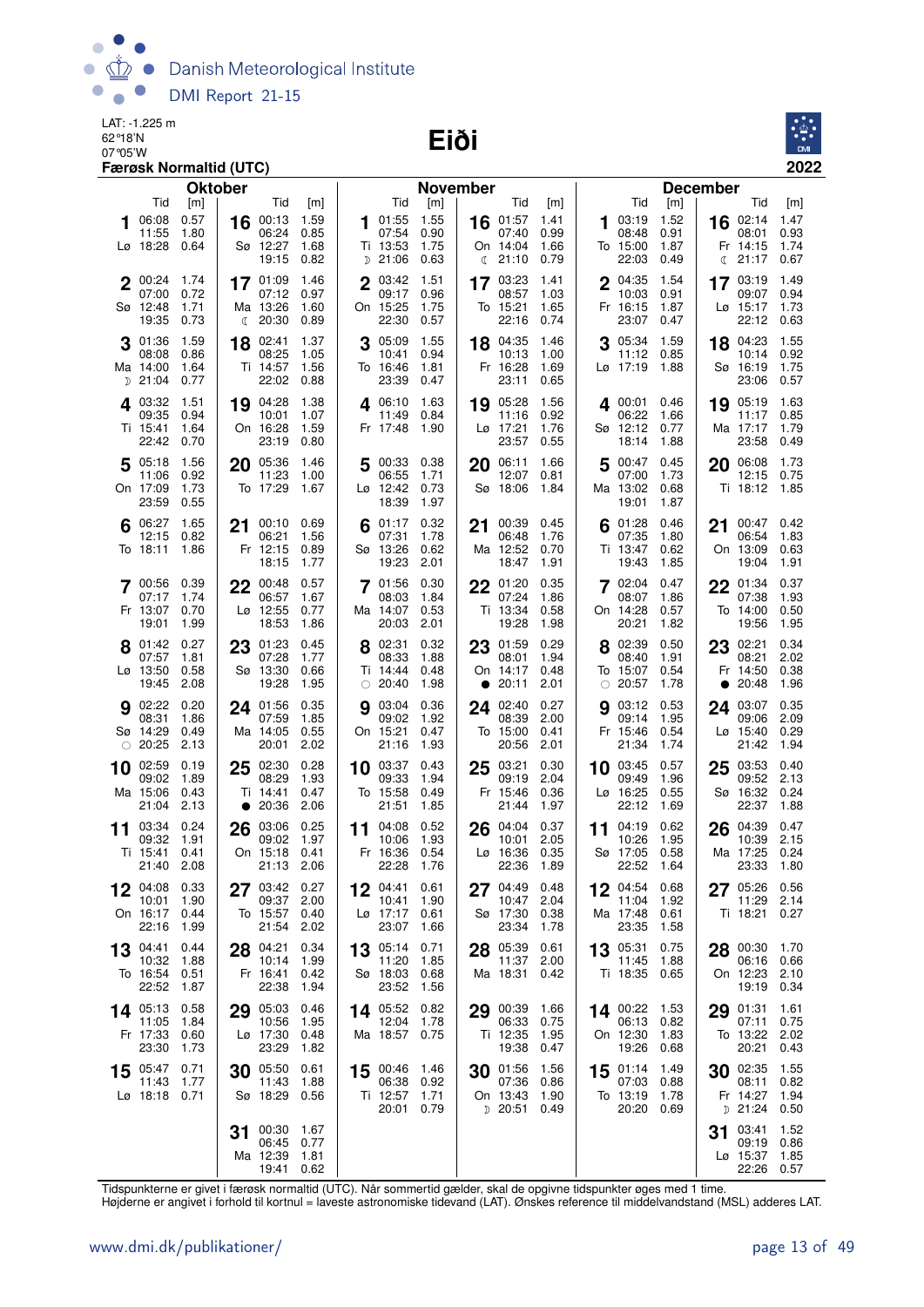Danish Meteorological Institute  $\bullet$  $\bigcap$  $\bullet$ DMI Report 21-15  $\bullet$ Ă

LAT: -1.225 m 62°18'N

#### 07°05'W **Eiði**



|             |                                                           | Færøsk Normaltid (UTC)                    |                |                                                           |                                     |             |                                                            |                                     |    |                                                  |                                     |    |                                                    |                                     |                                  |                                                    | 2022                                |
|-------------|-----------------------------------------------------------|-------------------------------------------|----------------|-----------------------------------------------------------|-------------------------------------|-------------|------------------------------------------------------------|-------------------------------------|----|--------------------------------------------------|-------------------------------------|----|----------------------------------------------------|-------------------------------------|----------------------------------|----------------------------------------------------|-------------------------------------|
|             |                                                           |                                           | <b>Oktober</b> |                                                           |                                     |             |                                                            | <b>November</b>                     |    |                                                  |                                     |    |                                                    |                                     | <b>December</b>                  |                                                    |                                     |
|             | Tid<br>06:08<br>11:55<br>Lø 18:28                         | $\lceil m \rceil$<br>0.57<br>1.80<br>0.64 | 16             | Tid<br>00:13<br>06:24<br>Sø 12:27<br>19:15                | [m]<br>1.59<br>0.85<br>1.68<br>0.82 | 1           | Tid<br>01:55<br>07:54<br>Ti 13:53<br>$D$ 21:06             | [m]<br>1.55<br>0.90<br>1.75<br>0.63 |    | Tid<br>16 01:57<br>07:40<br>On 14:04<br>(21:10)  | [m]<br>1.41<br>0.99<br>1.66<br>0.79 | 1  | Tid<br>03:19<br>08:48<br>To 15:00<br>22:03         | [m]<br>1.52<br>0.91<br>1.87<br>0.49 | 16<br>Fr 14:15<br>C              | Tid<br>02:14<br>08:01<br>21:17                     | [m]<br>1.47<br>0.93<br>1.74<br>0.67 |
| $\mathbf 2$ | 00:24<br>07:00<br>Sø 12:48<br>19:35                       | 1.74<br>0.72<br>1.71<br>0.73              |                | 17 01:09<br>07:12<br>Ma 13:26<br>$\binom{20:30}{ }$       | 1.46<br>0.97<br>1.60<br>0.89        | $\mathbf 2$ | 03:42<br>09:17<br>On 15:25<br>22:30                        | 1.51<br>0.96<br>1.75<br>0.57        | 17 | 03:23<br>08:57<br>To 15:21<br>22:16              | 1.41<br>1.03<br>1.65<br>0.74        |    | 04:35<br>10:03<br>Fr 16:15<br>23:07                | 1.54<br>0.91<br>1.87<br>0.47        | 17<br>Lø 15:17                   | 03:19<br>09:07<br>22:12 0.63                       | 1.49<br>0.94<br>1.73                |
|             | 01:36<br>08:08<br>Ma 14:00<br>$D$ 21:04                   | 1.59<br>0.86<br>1.64<br>0.77              | 18             | 02:41<br>08:25<br>Ti 14:57<br>22:02                       | 1.37<br>1.05<br>1.56<br>0.88        |             | 05:09<br>10:41<br>To 16:46<br>23:39                        | 1.55<br>0.94<br>1.81<br>0.47        | 18 | 04:35<br>10:13<br>Fr 16:28<br>23:11              | 1.46<br>1.00<br>1.69<br>0.65        |    | 05:34<br>11:12 0.85<br>Lø 17:19                    | 1.59<br>1.88                        | 18<br>Sø 16:19                   | 04:23<br>10:14<br>23:06                            | 1.55<br>0.92<br>1.75<br>0.57        |
|             | 4 03:32<br>09:35<br>Ti 15:41<br>22:42                     | 1.51<br>0.94<br>1.64<br>0.70              | 19             | 04:28<br>10:01<br>On 16:28<br>23:19                       | 1.38<br>1.07<br>1.59<br>0.80        | 4           | 06:10<br>11:49<br>Fr 17:48                                 | 1.63<br>0.84<br>1.90                | 19 | 05:28<br>11:16<br>Lø 17:21<br>23:57              | 1.56<br>0.92<br>1.76<br>0.55        |    | 400:01<br>06:22<br>Sø 12:12<br>18:14               | 0.46<br>1.66<br>0.77<br>1.88        | 19<br>Ma 17:17                   | 05:19 1.63<br>11:17 0.85<br>23:58                  | 1.79<br>0.49                        |
|             | 5 05:18<br>11:06<br>On 17:09<br>23:59                     | 1.56<br>0.92<br>1.73<br>0.55              | 20             | 05:36<br>11:23<br>To 17:29                                | 1.46<br>1.00<br>1.67                | 5           | 00:33<br>06:55<br>Lø 12:42<br>18:39                        | 0.38<br>1.71<br>0.73<br>1.97        | 20 | 06:11<br>12:07<br>Sø 18:06                       | 1.66<br>0.81<br>1.84                | 5  | 00:47<br>07:00<br>Ma 13:02<br>19:01                | 0.45<br>1.73<br>0.68<br>1.87        | 20                               | 06:08<br>12:15<br>Ti 18:12 1.85                    | 1.73<br>0.75                        |
| 6           | 06:27<br>12:15<br>To 18:11                                | 1.65<br>0.82<br>1.86                      | 21             | 00:10<br>06:21<br>Fr 12:15<br>18:15                       | 0.69<br>1.56<br>0.89<br>1.77        |             | 01:17<br>07:31<br>Sø 13:26<br>19:23                        | 0.32<br>1.78<br>0.62<br>2.01        | 21 | 00:39<br>06:48<br>Ma 12:52<br>18:47              | 0.45<br>1.76<br>0.70<br>1.91        | 6  | 01:28<br>07:35<br>Ti 13:47<br>19:43                | 0.46<br>1.80<br>0.62<br>1.85        | 21<br>On 13:09                   | 00:47<br>06:54<br>19:04                            | 0.42<br>1.83<br>0.63<br>1.91        |
|             | 7 00:56<br>07:17<br>Fr 13:07<br>19:01                     | 0.39<br>1.74<br>0.70<br>1.99              |                | $22^{00:48}$<br>06:57<br>$L\varnothing$ 12:55<br>18:53    | 0.57<br>1.67<br>0.77<br>1.86        |             | 01:56<br>08:03<br>Ma 14:07<br>20:03                        | 0.30<br>1.84<br>0.53<br>2.01        | 22 | 01:20<br>07:24<br>Ti 13:34<br>19:28              | 0.35<br>1.86<br>0.58<br>1.98        |    | 702:04<br>08:07<br>On 14:28<br>20:21               | 0.47<br>1.86<br>0.57<br>1.82        | $22^{01:34}$<br>To 14:00         | 07:38<br>19:56                                     | 0.37<br>1.93<br>0.50<br>1.95        |
|             | 8 01:42<br>07:57<br>Lø 13:50<br>19:45                     | 0.27<br>1.81<br>0.58<br>2.08              | 23             | 01:23<br>07:28<br>Sø 13:30<br>19:28                       | 0.45<br>1.77<br>0.66<br>1.95        |             | 8 02:31<br>08:33<br>Ti 14:44<br>$\circ$ 20:40              | 0.32<br>1.88<br>0.48<br>1.98        |    | 23 01:59<br>08:01<br>On 14:17<br>• 20:11         | 0.29<br>1.94<br>0.48<br>2.01        |    | 02:39<br>08:40<br>To 15:07<br>$\circ$ 20:57        | 0.50<br>1.91<br>0.54<br>1.78        | $23^{02:21}$<br>$\bullet$        | 08:21<br>Fr 14:50<br>20:48                         | 0.34<br>2.02<br>0.38<br>1.96        |
|             | <b>9</b> 02:22<br>08:31<br>Sø 14:29<br>$\circ$ 20:25      | 0.20<br>1.86<br>0.49<br>2.13              |                | 24 01:56<br>07:59<br>Ma 14:05<br>20:01                    | 0.35<br>1.85<br>0.55<br>2.02        | 9           | 03:04<br>09:02<br>On 15:21<br>21:16                        | 0.36<br>1.92<br>0.47<br>1.93        | 24 | 02:40<br>08:39<br>To 15:00<br>20:56              | 0.27<br>2.00<br>0.41<br>2.01        | g  | 03:12<br>09:14<br>Fr 15:46<br>21:34                | 0.53<br>1.95<br>0.54<br>1.74        | 24 03:07<br>$L\varnothing$ 15:40 | 09:06<br>21:42                                     | 0.35<br>2.09<br>0.29<br>1.94        |
| 10          | 02:59<br>09:02<br>Ma 15:06<br>21:04                       | 0.19<br>1.89<br>0.43<br>2.13              | 25             | 02:30<br>08:29<br>Ti 14:41<br>$\bullet$ 20:36             | 0.28<br>1.93<br>0.47<br>2.06        |             | $10^{03:37}$<br>09:33<br>To 15:58<br>21:51                 | 0.43<br>1.94<br>0.49<br>1.85        | 25 | 03:21<br>09:19<br>Fr 15:46<br>21:44              | 0.30<br>2.04<br>0.36<br>1.97        | 10 | 03:45<br>09:49<br>Lø 16:25<br>22:12                | 0.57<br>1.96<br>0.55<br>1.69        | 25<br>Sø 16:32                   | 03:53<br>09:52<br>22:37                            | 0.40<br>2.13<br>0.24<br>1.88        |
| 11          | 03:34<br>09:32<br>Ti 15:41 0.41<br>21:40 2.08             | 0.24<br>1.91                              | 26             | 03:06<br>09:02<br>On 15:18 0.41<br>21:13 2.06             | 0.25<br>1.97                        |             | 11 04:08<br>10:06<br>Fr 16:36 0.54<br>22:28 1.76           | 0.52<br>1.93                        |    | 26 04:04<br>10:01<br>Lø 16:36 0.35<br>22:36 1.89 | 0.37<br>2.05                        | 11 | 04:19<br>10:26<br>Sø 17:05 0.58<br>22:52 1.64      | 0.62<br>1.95                        | 26 04:39                         | 10:39<br>Ma 17:25 0.24<br>23:33 1.80               | 0.47<br>2.15                        |
|             | 04:08<br>10:01<br>On 16:17 0.44<br>22:16                  | 0.33<br>1.90<br>1.99                      |                | $27^{03:42}$<br>09:37 2.00<br>To 15:57 0.40<br>21:54 2.02 | 0.27                                |             | 12 04:41<br>10:41<br>Lø 17:17 0.61<br>23:07 1.66           | 0.61<br>1.90                        |    | 27 04:49<br>10:47<br>Sø 17:30 0.38<br>23:34      | 0.48<br>2.04<br>1.78                |    | 12 04:54<br>11:04<br>Ma 17:48 0.61<br>23:35        | 0.68<br>1.92<br>1.58                | 27 05:26 0.56                    | 11:29 2.14<br>Ti 18:21 0.27                        |                                     |
|             | $13^{04:41}$<br>10:32 1.88<br>To 16:54 0.51<br>22:52 1.87 | 0.44                                      |                | 28 04:21<br>10:14<br>Fr 16:41<br>22:38                    | 0.34<br>1.99<br>0.42<br>1.94        |             | $13^{05:14}$<br>11:20<br>Sø 18:03<br>23:52                 | 0.71<br>1.85<br>0.68<br>1.56        |    | 28 05:39<br>11:37<br>Ma 18:31                    | 0.61<br>2.00<br>0.42                |    | 13 05:31<br>11:45 1.88<br>Ti 18:35 0.65            | 0.75                                | 28 00:30 1.70                    | 06:16 0.66<br>On 12:23 2.10<br>19:19 0.34          |                                     |
|             | $14^{05:13}$<br>11:05<br>Fr 17:33<br>23:30                | 0.58<br>1.84<br>0.60<br>1.73              |                | 29 05:03<br>10:56<br>Lø 17:30<br>23:29                    | 0.46<br>1.95<br>0.48<br>1.82        |             | 14 05:52 0.82<br>12:04 1.78<br>Ma 18:57 0.75               |                                     |    | 29 00:39<br>06:33<br>Ti 12:35<br>19:38           | 1.66<br>0.75<br>1.95<br>0.47        |    | 14 00:22 1.53<br>06:13 0.82<br>On 12:30<br>19:26   | 1.83<br>0.68                        | 29 01:31                         | 07:11 0.75<br>To 13:22 2.02<br>20:21               | 1.61<br>0.43                        |
|             | 15 05:47 0.71<br>11:43 1.77<br>Lø 18:18 0.71              |                                           |                | 30 05:50<br>11:43<br>Sø 18:29                             | 0.61<br>1.88<br>0.56                |             | 15 00:46 1.46<br>06:38 0.92<br>Ti 12:57 1.71<br>20:01 0.79 |                                     |    | 30 01:56<br>07:36<br>On 13:43<br>$D$ 20:51       | 1.56<br>0.86<br>1.90<br>0.49        |    | $15$ 01:14<br>07:03 0.88<br>To 13:19<br>20:20 0.69 | - 1.49<br>1.78                      | <b>30</b> $02:35$ 1.55           | 08:11 0.82<br>Fr 14:27 1.94<br>D 21:24 0.50        |                                     |
|             |                                                           |                                           | 31             | 00:30<br>06:45 0.77<br>Ma 12:39<br>19:41 0.62             | 1.67<br>1.81                        |             |                                                            |                                     |    |                                                  |                                     |    |                                                    |                                     | 31                               | 03:41<br>09:19 0.86<br>Lø 15:37 1.85<br>22:26 0.57 | 1.52                                |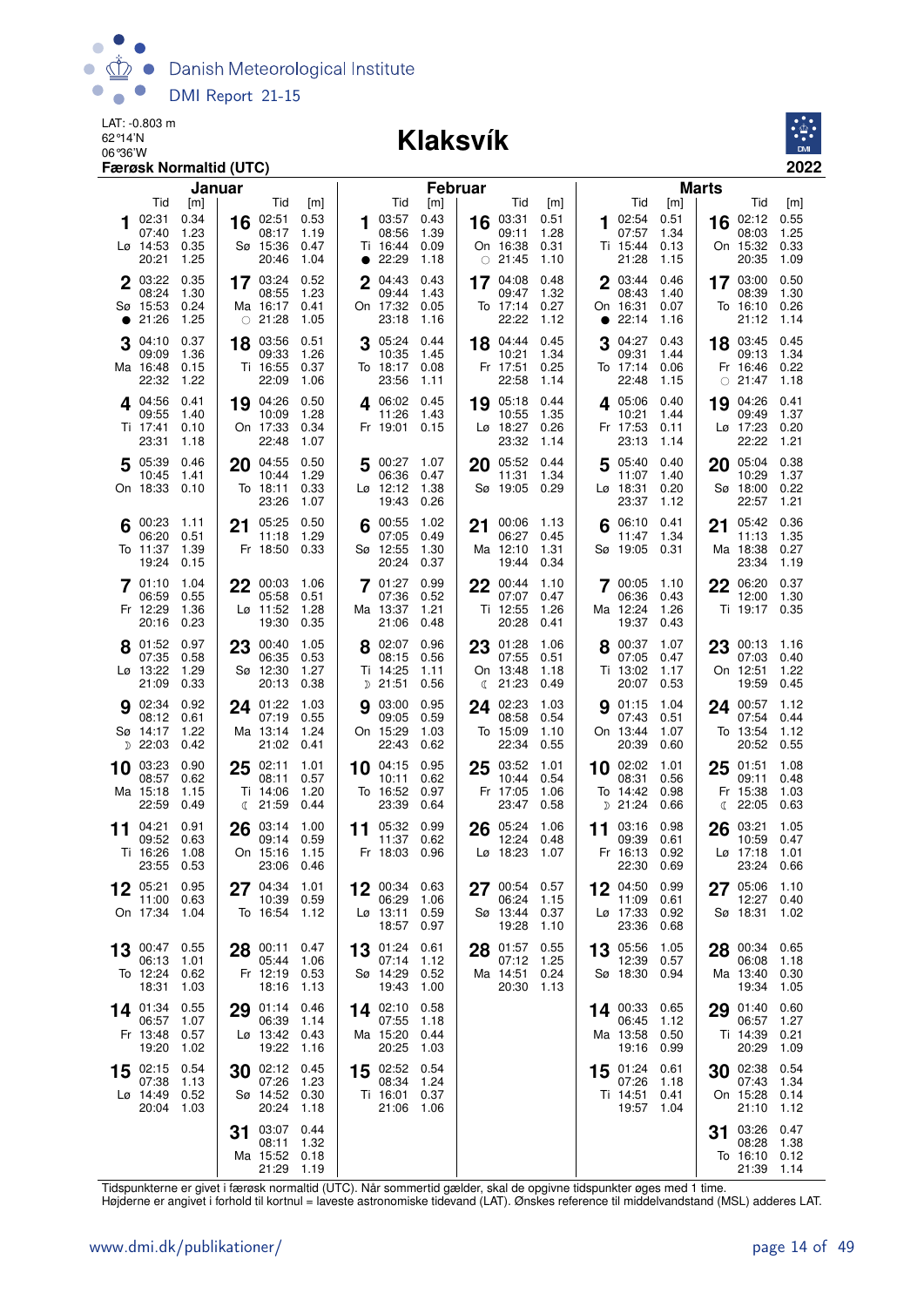

#### 06°36'W **Klaksvík**



| Januar                                                                                                                      |                                                                              |                                                        | <b>Februar</b>               |                                                   |                              |                                                    | <b>Marts</b>                 |                                                |                              |
|-----------------------------------------------------------------------------------------------------------------------------|------------------------------------------------------------------------------|--------------------------------------------------------|------------------------------|---------------------------------------------------|------------------------------|----------------------------------------------------|------------------------------|------------------------------------------------|------------------------------|
| Tid<br>[m]                                                                                                                  | Tid<br>[m]                                                                   | Tid                                                    | [m]                          | Tid                                               | [m]                          | Tid                                                | [m]                          | Tid                                            | [m]                          |
| 0.34<br>02:31<br>16<br>1<br>07:40<br>1.23<br>Lø 14:53<br>0.35<br>Sø 15:36<br>20:21<br>1.25                                  | 02:51<br>0.53<br>08:17<br>1.19<br>0.47<br>20:46<br>1.04                      | 03:57<br>1<br>08:56<br>Ti 16:44<br>$\bullet$ 22:29     | 0.43<br>1.39<br>0.09<br>1.18 | 03:31<br>16<br>09:11<br>On 16:38<br>$\circ$ 21:45 | 0.51<br>1.28<br>0.31<br>1.10 | 102:54<br>07:57<br>Ti 15:44<br>21:28               | 0.51<br>1.34<br>0.13<br>1.15 | 02:12<br>16<br>08:03<br>On 15:32<br>20:35      | 0.55<br>1.25<br>0.33<br>1.09 |
| 2 03:22<br>0.35<br>17 03:24<br>08:24<br>1.30<br>Sø 15:53<br>0.24<br>Ma 16:17<br>21:26<br>1.25<br>$\circ$ 21:28<br>$\bullet$ | 0.52<br>08:55<br>1.23<br>0.41<br>1.05                                        | 2 04:43<br>09:44<br>On 17:32<br>23:18                  | 0.43<br>1.43<br>0.05<br>1.16 | 17 04:08<br>09:47<br>To 17:14<br>22:22            | 0.48<br>1.32<br>0.27<br>1.12 | 2 03:44<br>08:43<br>On 16:31<br>22:14<br>$\bullet$ | 0.46<br>1.40<br>0.07<br>1.16 | 17 03:00<br>08:39<br>To 16:10<br>21:12         | 0.50<br>1.30<br>0.26<br>1.14 |
| 0.37<br>3<br>04:10<br>18<br>09:09<br>1.36<br>Ma 16:48<br>0.15<br>Ti 16:55<br>22:32<br>1.22                                  | 03:56<br>0.51<br>09:33<br>1.26<br>0.37<br>22:09<br>1.06                      | $3^{05:24}$<br>10:35<br>To 18:17<br>23:56              | 0.44<br>1.45<br>0.08<br>1.11 | 18 04:44<br>10:21<br>Fr 17:51<br>22:58            | 0.45<br>1.34<br>0.25<br>1.14 | 3<br>04:27<br>09:31<br>To 17:14<br>22:48           | 0.43<br>1.44<br>0.06<br>1.15 | 18 03:45<br>09:13<br>Fr 16:46<br>$\circ$ 21:47 | 0.45<br>1.34<br>0.22<br>1.18 |
| 19 04:26<br>4 04:56<br>0.41<br>09:55<br>1.40<br>Ti 17:41<br>On 17:33<br>0.10<br>23:31<br>1.18                               | 0.50<br>10:09<br>1.28<br>0.34<br>22:48<br>1.07                               | 4 06:02 0.45<br>11:26<br>Fr 19:01                      | 1.43<br>0.15                 | 19 05:18<br>10:55<br>Lø 18:27<br>23:32            | 0.44<br>1.35<br>0.26<br>1.14 | 405:06<br>10:21<br>Fr 17:53<br>23:13               | 0.40<br>1.44<br>0.11<br>1.14 | 04:26<br>19<br>09:49<br>Lø 17:23<br>22:22      | 0.41<br>1.37<br>0.20<br>1.21 |
| 5 05:39<br>0.46<br>20 04:55<br>10:45<br>1.41<br>On 18:33<br>0.10<br>To 18:11                                                | 0.50<br>1.29<br>10:44<br>0.33<br>23:26<br>1.07                               | 5 00:27 1.07<br>06:36<br>$L\varnothing$ 12:12<br>19:43 | 0.47<br>1.38<br>0.26         | 20 05:52<br>11:31<br>Sø 19:05 0.29                | 0.44<br>1.34                 | 5 05:40<br>11:07<br>Lø 18:31<br>23:37              | 0.40<br>1.40<br>0.20<br>1.12 | 05:04<br>20<br>10:29<br>Sø 18:00<br>22:57      | 0.38<br>1.37<br>0.22<br>1.21 |
| 00:23<br>21 05:25<br>1.11<br>06:20<br>0.51<br>To 11:37<br>1.39<br>Fr 18:50<br>19:24<br>0.15                                 | 0.50<br>11:18<br>1.29<br>0.33                                                | 00:55<br>07:05<br>Sø 12:55<br>20:24                    | 1.02<br>0.49<br>1.30<br>0.37 | 00:06<br>21<br>06:27<br>Ma 12:10<br>19:44         | 1.13<br>0.45<br>1.31<br>0.34 | 06:10<br>11:47<br>Sø 19:05                         | 0.41<br>1.34<br>0.31         | 05:42<br>21<br>11:13<br>Ma 18:38<br>23:34      | 0.36<br>1.35<br>0.27<br>1.19 |
| 1.04<br>701:10<br>$22^{00:03}$<br>0.55<br>06:59<br>Fr 12:29<br>1.36<br>Lø 11:52<br>0.23<br>20:16                            | 1.06<br>05:58<br>0.51<br>1.28<br>19:30<br>0.35                               | <b>7</b> 01:27<br>07:36<br>Ma 13:37<br>21:06           | 0.99<br>0.52<br>1.21<br>0.48 | 22 00:44<br>07:07<br>Ti 12:55<br>20:28            | 1.10<br>0.47<br>1.26<br>0.41 | 700:05<br>06:36<br>Ma 12:24<br>19:37               | 1.10<br>0.43<br>1.26<br>0.43 | 22 06:20<br>12:00<br>Ti 19:17                  | 0.37<br>1.30<br>0.35         |
| 8 01:52<br>0.97<br>23<br>07:35<br>0.58<br>Lø 13:22<br>1.29<br>Sø 12:30<br>21:09<br>0.33                                     | 00:40<br>1.05<br>06:35<br>0.53<br>1.27<br>20:13<br>0.38                      | 8 02:07<br>08:15<br>Ti 14:25<br>$D$ 21:51              | 0.96<br>0.56<br>1.11<br>0.56 | 01:28<br>23<br>07:55<br>On 13:48<br>\$21:23       | 1.06<br>0.51<br>1.18<br>0.49 | 00:37<br>07:05<br>Ti 13:02<br>20:07                | 1.07<br>0.47<br>1.17<br>0.53 | 00:13<br>23<br>07:03<br>On 12:51<br>19:59      | 1.16<br>0.40<br>1.22<br>0.45 |
| 0.92<br><b>9</b> 02:34<br>24 01:22<br>08:12<br>0.61<br>Sø 14:17<br>Ma 13:14<br>1.22<br>$D$ 22:03<br>0.42                    | 1.03<br>07:19<br>0.55<br>1.24<br>21:02<br>0.41                               | 03:00<br>9<br>09:05<br>On 15:29<br>22:43               | 0.95<br>0.59<br>1.03<br>0.62 | 02:23<br>24<br>08:58<br>To 15:09<br>22:34         | 1.03<br>0.54<br>1.10<br>0.55 | <b>9</b> 01:15<br>07:43<br>On 13:44<br>20:39       | 1.04<br>0.51<br>1.07<br>0.60 | 24 00:57<br>07:54<br>To 13:54<br>20:52         | 1.12<br>0.44<br>1.12<br>0.55 |
| 10 03:23<br>0.90<br>25<br>08:57<br>0.62<br>Ma 15:18<br>1.15<br>Ti 14:06<br>22:59<br>0.49<br>$\binom{21:59}{ }$              | 02:11<br>1.01<br>08:11<br>0.57<br>1.20<br>0.44                               | 10 04:15<br>10:11<br>To 16:52<br>23:39                 | 0.95<br>0.62<br>0.97<br>0.64 | 03:52<br>25<br>10:44<br>Fr 17:05<br>23:47         | 1.01<br>0.54<br>1.06<br>0.58 | 10 02:02<br>08:31<br>To 14:42<br>$D$ 21:24         | 1.01<br>0.56<br>0.98<br>0.66 | 25<br>01:51<br>09:11<br>Fr 15:38<br>22:05<br>ℂ | 1.08<br>0.48<br>1.03<br>0.63 |
| 04:21<br>0.91<br>26<br>11<br>09:52<br>0.63<br>Ti 16:26<br>1.08<br>On 15:16<br>23:55 0.53                                    | 03:14<br>1.00<br>0.59<br>09:14<br>1.15<br>23:06<br>0.46                      | 11 05:32<br>11:37<br>Fr 18:03 0.96                     | 0.99<br>0.62                 | 05:24<br>26<br>12:24<br>Lø 18:23                  | 1.06<br>0.48<br>1.07         | 03:16<br>11<br>09:39<br>Fr 16:13<br>22:30          | 0.98<br>0.61<br>0.92<br>0.69 | 03:21<br>26<br>10:59<br>$Lg$ 17:18<br>23:24    | 1.05<br>0.47<br>1.01<br>0.66 |
| 0.95<br>05:21<br>11:00 0.63<br>On 17:34<br>To 16:54<br>1.04                                                                 | 04:34 1.01<br>10:39<br>0.59<br>1.12                                          | 00:34<br>06:29<br>Lø 13:11<br>18:57 0.97               | 0.63<br>1.06<br>0.59         | 00:54<br>06:24<br>Sø 13:44<br>19:28               | 0.57<br>1.15<br>0.37<br>1.10 | 04:50<br>11:09<br>Lø 17:33<br>23:36                | 0.99<br>0.61<br>0.92<br>0.68 | 05:06<br>12:27<br>Sø 18:31                     | 1.10<br>0.40<br>1.02         |
| 0.55<br>28 00:11<br>00:47<br>13<br>06:13<br>1.01<br>To 12:24<br>Fr 12:19<br>0.62<br>18:31<br>1.03                           | 0.47<br>1.06<br>05:44<br>0.53<br>18:16<br>1.13                               | 13 01:24<br>07:14<br>Sø 14:29<br>19:43                 | 0.61<br>1.12<br>0.52<br>1.00 | 01:57<br>28<br>07:12<br>Ma 14:51<br>20:30 1.13    | 0.55<br>1.25<br>0.24         | 13 05:56<br>12:39<br>Sø 18:30                      | 1.05<br>0.57<br>0.94         | 00:34<br>28<br>06:08<br>Ma 13:40<br>19:34      | 0.65<br>1.18<br>0.30<br>1.05 |
| 14 01:34<br>0.55<br>29<br>06:57<br>1.07<br>Fr 13:48<br>0.57<br>19:20<br>1.02                                                | 01:14<br>0.46<br>06:39<br>1.14<br>$L\varnothing$ 13:42 0.43<br>19:22<br>1.16 | 14 02:10<br>07:55<br>Ma 15:20<br>20:25                 | 0.58<br>1.18<br>0.44<br>1.03 |                                                   |                              | 14 00:33<br>06:45<br>Ma 13:58<br>19:16             | 0.65<br>1.12<br>0.50<br>0.99 | 01:40<br>29<br>06:57<br>Ti 14:39<br>20:29      | 0.60<br>1.27<br>0.21<br>1.09 |
| 15 02:15<br>0.54<br>30<br>07:38<br>1.13<br>Lø 14:49<br>Sø 14:52<br>0.52<br>20:04<br>1.03                                    | 02:12<br>0.45<br>1.23<br>07:26<br>0.30<br>20:24<br>1.18                      | $15$ 02:52<br>08:34<br>Ti 16:01<br>21:06               | 0.54<br>1.24<br>0.37<br>1.06 |                                                   |                              | $15$ 01:24<br>07:26<br>Ti 14:51<br>19:57           | 0.61<br>1.18<br>0.41<br>1.04 | 02:38<br>30<br>07:43<br>On 15:28<br>21:10      | 0.54<br>1.34<br>0.14<br>1.12 |
| 31<br>Ma 15:52                                                                                                              | 03:07<br>0.44<br>08:11<br>1.32<br>0.18<br>21:29<br>1.19                      |                                                        |                              |                                                   |                              |                                                    |                              | 03:26<br>31<br>08:28<br>To 16:10<br>21:39      | 0.47<br>1.38<br>0.12<br>1.14 |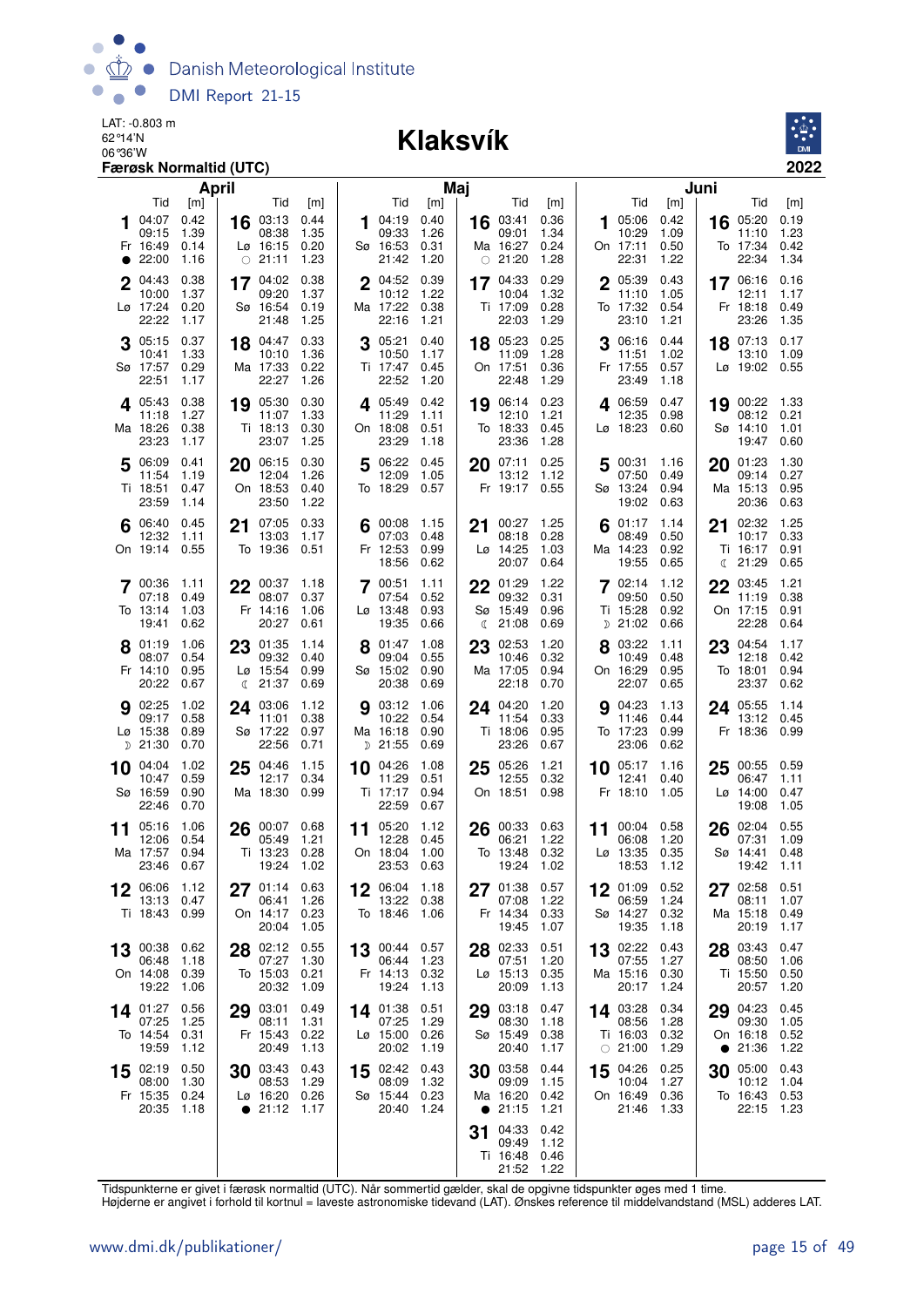

#### 06°36'W **Klaksvík**



|                                                                                              | <b>April</b>                                                                                               | Maj                                                                                |                                                                                                     | Juni                                                                                   |                                                                                         |
|----------------------------------------------------------------------------------------------|------------------------------------------------------------------------------------------------------------|------------------------------------------------------------------------------------|-----------------------------------------------------------------------------------------------------|----------------------------------------------------------------------------------------|-----------------------------------------------------------------------------------------|
| Tid<br>[m]<br>0.42<br>104:07<br>1.39<br>09:15<br>0.14<br>Fr 16:49<br>$\bullet$ 22:00<br>1.16 | Tid<br>[m]<br>$16$ 03:13<br>0.44<br>08:38<br>1.35<br>0.20<br>$L\varnothing$ 16:15<br>$\circ$ 21:11<br>1.23 | Tid<br>[m]<br>0.40<br>104:19<br>09:33<br>1.26<br>Sø 16:53<br>0.31<br>21:42<br>1.20 | <b>Tid</b><br>[m]<br>0.36<br>16 03:41<br>1.34<br>09:01<br>Ma 16:27<br>0.24<br>$\circ$ 21:20<br>1.28 | Tid<br>[m]<br>05:06<br>0.42<br>1<br>10:29<br>1.09<br>On 17:11<br>0.50<br>22:31<br>1.22 | Tid<br>[m]<br>05:20<br>0.19<br>16<br>1.23<br>11:10<br>To 17:34<br>0.42<br>22:34<br>1.34 |
| 0.38<br>04:43<br>$\mathbf 2$<br>10:00<br>1.37<br>Lø 17:24<br>0.20<br>22:22<br>1.17           | 0.38<br>17 04:02<br>09:20<br>1.37<br>Sø 16:54<br>0.19<br>21:48<br>1.25                                     | 2 04:52<br>0.39<br>10:12<br>1.22<br>Ma 17:22<br>0.38<br>22:16<br>1.21              | 17 04:33<br>0.29<br>1.32<br>10:04<br>Ti 17:09<br>0.28<br>22:03<br>1.29                              | 0.43<br>2 05:39<br>11:10<br>1.05<br>To 17:32<br>0.54<br>23:10<br>1.21                  | 17 06:16<br>0.16<br>1.17<br>12:11<br>Fr 18:18<br>0.49<br>23:26<br>1.35                  |
| 0.37<br>3 05:15<br>1.33<br>10:41<br>Sø 17:57<br>0.29<br>22:51<br>1.17                        | 18 04:47<br>0.33<br>10:10<br>1.36<br>Ma 17:33<br>0.22<br>22:27<br>1.26                                     | 3 05:21<br>0.40<br>10:50<br>1.17<br>Ti 17:47<br>0.45<br>22:52<br>1.20              | 0.25<br>18 05:23<br>1.28<br>11:09<br>On 17:51<br>0.36<br>22:48<br>1.29                              | 0.44<br>06:16<br>11:51<br>1.02<br>Fr 17:55<br>0.57<br>23:49<br>1.18                    | 18 07:13<br>0.17<br>13:10<br>1.09<br>Lø 19:02 0.55                                      |
| 0.38<br>405:43<br>1.27<br>11:18<br>Ma 18:26<br>0.38<br>23:23<br>1.17                         | 19 05:30<br>0.30<br>1.33<br>11:07<br>0.30<br>Ti 18:13<br>23:07<br>1.25                                     | 405:49<br>0.42<br>11:29<br>1.11<br>On 18:08<br>0.51<br>23:29<br>1.18               | 19 06:14<br>0.23<br>12:10<br>1.21<br>To 18:33<br>0.45<br>23:36<br>1.28                              | 0.47<br>4 06:59<br>12:35<br>0.98<br>Lø 18:23<br>0.60                                   | 19 00:22 1.33<br>08:12<br>0.21<br>Sø 14:10<br>1.01<br>19:47<br>0.60                     |
| 5 06:09<br>0.41<br>1.19<br>11:54<br>Ti 18:51<br>0.47<br>23:59<br>1.14                        | 20 06:15<br>0.30<br>1.26<br>12:04<br>On 18:53<br>0.40<br>23:50<br>1.22                                     | 5<br>06:22<br>0.45<br>12:09<br>1.05<br>To 18:29<br>0.57                            | 20 07:11<br>0.25<br>1.12<br>13:12<br>Fr 19:17<br>0.55                                               | 5 00:31<br>1.16<br>07:50<br>0.49<br>Sø 13:24<br>0.94<br>19:02<br>0.63                  | 20<br>01:23<br>1.30<br>0.27<br>09:14<br>Ma 15:13<br>0.95<br>20:36<br>0.63               |
| 0.45<br>$6^{06:40}$<br>12:32<br>1.11<br>0.55<br>On 19:14                                     | 21 07:05<br>0.33<br>13:03<br>1.17<br>To 19:36<br>0.51                                                      | 00:08<br>1.15<br>07:03<br>0.48<br>Fr 12:53<br>0.99<br>18:56<br>0.62                | 1.25<br>00:27<br>21<br>08:18<br>0.28<br>Lø 14:25<br>1.03<br>20:07<br>0.64                           | 01:17<br>1.14<br>08:49<br>0.50<br>Ma 14:23<br>0.92<br>19:55<br>0.65                    | 02:32<br>1.25<br>21<br>0.33<br>10:17<br>Ti 16:17<br>0.91<br>(21:29)<br>0.65             |
| 7 00:36<br>1.11<br>07:18<br>0.49<br>To 13:14<br>1.03<br>19:41<br>0.62                        | $22^{00:37}$<br>1.18<br>08:07<br>0.37<br>Fr 14:16<br>1.06<br>20:27<br>0.61                                 | 7 00:51<br>1.11<br>07:54<br>0.52<br>0.93<br>$L\varnothing$ 13:48<br>19:35<br>0.66  | 22 01:29<br>1.22<br>09:32<br>0.31<br>0.96<br>Sø 15:49<br>21:08<br>0.69<br>€                         | 702:14<br>1.12<br>09:50<br>0.50<br>Ti 15:28<br>0.92<br>$D$ 21:02<br>0.66               | 03:45<br>1.21<br>22<br>11:19<br>0.38<br>0.91<br>On 17:15<br>22:28<br>0.64               |
| 1.06<br>8 01:19<br>08:07<br>0.54<br>Fr 14:10<br>0.95<br>20:22<br>0.67                        | 23 01:35<br>1.14<br>09:32<br>0.40<br>0.99<br>Lø 15:54<br>21:37<br>0.69<br>$\mathbb{C}$                     | 01:47<br>1.08<br>8<br>09:04<br>0.55<br>Sø 15:02<br>0.90<br>20:38<br>0.69           | 23<br>02:53<br>1.20<br>10:46<br>0.32<br>Ma 17:05<br>0.94<br>22:18<br>0.70                           | 03:22<br>8<br>1.11<br>10:49<br>0.48<br>On 16:29<br>0.95<br>22:07<br>0.65               | 23<br>04:54<br>1.17<br>12:18<br>0.42<br>To 18:01<br>0.94<br>23:37<br>0.62               |
| <b>9</b> 02:25<br>1.02<br>0.58<br>09:17<br>Lø 15:38<br>0.89<br>$D$ 21:30<br>0.70             | 24 03:06<br>1.12<br>0.38<br>11:01<br>Sø 17:22<br>0.97<br>22:56<br>0.71                                     | <b>9</b> 03:12<br>1.06<br>10:22<br>0.54<br>Ma 16:18<br>0.90<br>D 21:55<br>0.69     | 24 04:20<br>1.20<br>11:54<br>0.33<br>Ti 18:06<br>0.95<br>23:26<br>0.67                              | 9 04:23<br>1.13<br>11:46<br>0.44<br>To 17:23<br>0.99<br>23:06<br>0.62                  | 24 05:55<br>1.14<br>13:12<br>0.45<br>Fr 18:36<br>0.99                                   |
| 1.02<br>04:04<br>10<br>10:47<br>0.59<br>Sø 16:59<br>0.90<br>22:46<br>0.70                    | 04:46<br>1.15<br>25<br>12:17<br>0.34<br>Ma 18:30<br>0.99                                                   | 04:26<br>1.08<br>10<br>11:29<br>0.51<br>Ti 17:17<br>0.94<br>22:59<br>0.67          | $25^{05:26}$<br>1.21<br>12:55<br>0.32<br>On 18:51<br>0.98                                           | $10^{-05:17}$<br>1.16<br>12:41<br>0.40<br>Fr 18:10<br>1.05                             | 0.59<br>00:55<br>25<br>06:47<br>1.11<br>$L\sigma$ 14:00<br>0.47<br>1.05<br>19:08        |
| 05:16<br>1.06<br>11<br>0.54<br>12:06<br>Ma 17:57<br>0.94<br>23:46<br>0.67                    | 26 00:07<br>0.68<br>05:49<br>1.21<br>Ti 13:23<br>0.28<br>19:24<br>1.02                                     | 11 05:20<br>1.12<br>12:28<br>0.45<br>On 18:04<br>1.00<br>23:53<br>0.63             | 26 00:33<br>0.63<br>1.22<br>06:21<br>0.32<br>To 13:48<br>19:24<br>1.02                              | 11 00:04 0.58<br>06:08<br>1.20<br>$L\varnothing$ 13:35 0.35<br>18:53<br>1.12           | 02:04<br>0.55<br>26<br>07:31<br>1.09<br>Sø 14:41<br>0.48<br>19:42<br>1.11               |
| 1.12<br>06:06<br>13:13<br>0.47<br>Ti 18:43<br>0.99                                           | 0.63<br>01:14<br>06:41<br>1.26<br>On 14:17<br>0.23<br>20:04<br>1.05                                        | 06:04<br>1.18<br>13:22<br>0.38<br>To 18:46<br>1.06                                 | 01:38<br>0.57<br>27<br>07:08<br>1.22<br>Fr 14:34<br>0.33<br>19:45<br>1.07                           | 01:09 0.52<br>06:59<br>1.24<br>Sø 14:27 0.32<br>19:35<br>1.18                          | 0.51<br>02:58<br>27<br>08:11<br>1.07<br>Ma 15:18<br>0.49<br>1.17<br>20:19               |
| 00:38<br>0.62<br>13<br>1.18<br>06:48<br>On 14:08<br>0.39<br>19:22<br>1.06                    | 28 02:12<br>0.55<br>07:27<br>1.30<br>To 15:03<br>0.21<br>20:32<br>1.09                                     | 13 00:44 0.57<br>06:44<br>1.23<br>Fr 14:13<br>0.32<br>19:24<br>1.13                | 02:33<br>0.51<br>28<br>07:51<br>1.20<br>Lø 15:13<br>0.35<br>20:09<br>1.13                           | 13 02:22<br>0.43<br>07:55<br>1.27<br>Ma 15:16 0.30<br>1.24<br>20:17                    | 28 03:43<br>0.47<br>08:50<br>1.06<br>Ti 15:50<br>0.50<br>20:57<br>1.20                  |
| 14 01:27<br>0.56<br>07:25<br>1.25<br>To 14:54<br>0.31<br>19:59<br>1.12                       | 03:01<br>0.49<br>29<br>08:11<br>1.31<br>Fr 15:43<br>0.22<br>20:49<br>1.13                                  | 14 01:38<br>0.51<br>07:25<br>1.29<br>$L\varnothing$ 15:00<br>0.26<br>20:02<br>1.19 | 03:18<br>0.47<br>29<br>08:30<br>1.18<br>Sø 15:49<br>0.38<br>20:40<br>1.17                           | 14 03:28<br>0.34<br>08:56<br>1.28<br>Ti 16:03 0.32<br>$\circ$ 21:00<br>1.29            | 04:23<br>0.45<br>29<br>09:30<br>1.05<br>On 16:18<br>0.52<br>1.22<br>• 21:36             |
| 0.50<br>02:19<br>15<br>1.30<br>08:00<br>Fr 15:35<br>0.24<br>20:35<br>1.18                    | 30 03:43<br>0.43<br>08:53<br>1.29<br>Lø 16:20<br>0.26<br>$\bullet$ 21:12 1.17                              | 0.43<br>15 02:42<br>08:09<br>1.32<br>Sø 15:44<br>0.23<br>20:40<br>1.24             | 03:58<br>0.44<br>30<br>1.15<br>09:09<br>Ma 16:20<br>0.42<br>$\bullet$ 21:15<br>1.21                 | 04:26<br>0.25<br>15<br>10:04<br>1.27<br>On 16:49 0.36<br>21:46 1.33                    | 05:00<br>0.43<br>30<br>10:12<br>1.04<br>To 16:43<br>0.53<br>22:15<br>1.23               |
|                                                                                              |                                                                                                            |                                                                                    | 04:33<br>0.42<br>31<br>09:49<br>1.12<br>Ti 16:48<br>0.46<br>21:52 1.22                              |                                                                                        |                                                                                         |

Tidspunkterne er givet i færøsk normaltid (UTC). Når sommertid gælder, skal de opgivne tidspunkter øges med 1 time.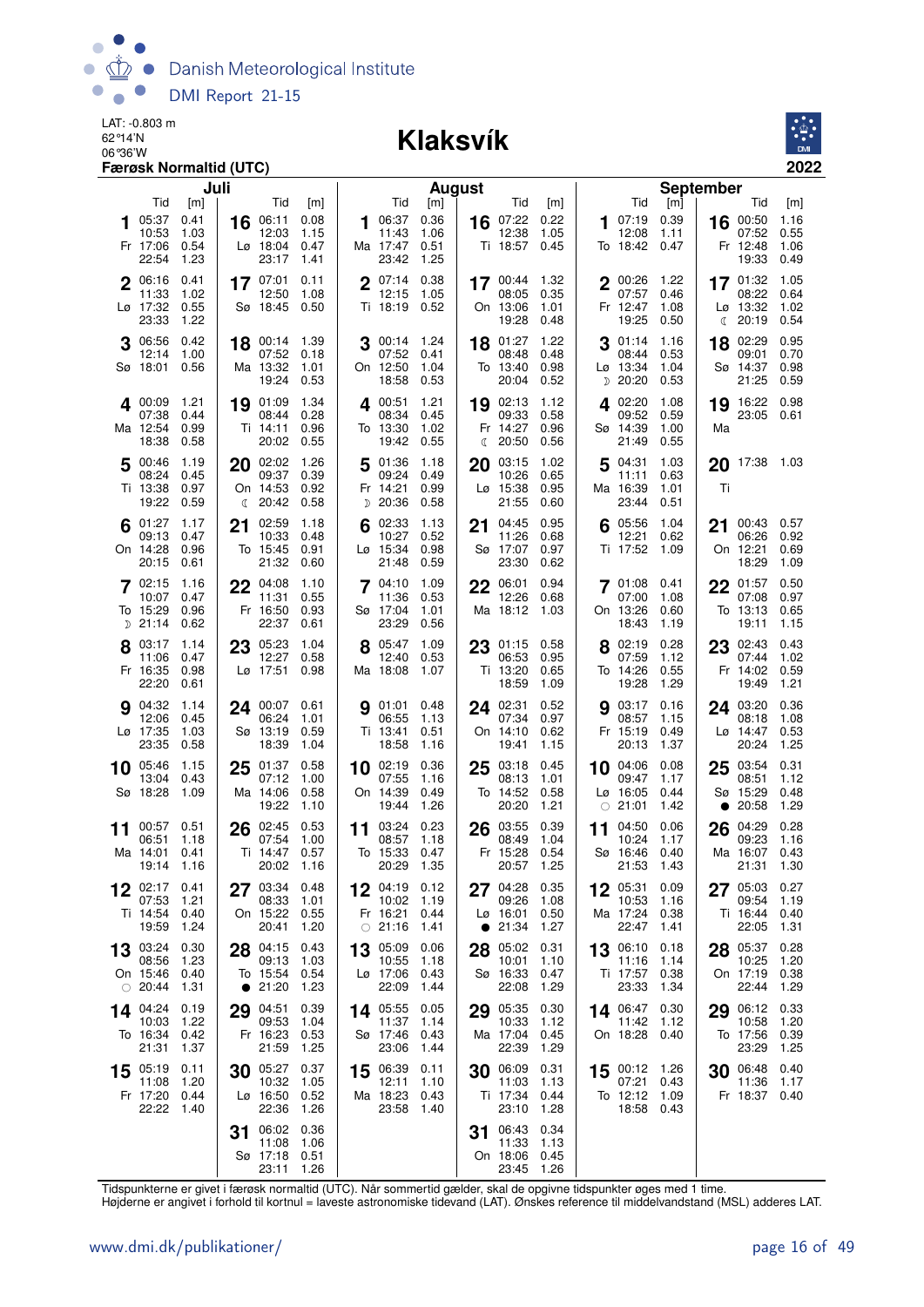

#### 06°36'W **Klaksvík**



|    |                                             | Juli                                |    |                                                        |                                     |    |                                                          | August                              |              |                                             |                              |    |                                                       | <b>September</b>             |                 |                                               |                                     |
|----|---------------------------------------------|-------------------------------------|----|--------------------------------------------------------|-------------------------------------|----|----------------------------------------------------------|-------------------------------------|--------------|---------------------------------------------|------------------------------|----|-------------------------------------------------------|------------------------------|-----------------|-----------------------------------------------|-------------------------------------|
|    | Tid<br>05:37<br>10:53<br>Fr 17:06<br>22:54  | [m]<br>0.41<br>1.03<br>0.54<br>1.23 | 16 | Tid<br>06:11<br>12:03<br>$L\varnothing$ 18:04<br>23:17 | [m]<br>0.08<br>1.15<br>0.47<br>1.41 |    | Tid<br>06:37<br>11:43<br>Ma 17:47<br>23:42               | [m]<br>0.36<br>1.06<br>0.51<br>1.25 |              | Tid<br>16 07:22<br>12:38<br>Ti 18:57        | [m]<br>0.22<br>1.05<br>0.45  |    | Tid<br>07:19<br>12:08<br>To 18:42                     | [m]<br>0.39<br>1.11<br>0.47  |                 | Tid<br>16 00:50<br>07:52<br>Fr 12:48<br>19:33 | [m]<br>1.16<br>0.55<br>1.06<br>0.49 |
|    | 2 06:16<br>11:33<br>Lø 17:32<br>23:33       | 0.41<br>1.02<br>0.55<br>1.22        |    | 17 07:01<br>12:50<br>Sø 18:45                          | 0.11<br>1.08<br>0.50                |    | 2 07:14 0.38<br>12:15<br>Ti 18:19 0.52                   | 1.05                                |              | 17 00:44 1.32<br>08:05<br>On 13:06<br>19:28 | 0.35<br>1.01<br>0.48         |    | 2 00:26<br>07:57<br>Fr 12:47<br>19:25                 | 1.22<br>0.46<br>1.08<br>0.50 | €               | 17 01:32<br>08:22<br>Lø 13:32<br>20:19        | 1.05<br>0.64<br>1.02<br>0.54        |
| 3  | 06:56<br>12:14<br>Sø 18:01                  | 0.42<br>1.00<br>0.56                |    | 18 $^{00:14}_{0.7}$<br>07:52<br>Ma 13:32<br>19:24      | 1.39<br>0.18<br>1.01<br>0.53        |    | 3 $^{00:14}$ 1.24<br>07:52<br>On 12:50<br>18:58          | 0.41<br>1.04<br>0.53                |              | 18 01:27<br>08:48<br>To 13:40<br>20:04      | 1.22<br>0.48<br>0.98<br>0.52 |    | 01:14<br>08:44<br>Lø 13:34<br>D 20:20                 | 1.16<br>0.53<br>1.04<br>0.53 | 18              | 02:29<br>09:01<br>Sø 14:37<br>21:25           | 0.95<br>0.70<br>0.98<br>0.59        |
|    | 400:09<br>07:38<br>Ma 12:54<br>18:38        | 1.21<br>0.44<br>0.99<br>0.58        |    | 19 01:09<br>08:44<br>Ti 14:11<br>20:02                 | 1.34<br>0.28<br>0.96<br>0.55        |    | 400:51<br>08:34<br>To 13:30<br>19:42                     | 1.21<br>0.45<br>1.02<br>0.55        | $\mathbb{C}$ | 19 02:13<br>09:33<br>Fr 14:27<br>20:50      | 1.12<br>0.58<br>0.96<br>0.56 |    | 4 02:20<br>09:52<br>Sø 14:39<br>21:49                 | 1.08<br>0.59<br>1.00<br>0.55 | Ma              | 19 16:22 0.98<br>23:05 0.61                   |                                     |
|    | 5 00:46<br>08:24<br>Ti 13:38<br>19:22       | 1.19<br>0.45<br>0.97<br>0.59        |    | 20 02:02<br>09:37<br>On 14:53<br>$\binom{20:42}{ }$    | 1.26<br>0.39<br>0.92<br>0.58        | 5  | 01:36<br>09:24<br>Fr 14:21<br>D 20:36                    | 1.18<br>0.49<br>0.99<br>0.58        | 20           | 03:15<br>10:26<br>$Lo$ 15:38<br>21:55       | 1.02<br>0.65<br>0.95<br>0.60 | 5  | 04:31<br>11:11<br>Ma 16:39<br>23:44                   | 1.03<br>0.63<br>1.01<br>0.51 | Ti              | 20 17:38 1.03                                 |                                     |
|    | $6^{01:27}$<br>09:13<br>On 14:28<br>20:15   | 1.17<br>0.47<br>0.96<br>0.61        | 21 | 02:59<br>10:33<br>To 15:45<br>21:32                    | 1.18<br>0.48<br>0.91<br>0.60        | 6  | 02:33<br>10:27<br>Lø 15:34<br>21:48                      | 1.13<br>0.52<br>0.98<br>0.59        | 21           | 04:45<br>11:26<br>Sø 17:07<br>23:30         | 0.95<br>0.68<br>0.97<br>0.62 |    | $6^{05:56}$<br>12:21<br>Ti 17:52                      | 1.04<br>0.62<br>1.09         |                 | 21 00:43 0.57<br>06:26<br>On 12:21<br>18:29   | 0.92<br>0.69<br>1.09                |
|    | 702:15<br>10:07<br>To 15:29<br>$D$ 21:14    | 1.16<br>0.47<br>0.96<br>0.62        |    | 22 04:08<br>11:31<br>Fr 16:50<br>22:37                 | 1.10<br>0.55<br>0.93<br>0.61        |    | $7^{04:10}$<br>11:36<br>Sø 17:04<br>23:29                | 1.09<br>0.53<br>1.01<br>0.56        | 22           | 06:01<br>12:26<br>Ma 18:12                  | 0.94<br>0.68<br>1.03         |    | 7 01:08<br>07:00<br>On 13:26<br>18:43                 | 0.41<br>1.08<br>0.60<br>1.19 |                 | 22 01:57<br>07:08<br>To 13:13<br>19:11        | 0.50<br>0.97<br>0.65<br>1.15        |
|    | 8 03:17<br>11:06<br>Fr 16:35<br>22:20       | 1.14<br>0.47<br>0.98<br>0.61        |    | 23 05:23<br>12:27<br>Lø 17:51                          | 1.04<br>0.58<br>0.98                |    | 8 05:47<br>12:40<br>Ma 18:08                             | 1.09<br>0.53<br>1.07                |              | 23 01:15<br>06:53<br>Ti 13:20<br>18:59      | 0.58<br>0.95<br>0.65<br>1.09 |    | 8 02:19<br>07:59<br>To 14:26<br>19:28                 | 0.28<br>1.12<br>0.55<br>1.29 |                 | 23 02:43<br>07:44<br>Fr 14:02<br>19:49        | 0.43<br>1.02<br>0.59<br>1.21        |
| 9  | 04:32<br>12:06<br>Lø 17:35<br>23:35         | 1.14<br>0.45<br>1.03<br>0.58        |    | 24 00:07<br>06:24<br>Sø 13:19<br>18:39                 | 0.61<br>1.01<br>0.59<br>1.04        | 9  | 01:01<br>06:55<br>Ti 13:41<br>18:58                      | 0.48<br>1.13<br>0.51<br>1.16        |              | 24 02:31<br>07:34<br>On 14:10<br>19:41      | 0.52<br>0.97<br>0.62<br>1.15 | 9  | 03:17<br>08:57<br>Fr 15:19<br>20:13                   | 0.16<br>1.15<br>0.49<br>1.37 |                 | 24 03:20<br>08:18<br>$Lg$ 14:47<br>20:24      | 0.36<br>1.08<br>0.53<br>1.25        |
|    | 10 05:46<br>13:04<br>Sø 18:28               | 1.15<br>0.43<br>1.09                |    | $25\frac{01:37}{9}$<br>07:12<br>Ma 14:06<br>19:22      | 0.58<br>1.00<br>0.58<br>1.10        |    | 10 02:19<br>07:55<br>On 14:39<br>19:44                   | 0.36<br>1.16<br>0.49<br>1.26        |              | 25 03:18<br>08:13<br>To 14:52<br>20:20      | 0.45<br>1.01<br>0.58<br>1.21 |    | 10 04:06<br>09:47<br>Lø 16:05<br>$\circ$ 21:01        | 0.08<br>1.17<br>0.44<br>1.42 | 25<br>$\bullet$ | 03:54<br>08:51<br>Sø 15:29<br>20:58           | 0.31<br>1.12<br>0.48<br>1.29        |
| 11 | 00:57<br>06:51<br>Ma 14:01<br>19:14         | 0.51<br>1.18<br>0.41<br>- 1.16      | 26 | 02:45<br>07:54<br>Ti 14:47<br>20:02                    | 0.53<br>1.00<br>0.57<br>1.16        | 11 | 03:24<br>08:57<br>To 15:33<br>20:29                      | 0.23<br>1.18<br>0.47<br>1.35        | 26           | 03:55<br>08:49<br>Fr 15:28<br>20:57         | 0.39<br>1.04<br>0.54<br>1.25 | 11 | 04:50<br>10:24<br>Sø 16:46<br>21:53                   | 0.06<br>1.17<br>0.40<br>1.43 | 26              | 04:29<br>09:23<br>Ma 16:07<br>21:31           | 0.28<br>1.16<br>0.43<br>1.30        |
|    | 12 02:17 0.41<br>07:53<br>Ti 14:54<br>19:59 | 1.21<br>0.40<br>1.24                | 27 | 03:34 0.48<br>08:33<br>On 15:22<br>20:41               | 1.01<br>0.55<br>1.20                |    | 12 04:19 0.12<br>10:02 1.19<br>Fr 16:21<br>$\circ$ 21:16 | 0.44<br>1.41                        |              | 27 04:28<br>09:26<br>Lø 16:01<br>21:34      | 0.35<br>1.08<br>0.50<br>1.27 | 12 | 05:31<br>10:53<br>Ma 17:24<br>22:47                   | 0.09<br>1.16<br>0.38<br>1.41 |                 | $27^{05:03}$<br>09:54<br>Ti 16:44<br>22:05    | 0.27<br>1.19<br>0.40<br>1.31        |
| 13 | 03:24<br>08:56<br>On 15:46<br>$\circ$ 20:44 | 0.30<br>1.23<br>0.40<br>1.31        | 28 | 04:15<br>09:13<br>To 15:54<br>• 21:20                  | 0.43<br>1.03<br>0.54<br>1.23        | 13 | 05:09<br>10:55<br>Lø 17:06<br>22:09                      | 0.06<br>1.18<br>0.43<br>1.44        | 28           | 05:02<br>10:01<br>Sø 16:33<br>22:08         | 0.31<br>1.10<br>0.47<br>1.29 |    | 13 06:10<br>11:16<br>Ti 17:57<br>23:33                | 0.18<br>1.14<br>0.38<br>1.34 | 28              | 05:37<br>10:25<br>On 17:19<br>22:44           | 0.28<br>1.20<br>0.38<br>1.29        |
|    | 14 04:24<br>10:03<br>To 16:34<br>21:31      | 0.19<br>1.22<br>0.42<br>1.37        |    | 29 04:51<br>09:53<br>Fr 16:23<br>21:59                 | 0.39<br>1.04<br>0.53<br>1.25        |    | 14 05:55<br>11:37<br>Sø 17:46<br>23:06                   | 0.05<br>1.14<br>0.43<br>1.44        |              | 29 05:35<br>10:33<br>Ma 17:04<br>22:39      | 0.30<br>1.12<br>0.45<br>1.29 |    | 14 06:47<br>11:42<br>On 18:28 0.40                    | 0.30<br>1.12                 |                 | 29 06:12<br>10:58<br>To 17:56<br>23:29        | 0.33<br>1.20<br>0.39<br>1.25        |
|    | 15 05:19<br>11:08<br>Fr 17:20<br>22:22      | 0.11<br>1.20<br>0.44<br>1.40        | 30 | 05:27<br>10:32<br>Lø 16:50<br>22:36                    | 0.37<br>1.05<br>0.52<br>1.26        |    | 15 06:39<br>12:11<br>Ma 18:23<br>23:58                   | 0.11<br>1.10<br>0.43<br>1.40        |              | 30 06:09<br>11:03<br>Ti 17:34<br>23:10      | 0.31<br>1.13<br>0.44<br>1.28 |    | 15 00:12 1.26<br>07:21<br>To 12:12 1.09<br>18:58 0.43 | 0.43                         | 30              | 06:48<br>11:36<br>Fr 18:37 0.40               | 0.40<br>1.17                        |
|    |                                             |                                     | 31 | 06:02<br>11:08<br>Sø 17:18 0.51<br>23:11               | 0.36<br>1.06<br>1.26                |    |                                                          |                                     |              | 31 06:43<br>11:33<br>On 18:06<br>23:45      | 0.34<br>1.13<br>0.45<br>1.26 |    |                                                       |                              |                 |                                               |                                     |

Tidspunkterne er givet i færøsk normaltid (UTC). Når sommertid gælder, skal de opgivne tidspunkter øges med 1 time.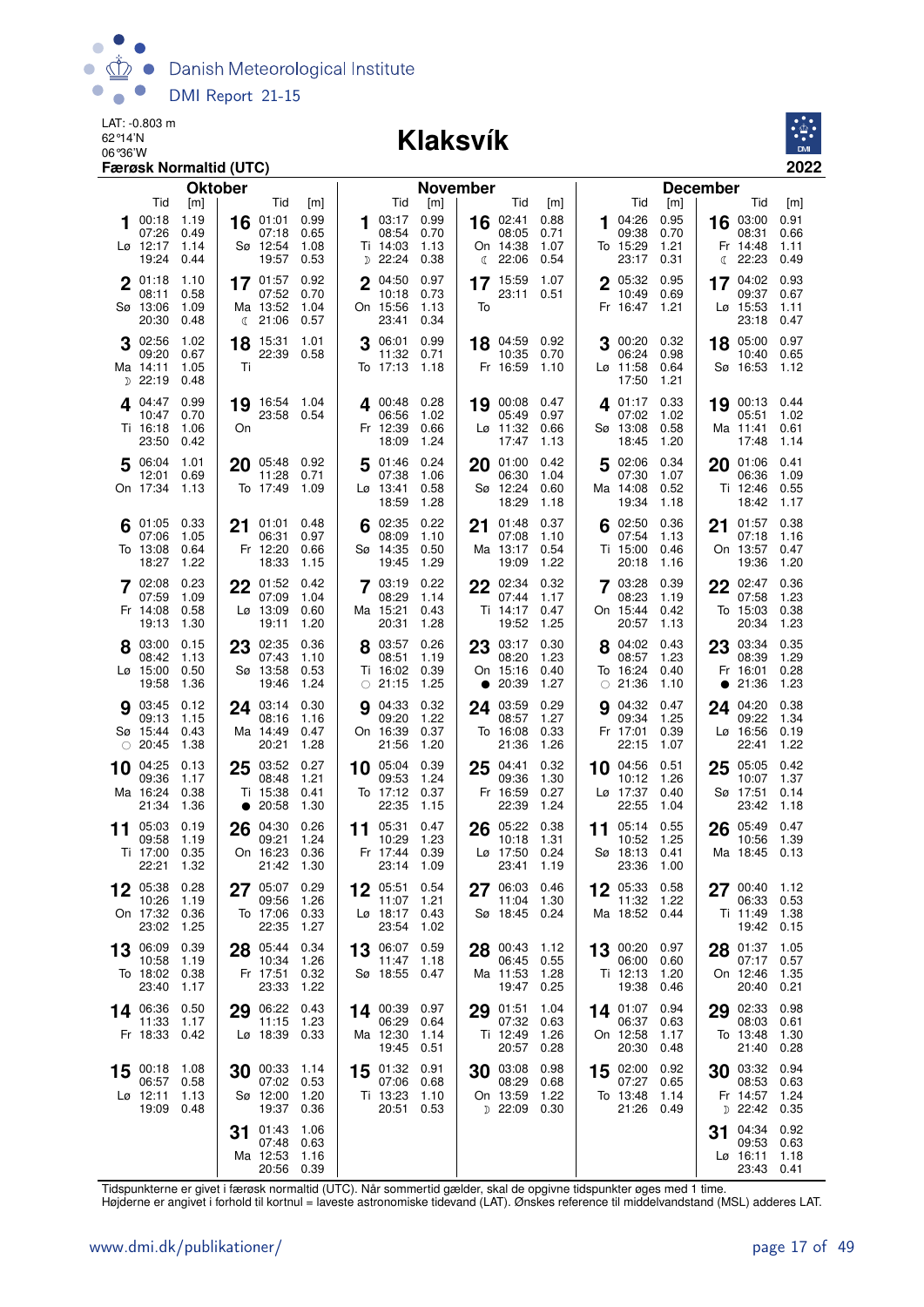

#### 06°36'W **Klaksvík**



| <b>Oktober</b>                                                                          |                                                                                  |                                                                                           | <b>November</b>                                                                        |                                                                             | <b>December</b>                                                                        |
|-----------------------------------------------------------------------------------------|----------------------------------------------------------------------------------|-------------------------------------------------------------------------------------------|----------------------------------------------------------------------------------------|-----------------------------------------------------------------------------|----------------------------------------------------------------------------------------|
| Tid<br>[m]                                                                              | Tid<br>[m]                                                                       | Tid<br>[m]                                                                                | Tid<br>[m]                                                                             | Tid<br>[m]                                                                  | Tid<br>[m]                                                                             |
| 1.19<br>00:18<br>07:26<br>0.49<br>Lø 12:17<br>1.14<br>19:24<br>0.44                     | 01:01<br>0.99<br>16<br>07:18<br>0.65<br>Sø 12:54<br>1.08<br>19:57<br>0.53        | 0.99<br><b>1</b> 03:17<br>08:54<br>0.70<br>Ti 14:03<br>1.13<br><sub>D</sub> 22:24<br>0.38 | 16 02:41<br>0.88<br>08:05<br>0.71<br>1.07<br>On 14:38<br>22:06<br>0.54<br>$\mathbb{C}$ | 04:26<br>0.95<br>1<br>09:38<br>0.70<br>To 15:29<br>1.21<br>23:17<br>0.31    | 16 03:00<br>0.91<br>08:31<br>0.66<br>1.11<br>Fr 14:48<br>22:23<br>0.49<br>$\mathbb{C}$ |
| 01:18<br>1.10<br>$\mathbf 2$<br>08:11<br>0.58<br>Sø 13:06<br>1.09<br>20:30<br>0.48      | 0.92<br>17 01:57<br>07:52<br>0.70<br>Ma 13:52<br>1.04<br><b>4</b> 21:06<br>0.57  | 0.97<br>04:50<br>$\mathbf 2$<br>10:18<br>0.73<br>On 15:56<br>1.13<br>23:41<br>0.34        | 1.07<br>17 15:59<br>23:11<br>0.51<br>To                                                | $2^{05:32}$<br>0.95<br>10:49<br>0.69<br>1.21<br>Fr 16:47                    | 0.93<br>17 04:02<br>09:37<br>0.67<br>Lø 15:53<br>1.11<br>23:18<br>0.47                 |
| 3 02:56<br>1.02<br>09:20<br>0.67<br>Ma 14:11<br>1.05<br>$D$ 22:19<br>0.48               | 15:31<br>1.01<br>18<br>22:39 0.58<br>Τi                                          | 0.99<br>06:01<br>11:32<br>0.71<br>To 17:13<br>1.18                                        | 18 04:59 0.92<br>10:35<br>0.70<br>Fr 16:59<br>1.10                                     | 3 00:20<br>0.32<br>06:24<br>0.98<br>Lø 11:58<br>0.64<br>17:50<br>1.21       | 18 05:00<br>0.97<br>10:40<br>0.65<br>Sø 16:53<br>1.12                                  |
| 0.99<br>4.04:47<br>0.70<br>10:47<br>Ti 16:18<br>1.06<br>23:50<br>0.42                   | 19 16:54 1.04<br>23:58 0.54<br>On                                                | 4 00:48<br>0.28<br>06:56<br>1.02<br>Fr 12:39<br>0.66<br>18:09<br>1.24                     | 19 00:08<br>0.47<br>05:49<br>0.97<br>$L\varnothing$ 11:32<br>0.66<br>17:47<br>1.13     | 401:17<br>0.33<br>07:02<br>1.02<br>0.58<br>Sø 13:08<br>18:45<br>1.20        | 19 00:13<br>0.44<br>05:51<br>1.02<br>Ma 11:41<br>0.61<br>17:48<br>1.14                 |
| 5 06:04<br>1.01<br>0.69<br>12:01<br>On 17:34<br>- 1.13                                  | 20 05:48 0.92<br>11:28<br>0.71<br>To 17:49<br>1.09                               | 0.24<br>01:46<br>5<br>07:38<br>1.06<br>Lø 13:41<br>0.58<br>18:59<br>1.28                  | 01:00<br>0.42<br>20<br>06:30<br>1.04<br>Sø 12:24<br>0.60<br>18:29<br>1.18              | 02:06<br>0.34<br>5<br>07:30<br>1.07<br>Ma 14:08<br>0.52<br>19:34<br>1.18    | 0.41<br>20 01:06<br>06:36<br>1.09<br>Ti 12:46<br>0.55<br>18:42<br>1.17                 |
| 0.33<br>01:05<br>07:06<br>1.05<br>To 13:08<br>0.64<br>18:27<br>1.22                     | 21 01:01<br>0.48<br>06:31<br>0.97<br>Fr 12:20<br>0.66<br>18:33<br>1.15           | 02:35<br>0.22<br>6<br>08:09<br>1.10<br>Sø 14:35<br>0.50<br>1.29<br>19:45                  | 0.37<br>01:48<br>21<br>07:08<br>1.10<br>0.54<br>Ma 13:17<br>1.22<br>19:09              | 02:50<br>0.36<br>07:54<br>1.13<br>Ti 15:00<br>0.46<br>20:18<br>1.16         | 0.38<br>01:57<br>21<br>07:18<br>1.16<br>On 13:57<br>0.47<br>19:36<br>1.20              |
| 7 02:08<br>0.23<br>07:59<br>1.09<br>Fr 14:08<br>0.58<br>1.30<br>19:13                   | $22^{01:52}$<br>0.42<br>07:09<br>1.04<br>Lø 13:09<br>0.60<br>1.20<br>19:11       | 7 03:19<br>0.22<br>08:29<br>1.14<br>Ma 15:21<br>0.43<br>1.28<br>20:31                     | 22 02:34<br>0.32<br>07:44<br>1.17<br>Ti 14:17<br>0.47<br>1.25<br>19:52                 | 7 03:28<br>0.39<br>08:23<br>1.19<br>On 15:44<br>0.42<br>20:57<br>1.13       | $22^{02:47}$<br>0.36<br>07:58<br>1.23<br>0.38<br>To 15:03<br>20:34<br>1.23             |
| 8 03:00<br>0.15<br>23<br>08:42<br>1.13<br>$L\varnothing$ 15:00<br>0.50<br>19:58<br>1.36 | 02:35<br>0.36<br>07:43<br>1.10<br>Sø 13:58<br>0.53<br>19:46<br>1.24              | 0.26<br>03:57<br>08:51<br>1.19<br>Ti 16:02<br>0.39<br>$\circ$ 21:15<br>1.25               | 23 03:17<br>0.30<br>08:20<br>1.23<br>On 15:16<br>0.40<br>$\bullet$ 20:39<br>1.27       | 04:02<br>0.43<br>08:57<br>1.23<br>To 16:24<br>0.40<br>$\circ$ 21:36<br>1.10 | 23 03:34<br>0.35<br>08:39<br>1.29<br>Fr 16:01<br>0.28<br>21:36<br>1.23<br>$\bullet$    |
| <b>9</b> 03:45<br>0.12<br>1.15<br>09:13<br>Sø 15:44<br>0.43<br>1.38<br>$\circ$ 20:45    | 24 03:14<br>0.30<br>08:16<br>1.16<br>Ma 14:49<br>0.47<br>20:21<br>1.28           | 04:33<br>0.32<br>9<br>09:20<br>1.22<br>On 16:39<br>0.37<br>1.20<br>21:56                  | 0.29<br>24 03:59<br>1.27<br>08:57<br>To 16:08<br>0.33<br>21:36<br>1.26                 | 04:32<br>0.47<br>9<br>09:34<br>1.25<br>Fr 17:01<br>0.39<br>22:15<br>1.07    | 24 04:20<br>0.38<br>09:22<br>1.34<br>Lø 16:56<br>0.19<br>22:41<br>1.22                 |
| 04:25<br>0.13<br>25<br>10<br>09:36<br>1.17<br>Ma 16:24<br>0.38<br>21:34<br>1.36         | 03:52<br>0.27<br>08:48<br>1.21<br>Ti 15:38<br>0.41<br>20:58<br>1.30<br>$\bullet$ | 0.39<br>05:04<br>10<br>09:53<br>1.24<br>To 17:12<br>0.37<br>22:35<br>1.15                 | 0.32<br>04:41<br>25<br>09:36<br>1.30<br>Fr 16:59<br>0.27<br>22:39<br>1.24              | 04:56<br>0.51<br>10<br>10:12<br>1.26<br>Lø 17:37<br>0.40<br>22:55<br>1.04   | 0.42<br>05:05<br>25<br>10:07<br>1.37<br>Sø 17:51<br>0.14<br>23:42<br>1.18              |
| 26<br>05:03<br>0.19<br>11<br>09:58<br>1.19<br>Ti 17:00<br>0.35<br>22:21<br>1.32         | 04:30<br>0.26<br>09:21<br>1.24<br>On 16:23<br>0.36<br>21:42<br>1.30              | 11 05:31<br>0.47<br>1.23<br>10:29<br>Fr 17:44<br>0.39<br>23:14<br>1.09                    | 05:22<br>0.38<br>26<br>10:18<br>1.31<br>Lø 17:50<br>0.24<br>23:41<br>1.19              | 05:14<br>0.55<br>11<br>1.25<br>10:52<br>Sø 18:13<br>0.41<br>23:36<br>1.00   | 05:49<br>26<br>0.47<br>10:56<br>1.39<br>Ma 18:45<br>0.13                               |
| 05:38<br>0.28<br>27<br>10:26<br>1.19<br>On 17:32<br>0.36<br>23:02<br>1.25               | 05:07 0.29<br>09:56<br>1.26<br>To 17:06<br>0.33<br>22:35<br>1.27                 | 05:51<br>0.54<br>1.21<br>11:07<br>Lø 18:17<br>0.43<br>23:54<br>1.02                       | 06:03<br>0.46<br>27<br>1.30<br>11:04<br>Sø 18:45<br>0.24                               | 05:33<br>0.58<br>11:32<br>1.22<br>Ma 18:52 0.44                             | 00:40<br>1.12<br>27<br>06:33<br>0.53<br>1.38<br>Ti 11:49<br>0.15<br>19:42              |
| 0.39<br>13 06:09<br>10:58<br>1.19<br>To 18:02<br>0.38<br>23:40<br>1.17                  | 28 05:44<br>0.34<br>10:34<br>1.26<br>Fr 17:51<br>0.32<br>23:33<br>1.22           | 13 06:07<br>0.59<br>11:47<br>1.18<br>Sø 18:55<br>0.47                                     | 28 00:43<br>1.12<br>0.55<br>06:45<br>Ma 11:53<br>1.28<br>19:47<br>0.25                 | 13 00:20<br>0.97<br>06:00<br>0.60<br>Ti 12:13<br>1.20<br>19:38<br>0.46      | 28 01:37<br>1.05<br>0.57<br>07:17<br>On 12:46<br>1.35<br>20:40<br>0.21                 |
| 0.50<br>14 06:36<br>11:33<br>1.17<br>Fr 18:33<br>0.42                                   | 06:22<br>0.43<br>29<br>11:15<br>1.23<br>Lø 18:39 0.33                            | 14 00:39 0.97<br>06:29<br>0.64<br>Ma 12:30<br>1.14<br>0.51<br>19:45                       | 01:51<br>1.04<br>29<br>07:32<br>0.63<br>Ti 12:49<br>1.26<br>20:57<br>0.28              | 14 01:07<br>0.94<br>06:37<br>0.63<br>On 12:58<br>1.17<br>20:30<br>0.48      | 02:33<br>0.98<br>29<br>08:03<br>0.61<br>1.30<br>To 13:48<br>21:40<br>0.28              |
| 1.08<br>15 00:18<br>06:57<br>0.58<br>$L\varnothing$ 12:11<br>1.13<br>19:09<br>0.48      | 30 00:33<br>1.14<br>07:02<br>0.53<br>Sø 12:00<br>1.20<br>19:37 0.36              | 0.91<br>15 01:32<br>07:06<br>0.68<br>Ti 13:23<br>1.10<br>20:51<br>0.53                    | 30 03:08<br>0.98<br>08:29<br>0.68<br>On 13:59<br>1.22<br>$D$ 22:09<br>0.30             | 15 02:00<br>0.92<br>07:27<br>0.65<br>To 13:48<br>1.14<br>21:26<br>0.49      | 30 03:32<br>0.94<br>08:53<br>0.63<br>Fr 14:57<br>1.24<br>$D$ 22:42<br>0.35             |
| 31                                                                                      | 01:43<br>1.06<br>07:48<br>0.63<br>Ma 12:53<br>1.16<br>20:56<br>0.39              |                                                                                           |                                                                                        |                                                                             | 04:34<br>0.92<br>31<br>09:53<br>0.63<br>$L\varnothing$ 16:11<br>1.18<br>23:43<br>0.41  |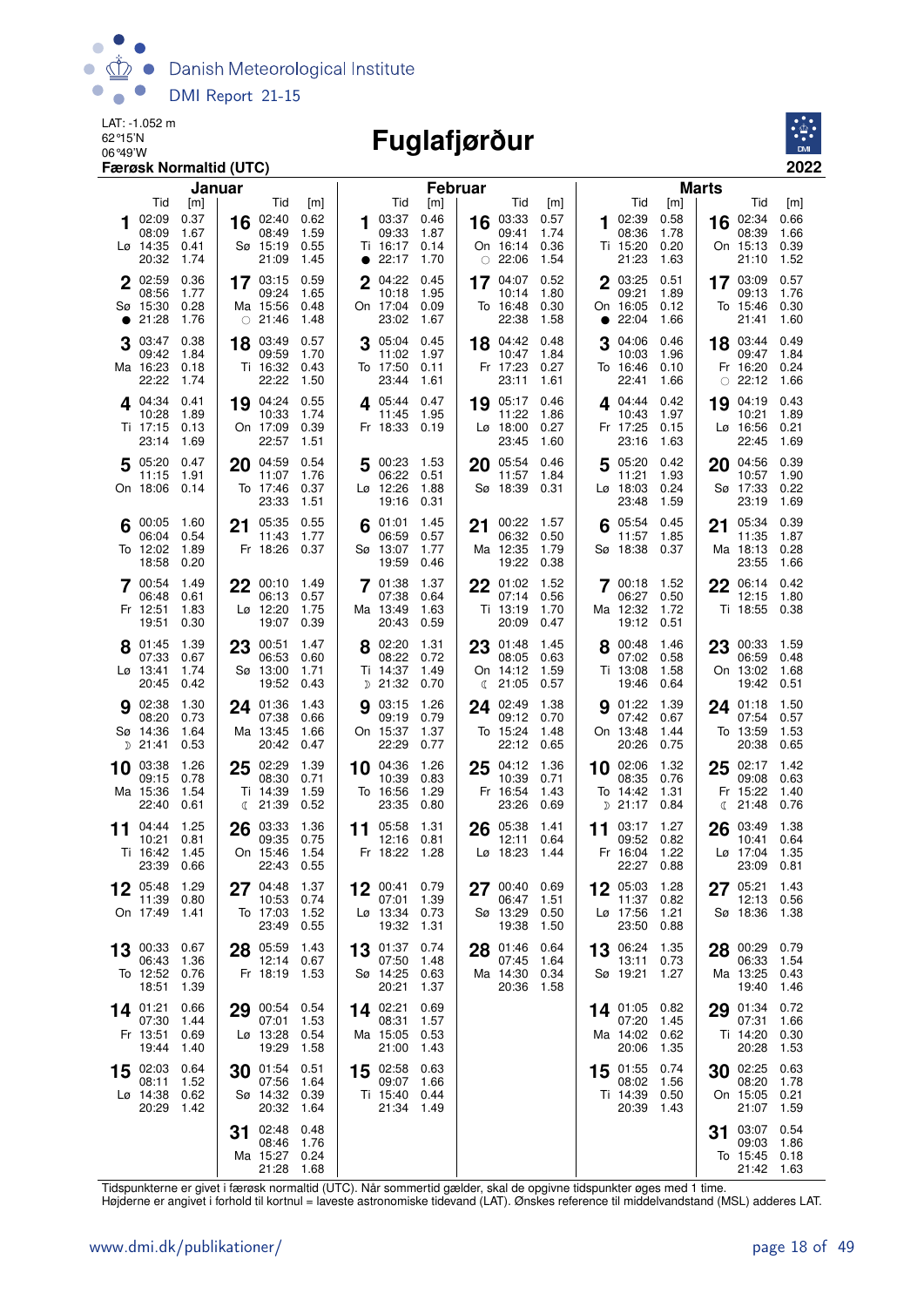

# **Fuglafjørður**



|    |                                           | Januar                       |    |                                                |                                |              |                                                 | <b>Februar</b>               |    |                                                    |                              |    |                                                  |                              | <b>Marts</b> |                                        |                                |
|----|-------------------------------------------|------------------------------|----|------------------------------------------------|--------------------------------|--------------|-------------------------------------------------|------------------------------|----|----------------------------------------------------|------------------------------|----|--------------------------------------------------|------------------------------|--------------|----------------------------------------|--------------------------------|
|    | Tid                                       | [m]                          |    | Tid                                            | [m]                            |              | Tid                                             | [m]                          |    | Tid                                                | [m]<br>0.57                  |    | Tid                                              | [m]                          |              | Tid                                    | [m]                            |
|    | 02:09<br>08:09<br>Lø 14:35<br>20:32       | 0.37<br>1.67<br>0.41<br>1.74 | 16 | 02:40<br>08:49<br>Sø 15:19<br>21:09            | 0.62<br>1.59<br>0.55<br>1.45   |              | 03:37<br>09:33<br>Ti 16:17<br>• 22:17           | 0.46<br>1.87<br>0.14<br>1.70 |    | 16 03:33<br>09:41<br>On 16:14<br>$\circ$ 22:06     | 1.74<br>0.36<br>1.54         | 1. | 02:39<br>08:36<br>Ti 15:20<br>21:23              | 0.58<br>1.78<br>0.20<br>1.63 | 16           | 02:34<br>08:39<br>On 15:13<br>21:10    | 0.66<br>1.66<br>0.39<br>1.52   |
|    | 2 02:59<br>08:56<br>Sø 15:30<br>21:28     | 0.36<br>1.77<br>0.28<br>1.76 |    | 17 03:15<br>09:24<br>Ma 15:56<br>$\circ$ 21:46 | 0.59<br>1.65<br>0.48<br>1.48   | $\mathbf{2}$ | 04:22<br>10:18<br>On 17:04<br>23:02             | 0.45<br>1.95<br>0.09<br>1.67 |    | 17 $04:07$<br>10:14<br>To 16:48<br>22:38           | 0.52<br>1.80<br>0.30<br>1.58 |    | 2 03:25<br>09:21<br>On 16:05<br>22:04            | 0.51<br>1.89<br>0.12<br>1.66 |              | 17 03:09<br>09:13<br>To 15:46<br>21:41 | 0.57<br>1.76<br>0.30<br>1.60   |
|    | 03:47<br>09:42<br>Ma 16:23<br>22:22       | 0.38<br>1.84<br>0.18<br>1.74 |    | 18 03:49<br>09:59<br>Ti 16:32<br>22:22         | 0.57<br>1.70<br>0.43<br>1.50   |              | 05:04<br>11:02 1.97<br>To 17:50<br>23:44        | 0.45<br>0.11<br>1.61         |    | 18 04:42<br>10:47<br>Fr 17:23<br>23:11             | 0.48<br>1.84<br>0.27<br>1.61 |    | 04:06<br>10:03<br>To 16:46<br>22:41              | 0.46<br>1.96<br>0.10<br>1.66 | $\bigcirc$   | 18 03:44<br>09:47<br>Fr 16:20<br>22:12 | 0.49<br>1.84<br>0.24<br>1.66   |
|    | $4^{04:34}$<br>10:28<br>Ti 17:15<br>23:14 | 0.41<br>1.89<br>0.13<br>1.69 |    | 19 04:24<br>10:33<br>On 17:09<br>22:57         | 0.55<br>1.74<br>0.39<br>1.51   |              | $\Delta$ 05:44 0.47<br>11:45<br>Fr 18:33 0.19   | 1.95                         |    | 19 05:17<br>11:22<br>$L\varnothing$ 18:00<br>23:45 | 0.46<br>1.86<br>0.27<br>1.60 |    | $4^{04:44}$<br>10:43<br>Fr 17:25<br>23:16        | 0.42<br>1.97<br>0.15<br>1.63 | 19           | 04:19<br>10:21<br>Lø 16:56<br>22:45    | 0.43<br>1.89<br>0.21<br>1.69   |
|    | 5 05:20<br>11:15<br>On 18:06              | 0.47<br>1.91<br>0.14         | 20 | 04:59<br>11:07<br>To 17:46<br>23:33            | 0.54<br>1.76<br>0.37<br>1.51   | 5            | 00:23 1.53<br>06:22<br>$L\sigma$ 12:26<br>19:16 | 0.51<br>1.88<br>0.31         | 20 | 05:54<br>11:57<br>Sø 18:39                         | 0.46<br>1.84<br>0.31         | 5  | 05:20<br>11:21<br>Lø 18:03<br>23:48              | 0.42<br>1.93<br>0.24<br>1.59 | 20           | 04:56<br>10:57<br>Sø 17:33<br>23:19    | 0.39<br>1.90<br>0.22<br>1.69   |
| 6  | 00:05<br>06:04<br>To 12:02<br>18:58       | 1.60<br>0.54<br>1.89<br>0.20 |    | 21 05:35<br>11:43<br>Fr 18:26                  | 0.55<br>1.77<br>0.37           |              | 01:01<br>06:59<br>Sø 13:07<br>19:59             | 1.45<br>0.57<br>1.77<br>0.46 | 21 | 00:22<br>06:32<br>Ma 12:35<br>19:22                | 1.57<br>0.50<br>1.79<br>0.38 | 6  | 05:54<br>11:57<br>Sø 18:38                       | 0.45<br>1.85<br>0.37         | 21           | 05:34<br>11:35<br>Ma 18:13<br>23:55    | 0.39<br>1.87<br>0.28<br>1.66   |
|    | 7 00:54<br>06:48<br>Fr 12:51<br>19:51     | 1.49<br>0.61<br>1.83<br>0.30 |    | 22 00:10<br>06:13<br>Lø 12:20<br>19:07         | - 1.49<br>0.57<br>1.75<br>0.39 |              | 7 01:38<br>07:38<br>Ma 13:49<br>20:43           | 1.37<br>0.64<br>1.63<br>0.59 |    | 22 01:02<br>07:14<br>Ti 13:19<br>20:09             | 1.52<br>0.56<br>1.70<br>0.47 |    | 700:18<br>06:27<br>Ma 12:32<br>19:12             | 1.52<br>0.50<br>1.72<br>0.51 | 22           | 06:14<br>12:15<br>Ti 18:55             | 0.42<br>1.80<br>0.38           |
|    | 8 01:45<br>07:33<br>Lø 13:41<br>20:45     | 1.39<br>0.67<br>1.74<br>0.42 |    | 23 00:51<br>06:53<br>Sø 13:00<br>19:52         | 1.47<br>0.60<br>1.71<br>0.43   |              | 8 02:20<br>08:22<br>Ti 14:37<br>D 21:32         | 1.31<br>0.72<br>1.49<br>0.70 | ℂ  | 23 01:48<br>08:05<br>On 14:12<br>21:05             | 1.45<br>0.63<br>1.59<br>0.57 |    | 8 00:48<br>07:02<br>Ti 13:08<br>19:46            | 1.46<br>0.58<br>1.58<br>0.64 |              | 23 00:33<br>06:59<br>On 13:02<br>19:42 | - 1.59<br>0.48<br>1.68<br>0.51 |
|    | 9 02:38<br>08:20<br>Sø 14:36<br>$D$ 21:41 | 1.30<br>0.73<br>1.64<br>0.53 |    | 24 01:36<br>07:38<br>Ma 13:45<br>20:42         | 1.43<br>0.66<br>1.66<br>0.47   |              | 03:15<br>09:19<br>On 15:37<br>22:29             | 1.26<br>0.79<br>1.37<br>0.77 | 24 | 02:49<br>09:12<br>To 15:24<br>22:12                | 1.38<br>0.70<br>1.48<br>0.65 |    | <b>9</b> 01:22<br>07:42<br>On 13:48<br>20:26     | 1.39<br>0.67<br>1.44<br>0.75 |              | 24 01:18<br>07:54<br>To 13:59<br>20:38 | 1.50<br>0.57<br>1.53<br>0.65   |
|    | 10 03:38<br>09:15<br>Ma 15:36<br>22:40    | 1.26<br>0.78<br>1.54<br>0.61 |    | $25$ $02:29$<br>08:30<br>Ti 14:39<br>(21:39)   | 1.39<br>0.71<br>1.59<br>0.52   |              | 10 04:36<br>10:39<br>To 16:56<br>23:35          | 1.26<br>0.83<br>1.29<br>0.80 |    | $25^{04:12}$<br>10:39<br>Fr 16:54<br>23:26         | 1.36<br>0.71<br>1.43<br>0.69 |    | 10 02:06<br>08:35<br>To 14:42<br>D 21:17         | 1.32<br>0.76<br>1.31<br>0.84 | 25<br>€      | 02:17<br>09:08<br>Fr 15:22<br>21:48    | 1.42<br>0.63<br>1.40<br>0.76   |
| 11 | 04:44<br>10:21<br>Ti 16:42<br>23:39       | 1.25<br>0.81<br>1.45<br>0.66 | 26 | 03:33<br>09:35<br>On 15:46<br>22:43            | 1.36<br>0.75<br>1.54<br>0.55   | 11           | 05:58<br>12:16<br>Fr 18:22                      | 1.31<br>0.81<br>1.28         | 26 | 05:38<br>12:11<br>Lø 18:23                         | 1.41<br>0.64<br>1.44         | 11 | 03:17<br>09:52<br>Fr 16:04<br>22:27              | 1.27<br>0.82<br>1.22<br>0.88 | 26           | 03:49<br>10:41<br>Lø 17:04<br>23:09    | 1.38<br>0.64<br>1.35<br>0.81   |
| 12 | 05:48 1.29<br>11:39<br>On 17:49           | 0.80<br>1.41                 | 27 | 04:48<br>10:53<br>To 17:03<br>23:49            | 1.37<br>0.74<br>1.52<br>0.55   | 12           | 00:41<br>07:01<br>Lø 13:34<br>19:32             | 0.79<br>1.39<br>0.73<br>1.31 | 27 | 00:40<br>06:47<br>Sø 13:29<br>19:38                | 0.69<br>1.51<br>0.50<br>1.50 |    | 12 05:03<br>11:37 0.82<br>Lø 17:56<br>23:50      | 1.28<br>1.21<br>0.88         | 27           | 05:21<br>12:13<br>Sø 18:36             | 1.43<br>0.56<br>1.38           |
| 13 | 00:33<br>06:43<br>To 12:52<br>18:51       | 0.67<br>1.36<br>0.76<br>1.39 |    | 28 05:59<br>12:14 0.67<br>Fr 18:19             | 1.43<br>1.53                   | 13           | 01:37<br>07:50<br>Sø 14:25<br>20:21             | 0.74<br>1.48<br>0.63<br>1.37 | 28 | 01:46<br>07:45<br>Ma 14:30<br>20:36                | 0.64<br>1.64<br>0.34<br>1.58 |    | 13 06:24<br>13:11<br>Sø 19:21                    | 1.35<br>0.73<br>1.27         | 28           | 00:29<br>06:33<br>Ma 13:25<br>19:40    | 0.79<br>1.54<br>0.43<br>1.46   |
|    | 14 01:21<br>07:30<br>Fr 13:51<br>19:44    | 0.66<br>1.44<br>0.69<br>1.40 |    | 29 00:54<br>07:01<br>Lø 13:28<br>19:29         | 0.54<br>1.53<br>0.54<br>1.58   |              | 14 02:21<br>08:31<br>Ma 15:05<br>21:00          | 0.69<br>1.57<br>0.53<br>1.43 |    |                                                    |                              |    | 14 01:05 0.82<br>07:20<br>Ma 14:02 0.62<br>20:06 | 1.45<br>1.35                 | 29           | 01:34<br>07:31<br>Ti 14:20<br>20:28    | 0.72<br>1.66<br>0.30<br>1.53   |
| 15 | 02:03<br>08:11<br>Lø 14:38<br>20:29       | 0.64<br>1.52<br>0.62<br>1.42 | 30 | 01:54<br>07:56<br>Sø 14:32 0.39<br>20:32       | 0.51<br>1.64<br>1.64           | 15           | 02:58<br>09:07<br>Ti 15:40 0.44<br>21:34        | 0.63<br>1.66<br>1.49         |    |                                                    |                              |    | 15 01:55 0.74<br>08:02<br>Ti 14:39 0.50<br>20:39 | 1.56<br>1.43                 | 30           | 02:25<br>08:20<br>On 15:05<br>21:07    | 0.63<br>1.78<br>0.21<br>1.59   |
|    |                                           |                              | 31 | 02:48<br>08:46<br>Ma 15:27<br>21:28            | 0.48<br>1.76<br>0.24<br>1.68   |              |                                                 |                              |    |                                                    |                              |    |                                                  |                              | 31           | 03:07<br>09:03<br>To 15:45<br>21:42    | 0.54<br>1.86<br>0.18<br>1.63   |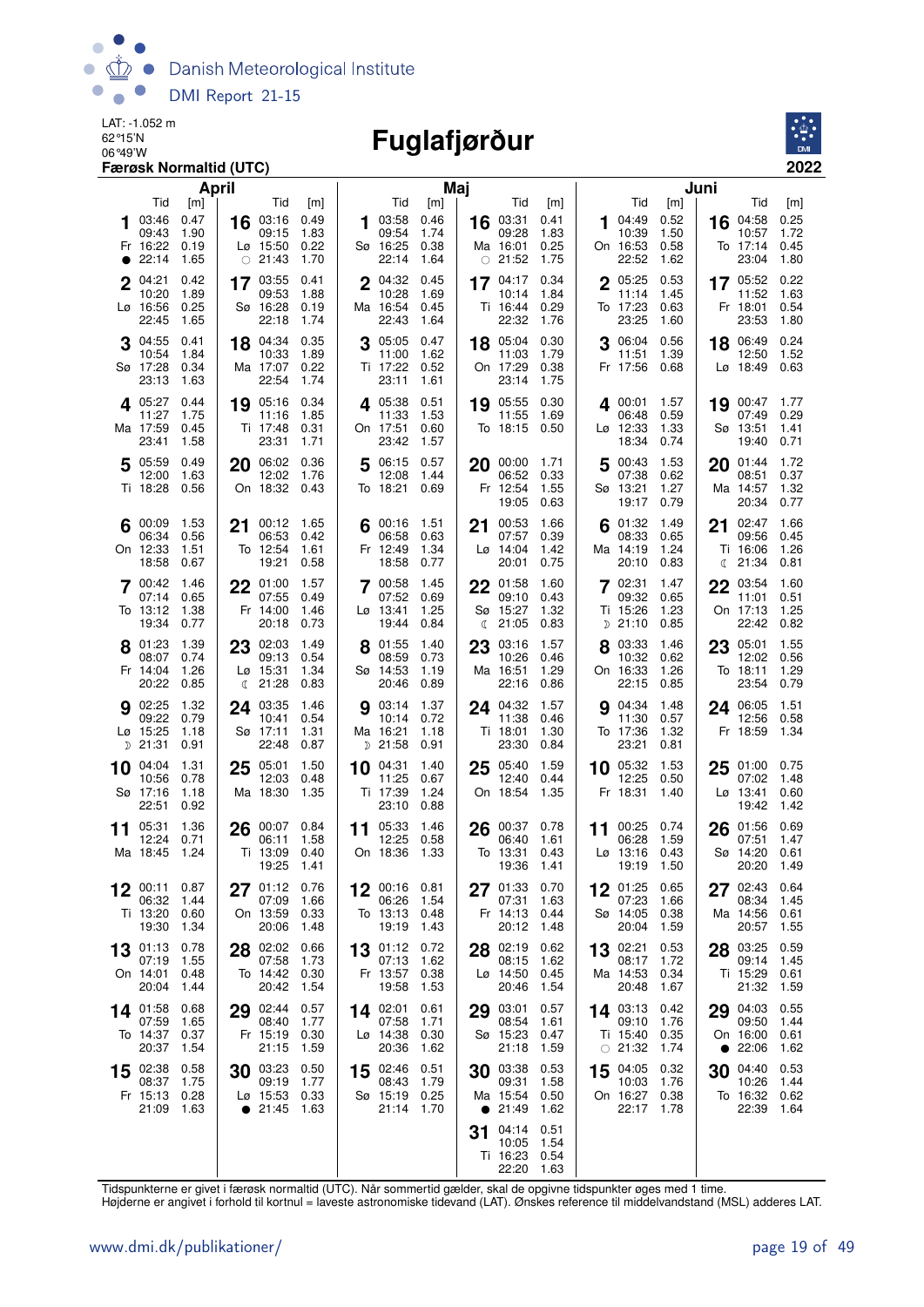

# 06°49'W **Fuglafjørður**



|          |                                              | <b>April</b>                        |                 |                                                                   |                                     |             |                                                    | Maj                                 |    |                                                       |                                     |    |                                                |                                     | Juni      |                                                              |                                     |
|----------|----------------------------------------------|-------------------------------------|-----------------|-------------------------------------------------------------------|-------------------------------------|-------------|----------------------------------------------------|-------------------------------------|----|-------------------------------------------------------|-------------------------------------|----|------------------------------------------------|-------------------------------------|-----------|--------------------------------------------------------------|-------------------------------------|
|          | Tid<br>03:46<br>09:43<br>Fr 16:22<br>• 22:14 | [m]<br>0.47<br>1.90<br>0.19<br>1.65 |                 | Tid<br>16 03:16<br>09:15<br>$L\varnothing$ 15:50<br>$\circ$ 21:43 | [m]<br>0.49<br>1.83<br>0.22<br>1.70 |             | Tid<br>03:58<br>09:54<br>Sø 16:25<br>22:14         | [m]<br>0.46<br>1.74<br>0.38<br>1.64 |    | Tid<br>16 03:31<br>09:28<br>Ma 16:01<br>$\circ$ 21:52 | [m]<br>0.41<br>1.83<br>0.25<br>1.75 | 1  | Tid<br>04:49<br>10:39<br>On 16:53<br>22:52     | [m]<br>0.52<br>1.50<br>0.58<br>1.62 |           | Tid<br>16 04:58<br>10:57<br>To 17:14<br>23:04                | [m]<br>0.25<br>1.72<br>0.45<br>1.80 |
|          | 2 04:21<br>10:20<br>Lø 16:56<br>22:45        | 0.42<br>1.89<br>0.25<br>1.65        | 17              | 03:55<br>09:53<br>Sø 16:28<br>22:18                               | 0.41<br>1.88<br>0.19<br>1.74        |             | 2 04:32<br>10:28<br>Ma 16:54<br>22:43              | 0.45<br>1.69<br>0.45<br>1.64        |    | 17 $04:17$<br>10:14<br>Ti 16:44<br>22:32              | 0.34<br>1.84<br>0.29<br>1.76        |    | 2 05:25<br>11:14<br>To 17:23<br>23:25          | 0.53<br>1.45<br>0.63<br>1.60        |           | 17 05:52<br>11:52<br>Fr 18:01<br>23:53                       | 0.22<br>1.63<br>0.54<br>1.80        |
|          | 04:55<br>10:54<br>Sø 17:28<br>23:13          | 0.41<br>1.84<br>0.34<br>1.63        |                 | 18 04:34<br>10:33<br>Ma 17:07<br>22:54                            | 0.35<br>1.89<br>0.22<br>1.74        |             | 05:05<br>11:00<br>Ti 17:22<br>23:11                | 0.47<br>1.62<br>0.52<br>1.61        |    | 18 05:04<br>11:03<br>On 17:29<br>23:14                | 0.30<br>1.79<br>0.38<br>1.75        |    | 06:04<br>11:51<br>Fr 17:56                     | 0.56<br>1.39<br>0.68                |           | 18 06:49<br>12:50<br>$L\sigma$ 18:49                         | 0.24<br>1.52<br>0.63                |
|          | $4^{05:27}$<br>11:27<br>Ma 17:59<br>23:41    | 0.44<br>1.75<br>0.45<br>1.58        |                 | 19 05:16<br>11:16<br>Ti 17:48<br>23:31                            | 0.34<br>1.85<br>0.31<br>1.71        |             | 4 05:38<br>11:33<br>On 17:51<br>23:42              | 0.51<br>1.53<br>0.60<br>1.57        |    | 19 05:55<br>11:55<br>To 18:15                         | 0.30<br>1.69<br>0.50                |    | 4 00:01<br>06:48<br>Lø 12:33<br>18:34          | 1.57<br>0.59<br>1.33<br>0.74        |           | 19 00:47 1.77<br>07:49<br>Sø 13:51<br>19:40                  | 0.29<br>1.41<br>0.71                |
|          | 5 05:59<br>12:00<br>Ti 18:28                 | 0.49<br>1.63<br>0.56                |                 | 20 06:02<br>12:02<br>On 18:32                                     | 0.36<br>1.76<br>0.43                | 5           | 06:15<br>12:08<br>To 18:21                         | 0.57<br>1.44<br>0.69                |    | 20 00:00<br>06:52<br>Fr 12:54<br>19:05                | 1.71<br>0.33<br>1.55<br>0.63        |    | 00:43<br>07:38<br>Sø 13:21<br>19:17            | 1.53<br>0.62<br>1.27<br>0.79        | 20        | 01:44<br>08:51<br>Ma 14:57<br>20:34                          | 1.72<br>0.37<br>1.32<br>0.77        |
| 6        | 00:09<br>06:34<br>On 12:33<br>18:58          | 1.53<br>0.56<br>1.51<br>0.67        | 21              | 00:12<br>06:53<br>To 12:54<br>19:21                               | 1.65<br>0.42<br>1.61<br>0.58        | 6           | 00:16 1.51<br>06:58<br>Fr 12:49<br>18:58           | 0.63<br>1.34<br>0.77                | 21 | 00:53<br>07:57<br>$L\varnothing$ 14:04<br>20:01       | 1.66<br>0.39<br>1.42<br>0.75        | 6  | 01:32<br>08:33<br>Ma 14:19<br>20:10            | 1.49<br>0.65<br>1.24<br>0.83        | 21<br>€   | 02:47<br>09:56<br>Ti 16:06<br>21:34                          | 1.66<br>0.45<br>1.26<br>0.81        |
|          | 7 00:42<br>07:14<br>To 13:12<br>19:34        | 1.46<br>0.65<br>1.38<br>0.77        | 22              | 01:00<br>07:55<br>Fr 14:00<br>20:18                               | 1.57<br>0.49<br>1.46<br>0.73        |             | 7 00:58<br>07:52<br>$L\varnothing$ 13:41<br>19:44  | 1.45<br>0.69<br>1.25<br>0.84        | 22 | 01:58<br>09:10<br>Sø 15:27<br>$\binom{21:05}{ }$      | 1.60<br>0.43<br>1.32<br>0.83        |    | 702:31<br>09:32<br>Ti 15:26<br>$D$ 21:10       | 1.47<br>0.65<br>1.23<br>0.85        | 22        | 03:54<br>11:01<br>On 17:13<br>22:42                          | 1.60<br>0.51<br>1.25<br>0.82        |
|          | 8 01:23<br>08:07<br>Fr 14:04<br>20:22        | 1.39<br>0.74<br>1.26<br>0.85        |                 | 23 02:03<br>09:13<br>$L\varnothing$ 15:31<br>(21:28)              | 1.49<br>0.54<br>1.34<br>0.83        |             | 8 01:55<br>08:59<br>Sø 14:53<br>20:46              | 1.40<br>0.73<br>1.19<br>0.89        |    | 23 03:16<br>10:26<br>Ma 16:51<br>22:16                | 1.57<br>0.46<br>1.29<br>0.86        |    | 8 03:33<br>10:32<br>On 16:33<br>22:15          | 1.46<br>0.62<br>1.26<br>0.85        |           | 23 05:01<br>12:02<br>To 18:11<br>23:54                       | 1.55<br>0.56<br>1.29<br>0.79        |
|          | 902:25<br>09:22<br>Lø 15:25<br>D 21:31       | 1.32<br>0.79<br>1.18<br>0.91        |                 | 24 03:35<br>10:41<br>Sø 17:11<br>22:48                            | 1.46<br>0.54<br>1.31<br>0.87        | 9           | 03:14<br>10:14<br>Ma 16:21<br>$D$ 21:58            | 1.37<br>0.72<br>1.18<br>0.91        |    | 24 04:32<br>11:38<br>Ti 18:01<br>23:30                | 1.57<br>0.46<br>1.30<br>0.84        | 9  | 04:34<br>11:30<br>To 17:36<br>23:21            | 1.48<br>0.57<br>1.32<br>0.81        |           | 24 06:05<br>12:56<br>Fr 18:59                                | 1.51<br>0.58<br>1.34                |
| 10 04:04 | 10:56<br>Sø 17:16<br>22:51                   | 1.31<br>0.78<br>1.18<br>0.92        |                 | $25^{05:01}$<br>12:03<br>Ma 18:30                                 | 1.50<br>0.48<br>1.35                |             | $10^{-04:31}$<br>11:25<br>Ti 17:39<br>23:10        | 1.40<br>0.67<br>1.24<br>0.88        |    | 25 05:40<br>12:40<br>On 18:54                         | 1.59<br>0.44<br>1.35                |    | 10 05:32<br>12:25<br>Fr 18:31                  | 1.53<br>0.50<br>1.40                |           | 25 $^{01:00}$ 0.75<br>07:02<br>$L\varnothing$ 13:41<br>19:42 | 1.48<br>0.60<br>1.42                |
| 11       | 05:31<br>12:24<br>Ma 18:45                   | 1.36<br>0.71<br>1.24                | 26              | 00:07<br>06:11<br>Ti 13:09<br>19:25                               | 0.84<br>1.58<br>0.40<br>1.41        | 11          | 05:33<br>12:25<br>On 18:36                         | 1.46<br>0.58<br>1.33                | 26 | 00:37<br>06:40<br>To 13:31<br>19:36                   | 0.78<br>1.61<br>0.43<br>1.41        | 11 | 00:25<br>06:28<br>$Lg$ 13:16<br>19:19          | 0.74<br>1.59<br>0.43<br>1.50        | 26        | 01:56<br>07:51<br>Sø 14:20<br>20:20                          | 0.69<br>1.47<br>0.61<br>1.49        |
| 12       | 00:11<br>06:32<br>Ti 13:20<br>19:30          | 0.87<br>1.44<br>0.60<br>1.34        |                 | 01:12 0.76<br>07:09<br>On 13:59<br>20:06                          | 1.66<br>0.33<br>1.48                | $\mathbf 2$ | 00:16 0.81<br>06:26<br>To 13:13<br>19:19           | 1.54<br>0.48<br>1.43                |    | $27^{01.33}$<br>07:31<br>Fr 14:13<br>20:12            | 0.70<br>1.63<br>0.44<br>1.48        |    | $12^{01:25}$<br>07:23<br>Sø 14:05<br>20:04     | 0.65<br>1.66<br>0.38<br>1.59        |           | $27^{02:43}$<br>08:34<br>Ma 14:56<br>20:57                   | 0.64<br>1.45<br>0.61<br>1.55        |
| 13       | 01:13<br>07:19<br>On 14:01<br>20:04          | 0.78<br>1.55<br>0.48<br>1.44        | 28              | 02:02<br>07:58<br>To 14:42<br>20:42                               | 0.66<br>1.73<br>0.30<br>1.54        |             | 13 01:12 0.72<br>07:13<br>Fr 13:57<br>19:58        | 1.62<br>0.38<br>1.53                |    | 28 02:19<br>08:15<br>$L\varnothing$ 14:50<br>20:46    | 0.62<br>1.62<br>0.45<br>1.54        | 13 | 02:21<br>08:17<br>Ma 14:53<br>20:48            | 0.53<br>1.72<br>0.34<br>1.67        |           | 28 03:25<br>09:14<br>Ti 15:29<br>21:32                       | 0.59<br>1.45<br>0.61<br>1.59        |
| 14 01:58 | 07:59<br>To 14:37<br>20:37                   | 0.68<br>1.65<br>0.37<br>1.54        |                 | 29 02:44<br>08:40<br>Fr 15:19<br>21:15                            | 0.57<br>1.77<br>0.30<br>1.59        |             | 14 02:01<br>07:58<br>$L\varnothing$ 14:38<br>20:36 | 0.61<br>1.71<br>0.30<br>1.62        |    | 29 03:01<br>08:54<br>Sø 15:23<br>21:18                | 0.57<br>1.61<br>0.47<br>1.59        |    | 14 03:13<br>09:10<br>Ti 15:40<br>$\circ$ 21:32 | 0.42<br>1.76<br>0.35<br>1.74        | $\bullet$ | 29 04:03<br>09:50<br>On 16:00<br>22:06                       | 0.55<br>1.44<br>0.61<br>1.62        |
| 15 02:38 | 08:37<br>Fr 15:13<br>21:09                   | 0.58<br>1.75<br>0.28<br>1.63        | 30<br>$\bullet$ | 03:23<br>09:19<br>Lø 15:53<br>21:45                               | 0.50<br>1.77<br>0.33<br>1.63        | 15          | 02:46<br>08:43<br>Sø 15:19 0.25<br>21:14 1.70      | 0.51<br>1.79                        | 30 | 03:38<br>09:31<br>Ma 15:54<br>• 21:49                 | 0.53<br>1.58<br>0.50<br>1.62        | 15 | 04:05 0.32<br>10:03<br>On 16:27<br>22:17       | 1.76<br>0.38<br>1.78                | 30        | 04:40<br>10:26<br>To 16:32<br>22:39                          | 0.53<br>1.44<br>0.62<br>1.64        |
|          |                                              |                                     |                 |                                                                   |                                     |             |                                                    |                                     | 31 | 04:14<br>10:05<br>Ti 16:23<br>22:20                   | 0.51<br>1.54<br>0.54<br>1.63        |    |                                                |                                     |           |                                                              |                                     |

Tidspunkterne er givet i færøsk normaltid (UTC). Når sommertid gælder, skal de opgivne tidspunkter øges med 1 time.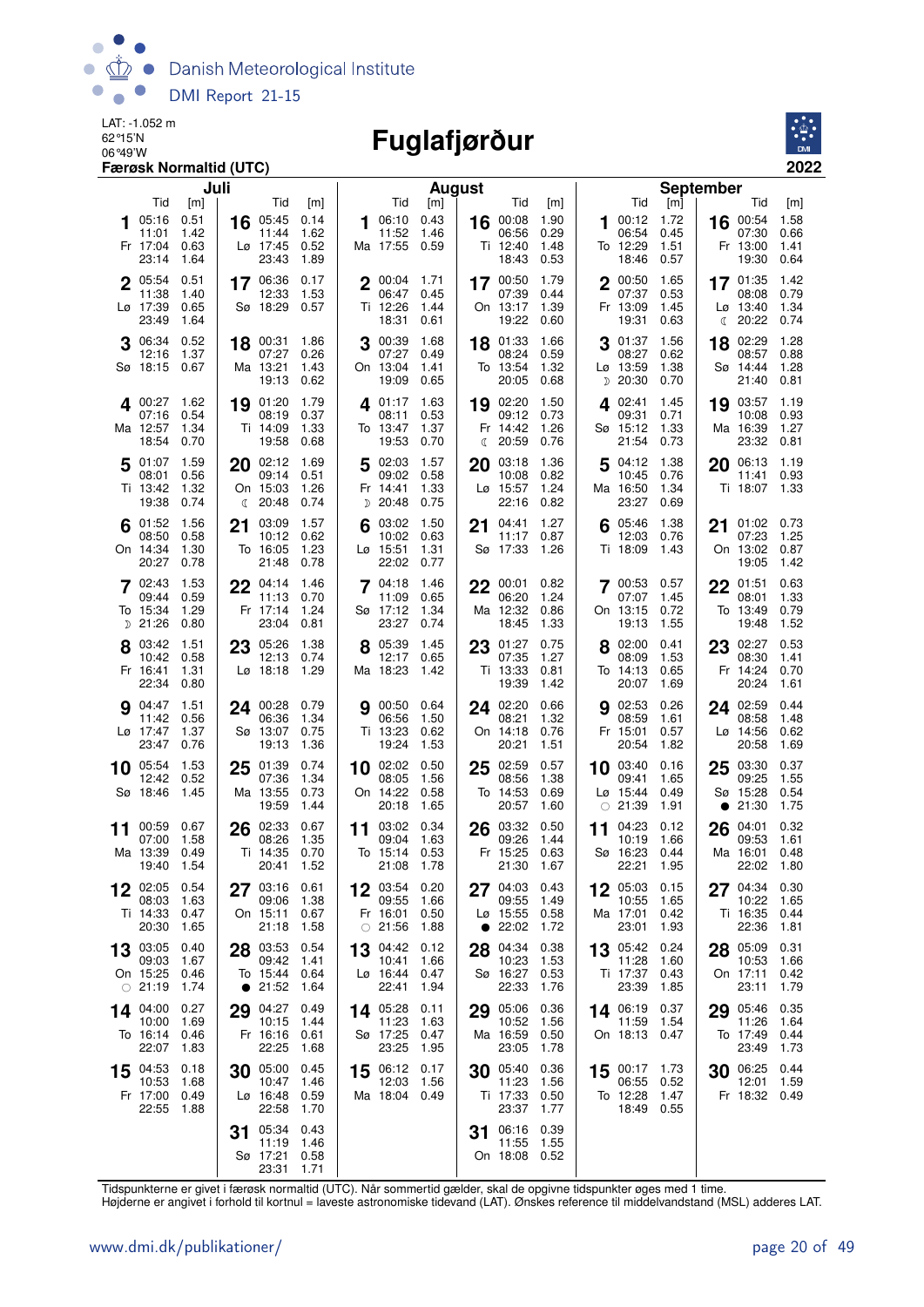

# 06°49'W **Fuglafjørður**



| Juli                                                                              |                                                                                     | <b>August</b>                                                                     |                                                                             | <b>September</b>                                                                                                                        |                              |
|-----------------------------------------------------------------------------------|-------------------------------------------------------------------------------------|-----------------------------------------------------------------------------------|-----------------------------------------------------------------------------|-----------------------------------------------------------------------------------------------------------------------------------------|------------------------------|
| Tid<br>[m]                                                                        | Tid<br>[m]                                                                          | Tid<br>[m]                                                                        | Tid<br>[m]                                                                  | Tid<br>Tid<br>[m]                                                                                                                       | [m]                          |
| 0.51<br>05:16<br>11:01<br>1.42<br>Fr 17:04<br>0.63<br>23:14<br>1.64               | 05:45<br>0.14<br>16<br>1.62<br>11:44<br>0.52<br>Lø 17:45<br>23:43<br>1.89           | 0.43<br>06:10<br>1<br>11:52<br>1.46<br>Ma 17:55<br>0.59                           | 1.90<br>00:08<br>16<br>06:56<br>0.29<br>1.48<br>Ti 12:40<br>18:43<br>0.53   | 1.72<br>00:12<br>16 00:54<br>1<br>06:54<br>07:30<br>0.45<br>1.51<br>To 12:29<br>Fr 13:00<br>18:46<br>0.57<br>19:30                      | 1.58<br>0.66<br>1.41<br>0.64 |
| 2 05:54<br>0.51<br>11:38<br>1.40<br>Lø 17:39<br>0.65<br>23:49<br>1.64             | 17 06:36<br>0.17<br>12:33<br>1.53<br>Sø 18:29<br>0.57                               | $2^{00:04}$<br>1.71<br>06:47<br>0.45<br>Ti 12:26<br>1.44<br>18:31<br>0.61         | 17 00:50<br>1.79<br>07:39<br>0.44<br>1.39<br>On 13:17<br>19:22<br>0.60      | 2 00:50<br>1.65<br>17 01:35<br>07:37<br>0.53<br>08:08<br>Fr 13:09<br>1.45<br>$L\varnothing$ 13:40<br>19:31<br>0.63<br>20:22<br>€        | 1.42<br>0.79<br>1.34<br>0.74 |
| 06:34<br>0.52<br>1.37<br>12:16<br>Sø 18:15<br>0.67                                | 18 00:31<br>1.86<br>07:27<br>0.26<br>Ma 13:21<br>1.43<br>19:13<br>0.62              | 00:39<br>1.68<br>3<br>07:27<br>0.49<br>On 13:04<br>1.41<br>19:09<br>0.65          | 1.66<br>01:33<br>18<br>08:24<br>0.59<br>To 13:54<br>1.32<br>20:05<br>0.68   | 01:37<br>1.56<br>02:29<br>18<br>08:27<br>0.62<br>08:57<br>1.38<br>Lø 13:59<br>Sø 14:44<br>$D$ 20:30<br>21:40<br>0.70                    | 1.28<br>0.88<br>1.28<br>0.81 |
| 400:27<br>1.62<br>0.54<br>07:16<br>Ma 12:57<br>1.34<br>18:54<br>0.70              | 1.79<br>19 01:20<br>08:19<br>0.37<br>Ti 14:09<br>1.33<br>19:58<br>0.68              | 1.63<br>401:17<br>08:11<br>0.53<br>1.37<br>To 13:47<br>19:53<br>0.70              | 19 02:20<br>1.50<br>09:12<br>0.73<br>Fr 14:42<br>1.26<br>20:59<br>0.76<br>ℂ | 19 03:57<br>4 02:41<br>1.45<br>09:31<br>0.71<br>10:08<br>Sø 15:12<br>1.33<br>Ma 16:39<br>21:54<br>23:32<br>0.73                         | 1.19<br>0.93<br>1.27<br>0.81 |
| 1.59<br>5 01:07<br>0.56<br>08:01<br>Ti 13:42<br>1.32<br>19:38<br>0.74             | 20 02:12<br>1.69<br>09:14<br>0.51<br>On 15:03<br>1.26<br>$\binom{20:48}{ }$<br>0.74 | 1.57<br>02:03<br>5<br>09:02<br>0.58<br>Fr 14:41<br>1.33<br>D 20:48<br>0.75        | 1.36<br>03:18<br>20<br>10:08<br>0.82<br>1.24<br>Lø 15:57<br>22:16<br>0.82   | 04:12<br>1.38<br>06:13<br>5<br>20<br>10:45<br>0.76<br>11:41<br>Ma 16:50<br>1.34<br>Ti 18:07<br>23:27<br>0.69                            | 1.19<br>0.93<br>1.33         |
| 1.56<br>$6^{01:52}$<br>0.58<br>08:50<br>On 14:34<br>1.30<br>20:27<br>0.78         | 03:09<br>1.57<br>21<br>0.62<br>10:12<br>To 16:05<br>1.23<br>21:48<br>0.78           | 1.50<br>03:02<br>10:02<br>0.63<br>$L\varnothing$ 15:51<br>1.31<br>22:02<br>0.77   | 1.27<br>04:41<br>21<br>0.87<br>11:17<br>Sø 17:33<br>1.26                    | 1.38<br>05:46<br>01:02<br>6<br>21<br>12:03<br>0.76<br>07:23<br>Ti 18:09<br>1.43<br>On 13:02<br>19:05                                    | 0.73<br>1.25<br>0.87<br>1.42 |
| 1.53<br>02:43<br>0.59<br>09:44<br>To 15:34<br>1.29<br>D 21:26<br>0.80             | 22<br>04:14<br>1.46<br>11:13<br>0.70<br>Fr 17:14<br>1.24<br>23:04<br>0.81           | $7^{04:18}$<br>1.46<br>11:09<br>0.65<br>Sø 17:12<br>1.34<br>23:27<br>0.74         | 00:01<br>0.82<br>22<br>06:20<br>1.24<br>Ma 12:32<br>0.86<br>1.33<br>18:45   | 700:53<br>0.57<br>22<br>01:51<br>07:07<br>1.45<br>08:01<br>On 13:15<br>0.72<br>To 13:49<br>19:13<br>1.55<br>19:48                       | 0.63<br>1.33<br>0.79<br>1.52 |
| 8 03:42<br>1.51<br>0.58<br>10:42<br>Fr 16:41<br>1.31<br>22:34<br>0.80             | 23 05:26<br>1.38<br>12:13<br>0.74<br>$L\varnothing$ 18:18<br>1.29                   | 8 05:39<br>1.45<br>12:17<br>0.65<br>Ma 18:23<br>1.42                              | 0.75<br>23 01:27<br>07:35<br>1.27<br>Ti 13:33<br>0.81<br>19:39<br>1.42      | 23 02:27<br>8 02:00<br>0.41<br>08:09<br>1.53<br>08:30<br>To 14:13<br>0.65<br>Fr 14:24<br>20:24<br>20:07<br>1.69                         | 0.53<br>1.41<br>0.70<br>1.61 |
| 1.51<br>04:47<br>0.56<br>11:42<br>Lø 17:47<br>1.37<br>23:47<br>0.76               | 00:28 0.79<br>24<br>06:36<br>1.34<br>Sø 13:07<br>0.75<br>19:13<br>1.36              | 0.64<br>00:50<br>06:56<br>1.50<br>Ti 13:23<br>0.62<br>19:24<br>1.53               | 24 02:20<br>0.66<br>08:21<br>1.32<br>On 14:18<br>0.76<br>20:21<br>1.51      | 02:53<br>0.26<br>24 02:59<br>9<br>08:58<br>08:59<br>1.61<br>Fr 15:01<br>0.57<br>$L\varnothing$ 14:56<br>20:54<br>20:58<br>1.82          | 0.44<br>1.48<br>0.62<br>1.69 |
| 1.53<br>10 05:54<br>0.52<br>12:42<br>Sø 18:46<br>1.45                             | 01:39<br>0.74<br>25<br>07:36<br>1.34<br>Ma 13:55<br>0.73<br>19:59<br>1.44           | $10$ 02:02<br>0.50<br>08:05<br>1.56<br>On 14:22<br>0.58<br>20:18<br>1.65          | 25 02:59<br>0.57<br>08:56<br>1.38<br>To 14:53<br>0.69<br>20:57<br>1.60      | 10 03:40<br>0.16<br>03:30<br>25<br>09:41<br>09:25<br>1.65<br>$L\varnothing$ 15:44<br>Sø 15:28<br>0.49<br>$\circ$ 21:39<br>1.91<br>21:30 | 0.37<br>1.55<br>0.54<br>1.75 |
| 00:59<br>0.67<br>11<br>1.58<br>07:00<br>Ma 13:39<br>0.49<br>19:40<br>1.54         | 02:33<br>0.67<br>26<br>08:26<br>1.35<br>Ti 14:35<br>0.70<br>20:41<br>1.52           | 03:02<br>0.34<br>11<br>09:04<br>1.63<br>To 15:14<br>0.53<br>21:08<br>1.78         | 03:32<br>0.50<br>26<br>09:26<br>1.44<br>Fr 15:25<br>0.63<br>21:30<br>1.67   | 04:23<br>0.12<br>04:01<br>26<br>11<br>09:53<br>10:19<br>1.66<br>Sø 16:23<br>0.44<br>Ma 16:01<br>22:21<br>1.95<br>22:02                  | 0.32<br>1.61<br>0.48<br>1.80 |
| 0.54<br>02:05<br>12<br>1.63<br>08:03<br>Ti 14:33<br>0.47<br>20:30<br>1.65         | 03:16 0.61<br>27<br>1.38<br>09:06<br>On 15:11<br>0.67<br>21:18<br>1.58              | 0.20<br>12<br>03:54<br>09:55<br>1.66<br>Fr 16:01<br>0.50<br>$\circ$ 21:56<br>1.88 | 04:03<br>0.43<br>27<br>09:55<br>1.49<br>Lø 15:55<br>0.58<br>22:02<br>1.72   | 05:03 0.15<br>12<br>27<br>04:34<br>10:55<br>1.65<br>10:22<br>Ma 17:01<br>0.42<br>Ti 16:35<br>23:01<br>1.93<br>22:36                     | 0.30<br>1.65<br>0.44<br>1.81 |
| 03:05<br>0.40<br>13<br>1.67<br>09:03<br>On 15:25<br>0.46<br>$\circ$ 21:19<br>1.74 | 03:53<br>0.54<br>28<br>09:42<br>1.41<br>To 15:44<br>0.64<br>• 21:52<br>1.64         | 04:42<br>0.12<br>13<br>10:41<br>1.66<br>Lø 16:44<br>0.47<br>22:41<br>1.94         | 04:34<br>0.38<br>28<br>1.53<br>10:23<br>Sø 16:27<br>0.53<br>22:33<br>1.76   | 05:42<br>0.24<br>05:09<br>28<br>13<br>11:28<br>10:53<br>1.60<br>Ti 17:37 0.43<br>On 17:11<br>23:39<br>1.85<br>23:11                     | 0.31<br>1.66<br>0.42<br>1.79 |
| 14 04:00<br>0.27<br>10:00<br>1.69<br>To 16:14<br>0.46<br>22:07<br>1.83            | 04:27<br>0.49<br>29<br>10:15<br>1.44<br>Fr 16:16<br>0.61<br>22:25<br>1.68           | 14 05:28<br>0.11<br>11:23<br>1.63<br>Sø 17:25<br>0.47<br>1.95<br>23:25            | 05:06<br>0.36<br>29<br>10:52<br>1.56<br>Ma 16:59<br>0.50<br>23:05<br>1.78   | 0.37<br>29 05:46<br>14 06:19<br>11:59<br>1.54<br>11:26<br>On 18:13 0.47<br>To 17:49<br>23:49                                            | 0.35<br>1.64<br>0.44<br>1.73 |
| 15 04:53<br>0.18<br>10:53<br>1.68<br>Fr 17:00<br>0.49<br>22:55<br>1.88            | 05:00<br>0.45<br>30<br>10:47<br>1.46<br>Lø 16:48<br>0.59<br>22:58<br>1.70           | 0.17<br>15 06:12<br>12:03<br>1.56<br>Ma 18:04 0.49                                | 30 05:40<br>0.36<br>1.56<br>11:23<br>Ti 17:33<br>0.50<br>23:37<br>1.77      | 15 00:17 1.73<br>30 06:25<br>06:55 0.52<br>12:01<br>To 12:28<br>1.47<br>Fr 18:32 0.49<br>18:49 0.55                                     | 0.44<br>1.59                 |
|                                                                                   | 05:34<br>0.43<br>31<br>11:19<br>1.46<br>Sø 17:21<br>0.58<br>23:31<br>1.71           |                                                                                   | 06:16<br>0.39<br>31<br>11:55<br>1.55<br>On 18:08<br>0.52                    |                                                                                                                                         |                              |

Tidspunkterne er givet i færøsk normaltid (UTC). Når sommertid gælder, skal de opgivne tidspunkter øges med 1 time.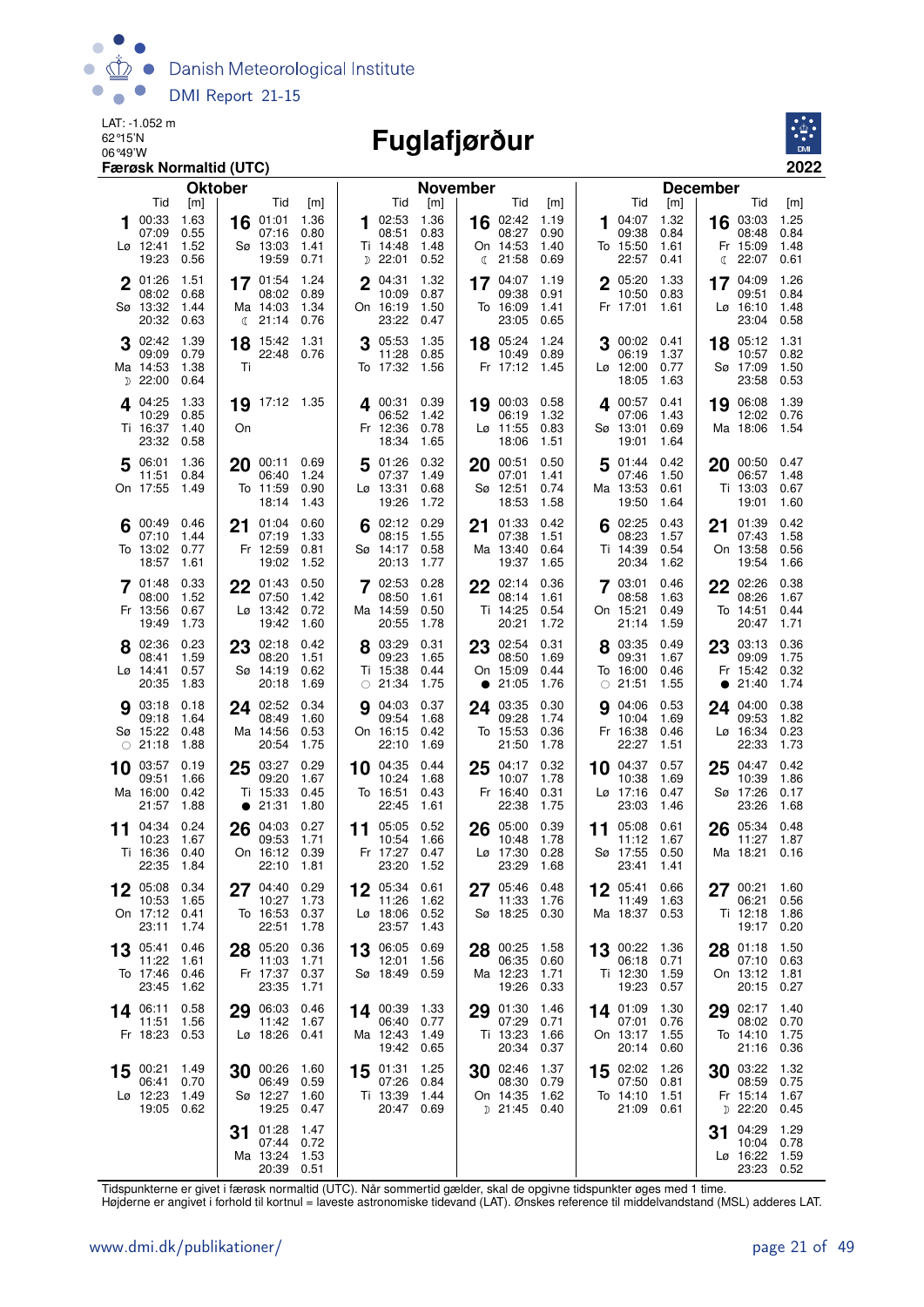

## 06°49'W **Fuglafjørður**



|             |                                                      | Færøsk Normaltid (UTC)              |                |                                                        |                                     |    |                                                       |                                     |    |                                                            |                                     |    |                                             |                                     |                                                        | 2022                                |
|-------------|------------------------------------------------------|-------------------------------------|----------------|--------------------------------------------------------|-------------------------------------|----|-------------------------------------------------------|-------------------------------------|----|------------------------------------------------------------|-------------------------------------|----|---------------------------------------------|-------------------------------------|--------------------------------------------------------|-------------------------------------|
|             |                                                      |                                     | <b>Oktober</b> |                                                        |                                     |    |                                                       | <b>November</b>                     |    |                                                            |                                     |    |                                             |                                     | <b>December</b>                                        |                                     |
| 1           | Tid<br>00:33<br>07:09<br>Lø 12:41<br>19:23           | [m]<br>1.63<br>0.55<br>1.52<br>0.56 | 16             | Tid<br>01:01<br>07:16<br>Sø 13:03<br>19:59             | [m]<br>1.36<br>0.80<br>1.41<br>0.71 | 1  | Tid<br>02:53<br>08:51<br>Ti 14:48<br>$D$ 22:01        | [m]<br>1.36<br>0.83<br>1.48<br>0.52 |    | Tid<br>16 02:42<br>08:27<br>On 14:53<br>$\binom{21:58}{ }$ | [m]<br>1.19<br>0.90<br>1.40<br>0.69 | 1  | Tid<br>04:07<br>09:38<br>To 15:50<br>22:57  | [m]<br>1.32<br>0.84<br>1.61<br>0.41 | Tid<br>03:03<br>16<br>08:48<br>Fr 15:09<br>22:07<br>C  | [m]<br>1.25<br>0.84<br>1.48<br>0.61 |
| $\mathbf 2$ | 01:26<br>08:02<br>Sø 13:32<br>20:32                  | 1.51<br>0.68<br>1.44<br>0.63        |                | 17 01:54<br>08:02<br>Ma 14:03<br>$\binom{21:14}{ }$    | 1.24<br>0.89<br>1.34<br>0.76        | 2  | 04:31<br>10:09<br>On 16:19<br>23:22                   | 1.32<br>0.87<br>1.50<br>0.47        | 17 | 04:07<br>09:38<br>To 16:09<br>23:05                        | 1.19<br>0.91<br>1.41<br>0.65        |    | 2 05:20<br>10:50<br>Fr 17:01                | 1.33<br>0.83<br>1.61                | 04:09<br>17<br>09:51<br>$L\varnothing$ 16:10<br>23:04  | 1.26<br>0.84<br>1.48<br>0.58        |
|             | 02:42<br>09:09<br>Ma 14:53<br>$D$ 22:00              | 1.39<br>0.79<br>1.38<br>0.64        | 18<br>Ti       | 15:42<br>22:48 0.76                                    | 1.31                                |    | 05:53<br>11:28<br>To 17:32                            | 1.35<br>0.85<br>1.56                | 18 | 05:24<br>10:49<br>Fr 17:12                                 | 1.24<br>0.89<br>- 1.45              |    | 00:02 0.41<br>06:19<br>Lø 12:00<br>18:05    | 1.37<br>0.77<br>1.63                | 05:12<br>18<br>10:57<br>Sø 17:09<br>23:58              | 1.31<br>0.82<br>1.50<br>0.53        |
|             | 4 04:25<br>10:29<br>Ti 16:37<br>23:32                | 1.33<br>0.85<br>1.40<br>0.58        | 19<br>On       | 17:12 1.35                                             |                                     | 4  | 00:31<br>06:52<br>Fr 12:36<br>18:34                   | 0.39<br>1.42<br>0.78<br>1.65        | 19 | 00:03<br>06:19<br>$L\varnothing$ 11:55<br>18:06            | 0.58<br>1.32<br>0.83<br>1.51        |    | 400:57<br>07:06<br>Sø 13:01<br>19:01        | 0.41<br>1.43<br>0.69<br>1.64        | 06:08<br>19<br>12:02<br>Ma 18:06                       | 1.39<br>0.76<br>1.54                |
| 5           | 06:01<br>11:51<br>On 17:55                           | 1.36<br>0.84<br>1.49                | 20             | 00:11 0.69<br>06:40<br>To 11:59<br>18:14               | 1.24<br>0.90<br>1.43                | 5  | 01:26<br>07:37<br>Lø 13:31<br>19:26                   | 0.32<br>1.49<br>0.68<br>1.72        | 20 | 00:51<br>07:01<br>Sø 12:51<br>18:53                        | 0.50<br>1.41<br>0.74<br>1.58        | 5  | 01:44<br>07:46<br>Ma 13:53<br>19:50         | 0.42<br>1.50<br>0.61<br>1.64        | 20 00:50 0.47<br>06:57<br>Ti 13:03<br>19:01            | 1.48<br>0.67<br>1.60                |
|             | 00:49<br>07:10<br>To 13:02<br>18:57                  | 0.46<br>1.44<br>0.77<br>1.61        | 21             | 01:04<br>07:19<br>Fr 12:59<br>19:02                    | 0.60<br>1.33<br>0.81<br>1.52        |    | 02:12<br>08:15<br>Sø 14:17<br>20:13                   | 0.29<br>1.55<br>0.58<br>1.77        | 21 | 01:33<br>07:38<br>Ma 13:40<br>19:37                        | 0.42<br>1.51<br>0.64<br>1.65        | 6  | 02:25<br>08:23<br>Ti 14:39<br>20:34         | 0.43<br>1.57<br>0.54<br>1.62        | 01:39<br>21<br>07:43<br>On 13:58<br>19:54              | 0.42<br>1.58<br>0.56<br>1.66        |
|             | 7 01:48<br>08:00<br>Fr 13:56<br>19:49                | 0.33<br>1.52<br>0.67<br>1.73        |                | $22^{01:43}$<br>07:50<br>$L\varnothing$ 13:42<br>19:42 | 0.50<br>1.42<br>0.72<br>1.60        |    | 02:53<br>08:50<br>Ma 14:59<br>20:55                   | 0.28<br>1.61<br>0.50<br>1.78        | 22 | 02:14<br>08:14<br>Ti 14:25<br>20:21                        | 0.36<br>1.61<br>0.54<br>1.72        |    | 7 03:01<br>08:58<br>On 15:21<br>21:14       | 0.46<br>1.63<br>0.49<br>1.59        | 22 02:26<br>08:26<br>To 14:51<br>20:47                 | 0.38<br>1.67<br>0.44<br>1.71        |
|             | 8 02:36<br>08:41<br>Lø 14:41<br>20:35                | 0.23<br>1.59<br>0.57<br>1.83        | 23             | 02:18<br>08:20<br>Sø 14:19<br>20:18                    | 0.42<br>1.51<br>0.62<br>1.69        |    | 8 03:29<br>09:23<br>Ti 15:38<br>$\circ$ 21:34         | 0.31<br>1.65<br>0.44<br>1.75        |    | 23 02:54<br>08:50<br>On 15:09<br>• 21:05                   | 0.31<br>1.69<br>0.44<br>1.76        |    | 03:35<br>09:31<br>To 16:00<br>$\circ$ 21:51 | 0.49<br>1.67<br>0.46<br>1.55        | 03:13<br>23<br>09:09<br>Fr 15:42<br>21:40<br>$\bullet$ | 0.36<br>1.75<br>0.32<br>1.74        |
|             | <b>9</b> 03:18<br>09:18<br>Sø 15:22<br>$\circ$ 21:18 | 0.18<br>1.64<br>0.48<br>1.88        |                | 24 02:52<br>08:49<br>Ma 14:56<br>20:54                 | 0.34<br>1.60<br>0.53<br>1.75        | 9  | 04:03<br>09:54<br>On 16:15<br>22:10                   | 0.37<br>1.68<br>0.42<br>1.69        | 24 | 03:35<br>09:28<br>To 15:53<br>21:50                        | 0.30<br>1.74<br>0.36<br>1.78        | g  | 04:06<br>10:04<br>Fr 16:38<br>22:27         | 0.53<br>1.69<br>0.46<br>1.51        | 04:00<br>24<br>09:53<br>Lø 16:34<br>22:33              | 0.38<br>1.82<br>0.23<br>1.73        |
| 10          | 03:57<br>09:51<br>Ma 16:00<br>21:57                  | 0.19<br>1.66<br>0.42<br>1.88        | 25             | 03:27<br>09:20<br>Ti 15:33<br>• 21:31                  | 0.29<br>1.67<br>0.45<br>1.80        | 10 | 04:35<br>10:24<br>To 16:51<br>22:45                   | 0.44<br>1.68<br>0.43<br>1.61        | 25 | 04:17<br>10:07<br>Fr 16:40<br>22:38                        | 0.32<br>1.78<br>0.31<br>1.75        | 10 | 04:37<br>10:38<br>Lø 17:16<br>23:03         | 0.57<br>1.69<br>0.47<br>1.46        | 04:47<br>25<br>10:39<br>Sø 17:26<br>23:26              | 0.42<br>1.86<br>0.17<br>1.68        |
| 11          | 04:34<br>10:23<br>Ti 16:36 0.40<br>22:35 1.84        | 0.24<br>1.67                        |                | 26 04:03<br>09:53<br>On 16:12 0.39<br>22:10 1.81       | 0.27<br>1.71                        |    | 11 05:05<br>10:54<br>Fr 17:27 0.47<br>23:20 1.52      | 0.52<br>1.66                        | 26 | 05:00<br>10:48<br>Lø 17:30 0.28<br>23:29 1.68              | 0.39<br>1.78                        | 11 | 05:08<br>11:12<br>Sø 17:55 0.50<br>23:41    | 0.61<br>1.67<br>- 1.41              | 26 05:34<br>11:27<br>Ma 18:21 0.16                     | 0.48<br>1.87                        |
|             | 05:08<br>10:53<br>On 17:12 0.41<br>23:11             | 0.34<br>1.65<br>1.74                |                | $27^{04:40}$<br>10:27<br>To 16:53<br>22:51             | 0.29<br>1.73<br>0.37<br>1.78        |    | 12 05:34<br>11:26<br>Lø 18:06 0.52<br>23:57 1.43      | 0.61<br>1.62                        |    | 27 05:46<br>11:33<br>Sø 18:25                              | 0.48<br>1.76<br>0.30                |    | 12 05:41<br>11:49<br>Ma 18:37 0.53          | 0.66<br>1.63                        | $27^{00:21}$<br>06:21<br>Ti 12:18                      | 1.60<br>0.56<br>1.86<br>19:17 0.20  |
|             | 13 05:41<br>11:22<br>To 17:46 0.46<br>23:45          | 0.46<br>1.61<br>1.62                |                | 28 05:20<br>11:03<br>Fr 17:37<br>23:35                 | 0.36<br>1.71<br>0.37<br>1.71        |    | 13 06:05<br>12:01<br>Sø 18:49                         | 0.69<br>1.56<br>0.59                |    | 28 00:25<br>06:35<br>Ma 12:23<br>19:26                     | 1.58<br>0.60<br>1.71<br>0.33        |    | 13 00:22 1.36<br>06:18<br>Ti 12:30<br>19:23 | 0.71<br>1.59<br>0.57                | 28 01:18 1.50<br>On 13:12 1.81                         | 07:10 0.63<br>20:15 0.27            |
|             | 14 06:11<br>11:51<br>Fr 18:23 0.53                   | 0.58<br>1.56                        |                | 29 06:03<br>11:42<br>Lø 18:26 0.41                     | 0.46<br>1.67                        |    | 14 00:39<br>06:40 0.77<br>Ma 12:43 1.49<br>19:42 0.65 | - 1.33                              |    | 29 01:30<br>07:29<br>Ti 13:23<br>20:34                     | 1.46<br>0.71<br>1.66<br>0.37        |    | 14 01:09<br>07:01<br>On 13:17<br>20:14 0.60 | 1.30<br>0.76<br>1.55                | 29 02:17 1.40<br>To 14:10 1.75                         | 08:02 0.70<br>21:16 0.36            |
|             | 15 $00:21$<br>06:41<br>Lø 12:23<br>19:05 0.62        | 1.49<br>0.70<br>1.49                |                | 30 00:26<br>06:49<br>Sø 12:27<br>19:25                 | 1.60<br>0.59<br>1.60<br>0.47        |    | 15 01:31<br>07:26<br>Ti 13:39<br>20:47 0.69           | 1.25<br>0.84<br>1.44                |    | 30 02:46<br>08:30<br>On 14:35<br>D 21:45 0.40              | 1.37<br>0.79<br>1.62                |    | 15 02:02<br>07:50<br>To 14:10<br>21:09 0.61 | 1.26<br>0.81<br>1.51                | 30 $03:22$ 1.32<br>Fr 15:14 1.67<br>$D$ 22:20 0.45     | 08:59 0.75                          |
|             |                                                      |                                     | 31             | 01:28<br>07:44<br>Ma 13:24<br>20:39 0.51               | 1.47<br>0.72<br>1.53                |    |                                                       |                                     |    |                                                            |                                     |    |                                             |                                     | 04:29<br>31<br>Lø 16:22 1.59                           | 1.29<br>10:04 0.78<br>23:23 0.52    |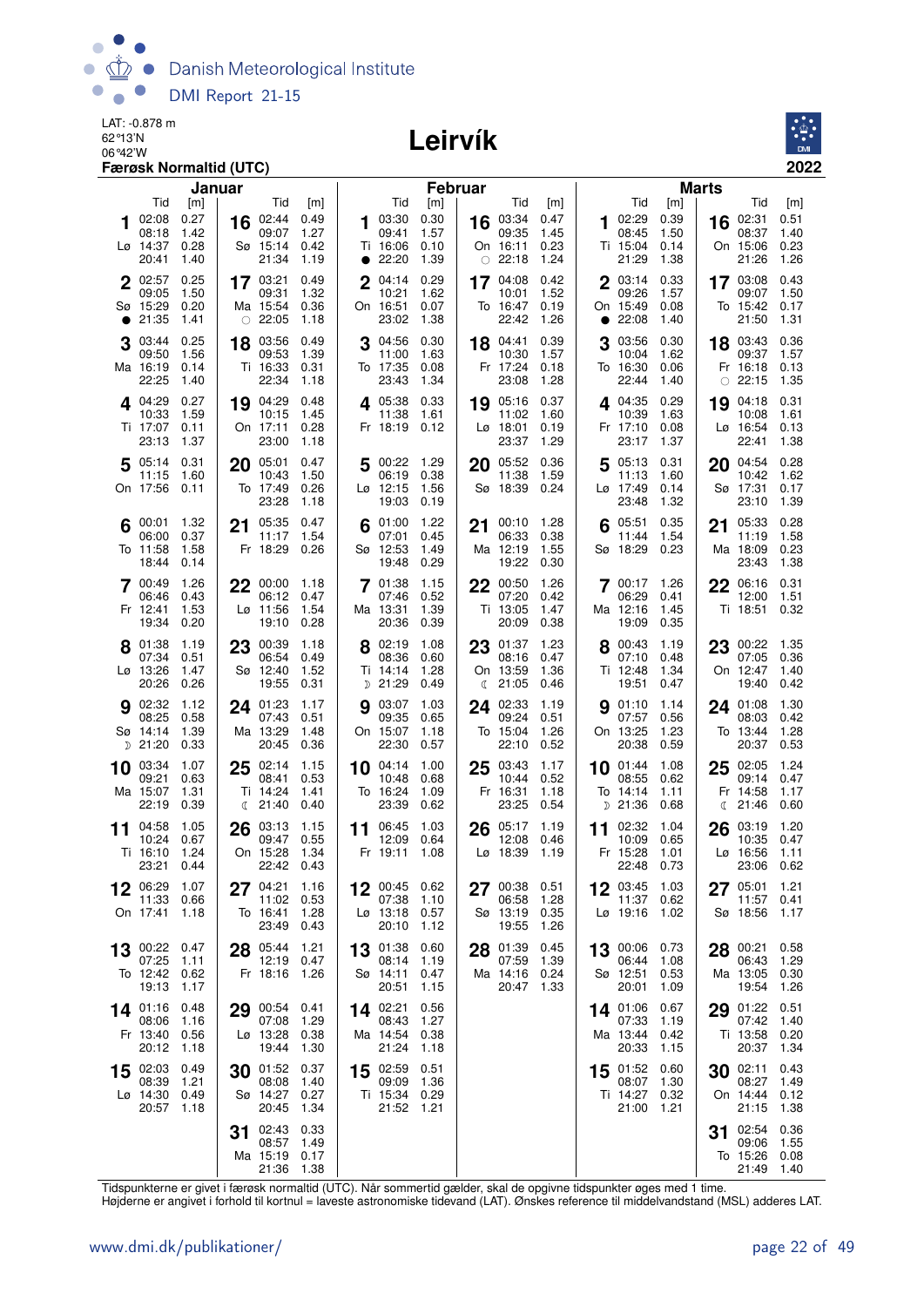

#### Leirvík



|    |                                                | Januar                       |                                                    |                                    |                                                     |                              | <b>Februar</b>                                    |                              |                                                  | <b>Marts</b>                 |                                                |                                |
|----|------------------------------------------------|------------------------------|----------------------------------------------------|------------------------------------|-----------------------------------------------------|------------------------------|---------------------------------------------------|------------------------------|--------------------------------------------------|------------------------------|------------------------------------------------|--------------------------------|
|    | Tid                                            | [m]<br>0.27                  | Tid                                                | [m]                                | Tid                                                 | [m]                          | Tid                                               | [m]                          | Tid                                              | [m]                          | Tid                                            | [m]<br>0.51                    |
|    | 02:08<br>08:18<br>Lø 14:37<br>20:41            | 1.42<br>0.28<br>1.40         | 02:44<br>16<br>09:07<br>Sø 15:14<br>21:34          | 0.49<br>1.27<br>0.42<br>1.19       | 03:30<br>09:41<br>Ti 16:06<br>$\bullet$ 22:20       | 0.30<br>1.57<br>0.10<br>1.39 | 03:34<br>16<br>09:35<br>On 16:11<br>$\circ$ 22:18 | 0.47<br>1.45<br>0.23<br>1.24 | 102:29<br>08:45<br>Ti 15:04<br>21:29             | 0.39<br>1.50<br>0.14<br>1.38 | 02:31<br>16<br>08:37<br>On 15:06<br>21:26      | 1.40<br>0.23<br>1.26           |
|    | 2 02:57<br>09:05<br>Sø 15:29<br>21:35          | 0.25<br>1.50<br>0.20<br>1.41 | 17 03:21<br>09:31<br>Ma 15:54<br>$\circ$ 22:05     | 0.49<br>1.32<br>0.36<br>1.18       | $\mathbf{2}$<br>04:14<br>10:21<br>On 16:51<br>23:02 | 0.29<br>1.62<br>0.07<br>1.38 | 17 04:08<br>10:01<br>To 16:47<br>22:42            | 0.42<br>1.52<br>0.19<br>1.26 | 2 03:14<br>09:26<br>On 15:49<br>22:08            | 0.33<br>1.57<br>0.08<br>1.40 | 17 03:08<br>09:07<br>To 15:42<br>21:50         | 0.43<br>1.50<br>0.17<br>1.31   |
|    | 03:44<br>09:50<br>Ma 16:19<br>22:25            | 0.25<br>1.56<br>0.14<br>1.40 | 18 03:56<br>09:53<br>Ti 16:33<br>22:34             | 0.49<br>1.39<br>0.31<br>1.18       | 3 04:56<br>11:00<br>To 17:35<br>23:43               | 0.30<br>1.63<br>0.08<br>1.34 | 18 04:41<br>10:30<br>Fr 17:24<br>23:08            | 0.39<br>1.57<br>0.18<br>1.28 | 03:56<br>3<br>10:04<br>To 16:30<br>22:44         | 0.30<br>1.62<br>0.06<br>1.40 | 18 03:43<br>09:37<br>Fr 16:18<br>$\circ$ 22:15 | 0.36<br>1.57<br>0.13<br>1.35   |
|    | $4^{04:29}$<br>10:33<br>Ti 17:07<br>23:13      | 0.27<br>1.59<br>0.11<br>1.37 | 19 04:29<br>10:15<br>On 17:11<br>23:00             | 0.48<br>1.45<br>0.28<br>1.18       | $4^{05:38}$<br>11:38<br>Fr 18:19                    | 0.33<br>1.61<br>0.12         | 05:16<br>19<br>11:02<br>Lø 18:01<br>23:37         | 0.37<br>1.60<br>0.19<br>1.29 | $4^{04:35}$<br>10:39<br>Fr 17:10<br>23:17        | 0.29<br>1.63<br>0.08<br>1.37 | 04:18<br>19<br>10:08<br>Lø 16:54<br>22:41      | 0.31<br>1.61<br>0.13<br>1.38   |
|    | 05:14<br>11:15<br>On 17:56 0.11                | 0.31<br>1.60                 | 05:01<br>20<br>10:43<br>To 17:49<br>23:28          | 0.47<br>1.50<br>0.26<br>1.18       | 5 00:22 1.29<br>06:19<br>$Lg$ 12:15<br>19:03        | 0.38<br>1.56<br>0.19         | 05:52<br>20<br>11:38<br>Sø 18:39 0.24             | 0.36<br>1.59                 | 5<br>05:13<br>11:13<br>Lø 17:49<br>23:48         | 0.31<br>1.60<br>0.14<br>1.32 | 20<br>04:54<br>10:42<br>Sø 17:31<br>23:10      | 0.28<br>1.62<br>0.17<br>1.39   |
|    | 00:01<br>06:00<br>To 11:58<br>18:44            | 1.32<br>0.37<br>1.58<br>0.14 | 21 05:35<br>11:17<br>Fr 18:29                      | 0.47<br>1.54<br>0.26               | 01:00<br>07:01<br>Sø 12:53<br>19:48                 | 1.22<br>0.45<br>1.49<br>0.29 | 00:10<br>21<br>06:33<br>Ma 12:19<br>19:22         | 1.28<br>0.38<br>1.55<br>0.30 | 05:51<br>6<br>11:44<br>Sø 18:29                  | 0.35<br>1.54<br>0.23         | 05:33<br>21<br>11:19<br>Ma 18:09<br>23:43      | 0.28<br>1.58<br>0.23<br>1.38   |
|    | 7 00:49<br>06:46<br>Fr 12:41<br>19:34          | 1.26<br>0.43<br>1.53<br>0.20 | 22 00:00<br>06:12<br>$L\varnothing$ 11:56<br>19:10 | 1.18<br>0.47<br>1.54<br>0.28       | 7 01:38<br>07:46<br>Ma 13:31<br>20:36               | 1.15<br>0.52<br>1.39<br>0.39 | 22 00:50<br>07:20<br>Ti 13:05<br>20:09            | 1.26<br>0.42<br>1.47<br>0.38 | <b>7</b> 00:17<br>06:29<br>Ma 12:16<br>19:09     | 1.26<br>0.41<br>1.45<br>0.35 | 22<br>06:16<br>12:00<br>Ti 18:51               | 0.31<br>1.51<br>0.32           |
|    | 8 01:38<br>07:34<br>Lø 13:26<br>20:26          | 1.19<br>0.51<br>1.47<br>0.26 | 00:39<br>23<br>06:54<br>Sø 12:40<br>19:55          | 1.18<br>0.49<br>1.52<br>0.31       | 8 02:19<br>08:36<br>Ti 14:14<br>D 21:29             | 1.08<br>0.60<br>1.28<br>0.49 | 23<br>01:37<br>08:16<br>On 13:59<br>21:05<br>ℂ    | 1.23<br>0.47<br>1.36<br>0.46 | 8 00:43<br>07:10<br>Ti 12:48<br>19:51            | 1.19<br>0.48<br>1.34<br>0.47 | 23<br>00:22<br>07:05<br>On 12:47<br>19:40      | - 1.35<br>0.36<br>1.40<br>0.42 |
|    | <b>9</b> 02:32<br>08:25<br>Sø 14:14<br>D 21:20 | 1.12<br>0.58<br>1.39<br>0.33 | 24 01:23<br>07:43<br>Ma 13:29<br>20:45             | 1.17<br>0.51<br>1.48<br>0.36       | 03:07<br>09:35<br>On 15:07<br>22:30                 | 1.03<br>0.65<br>1.18<br>0.57 | 02:33<br>24<br>09:24<br>To 15:04<br>22:10         | 1.19<br>0.51<br>1.26<br>0.52 | <b>9</b> 01:10<br>07:57<br>On 13:25<br>20:38     | 1.14<br>0.56<br>1.23<br>0.59 | 24 01:08<br>08:03<br>To 13:44<br>20:37         | 1.30<br>0.42<br>1.28<br>0.53   |
|    | 10 03:34<br>09:21<br>Ma 15:07<br>22:19         | 1.07<br>0.63<br>1.31<br>0.39 | 02:14<br>25<br>08:41<br>Ti 14:24<br>(21:40)        | 1.15<br>0.53<br>1.41<br>0.40       | 10 04:14<br>10:48<br>To 16:24<br>23:39              | 1.00<br>0.68<br>1.09<br>0.62 | 03:43<br>25<br>10:44<br>Fr 16:31<br>23:25         | 1.17<br>0.52<br>1.18<br>0.54 | 10 01:44<br>08:55<br>To 14:14<br>D 21:36         | 1.08<br>0.62<br>1.11<br>0.68 | 02:05<br>25<br>09:14<br>Fr 14:58<br>21:46<br>ℂ | 1.24<br>0.47<br>1.17<br>0.60   |
| 11 | 04:58<br>10:24<br>Ti 16:10<br>23:21 0.44       | 1.05<br>0.67<br>1.24         | 26<br>03:13<br>09:47<br>On 15:28                   | 1.15<br>0.55<br>1.34<br>22:42 0.43 | 11 06:45<br>12:09<br>Fr 19:11                       | 1.03<br>0.64<br>1.08         | 26<br>05:17<br>12:08<br>Lø 18:39                  | 1.19<br>0.46<br>1.19         | 02:32<br>11<br>10:09<br>Fr 15:28<br>22:48        | 1.04<br>0.65<br>1.01<br>0.73 | 03:19<br>26<br>10:35<br>$Lo$ 16:56<br>23:06    | 1.20<br>0.47<br>1.11<br>0.62   |
| 12 | 06:29<br>11:33<br>On 17:41                     | 1.07<br>0.66<br>1.18         | 27 04:21<br>11:02<br>To 16:41<br>23:49             | 1.16<br>0.53<br>1.28<br>0.43       | 00:45<br>07:38<br>$L\varnothing$ 13:18<br>20:10     | 0.62<br>1.10<br>0.57<br>1.12 | 00:38<br>27<br>06:58<br>Sø 13:19<br>19:55         | 0.51<br>1.28<br>0.35<br>1.26 | 12 03:45<br>11:37<br>Lø 19:16                    | 1.03<br>0.62<br>1.02         | 05:01<br>27<br>11:57<br>Sø 18:56               | 1.21<br>0.41<br>1.17           |
| 13 | 00:22 0.47<br>07:25<br>To 12:42 0.62<br>19:13  | 1.11<br>1.17                 | 28 05:44<br>12:19<br>Fr 18:16                      | 1.21<br>0.47<br>1.26               | 13 01:38<br>08:14<br>Sø 14:11<br>20:51              | 0.60<br>1.19<br>0.47<br>1.15 | 01:39<br>28<br>07:59<br>Ma 14:16<br>20:47         | 0.45<br>1.39<br>0.24<br>1.33 | 13 00:06<br>06:44<br>Sø 12:51<br>20:01           | 0.73<br>1.08<br>0.53<br>1.09 | 00:21<br>28<br>06:43<br>Ma 13:05<br>19:54      | 0.58<br>1.29<br>0.30<br>1.26   |
|    | 14 01:16<br>08:06<br>Fr 13:40<br>20:12         | 0.48<br>1.16<br>0.56<br>1.18 | 29 00:54<br>07:08<br>Lø 13:28<br>19:44             | 0.41<br>1.29<br>0.38<br>1.30       | 14 02:21<br>08:43<br>Ma 14:54<br>21:24              | 0.56<br>1.27<br>0.38<br>1.18 |                                                   |                              | 14 01:06<br>07:33<br>Ma 13:44<br>20:33           | 0.67<br>1.19<br>0.42<br>1.15 | 01:22<br>29<br>07:42<br>Ti 13:58<br>20:37      | 0.51<br>1.40<br>0.20<br>1.34   |
| 15 | 02:03<br>08:39<br>Lø 14:30 0.49<br>20:57       | 0.49<br>1.21<br>1.18         | 30 01:52<br>08:08<br>Sø 14:27<br>20:45             | 0.37<br>1.40<br>0.27<br>1.34       | 15 02:59<br>09:09<br>Ti 15:34 0.29<br>21:52 1.21    | 0.51<br>1.36                 |                                                   |                              | 15 01:52 0.60<br>08:07<br>Ti 14:27 0.32<br>21:00 | 1.30<br>1.21                 | 02:11<br>30<br>08:27<br>On 14:44<br>21:15      | 0.43<br>1.49<br>0.12<br>1.38   |
|    |                                                |                              | 02:43<br>31<br>08:57<br>Ma 15:19<br>21:36          | 0.33<br>1.49<br>0.17<br>1.38       |                                                     |                              |                                                   |                              |                                                  |                              | 02:54<br>31<br>09:06<br>To 15:26<br>21:49      | 0.36<br>1.55<br>0.08<br>1.40   |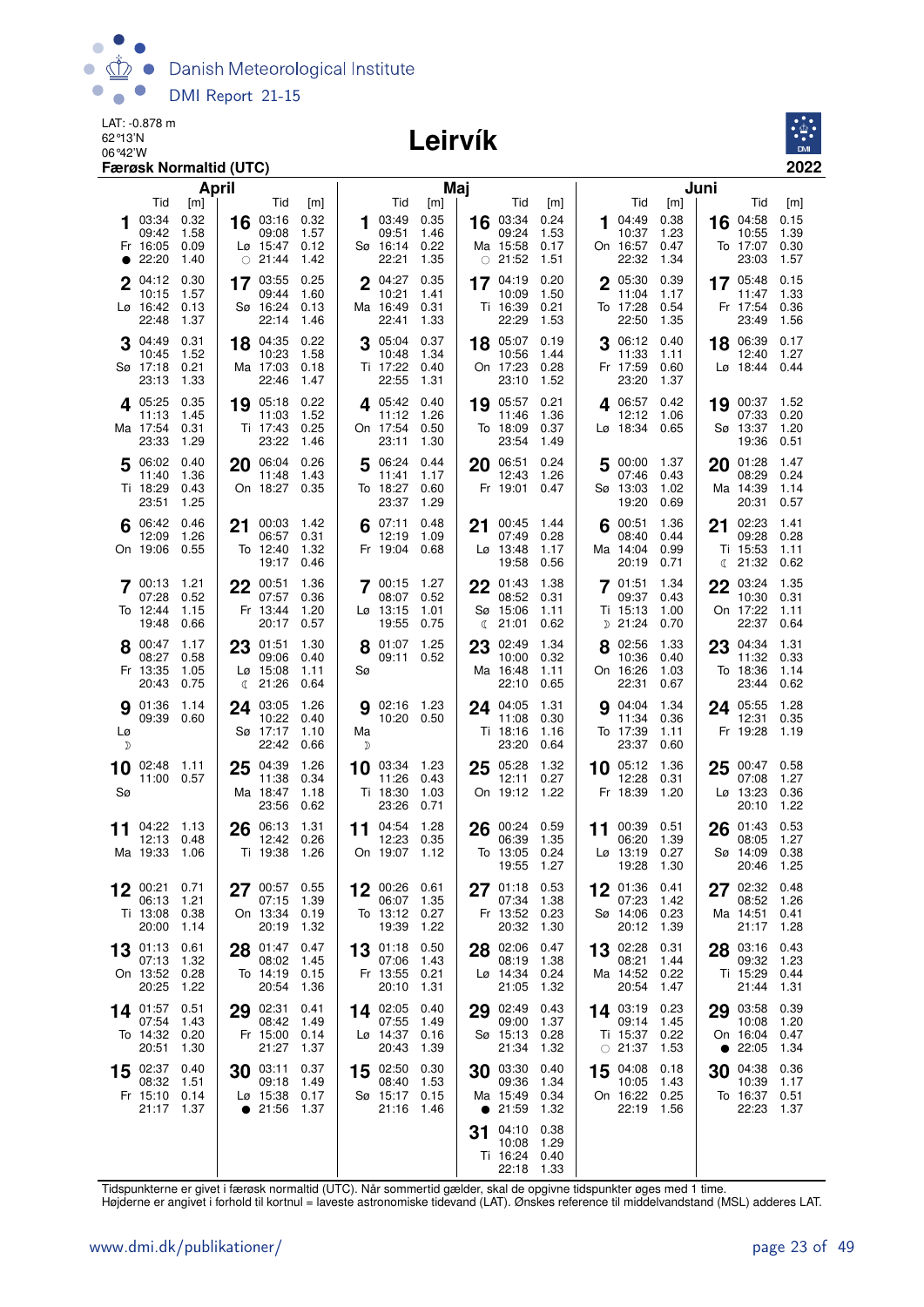

#### Leirvík



| April                                                                                       |                                                                                                    | Maj                                                                               |                                                                                              | Juni                                                                                  |                                                                                         |
|---------------------------------------------------------------------------------------------|----------------------------------------------------------------------------------------------------|-----------------------------------------------------------------------------------|----------------------------------------------------------------------------------------------|---------------------------------------------------------------------------------------|-----------------------------------------------------------------------------------------|
| Tid<br>[m]<br>0.32<br>03:34<br>1.58<br>09:42<br>0.09<br>Fr 16:05<br>$\bullet$ 22:20<br>1.40 | Tid<br>[m]<br>0.32<br>03:16<br>16<br>09:08<br>1.57<br>Lø 15:47<br>0.12<br>$\circ$ 21:44<br>1.42    | Tid<br>[m]<br>0.35<br>03:49<br>09:51<br>1.46<br>Sø 16:14<br>0.22<br>22:21<br>1.35 | Tid<br>[m]<br>0.24<br>16 03:34<br>09:24<br>1.53<br>Ma 15:58<br>0.17<br>$\circ$ 21:52<br>1.51 | Tid<br>[m]<br>0.38<br>04:49<br>10:37<br>1.23<br>On 16:57<br>0.47<br>22:32<br>1.34     | Tid<br>[m]<br>0.15<br>04:58<br>16<br>10:55<br>1.39<br>To 17:07<br>0.30<br>23:03<br>1.57 |
| 0.30<br>2 04:12<br>1.57<br>10:15<br>$L\varnothing$ 16:42<br>0.13<br>22:48<br>1.37           | $17^{03:55}$<br>0.25<br>09:44<br>1.60<br>Sø 16:24<br>0.13<br>22:14<br>1.46                         | 0.35<br>2 04:27<br>10:21<br>1.41<br>0.31<br>Ma 16:49<br>22:41<br>1.33             | 0.20<br>17 04:19<br>1.50<br>10:09<br>Ti 16:39<br>0.21<br>22:29<br>1.53                       | 2 05:30<br>0.39<br>11:04<br>1.17<br>To 17:28<br>0.54<br>22:50<br>1.35                 | 0.15<br>17 05:48<br>1.33<br>11:47<br>Fr 17:54<br>0.36<br>23:49<br>1.56                  |
| 0.31<br>04:49<br>10:45<br>1.52<br>Sø 17:18<br>0.21<br>23:13<br>1.33                         | 18 04:35<br>0.22<br>10:23<br>1.58<br>Ma 17:03<br>0.18<br>22:46<br>1.47                             | 0.37<br>05:04<br>3<br>10:48<br>1.34<br>Ti 17:22<br>0.40<br>22:55<br>1.31          | 18 05:07<br>0.19<br>10:56<br>1.44<br>On 17:23<br>0.28<br>23:10<br>1.52                       | 06:12<br>0.40<br>11:33<br>1.11<br>Fr 17:59<br>0.60<br>23:20<br>1.37                   | 0.17<br>18 06:39<br>12:40<br>1.27<br>$Lg$ 18:44<br>0.44                                 |
| 0.35<br>405:25<br>11:13<br>1.45<br>Ma 17:54<br>0.31<br>23:33<br>1.29                        | 19 05:18<br>0.22<br>11:03<br>1.52<br>0.25<br>Ti 17:43<br>23:22<br>1.46                             | <b>4</b> 05:42<br>0.40<br>11:12<br>1.26<br>On 17:54<br>0.50<br>23:11<br>1.30      | 0.21<br>19 05:57<br>1.36<br>11:46<br>To 18:09<br>0.37<br>23:54<br>1.49                       | 406:57<br>0.42<br>12:12<br>1.06<br>Lø 18:34<br>0.65                                   | 19 00:37<br>1.52<br>07:33<br>0.20<br>Sø 13:37<br>1.20<br>19:36<br>0.51                  |
| 5 06:02<br>0.40<br>1.36<br>11:40<br>Ti 18:29<br>0.43<br>23:51<br>1.25                       | 20 06:04<br>0.26<br>11:48<br>1.43<br>On 18:27<br>0.35                                              | 06:24<br>0.44<br>5<br>11:41<br>1.17<br>To 18:27<br>0.60<br>23:37<br>1.29          | 06:51<br>0.24<br>20<br>12:43<br>1.26<br>Fr 19:01<br>0.47                                     | 00:00<br>1.37<br>5<br>07:46<br>0.43<br>Sø 13:03<br>1.02<br>19:20<br>0.69              | 01:28<br>1.47<br>20<br>08:29<br>0.24<br>Ma 14:39<br>1.14<br>20:31<br>0.57               |
| $6^{06:42}$<br>0.46<br>12:09<br>1.26<br>On 19:06<br>0.55                                    | 21 00:03<br>1.42<br>06:57<br>0.31<br>1.32<br>To 12:40<br>19:17<br>0.46                             | 07:11<br>0.48<br>12:19<br>1.09<br>Fr 19:04<br>0.68                                | 21 00:45<br>1.44<br>0.28<br>07:49<br>$L\varnothing$ 13:48<br>1.17<br>19:58<br>0.56           | $6^{00:51}$<br>1.36<br>08:40<br>0.44<br>Ma 14:04<br>0.99<br>20:19<br>0.71             | 02:23<br>1.41<br>21<br>09:28<br>0.28<br>Ti 15:53<br>1.11<br>21:32<br>0.62<br>ℂ          |
| 1.21<br>700:13<br>07:28<br>0.52<br>To 12:44<br>1.15<br>19:48<br>0.66                        | 00:51<br>1.36<br>22<br>07:57<br>0.36<br>Fr 13:44<br>1.20<br>20:17<br>0.57                          | 7 00:15 1.27<br>08:07 0.52<br>Lø 13:15<br>1.01<br>19:55<br>0.75                   | 1.38<br>01:43<br>22<br>08:52<br>0.31<br>Sø 15:06<br>1.11<br>21:01<br>0.62<br>ℂ               | 01:51<br>1.34<br>09:37<br>0.43<br>Ti 15:13<br>1.00<br>$D$ 21:24<br>0.70               | 03:24<br>1.35<br>22<br>10:30<br>0.31<br>On 17:22<br>1.11<br>22:37<br>0.64               |
| 1.17<br>8 00:47<br>0.58<br>08:27<br>Fr 13:35<br>1.05<br>0.75<br>20:43                       | 23 01:51<br>1.30<br>09:06<br>0.40<br>$L\varnothing$ 15:08<br>1.11<br>21:26<br>0.64<br>$\mathbb{C}$ | 1.25<br>8 01:07<br>09:11 0.52<br>Sø                                               | 23 02:49<br>1.34<br>0.32<br>10:00<br>1.11<br>Ma 16:48<br>22:10<br>0.65                       | 8 02:56<br>1.33<br>10:36<br>0.40<br>On 16:26<br>1.03<br>22:31<br>0.67                 | 23 04:34<br>1.31<br>11:32<br>0.33<br>To 18:36<br>1.14<br>23:44<br>0.62                  |
| 9 01:36<br>1.14<br>09:39 0.60<br>Lø<br>D                                                    | 03:05<br>1.26<br>24<br>10:22<br>0.40<br>Sø 17:17<br>1.10<br>22:42<br>0.66                          | <b>g</b> 02:16 1.23<br>10:20 0.50<br>Ma<br>D                                      | 1.31<br>24 04:05<br>11:08<br>0.30<br>Ti 18:16<br>1.16<br>23:20<br>0.64                       | 1.34<br>04:04<br>9<br>11:34<br>0.36<br>To 17:39<br>1.11<br>23:37<br>0.60              | 1.28<br>24 05:55<br>12:31<br>0.35<br>Fr 19:28<br>1.19                                   |
| 10 02:48 1.11<br>11:00 0.57<br>Sø                                                           | 25 04:39<br>1.26<br>11:38<br>0.34<br>Ma 18:47<br>1.18<br>23:56<br>0.62                             | $10^{03:34}$ 1.23<br>11:26<br>0.43<br>Ti 18:30<br>1.03<br>23:26<br>0.71           | 25 05:28<br>1.32<br>12:11<br>0.27<br>On 19:12<br>1.22                                        | 1.36<br>$10^{-05:12}$<br>12:28<br>0.31<br>Fr 18:39<br>1.20                            | 0.58<br>25<br>00:47<br>1.27<br>07:08<br>$L\varnothing$ 13:23<br>0.36<br>1.22<br>20:10   |
| 04:22<br>- 1.13<br>11<br>12:13<br>0.48<br>Ma 19:33<br>1.06                                  | 06:13<br>1.31<br>26<br>12:42<br>0.26<br>Ti 19:38<br>1.26                                           | 11 $04:54$<br>1.28<br>12:23<br>0.35<br>On 19:07<br>1.12                           | 00:24<br>0.59<br>26<br>06:39<br>1.35<br>0.24<br>To 13:05<br>1.27<br>19:55                    | 00:39<br>0.51<br>11<br>06:20<br>1.39<br>$L\varnothing$ 13:19<br>0.27<br>19:28<br>1.30 | 0.53<br>26<br>01:43<br>08:05<br>1.27<br>Sø 14:09<br>0.38<br>1.25<br>20:46               |
| 0.71<br>00:21<br>12<br>1.21<br>06:13<br>Ti 13:08<br>0.38<br>20:00<br>1.14                   | 00:57 0.55<br>27<br>1.39<br>07:15<br>On 13:34 0.19<br>20:19<br>1.32                                | 12<br>00:26 0.61<br>1.35<br>06:07<br>To 13:12 0.27<br>19:39<br>1.22               | 0.53<br>$27^{01:18}$<br>07:34<br>1.38<br>0.23<br>Fr 13:52<br>20:32<br>1.30                   | 01:36 0.41<br>12<br>07:23<br>1.42<br>Sø 14:06<br>0.23<br>20:12<br>1.39                | 27<br>02:32 0.48<br>08:52<br>1.26<br>Ma 14:51<br>0.41<br>1.28<br>21:17                  |
| 01:13<br>0.61<br>13<br>07:13<br>1.32<br>On 13:52<br>0.28<br>20:25<br>1.22                   | 01:47<br>0.47<br>28<br>08:02<br>1.45<br>To 14:19 0.15<br>20:54<br>1.36                             | 13 01:18 0.50<br>07:06<br>1.43<br>Fr 13:55 0.21<br>1.31<br>20:10                  | 02:06<br>0.47<br>28<br>1.38<br>08:19<br>Lø 14:34<br>0.24<br>1.32<br>21:05                    | 02:28<br>0.31<br>13<br>08:21<br>1.44<br>Ma 14:52<br>0.22<br>20:54<br>1.47             | 0.43<br>28 03:16<br>09:32<br>1.23<br>Ti 15:29<br>0.44<br>1.31<br>21:44                  |
| 0.51<br>14 01:57<br>07:54<br>1.43<br>To 14:32<br>0.20<br>20:51<br>1.30                      | 29 02:31<br>0.41<br>08:42<br>1.49<br>Fr 15:00<br>0.14<br>21:27<br>1.37                             | 14 02:05<br>0.40<br>07:55<br>1.49<br>Lø 14:37<br>0.16<br>20:43<br>1.39            | 29 02:49<br>0.43<br>09:00<br>1.37<br>Sø 15:13<br>0.28<br>21:34<br>1.32                       | 14 03:19<br>0.23<br>09:14<br>1.45<br>Ti 15:37<br>0.22<br>$\circ$ 21:37<br>1.53        | 29 03:58<br>0.39<br>1.20<br>10:08<br>On 16:04<br>0.47<br>1.34<br>22:05<br>$\bullet$     |
| 02:37<br>0.40<br>15<br>08:32<br>1.51<br>Fr 15:10<br>0.14<br>21:17<br>1.37                   | 03:11<br>0.37<br>30<br>09:18<br>1.49<br>Lø 15:38 0.17<br>21:56<br>1.37                             | 0.30<br>15 02:50<br>1.53<br>08:40<br>Sø 15:17 0.15<br>21:16 1.46                  | 03:30<br>0.40<br>30<br>09:36<br>1.34<br>Ma 15:49<br>0.34<br>• 21:59<br>1.32                  | 04:08<br>0.18<br>15<br>10:05<br>1.43<br>On 16:22 0.25<br>22:19<br>1.56                | 04:38<br>0.36<br>30<br>10:39<br>1.17<br>0.51<br>To 16:37<br>22:23<br>1.37               |
|                                                                                             |                                                                                                    |                                                                                   | 04:10<br>0.38<br>31<br>1.29<br>10:08<br>Ti 16:24<br>0.40<br>22:18 1.33                       |                                                                                       |                                                                                         |

Tidspunkterne er givet i færøsk normaltid (UTC). Når sommertid gælder, skal de opgivne tidspunkter øges med 1 time.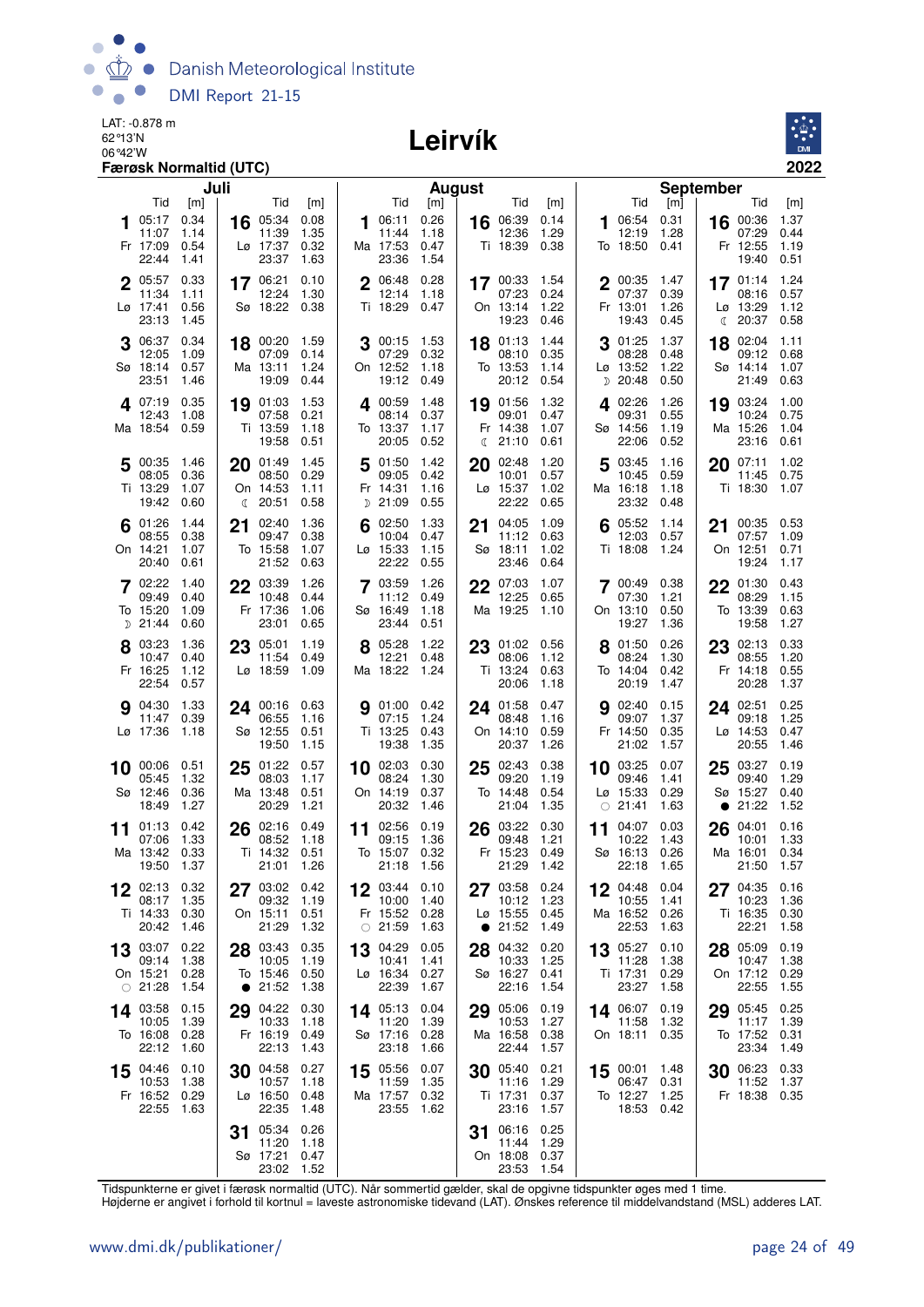

# Leirvík



|    |                                             | Juli                         |    |                                                     |                              |    |                                                  | <b>August</b>                |    |                                        |                              |            |                                             |                              | <b>September</b> |                                                        |                              |
|----|---------------------------------------------|------------------------------|----|-----------------------------------------------------|------------------------------|----|--------------------------------------------------|------------------------------|----|----------------------------------------|------------------------------|------------|---------------------------------------------|------------------------------|------------------|--------------------------------------------------------|------------------------------|
|    | Tid                                         | [m]                          |    | Tid                                                 | [m]                          |    | Tid                                              | [m]                          |    | Tid                                    | [m]                          |            | Tid                                         | [m]                          |                  | Tid                                                    | [m]                          |
|    | 05:17<br>11:07<br>Fr 17:09<br>22:44         | 0.34<br>1.14<br>0.54<br>1.41 | 16 | 05:34<br>11:39<br>Lø 17:37<br>23:37                 | 0.08<br>1.35<br>0.32<br>1.63 | 1  | 06:11<br>11:44<br>Ma 17:53<br>23:36              | 0.26<br>1.18<br>0.47<br>1.54 | 16 | 06:39<br>12:36<br>Ti 18:39             | 0.14<br>1.29<br>0.38         | 1          | 06:54<br>12:19<br>To 18:50                  | 0.31<br>1.28<br>0.41         |                  | 16 00:36<br>07:29<br>Fr 12:55<br>19:40                 | 1.37<br>0.44<br>1.19<br>0.51 |
|    | 2 05:57<br>11:34<br>Lø 17:41<br>23:13       | 0.33<br>1.11<br>0.56<br>1.45 |    | 17 06:21<br>12:24<br>Sø 18:22                       | 0.10<br>1.30<br>0.38         |    | 2 06:48<br>12:14<br>Ti 18:29                     | 0.28<br>1.18<br>0.47         |    | 17 00:33<br>07:23<br>On 13:14<br>19:23 | 1.54<br>0.24<br>1.22<br>0.46 |            | 2 00:35<br>07:37<br>Fr 13:01<br>19:43       | 1.47<br>0.39<br>1.26<br>0.45 | ℂ                | $17^{01:14}$<br>08:16<br>$L\varnothing$ 13:29<br>20:37 | 1.24<br>0.57<br>1.12<br>0.58 |
|    | 06:37<br>12:05<br>Sø 18:14<br>23:51         | 0.34<br>1.09<br>0.57<br>1.46 |    | 18 00:20<br>07:09<br>Ma 13:11<br>19:09              | 1.59<br>0.14<br>1.24<br>0.44 | 3  | 00:15 1.53<br>07:29<br>On 12:52<br>19:12 0.49    | 0.32<br>1.18                 | 18 | 01:13<br>08:10<br>To 13:53<br>20:12    | 1.44<br>0.35<br>1.14<br>0.54 |            | 01:25<br>08:28<br>Lø 13:52<br>$D$ 20:48     | 1.37<br>0.48<br>1.22<br>0.50 | 18               | 02:04<br>09:12<br>Sø 14:14<br>21:49                    | 1.11<br>0.68<br>1.07<br>0.63 |
|    | 407:19<br>12:43<br>Ma 18:54                 | 0.35<br>1.08<br>0.59         |    | 19 01:03<br>07:58<br>Ti 13:59<br>19:58              | 1.53<br>0.21<br>1.18<br>0.51 |    | 400:59<br>08:14<br>To 13:37<br>20:05             | 1.48<br>0.37<br>1.17<br>0.52 | ℂ  | 19 01:56<br>09:01<br>Fr 14:38<br>21:10 | 1.32<br>0.47<br>1.07<br>0.61 |            | 4 02:26<br>09:31<br>Sø 14:56<br>22:06       | 1.26<br>0.55<br>1.19<br>0.52 |                  | 19 03:24<br>10:24<br>Ma 15:26<br>23:16                 | 1.00<br>0.75<br>1.04<br>0.61 |
| 5  | 00:35<br>08:05<br>Ti 13:29<br>19:42         | 1.46<br>0.36<br>1.07<br>0.60 |    | 20 01:49<br>08:50<br>On 14:53<br>$\binom{20:51}{ }$ | 1.45<br>0.29<br>1.11<br>0.58 | 5  | 01:50<br>09:05<br>Fr 14:31<br>D 21:09            | 1.42<br>0.42<br>1.16<br>0.55 | 20 | 02:48<br>10:01<br>Lø 15:37<br>22:22    | 1.20<br>0.57<br>1.02<br>0.65 | 5          | 03:45<br>10:45<br>Ma 16:18<br>23:32         | 1.16<br>0.59<br>1.18<br>0.48 | 20               | 07:11<br>11:45<br>Ti 18:30                             | 1.02<br>0.75<br>1.07         |
|    | $6^{01:26}$<br>08:55<br>On 14:21<br>20:40   | 1.44<br>0.38<br>1.07<br>0.61 | 21 | 02:40<br>09:47<br>To 15:58<br>21:52                 | 1.36<br>0.38<br>1.07<br>0.63 |    | 02:50<br>10:04<br>Lø 15:33<br>22:22              | 1.33<br>0.47<br>1.15<br>0.55 | 21 | 04:05<br>11:12<br>Sø 18:11<br>23:46    | 1.09<br>0.63<br>1.02<br>0.64 | 6          | 05:52<br>12:03<br>Ti 18:08                  | 1.14<br>0.57<br>1.24         | 21               | 00:35<br>07:57<br>On 12:51<br>19:24                    | 0.53<br>1.09<br>0.71<br>1.17 |
|    | 02:22<br>09:49<br>To 15:20<br>$D$ 21:44     | 1.40<br>0.40<br>1.09<br>0.60 |    | 22 03:39<br>10:48<br>Fr 17:36<br>23:01              | 1.26<br>0.44<br>1.06<br>0.65 |    | 7 03:59<br>11:12<br>Sø 16:49<br>23:44            | 1.26<br>0.49<br>1.18<br>0.51 | 22 | 07:03<br>12:25<br>Ma 19:25             | 1.07<br>0.65<br>1.10         |            | 7 00:49<br>07:30<br>On 13:10<br>19:27       | 0.38<br>1.21<br>0.50<br>1.36 | 22               | 01:30<br>08:29<br>To 13:39<br>19:58                    | 0.43<br>1.15<br>0.63<br>1.27 |
|    | 8 03:23<br>10:47<br>Fr 16:25<br>22:54       | 1.36<br>0.40<br>1.12<br>0.57 |    | 23 05:01<br>11:54<br>$L\varnothing$ 18:59           | 1.19<br>0.49<br>1.09         |    | 8 05:28<br>12:21<br>Ma 18:22 1.24                | 1.22<br>0.48                 |    | 23 01:02<br>08:06<br>Ti 13:24<br>20:06 | 0.56<br>1.12<br>0.63<br>1.18 |            | 8 01:50<br>08:24<br>To 14:04<br>20:19       | 0.26<br>1.30<br>0.42<br>1.47 |                  | $23$ 02:13<br>08:55<br>Fr 14:18<br>20:28               | 0.33<br>1.20<br>0.55<br>1.37 |
|    | 9 04:30<br>11:47<br>Lø 17:36                | 1.33<br>0.39<br>1.18         |    | 24 00:16 0.63<br>06:55<br>Sø 12:55<br>19:50         | 1.16<br>0.51<br>1.15         |    | 901:0000.42<br>07:15<br>Ti 13:25<br>19:38        | 1.24<br>0.43<br>1.35         |    | 24 01:58<br>08:48<br>On 14:10<br>20:37 | 0.47<br>1.16<br>0.59<br>1.26 | 9          | 02:40<br>09:07<br>Fr 14:50<br>21:02         | 0.15<br>1.37<br>0.35<br>1.57 |                  | 24 02:51<br>09:18<br>Lø 14:53<br>20:55                 | 0.25<br>1.25<br>0.47<br>1.46 |
|    | 10 00:06<br>05:45<br>Sø 12:46<br>18:49      | 0.51<br>1.32<br>0.36<br>1.27 | 25 | 01:22<br>08:03<br>Ma 13:48<br>20:29                 | 0.57<br>1.17<br>0.51<br>1.21 |    | 10 02:03<br>08:24<br>On 14:19<br>20:32           | 0.30<br>1.30<br>0.37<br>1.46 |    | 25 02:43<br>09:20<br>To 14:48<br>21:04 | 0.38<br>1.19<br>0.54<br>1.35 | $\bigcirc$ | $10$ 03:25<br>09:46<br>$La$ 15:33<br>21:41  | 0.07<br>1.41<br>0.29<br>1.63 | 25<br>$\bullet$  | 03:27<br>09:40<br>Sø 15:27<br>21:22                    | 0.19<br>1.29<br>0.40<br>1.52 |
| 11 | 01:13<br>07:06<br>Ma 13:42<br>19:50         | 0.42<br>1.33<br>0.33<br>1.37 | 26 | 02:16<br>08:52<br>Ti 14:32<br>21:01                 | 0.49<br>1.18<br>0.51<br>1.26 | 11 | 02:56<br>09:15<br>To 15:07<br>21:18              | 0.19<br>1.36<br>0.32<br>1.56 | 26 | 03:22<br>09:48<br>Fr 15:23<br>21:29    | 0.30<br>1.21<br>0.49<br>1.42 | 11         | 04:07<br>10:22<br>Sø 16:13<br>22:18         | 0.03<br>1.43<br>0.26<br>1.65 | 26               | 04:01<br>10:01<br>Ma 16:01<br>21:50                    | 0.16<br>1.33<br>0.34<br>1.57 |
| 12 | 02:13<br>08:17<br>Ti 14:33<br>20:42         | 0.32<br>1.35<br>0.30<br>1.46 | 27 | 03:02 0.42<br>09:32<br>On 15:11<br>21:29            | 1.19<br>0.51<br>1.32         | 12 | 03:44 0.10<br>10:00<br>Fr 15:52<br>$\circ$ 21:59 | 1.40<br>0.28<br>1.63         | 27 | 03:58<br>10:12<br>Lø 15:55<br>21:52    | 0.24<br>1.23<br>0.45<br>1.49 | 12         | 04:48<br>10:55<br>Ma 16:52<br>22:53         | 0.04<br>1.41<br>0.26<br>1.63 | 27               | 04:35<br>10:23<br>Ti 16:35<br>22:21                    | 0.16<br>1.36<br>0.30<br>1.58 |
| 13 | 03:07<br>09:14<br>On 15:21<br>$\circ$ 21:28 | 0.22<br>1.38<br>0.28<br>1.54 | 28 | 03:43<br>10:05<br>To 15:46 0.50<br>• 21:52          | 0.35<br>1.19<br>1.38         | 13 | 04:29<br>10:41<br>Lø 16:34<br>22:39              | 0.05<br>1.41<br>0.27<br>1.67 | 28 | 04:32<br>10:33<br>Sø 16:27<br>22:16    | 0.20<br>1.25<br>0.41<br>1.54 |            | 13 05:27<br>11:28<br>Ti 17:31<br>23:27      | 0.10<br>1.38<br>0.29<br>1.58 |                  | 28 05:09<br>10:47<br>On 17:12<br>22:55                 | 0.19<br>1.38<br>0.29<br>1.55 |
|    | 14 03:58<br>10:05<br>To 16:08<br>22:12      | 0.15<br>1.39<br>0.28<br>1.60 |    | 29 04:22 0.30<br>10:33<br>Fr 16:19 0.49<br>22:13    | 1.18<br>1.43                 |    | 14 05:13<br>11:20<br>Sø 17:16<br>23:18           | 0.04<br>1.39<br>0.28<br>1.66 | 29 | 05:06<br>10:53<br>Ma 16:58<br>22:44    | 0.19<br>1.27<br>0.38<br>1.57 |            | 14 06:07<br>11:58<br>On 18:11 0.35          | 0.19<br>1.32                 |                  | 29 05:45<br>11:17<br>To 17:52<br>23:34                 | 0.25<br>1.39<br>0.31<br>1.49 |
|    | 15 04:46<br>10:53<br>Fr 16:52<br>22:55      | 0.10<br>1.38<br>0.29<br>1.63 | 30 | 04:58<br>10:57<br>Lø 16:50 0.48<br>22:35            | 0.27<br>1.18<br>1.48         |    | 15 05:56<br>11:59<br>Ma 17:57<br>23:55           | 0.07<br>1.35<br>0.32<br>1.62 |    | 30 05:40<br>11:16<br>Ti 17:31<br>23:16 | 0.21<br>1.29<br>0.37<br>1.57 |            | 15 00:01<br>06:47<br>To 12:27<br>18:53 0.42 | 1.48<br>0.31<br>1.25         |                  | $30^{06:23}$<br>11:52<br>Fr 18:38 0.35                 | 0.33<br>1.37                 |
|    |                                             |                              | 31 | 05:34 0.26<br>11:20<br>Sø 17:21 0.47<br>23:02 1.52  | 1.18                         |    |                                                  |                              | 31 | 06:16<br>11:44<br>On 18:08<br>23:53    | 0.25<br>1.29<br>0.37<br>1.54 |            |                                             |                              |                  |                                                        |                              |

Tidspunkterne er givet i færøsk normaltid (UTC). Når sommertid gælder, skal de opgivne tidspunkter øges med 1 time.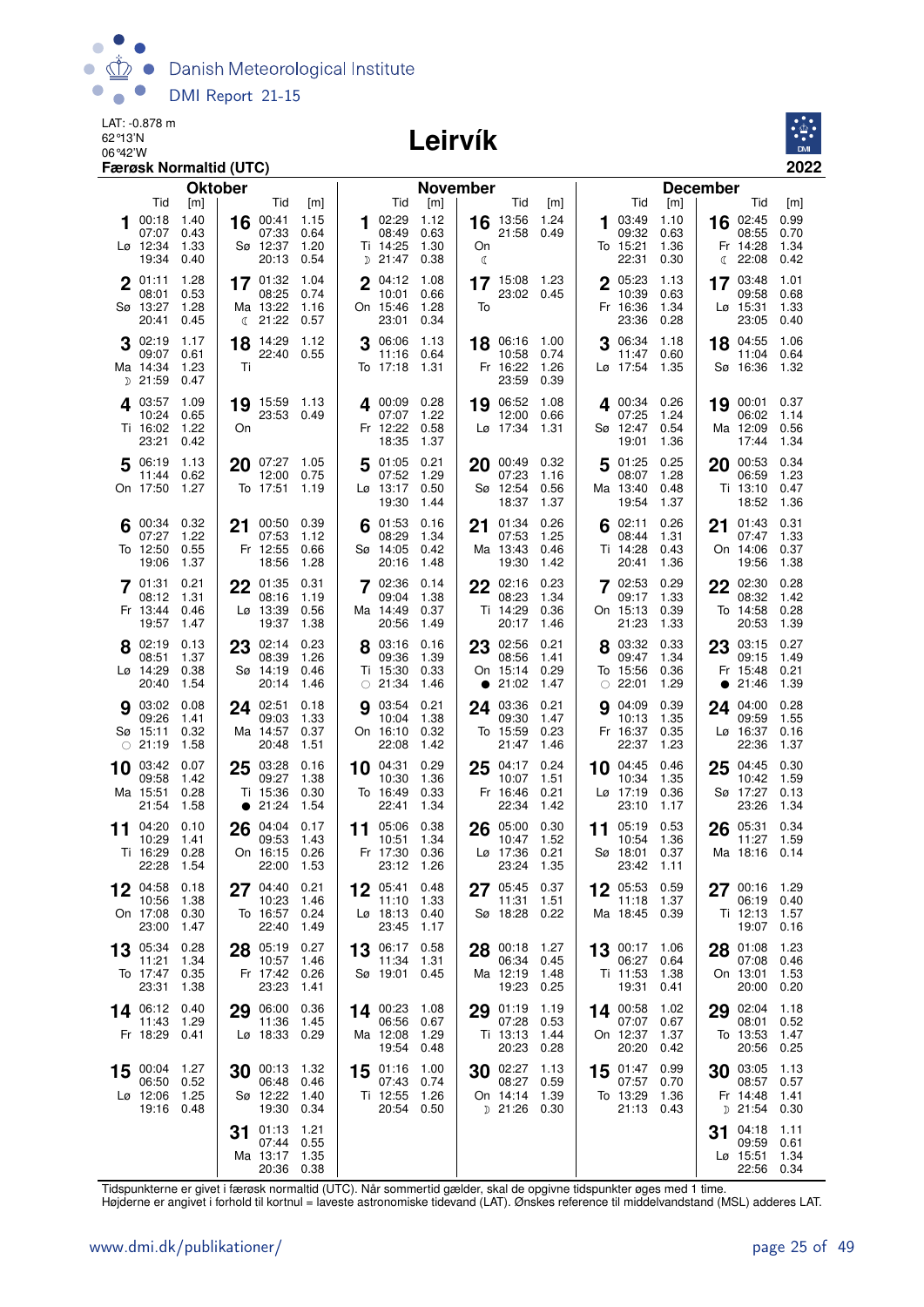

### Leirvík



|    |                   | <b>Oktober</b> |           |                             |                |    |                        | <b>November</b> |    |                     |              |             |                   |               | <b>December</b> |                               |              |
|----|-------------------|----------------|-----------|-----------------------------|----------------|----|------------------------|-----------------|----|---------------------|--------------|-------------|-------------------|---------------|-----------------|-------------------------------|--------------|
|    | Tid               | [m]            |           | Tid                         | [m]            |    | Tid                    | [m]             |    | Tid                 | [m]          |             | Tid               | [m]           |                 | Tid                           | [m]          |
| 1  | 00:18<br>07:07    | 1.40<br>0.43   | 16        | 00:41<br>07:33              | 1.15<br>0.64   |    | 102:29<br>08:49        | 1.12<br>0.63    | 16 | 13:56<br>21:58      | 1.24<br>0.49 | 1.          | 03:49<br>09:32    | 1.10<br>0.63  |                 | 16 02:45<br>08:55             | 0.99<br>0.70 |
|    | Lø 12:34          | 1.33           |           | Sø 12:37                    | 1.20           |    | Ti 14:25               | 1.30            | On |                     |              |             | To 15:21          | 1.36          |                 | Fr 14:28                      | 1.34         |
|    | 19:34             | 0.40           |           | 20:13                       | 0.54           |    | <sub>D</sub> 21:47     | 0.38            | ℂ  |                     |              |             | 22:31             | 0.30          | €               | 22:08                         | 0.42         |
|    | 01:11             | 1.28           |           | 17 01:32                    | 1.04           |    | 04:12                  | 1.08            |    | 17 15:08 1.23       |              | $\mathbf 2$ | 05:23             | 1.13          | 17              | 03:48                         | 1.01         |
|    | 08:01             | 0.53           |           | 08:25<br>Ma 13:22           | 0.74           |    | 10:01                  | 0.66            | To | 23:02 0.45          |              |             | 10:39             | 0.63          |                 | 09:58                         | 0.68<br>1.33 |
|    | Sø 13:27<br>20:41 | 1.28<br>0.45   |           | $\binom{21:22}{ }$          | 1.16<br>0.57   |    | On 15:46<br>23:01      | 1.28<br>0.34    |    |                     |              |             | Fr 16:36<br>23:36 | 1.34<br>0.28  |                 | $L\varnothing$ 15:31<br>23:05 | 0.40         |
|    | $3^{02:19}$       | 1.17           | 18        | 14:29                       | 1.12           |    | 3 06:06                | 1.13            |    | 18 06:16            | 1.00         |             | 3 06:34           | 1.18          |                 | 18 04:55                      | 1.06         |
|    | 09:07             | 0.61           |           | 22:40 0.55                  |                |    | 11:16                  | 0.64            |    | 10:58               | 0.74         |             | 11:47             | 0.60          |                 | 11:04                         | 0.64         |
|    | Ma 14:34          | 1.23           | Τi        |                             |                |    | To 17:18               | - 1.31          |    | Fr 16:22            | 1.26         |             | Lø 17:54          | 1.35          |                 | Sø 16:36                      | 1.32         |
|    | $D$ 21:59         | 0.47           |           |                             |                |    |                        |                 |    | 23:59               | 0.39         |             |                   |               |                 |                               |              |
|    | 403:57<br>10:24   | 1.09<br>0.65   |           | 19 15:59 1.13<br>23:53 0.49 |                |    | 4 00:09 0.28<br>07:07  | 1.22            | 19 | 06:52<br>12:00      | 1.08<br>0.66 |             | 4 00:34<br>07:25  | 0.26<br>1.24  |                 | 19 00:01<br>06:02             | 0.37<br>1.14 |
|    | Ti 16:02          | 1.22           | On        |                             |                |    | Fr 12:22               | 0.58            |    | Lø 17:34            | 1.31         |             | Sø 12:47          | 0.54          |                 | Ma 12:09                      | 0.56         |
|    | 23:21             | 0.42           |           |                             |                |    | 18:35                  | 1.37            |    |                     |              |             | 19:01             | 1.36          |                 | 17:44                         | 1.34         |
|    | 5 06:19           | 1.13           |           | 20 07:27 1.05               |                |    | 5 01:05                | 0.21            |    | $20$ 00:49          | 0.32         |             | $5^{01:25}$       | 0.25          |                 | 20 00:53                      | 0.34         |
|    | 11:44<br>On 17:50 | 0.62<br>1.27   |           | 12:00<br>To 17:51           | 0.75<br>1.19   |    | 07:52<br>Lø 13:17      | 1.29<br>0.50    |    | 07:23<br>Sø 12:54   | 1.16<br>0.56 |             | 08:07<br>Ma 13:40 | 1.28<br>0.48  |                 | 06:59<br>Ti 13:10             | 1.23<br>0.47 |
|    |                   |                |           |                             |                |    | 19:30                  | 1.44            |    | 18:37               | 1.37         |             | 19:54             | 1.37          |                 | 18:52                         | 1.36         |
|    | 00:34             | 0.32           | 21        | 00:50 0.39                  |                | 6  | 01:53                  | 0.16            | 21 | 01:34               | 0.26         |             | 02:11             | 0.26          | 21              | 01:43                         | 0.31         |
|    | 07:27             | 1.22           |           | 07:53                       | 1.12           |    | 08:29                  | 1.34            |    | 07:53               | 1.25         |             | 08:44             | 1.31          |                 | 07:47                         | 1.33         |
|    | To 12:50<br>19:06 | 0.55<br>1.37   |           | Fr 12:55<br>18:56           | 0.66<br>1.28   |    | Sø 14:05<br>20:16      | 0.42<br>1.48    |    | Ma 13:43<br>19:30   | 0.46<br>1.42 |             | Ti 14:28<br>20:41 | 0.43<br>1.36  |                 | On 14:06<br>19:56             | 0.37<br>1.38 |
|    | 7 01:31           | 0.21           |           |                             | 0.31           |    | 7 02:36                | 0.14            |    |                     | 0.23         |             | 7 02:53           | 0.29          |                 |                               | 0.28         |
|    | 08:12             | 1.31           |           | 22 01:35<br>08:16           | 1.19           |    | 09:04                  | 1.38            |    | 22 02:16<br>08:23   | 1.34         |             | 09:17             | 1.33          |                 | 22 02:30<br>08:32             | 1.42         |
|    | Fr 13:44          | 0.46           |           | Lø 13:39                    | 0.56           |    | Ma 14:49               | 0.37            |    | Ti 14:29            | 0.36         |             | On 15:13          | 0.39          |                 | To 14:58                      | 0.28         |
|    | 19:57             | 1.47           |           | 19:37                       | 1.38           |    | 20:56                  | 1.49            |    | 20:17               | 1.46         |             | 21:23             | 1.33          |                 | 20:53                         | 1.39         |
|    | 8 02:19<br>08:51  | 0.13<br>1.37   | 23        | 02:14 0.23<br>08:39         | 1.26           |    | 03:16<br>09:36         | 0.16<br>1.39    |    | 23 02:56<br>08:56   | 0.21<br>1.41 |             | 8 03:32<br>09:47  | 0.33<br>1.34  | 23              | 03:15<br>09:15                | 0.27<br>1.49 |
|    | Lø 14:29          | 0.38           |           | Sø 14:19                    | 0.46           |    | Ti 15:30               | 0.33            |    | On 15:14            | 0.29         |             | To 15:56          | 0.36          |                 | Fr 15:48                      | 0.21         |
|    | 20:40             | 1.54           |           | 20:14                       | 1.46           |    | $\circ$ 21:34          | 1.46            |    | • 21:02             | 1.47         |             | $\circ$ 22:01     | 1.29          | $\bullet$       | 21:46                         | 1.39         |
|    | <b>9</b> 03:02    | 0.08           |           | 24 02:51                    | 0.18           | g  | 03:54                  | 0.21            |    | 24 03:36            | 0.21         | 9           | 04:09             | 0.39          |                 | 24 04:00                      | 0.28         |
|    | 09:26<br>Sø 15:11 | 1.41<br>0.32   |           | 09:03<br>Ma 14:57           | 1.33<br>0.37   |    | 10:04<br>On 16:10      | 1.38<br>0.32    |    | 09:30<br>To 15:59   | 1.47<br>0.23 |             | 10:13<br>Fr 16:37 | 1.35<br>0.35  |                 | 09:59<br>Lø 16:37             | 1.55<br>0.16 |
|    | $\circ$ 21:19     | 1.58           |           | 20:48                       | 1.51           |    | 22:08                  | 1.42            |    | 21:47               | 1.46         |             | 22:37             | 1.23          |                 | 22:36                         | 1.37         |
| 10 | 03:42             | 0.07           | 25        | 03:28                       | 0.16           | 10 | 04:31                  | 0.29            | 25 | 04:17               | 0.24         | 10          | 04:45             | 0.46          | 25              | 04:45                         | 0.30         |
|    | 09:58             | 1.42           |           | 09:27                       | 1.38           |    | 10:30                  | 1.36            |    | 10:07               | 1.51         |             | 10:34             | 1.35          |                 | 10:42                         | 1.59         |
|    | Ma 15:51<br>21:54 | 0.28<br>1.58   | $\bullet$ | Ti 15:36<br>21:24           | 0.30<br>1.54   |    | To 16:49<br>22:41      | 0.33<br>1.34    |    | Fr 16:46<br>22:34   | 0.21<br>1.42 |             | Lø 17:19<br>23:10 | 0.36<br>1.17  |                 | Sø 17:27<br>23:26             | 0.13<br>1.34 |
| 11 | 04:20             | 0.10           |           | 26 04:04                    | 0.17           |    | 11 05:06               | 0.38            | 26 | 05:00               | 0.30         | 11          | 05:19             | 0.53          |                 | 26 05:31                      | 0.34         |
|    | 10:29             | 1.41           |           | 09:53                       | 1.43           |    | 10:51                  | 1.34            |    | 10:47               | 1.52         |             | 10:54             | 1.36          |                 | 11:27                         | 1.59         |
|    | Ti 16:29<br>22:28 | 0.28<br>1.54   |           | On 16:15<br>22:00           | 0.26<br>- 1.53 |    | Fr 17:30<br>23:12 1.26 | 0.36            |    | Lø 17:36<br>23:24   | 0.21<br>1.35 |             | Sø 18:01<br>23:42 | 0.37<br>-1.11 |                 | Ma 18:16                      | 0.14         |
|    |                   |                |           |                             |                |    |                        |                 |    |                     |              |             |                   |               |                 |                               |              |
|    | 04:58<br>10:56    | 0.18<br>1.38   | 27        | 04:40<br>10:23              | 0.21<br>1.46   |    | 05:41<br>11:10         | 0.48<br>1.33    | 27 | 05:45<br>11:31      | 0.37<br>1.51 |             | 05:53<br>11:18    | 0.59<br>1.37  | 27              | 00:16<br>06:19                | 1.29<br>0.40 |
|    | On 17:08          | 0.30           |           | To 16:57                    | 0.24           |    | Lø 18:13               | 0.40            |    | Sø 18:28            | 0.22         |             | Ma 18:45          | 0.39          |                 | Ti 12:13                      | 1.57         |
|    | 23:00             | 1.47           |           | 22:40                       | 1.49           |    | 23:45                  | 1.17            |    |                     |              |             |                   |               |                 | 19:07                         | 0.16         |
|    | 13 05:34          | 0.28           |           | 28 05:19                    | 0.27           |    | 13 06:17               | 0.58            |    | 28 00:18            | 1.27         |             | 13 00:17          | 1.06          |                 | 28 01:08                      | 1.23         |
|    | 11:21<br>To 17:47 | 1.34<br>0.35   |           | 10:57<br>Fr 17:42           | 1.46<br>0.26   |    | 11:34<br>Sø 19:01      | 1.31<br>0.45    |    | 06:34<br>Ma 12:19   | 0.45<br>1.48 |             | 06:27<br>Ti 11:53 | 0.64<br>1.38  |                 | 07:08<br>On 13:01             | 0.46<br>1.53 |
|    | 23:31             | 1.38           |           | 23:23                       | 1.41           |    |                        |                 |    | 19:23               | 0.25         |             | 19:31             | 0.41          |                 | 20:00                         | 0.20         |
|    | 14 06:12          | 0.40           | 29        | 06:00                       | 0.36           | 14 | 00:23                  | 1.08            | 29 | 01:19               | 1.19         |             | 14 00:58          | 1.02          | 29              | 02:04                         | 1.18         |
|    | 11:43             | 1.29           |           | 11:36                       | 1.45           |    | 06:56                  | 0.67            |    | 07:28               | 0.53         |             | 07:07             | 0.67          |                 | 08:01                         | 0.52         |
|    | Fr 18:29          | 0.41           |           | Lø 18:33 0.29               |                |    | Ma 12:08<br>19:54      | 1.29<br>0.48    |    | Ti 13:13<br>20:23   | 1.44<br>0.28 |             | On 12:37<br>20:20 | 1.37<br>0.42  |                 | To 13:53<br>20:56             | 1.47<br>0.25 |
| 15 | 00:04             | 1.27           |           | 30 00:13                    | 1.32           | 15 | 01:16                  | 1.00            |    | 30 02:27            | 1.13         | 15          | 01:47             | 0.99          |                 | 30 03:05                      | 1.13         |
|    | 06:50             | 0.52           |           | 06:48                       | 0.46           |    | 07:43                  | 0.74            |    | 08:27               | 0.59         |             | 07:57             | 0.70          |                 | 08:57                         | 0.57         |
|    | Lø 12:06<br>19:16 | 1.25<br>0.48   |           | Sø 12:22<br>19:30           | 1.40<br>0.34   |    | Ti 12:55<br>20:54      | 1.26<br>0.50    |    | On 14:14<br>D 21:26 | 1.39<br>0.30 |             | To 13:29<br>21:13 | 1.36<br>0.43  | D               | Fr 14:48<br>21:54             | 1.41<br>0.30 |
|    |                   |                |           |                             |                |    |                        |                 |    |                     |              |             |                   |               |                 |                               |              |
|    |                   |                | 31        | 01:13<br>07:44              | 1.21<br>0.55   |    |                        |                 |    |                     |              |             |                   |               | 31              | 04:18<br>09:59                | 1.11<br>0.61 |
|    |                   |                |           | Ma 13:17                    | 1.35           |    |                        |                 |    |                     |              |             |                   |               |                 | Lø 15:51                      | 1.34         |
|    |                   |                |           | 20:36 0.38                  |                |    |                        |                 |    |                     |              |             |                   |               |                 | 22:56                         | 0.34         |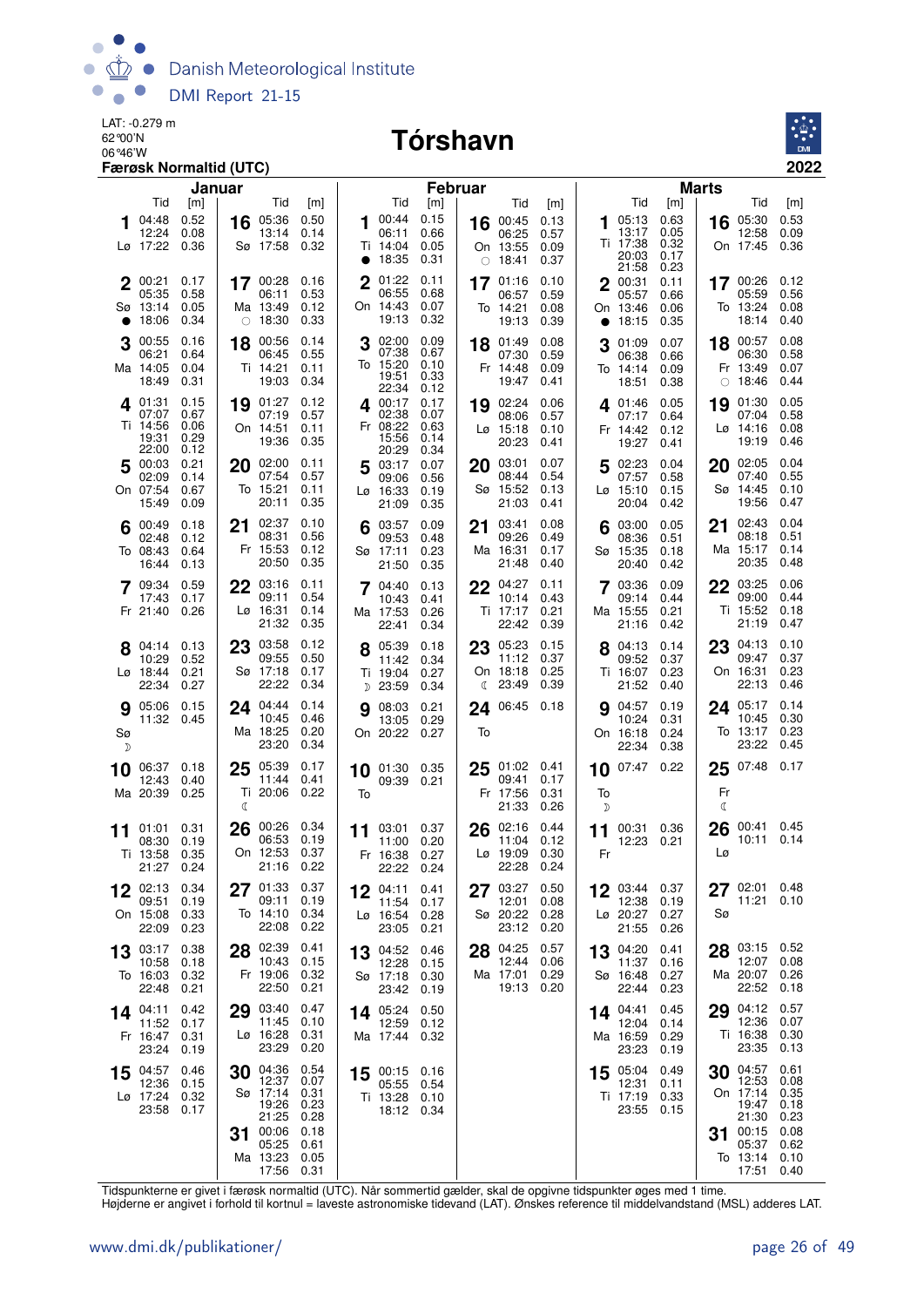

#### 06°46'W **Tórshavn**



|         |                                               | Januar                               |                                                                                                 |                                                                      |             |                                                    | <b>Februar</b>                       |                    |                                                 |                              |           |                                              |                                      | <b>Marts</b>  |                                                                                     |                                                                      |
|---------|-----------------------------------------------|--------------------------------------|-------------------------------------------------------------------------------------------------|----------------------------------------------------------------------|-------------|----------------------------------------------------|--------------------------------------|--------------------|-------------------------------------------------|------------------------------|-----------|----------------------------------------------|--------------------------------------|---------------|-------------------------------------------------------------------------------------|----------------------------------------------------------------------|
|         | Tid                                           | [m]                                  | Tid                                                                                             | [m]                                                                  |             | Tid                                                | [m]                                  |                    | Tid                                             | [m]                          |           | Tid                                          | [m]                                  |               | Tid                                                                                 | [m]                                                                  |
|         | 04:48<br>12:24<br>Lø 17:22                    | 0.52<br>0.08<br>0.36                 | 05:36<br>16<br>13:14<br>Sø 17:58                                                                | 0.50<br>0.14<br>0.32                                                 | $\bullet$   | 00:44<br>06:11<br>Ti 14:04<br>18:35                | 0.15<br>0.66<br>0.05<br>0.31         | 16                 | 00:45<br>06:25<br>On 13:55<br>$\circ$ 18:41     | 0.13<br>0.57<br>0.09<br>0.37 | 1         | 05:13<br>13:17<br>Ti 17:38<br>20:03<br>21:58 | 0.63<br>0.05<br>0.32<br>0.17<br>0.23 | 16            | 05:30<br>12:58<br>On 17:45                                                          | 0.53<br>0.09<br>0.36                                                 |
|         | 00:21<br>05:35<br>Sø 13:14<br>18:06           | 0.17<br>0.58<br>0.05<br>0.34         | 17 00:28<br>06:11<br>Ma 13:49<br>$\circ$ 18:30                                                  | 0.16<br>0.53<br>0.12<br>0.33                                         | $\mathbf 2$ | 01:22<br>06:55<br>On 14:43<br>19:13                | 0.11<br>0.68<br>0.07<br>0.32         |                    | 17 01:16<br>06:57<br>To 14:21<br>19:13          | 0.10<br>0.59<br>0.08<br>0.39 | $\bullet$ | 2 00:31<br>05:57<br>On 13:46<br>18:15        | 0.11<br>0.66<br>0.06<br>0.35         |               | 17 00:26<br>05:59<br>To 13:24<br>18:14                                              | 0.12<br>0.56<br>0.08<br>0.40                                         |
|         | 00:55<br>06:21<br>Ma 14:05<br>18:49           | 0.16<br>0.64<br>0.04<br>0.31         | 00:56<br>18<br>06:45<br>Ti 14:21<br>19:03                                                       | 0.14<br>0.55<br>0.11<br>0.34                                         | 3           | 02:00<br>07:38<br>To 15:20<br>19:51<br>22:34       | 0.09<br>0.67<br>0.10<br>0.33<br>0.12 | 18                 | 01:49<br>07:30<br>Fr 14:48<br>19:47             | 0.08<br>0.59<br>0.09<br>0.41 | 3         | 01:09<br>06:38<br>To 14:14<br>18:51          | 0.07<br>0.66<br>0.09<br>0.38         | 18<br>0       | 00:57<br>06:30<br>Fr 13:49<br>18:46                                                 | 0.08<br>0.58<br>0.07<br>0.44                                         |
|         | 401:31<br>07:07<br>Ti 14:56<br>19:31<br>22:00 | 0.15<br>0.67<br>0.06<br>0.29<br>0.12 | 19 01:27<br>07:19<br>On 14:51<br>19:36                                                          | 0.12<br>0.57<br>0.11<br>0.35                                         |             | 400:17<br>02:38<br>Fr 08:22<br>15:56<br>20:29      | 0.17<br>0.07<br>0.63<br>0.14<br>0.34 | 19                 | 02:24<br>08:06<br>$L\varnothing$ 15:18<br>20:23 | 0.06<br>0.57<br>0.10<br>0.41 |           | 401:46<br>07:17<br>Fr 14:42<br>19:27         | 0.05<br>0.64<br>0.12<br>0.41         | 19            | 01:30<br>07:04<br>Lø 14:16<br>19:19                                                 | 0.05<br>0.58<br>0.08<br>0.46                                         |
|         | 5 00:03<br>02:09<br>On 07:54<br>15:49         | 0.21<br>0.14<br>0.67<br>0.09         | 20 02:00<br>07:54<br>To 15:21<br>20:11                                                          | 0.11<br>0.57<br>0.11<br>0.35                                         |             | 503:17<br>09:06<br>Lø 16:33<br>21:09               | 0.07<br>0.56<br>0.19<br>0.35         | 20                 | 03:01<br>08:44<br>Sø 15:52<br>21:03             | 0.07<br>0.54<br>0.13<br>0.41 |           | 502:23<br>07:57<br>Lø 15:10<br>20:04         | 0.04<br>0.58<br>0.15<br>0.42         | 20            | 02:05<br>07:40<br>Sø 14:45<br>19:56                                                 | 0.04<br>0.55<br>0.10<br>0.47                                         |
|         | 00:49<br>02:48<br>To 08:43<br>16:44           | 0.18<br>0.12<br>0.64<br>0.13         | 02:37<br>21<br>08:31<br>Fr 15:53<br>20:50                                                       | 0.10<br>0.56<br>0.12<br>0.35                                         |             | 03:57<br>09:53<br>Sø 17:11<br>21:50                | 0.09<br>0.48<br>0.23<br>0.35         | 21                 | 03:41<br>09:26<br>Ma 16:31<br>21:48             | 0.08<br>0.49<br>0.17<br>0.40 | 6         | 03:00<br>08:36<br>Sø 15:35<br>20:40          | 0.05<br>0.51<br>0.18<br>0.42         | 21            | 02:43<br>08:18<br>Ma 15:17<br>20:35                                                 | 0.04<br>0.51<br>0.14<br>0.48                                         |
|         | 09:34<br>17:43<br>Fr 21:40                    | 0.59<br>0.17<br>0.26                 | 22 03:16<br>09:11<br>Lø 16:31<br>21:32                                                          | 0.11<br>0.54<br>0.14<br>0.35                                         |             | 7 04:40<br>10:43<br>Ma 17:53<br>22:41              | 0.13<br>0.41<br>0.26<br>0.34         |                    | 22 04:27<br>10:14<br>Ti 17:17<br>22:42          | 0.11<br>0.43<br>0.21<br>0.39 |           | 7 03:36<br>09:14<br>Ma 15:55<br>21:16        | 0.09<br>0.44<br>0.21<br>0.42         | 22            | 03:25<br>09:00<br>Ti 15:52<br>21:19                                                 | 0.06<br>0.44<br>0.18<br>0.47                                         |
|         | 04:14<br>10:29<br>$Lg$ 18:44<br>22:34         | 0.13<br>0.52<br>0.21<br>0.27         | 03:58<br>23<br>09:55<br>Sø 17:18<br>22:22                                                       | 0.12<br>0.50<br>0.17<br>0.34                                         |             | 05:39<br>11:42<br>Ti 19:04<br>D 23:59              | 0.18<br>0.34<br>0.27<br>0.34         | 23<br>$\mathbb{C}$ | 05:23<br>11:12<br>On 18:18<br>23:49             | 0.15<br>0.37<br>0.25<br>0.39 |           | 04:13<br>09:52<br>Ti 16:07<br>21:52          | 0.14<br>0.37<br>0.23<br>0.40         | 23            | 04:13<br>09:47<br>On 16:31<br>22:13                                                 | 0.10<br>0.37<br>0.23<br>0.46                                         |
| Sø<br>D | 9 05:06<br>11:32 0.45                         | 0.15                                 | 24 04:44<br>10:45<br>Ma 18:25<br>23:20                                                          | 0.14<br>0.46<br>0.20<br>0.34                                         | a           | 08:03<br>13:05<br>On 20:22 0.27                    | 0.21<br>0.29                         | To                 | 24 06:45 0.18                                   |                              |           | <b>9</b> 04:57<br>10:24<br>On 16:18<br>22:34 | 0.19<br>0.31<br>0.24<br>0.38         |               | 24 05:17<br>10:45<br>To 13:17<br>23:22                                              | 0.14<br>0.30<br>0.23<br>0.45                                         |
| 10      | 06:37<br>12:43<br>Ma 20:39                    | 0.18<br>0.40<br>0.25                 | 05:39<br>25<br>11:44<br>Ti 20:06<br>ℭ                                                           | 0.17<br>0.41<br>0.22                                                 | 10<br>To    | 01:30 0.35<br>09:39 0.21                           |                                      | 25                 | 01:02<br>09:41<br>Fr 17:56<br>21:33             | 0.41<br>0.17<br>0.31<br>0.26 | To<br>D   | $10^{07:47}$                                 | 0.22                                 | 25<br>Fr<br>ℂ | 07:48                                                                               | 0.17                                                                 |
| 11      | 01:01<br>08:30<br>Ti 13:58<br>21:27           | 0.31<br>0.19<br>0.35<br>0.24         | 26<br>06:53<br>On 12:53                                                                         | 00:26 0.34<br>0.19<br>0.37<br>21:16 0.22                             | 11          | 03:01<br>11:00<br>Fr 16:38<br>22:22                | 0.37<br>0.20<br>0.27<br>0.24         | 26                 | 02:16<br>11:04<br>$L\varnothing$ 19:09<br>22:28 | 0.44<br>0.12<br>0.30<br>0.24 | Fr        | 11 00:31 0.36<br>12:23                       | 0.21                                 | 26<br>Lø      | 00:41 0.45<br>10:11 0.14                                                            |                                                                      |
| 12      | 02:13<br>09:51<br>On 15:08<br>22:09           | 0.34<br>0.19<br>0.33<br>0.23         | 01:33<br>27<br>09:11<br>To 14:10<br>22:08                                                       | 0.37<br>0.19<br>0.34<br>0.22                                         | 12          | 04:11<br>11:54<br>Lø 16:54<br>23:05                | 0.41<br>0.17<br>0.28<br>0.21         | 27                 | 03:27<br>12:01<br>Sø 20:22<br>23:12             | 0.50<br>0.08<br>0.28<br>0.20 | 12        | 03:44<br>12:38<br>Lø 20:27<br>21:55          | 0.37<br>0.19<br>0.27<br>0.26         | 27<br>Sø      | 02:01<br>11:21                                                                      | 0.48<br>0.10                                                         |
| 13      | 03:17<br>10:58<br>To 16:03<br>22:48           | 0.38<br>0.18<br>0.32<br>0.21         | 28 02:39<br>10:43<br>Fr 19:06<br>22:50                                                          | 0.41<br>0.15<br>0.32<br>0.21                                         | 13          | 04:52<br>12:28<br>Sø 17:18 0.30<br>23:42           | 0.46<br>0.15<br>0.19                 | 28                 | 04:25<br>12:44<br>Ma 17:01<br>19:13             | 0.57<br>0.06<br>0.29<br>0.20 | 13        | 04:20<br>11:37<br>Sø 16:48<br>22:44          | 0.41<br>0.16<br>0.27<br>0.23         | 28            | 03:15 0.52<br>12:07<br>Ma 20:07<br>22:52                                            | 0.08<br>0.26<br>0.18                                                 |
|         | 14 04:11<br>11:52<br>Fr 16:47<br>23:24        | 0.42<br>0.17<br>0.31<br>0.19         | 03:40<br>29<br>11:45<br>Lø 16:28<br>23:29                                                       | 0.47<br>0.10<br>0.31<br>0.20                                         | 14          | 05:24<br>12:59<br>Ma 17:44 0.32                    | 0.50<br>0.12                         |                    |                                                 |                              | 14.       | 04:41<br>12:04<br>Ma 16:59<br>23:23          | 0.45<br>0.14<br>0.29<br>0.19         | 29            | 04:12<br>12:36<br>Ti 16:38<br>23:35                                                 | 0.57<br>0.07<br>0.30<br>0.13                                         |
| 15      | 04:57<br>12:36<br>Lø 17:24<br>23:58           | 0.46<br>0.15<br>0.32<br>0.17         | 04:36<br>30<br>12:37<br>Sø 17:14<br>19:26<br>21:25<br>00:06<br>31<br>05:25<br>Ma 13:23<br>17:56 | 0.54<br>0.07<br>0.31<br>0.23<br>0.28<br>0.18<br>0.61<br>0.05<br>0.31 | 15          | 00:15 0.16<br>05:55<br>Ti 13:28 0.10<br>18:12 0.34 | 0.54                                 |                    |                                                 |                              |           | 15 05:04<br>12:31<br>Ti 17:19<br>23:55       | 0.49<br>0.11<br>0.33<br>0.15         | 30<br>31      | 04:57<br>12:53<br>On 17:14<br>19:47<br>21:30<br>00:15<br>05:37<br>To 13:14<br>17:51 | 0.61<br>0.08<br>0.35<br>0.18<br>0.23<br>0.08<br>0.62<br>0.10<br>0.40 |

Tidspunkterne er givet i færøsk normaltid (UTC). Når sommertid gælder, skal de opgivne tidspunkter øges med 1 time.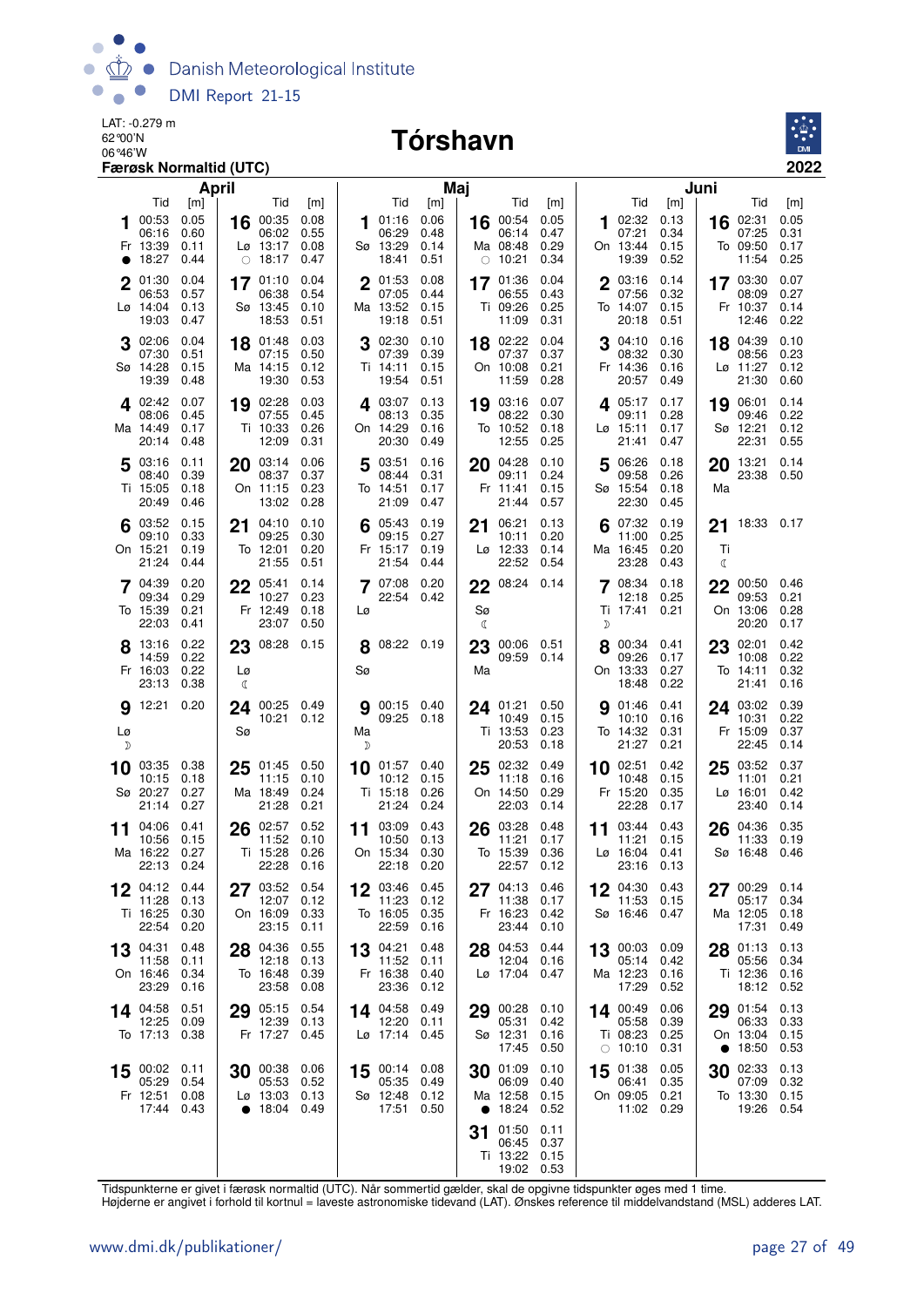

# **CARE-0.279 m**<br>62 90'N **Tórshavn**



| April                                                                                   |                                                                                                 |                                                                                        | Maj                                                                                             |                                                                                        | Juni                                                                                    |
|-----------------------------------------------------------------------------------------|-------------------------------------------------------------------------------------------------|----------------------------------------------------------------------------------------|-------------------------------------------------------------------------------------------------|----------------------------------------------------------------------------------------|-----------------------------------------------------------------------------------------|
| Tid<br>[m]<br>00:53<br>0.05<br>16<br>06:16<br>0.60<br>Fr 13:39<br>0.11<br>18:27<br>0.44 | Tid<br>[m]<br>00:35<br>0.08<br>0.55<br>06:02<br>Lø 13:17<br>0.08<br>18:17<br>0.47<br>$\bigcirc$ | Tid<br>[m]<br>01:16<br>0.06<br>1<br>06:29<br>0.48<br>Sø 13:29<br>0.14<br>18:41<br>0.51 | Tid<br>[m]<br>0.05<br>16 00:54<br>06:14<br>0.47<br>0.29<br>Ma 08:48<br>10:21<br>0.34<br>$\circ$ | Tid<br>[m]<br>02:32<br>0.13<br>1<br>07:21<br>0.34<br>On 13:44<br>0.15<br>19:39<br>0.52 | Tid<br>[m]<br>02:31<br>0.05<br>16<br>07:25<br>0.31<br>To 09:50<br>0.17<br>11:54<br>0.25 |
| 01:30<br>0.04<br>06:53<br>0.57<br>Lø 14:04<br>0.13<br>19:03<br>0.47                     | 17 01:10<br>0.04<br>06:38<br>0.54<br>Sø 13:45<br>0.10<br>18:53<br>0.51                          | 0.08<br>2 01:53<br>07:05<br>0.44<br>Ma 13:52<br>0.15<br>19:18<br>0.51                  | 0.04<br>17 01:36<br>06:55<br>0.43<br>Ti 09:26<br>0.25<br>11:09<br>0.31                          | 2 03:16<br>0.14<br>07:56<br>0.32<br>To 14:07<br>0.15<br>20:18<br>0.51                  | 0.07<br>17 03:30<br>0.27<br>08:09<br>Fr 10:37<br>0.14<br>12:46<br>0.22                  |
| 02:06<br>0.04<br>18<br>07:30<br>0.51<br>Sø 14:28<br>0.15<br>19:39<br>0.48               | 01:48<br>0.03<br>07:15<br>0.50<br>Ma 14:15<br>0.12<br>19:30<br>0.53                             | 02:30<br>0.10<br>3<br>07:39<br>0.39<br>Ti 14:11<br>0.15<br>19:54<br>0.51               | 18 02:22<br>0.04<br>07:37<br>0.37<br>On 10:08<br>0.21<br>11:59<br>0.28                          | 04:10<br>0.16<br>3<br>08:32<br>0.30<br>Fr 14:36<br>0.16<br>20:57<br>0.49               | 18 04:39<br>0.10<br>08:56<br>0.23<br>$Lg$ 11:27<br>0.12<br>21:30<br>0.60                |
| 402:42<br>0.07<br>08:06<br>0.45<br>Ma 14:49<br>0.17<br>20:14<br>0.48                    | 19 02:28<br>0.03<br>07:55<br>0.45<br>Ti 10:33<br>0.26<br>12:09<br>0.31                          | 403:07<br>0.13<br>08:13<br>0.35<br>On 14:29<br>0.16<br>20:30<br>0.49                   | 03:16<br>0.07<br>19<br>08:22<br>0.30<br>To 10:52<br>0.18<br>12:55<br>0.25                       | 405:17<br>0.17<br>09:11<br>0.28<br>Lø 15:11<br>0.17<br>21:41<br>0.47                   | 06:01<br>0.14<br>19<br>0.22<br>09:46<br>Sø 12:21<br>0.12<br>22:31<br>0.55               |
| 03:16<br>0.11<br>20<br>0.39<br>08:40<br>Ti 15:05<br>0.18<br>20:49<br>0.46               | 03:14<br>0.06<br>08:37<br>0.37<br>On 11:15<br>0.23<br>13:02<br>0.28                             | 03:51<br>0.16<br>5<br>08:44<br>0.31<br>To 14:51<br>0.17<br>21:09<br>0.47               | 04:28<br>0.10<br>20<br>09:11<br>0.24<br>Fr 11:41<br>0.15<br>21:44<br>0.57                       | 06:26<br>0.18<br>5<br>09:58<br>0.26<br>Sø 15:54<br>0.18<br>22:30<br>0.45               | 13:21<br>0.14<br>20<br>23:38<br>0.50<br>Ma                                              |
| $6^{03:52}$<br>0.15<br>21<br>0.33<br>09:10<br>On 15:21<br>0.19<br>21:24<br>0.44         | 04:10<br>0.10<br>09:25<br>0.30<br>To 12:01<br>0.20<br>21:55<br>0.51                             | 05:43<br>0.19<br>0.27<br>09:15<br>Fr 15:17<br>0.19<br>21:54<br>0.44                    | 06:21<br>0.13<br>21<br>0.20<br>10:11<br>Lø 12:33<br>0.14<br>22:52<br>0.54                       | 07:32<br>0.19<br>11:00<br>0.25<br>Ma 16:45<br>0.20<br>23:28<br>0.43                    | 18:33 0.17<br>21<br>Ti<br>ℂ                                                             |
| 04:39<br>0.20<br>22<br>0.29<br>09:34<br>To 15:39<br>0.21<br>22:03<br>0.41               | 05:41<br>0.14<br>10:27<br>0.23<br>Fr 12:49<br>0.18<br>23:07<br>0.50                             | 07:08<br>0.20<br>22:54 0.42<br>Lø                                                      | 08:24 0.14<br>22<br>Sø<br>$\mathbb{C}$                                                          | 08:34<br>0.18<br>12:18<br>0.25<br>Ti 17:41 0.21<br>D                                   | 22<br>00:50<br>0.46<br>09:53<br>0.21<br>On 13:06<br>0.28<br>20:20<br>0.17               |
| 13:16<br>0.22<br>0.22<br>14:59<br>Fr 16:03<br>0.22<br>Lø<br>23:13<br>0.38<br>₫          | 23 08:28<br>0.15                                                                                | 8 08:22 0.19<br>Sø                                                                     | 23<br>00:06   0.51<br>09:59<br>0.14<br>Ma                                                       | 8 00:34 0.41<br>09:26<br>0.17<br>On 13:33<br>0.27<br>18:48<br>0.22                     | 23<br>02:01<br>0.42<br>0.22<br>10:08<br>To 14:11<br>0.32<br>21:41<br>0.16               |
| 12:21<br>0.20<br>24<br>9<br>Sø<br>Lø<br>D                                               | 00:25 0.49<br>10:21 0.12                                                                        | 00:15 0.40<br>9<br>09:25 0.18<br>Ma<br>D                                               | 0.50<br>24 01:21<br>10:49<br>0.15<br>Ti 13:53<br>0.23<br>20:53<br>0.18                          | 01:46<br>0.41<br>9<br>10:10<br>0.16<br>To 14:32<br>0.31<br>21:27<br>0.21               | 24 03:02<br>0.39<br>0.22<br>10:31<br>Fr 15:09<br>0.37<br>22:45<br>0.14                  |
| 03:35<br>0.38<br>25<br>10<br>10:15<br>0.18<br>Sø 20:27<br>0.27<br>21:14<br>0.27         | 01:45<br>0.50<br>11:15<br>0.10<br>Ma 18:49<br>0.24<br>21:28<br>0.21                             | 01:57 0.40<br>10<br>10:12<br>0.15<br>Ti 15:18<br>0.26<br>21:24<br>0.24                 | 25 02:32<br>0.49<br>11:18<br>0.16<br>On 14:50<br>0.29<br>22:03<br>0.14                          | $10^{02:51}$<br>0.42<br>10:48<br>0.15<br>Fr 15:20<br>0.35<br>22:28<br>0.17             | 03:52<br>0.37<br>25<br>0.21<br>11:01<br>$L\varnothing$ 16:01<br>0.42<br>23:40<br>0.14   |
| 04:06<br>0.41<br>26<br>11<br>10:56<br>0.15<br>Ma 16:22<br>0.27<br>22:13 0.24            | 02:57<br>0.52<br>11:52<br>0.10<br>Ti 15:28<br>0.26<br>22:28<br>0.16                             | 03:09<br>0.43<br>11<br>10:50<br>0.13<br>On 15:34<br>0.30<br>22:18 0.20                 | 03:28<br>0.48<br>26<br>11:21<br>0.17<br>To 15:39<br>0.36<br>22:57<br>0.12                       | 03:44<br>0.43<br>11<br>11:21<br>0.15<br>$L\varnothing$ 16:04<br>0.41<br>23:16<br>0.13  | 04:36<br>0.35<br>26<br>11:33<br>0.19<br>Sø 16:48<br>0.46                                |
| 04:12 0.44<br>12<br>11:28<br>0.13<br>Ti 16:25<br>0.30<br>22:54<br>0.20                  | 03:52<br>0.54<br>0.12<br>12:07<br>On 16:09<br>0.33<br>23:15<br>0.11                             | 12<br>03:46 0.45<br>11:23<br>0.12<br>To 16:05<br>0.35<br>22:59<br>0.16                 | 27 04:13<br>0.46<br>11:38<br>0.17<br>Fr 16:23<br>0.42<br>23:44<br>0.10                          | 12 $04:30$ 0.43<br>11:53<br>0.15<br>Sø 16:46 0.47                                      | 00:29<br>0.14<br>27<br>0.34<br>05:17<br>Ma 12:05<br>0.18<br>17:31<br>0.49               |
| 04:31<br>0.48<br>28<br>13<br>11:58<br>0.11<br>On 16:46<br>0.34<br>23:29<br>0.16         | 04:36<br>0.55<br>12:18<br>0.13<br>To 16:48<br>0.39<br>23:58<br>0.08                             | 13 04:21<br>0.48<br>11:52 0.11<br>Fr 16:38<br>0.40<br>0.12<br>23:36                    | 28 04:53<br>0.44<br>12:04<br>0.16<br>Lø 17:04 0.47                                              | 13 00:03<br>0.09<br>05:14<br>0.42<br>Ma 12:23<br>0.16<br>17:29<br>0.52                 | 0.13<br>28 01:13<br>05:56<br>0.34<br>Ti 12:36 0.16<br>18:12 0.52                        |
| 14 04:58<br>0.51<br>12:25<br>0.09<br>To 17:13 0.38                                      | 29 05:15<br>0.54<br>12:39<br>0.13<br>Fr 17:27<br>0.45                                           | 14 04:58<br>0.49<br>12:20 0.11<br>Lø 17:14 0.45                                        | 00:28<br>0.10<br>29<br>05:31<br>0.42<br>Sø 12:31<br>0.16<br>17:45<br>0.50                       | 14 00:49<br>0.06<br>05:58<br>0.39<br>Ti 08:23<br>0.25<br>$\circ$ 10:10<br>0.31         | 29 01:54<br>0.13<br>06:33<br>0.33<br>On 13:04<br>0.15<br>18:50<br>0.53<br>$\bullet$     |
| 0.11<br>00:02<br>15<br>05:29<br>0.54<br>Fr 12:51<br>0.08<br>17:44 0.43                  | 0.06<br>30 00:38<br>05:53<br>0.52<br>Lø 13:03 0.13<br>$\bullet$ 18:04 0.49                      | 15 $00:14$ 0.08<br>05:35<br>0.49<br>Sø 12:48 0.12<br>17:51 0.50                        | 01:09<br>0.10<br>30<br>06:09<br>0.40<br>Ma 12:58<br>0.15<br>• $18:24$<br>0.52                   | 01:38<br>0.05<br>15<br>06:41<br>0.35<br>On 09:05 0.21<br>11:02 0.29                    | 02:33<br>0.13<br>30<br>07:09<br>0.32<br>To 13:30<br>0.15<br>19:26<br>0.54               |
|                                                                                         |                                                                                                 |                                                                                        | 01:50<br>0.11<br>31<br>06:45<br>0.37<br>Ti 13:22<br>0.15<br>19:02 0.53                          |                                                                                        |                                                                                         |

Tidspunkterne er givet i færøsk normaltid (UTC). Når sommertid gælder, skal de opgivne tidspunkter øges med 1 time.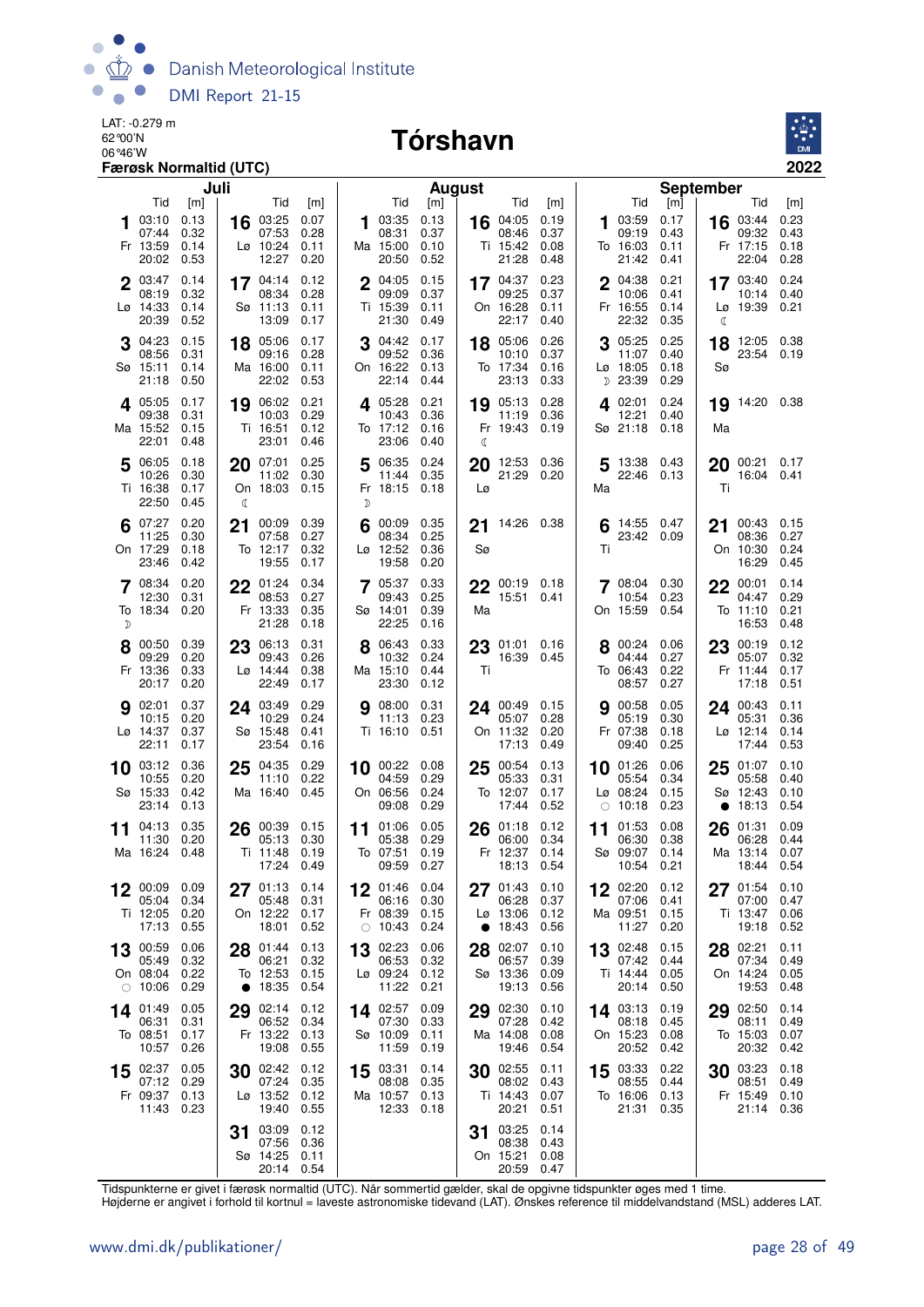

# **CARE-0.279 m**<br>62 90'N **Tórshavn**



|    |                                                         | Juli                                |         |                                                       |                                     |        |                                                                | <b>August</b>                       |          |                                                 |                                     |            |                                                    |                                     | September       |                                               |                                     |
|----|---------------------------------------------------------|-------------------------------------|---------|-------------------------------------------------------|-------------------------------------|--------|----------------------------------------------------------------|-------------------------------------|----------|-------------------------------------------------|-------------------------------------|------------|----------------------------------------------------|-------------------------------------|-----------------|-----------------------------------------------|-------------------------------------|
|    | Tid<br>03:10<br>07:44<br>Fr 13:59<br>20:02              | [m]<br>0.13<br>0.32<br>0.14<br>0.53 |         | Tid<br>$16$ 03:25<br>07:53<br>$Lg$ 10:24<br>12:27     | [m]<br>0.07<br>0.28<br>0.11<br>0.20 |        | Tid<br>03:35<br>08:31<br>Ma 15:00<br>20:50                     | [m]<br>0.13<br>0.37<br>0.10<br>0.52 |          | Tid<br>16 04:05<br>08:46<br>Ti 15:42<br>21:28   | [m]<br>0.19<br>0.37<br>0.08<br>0.48 | 1          | Tid<br>03:59<br>09:19<br>To 16:03<br>21:42         | [m]<br>0.17<br>0.43<br>0.11<br>0.41 |                 | Tid<br>16 03:44<br>09:32<br>Fr 17:15<br>22:04 | [m]<br>0.23<br>0.43<br>0.18<br>0.28 |
|    | $2^{03:47}$<br>08:19<br>Lø 14:33<br>20:39               | 0.14<br>0.32<br>0.14<br>0.52        |         | $17^{04:14}$<br>08:34<br>Sø 11:13<br>13:09            | 0.12<br>0.28<br>0.11<br>0.17        |        | 2 04:05 0.15<br>09:09<br>Ti 15:39<br>21:30                     | 0.37<br>0.11<br>0.49                |          | 17 $04:37$<br>09:25<br>On 16:28<br>22:17        | 0.23<br>0.37<br>0.11<br>0.40        |            | 2 04:38<br>10:06<br>Fr 16:55<br>22:32              | 0.21<br>0.41<br>0.14<br>0.35        | ℂ               | 17 03:40 0.24<br>10:14<br>Lø 19:39 0.21       | 0.40                                |
|    | 04:23<br>08:56<br>Sø 15:11<br>21:18                     | 0.15<br>0.31<br>0.14<br>0.50        |         | 18 05:06<br>09:16<br>Ma 16:00<br>22:02                | 0.17<br>0.28<br>0.11<br>0.53        | 3      | 04:42<br>09:52<br>On 16:22<br>22:14                            | 0.17<br>0.36<br>0.13<br>0.44        |          | 18 05:06<br>10:10<br>To 17:34<br>23:13          | 0.26<br>0.37<br>0.16<br>0.33        |            | 05:25<br>11:07<br>Lø 18:05<br>D 23:39              | 0.25<br>0.40<br>0.18<br>0.29        | 18<br>Sø        | 12:05 0.38<br>23:54 0.19                      |                                     |
|    | 405:05<br>09:38<br>Ma 15:52<br>22:01                    | 0.17<br>0.31<br>0.15<br>0.48        |         | 19 06:02<br>10:03<br>Ti 16:51<br>23:01                | 0.21<br>0.29<br>0.12<br>0.46        |        | 405:28<br>10:43<br>To 17:12<br>23:06                           | 0.21<br>0.36<br>0.16<br>0.40        | ℂ        | 19 05:13<br>11:19<br>Fr 19:43                   | 0.28<br>0.36<br>0.19                |            | 4 02:01<br>12:21<br>Sø 21:18                       | 0.24<br>0.40<br>0.18                | 19<br>Ma        | 14:20 0.38                                    |                                     |
|    | 5 06:05<br>10:26<br>Ti 16:38<br>22:50                   | 0.18<br>0.30<br>0.17<br>0.45        | 20<br>€ | 07:01<br>11:02<br>On 18:03 0.15                       | 0.25<br>0.30                        | 5<br>D | 06:35 0.24<br>11:44<br>Fr 18:15 0.18                           | 0.35                                | 20<br>Lø | 12:53 0.36<br>21:29 0.20                        |                                     | 5<br>Ma    | 13:38 0.43<br>22:46 0.13                           |                                     | 20<br>Τi        | 00:21 0.17<br>16:04 0.41                      |                                     |
|    | 6 $07:27$<br>11:25<br>On 17:29<br>23:46                 | 0.20<br>0.30<br>0.18<br>0.42        | 21      | 00:09<br>07:58<br>To 12:17<br>19:55                   | 0.39<br>0.27<br>0.32<br>0.17        |        | 00:09 0.35<br>08:34<br>Lø 12:52<br>19:58                       | 0.25<br>0.36<br>0.20                | Sø       | 21 14:26 0.38                                   |                                     | 6<br>Τi    | 14:55 0.47<br>23:42 0.09                           |                                     | 21              | 00:43 0.15<br>08:36<br>On 10:30<br>16:29      | 0.27<br>0.24<br>0.45                |
| D  | 08:34<br>12:30<br>To 18:34 0.20                         | 0.20<br>0.31                        | 22      | 01:24<br>08:53<br>Fr 13:33<br>21:28                   | 0.34<br>0.27<br>0.35<br>0.18        |        | 05:37<br>09:43<br>Sø 14:01<br>22:25                            | 0.33<br>0.25<br>0.39<br>0.16        | Ma       | $22^{00:19}$ 0.18<br>15:51                      | 0.41                                |            | 7 08:04 0.30<br>10:54<br>On 15:59 0.54             | 0.23                                | 22              | 00:01<br>04:47<br>To 11:10<br>16:53           | 0.14<br>0.29<br>0.21<br>0.48        |
|    | 8 00:50<br>09:29<br>Fr 13:36<br>20:17                   | 0.39<br>0.20<br>0.33<br>0.20        |         | 23 06:13<br>09:43<br>$Lg$ 14:44<br>22:49              | 0.31<br>0.26<br>0.38<br>0.17        |        | 8 06:43<br>10:32<br>Ma 15:10<br>23:30                          | 0.33<br>0.24<br>0.44<br>0.12        | Τi       | $23\,01:01\,0.16$<br>16:39 0.45                 |                                     |            | 8 00:24 0.06<br>04:44<br>To 06:43<br>08:57         | 0.27<br>0.22<br>0.27                |                 | 23 00:19<br>05:07<br>Fr 11:44<br>17:18        | 0.12<br>0.32<br>0.17<br>0.51        |
|    | 902:01<br>10:15<br>Lø 14:37<br>22:11                    | 0.37<br>0.20<br>0.37<br>0.17        |         | 24 03:49<br>10:29<br>Sø 15:48<br>23:54                | 0.29<br>0.24<br>0.41<br>0.16        | 9      | 08:00<br>11:13<br>Ti 16:10 0.51                                | 0.31<br>0.23                        |          | 24 00:49<br>05:07<br>On 11:32<br>17:13          | 0.15<br>0.28<br>0.20<br>0.49        | 9          | 00:58<br>05:19<br>Fr 07:38<br>09:40                | 0.05<br>0.30<br>0.18<br>0.25        |                 | 24 00:43<br>05:31<br>Lø 12:14<br>17:44        | 0.11<br>0.36<br>0.14<br>0.53        |
|    | $10^{03:12}$<br>10:55<br>Sø 15:33<br>23:14              | 0.36<br>0.20<br>0.42<br>0.13        | 25      | 04:35<br>11:10<br>Ma 16:40                            | 0.29<br>0.22<br>0.45                |        | 10 00:22 0.08<br>04:59<br>On 06:56<br>09:08                    | 0.29<br>0.24<br>0.29                |          | 25 00:54<br>05:33<br>To 12:07<br>17:44          | 0.13<br>0.31<br>0.17<br>0.52        | $\bigcirc$ | 10 01:26<br>05:54<br>Lø 08:24<br>10:18             | 0.06<br>0.34<br>0.15<br>0.23        | 25<br>$\bullet$ | 01:07<br>05:58<br>Sø 12:43<br>18:13           | 0.10<br>0.40<br>0.10<br>0.54        |
| 11 | 04:13<br>11:30<br>Ma 16:24 0.48                         | 0.35<br>0.20                        | 26      | 00:39 0.15<br>05:13<br>Ti 11:48<br>17:24              | 0.30<br>0.19<br>0.49                | 11     | 01:06<br>05:38<br>To 07:51<br>09:59                            | 0.05<br>0.29<br>0.19<br>0.27        | 26       | 01:18<br>06:00<br>Fr 12:37<br>18:13             | 0.12<br>0.34<br>0.14<br>0.54        | 11         | 01:53<br>06:30<br>Sø 09:07<br>10:54                | 0.08<br>0.38<br>0.14<br>0.21        | 26              | 01:31<br>06:28<br>Ma 13:14<br>18:44           | 0.09<br>0.44<br>0.07<br>0.54        |
| 12 | 00:09 0.09<br>05:04<br>Ti 12:05<br>17:13                | 0.34<br>0.20<br>0.55                |         | 27 $01:13$ 0.14<br>05:48<br>On 12:22 0.17<br>18:01    | 0.31<br>0.52                        | 12     | 01:46 0.04<br>06:16<br>Fr 08:39 0.15<br>$\circ$ 10:43 0.24     | 0.30                                | 27       | 01:43<br>06:28<br>$L\varnothing$ 13:06<br>18:43 | 0.10<br>0.37<br>0.12<br>0.56        |            | 12 02:20 0.12<br>07:06<br>Ma 09:51<br>11:27        | 0.41<br>0.15<br>0.20                |                 | 27 01:54<br>07:00<br>Ti 13:47<br>19:18        | 0.10<br>0.47<br>0.06<br>0.52        |
| 13 | 00:59<br>05:49<br>On 08:04 0.22<br>$\circ$ 10:06        | 0.06<br>0.32<br>0.29                | 28      | 01:44<br>06:21<br>To 12:53<br>• $18:35$               | 0.13<br>0.32<br>0.15<br>0.54        | 13     | 02:23<br>06:53 0.32<br>$L\varnothing$ 09:24 0.12<br>11:22 0.21 | 0.06                                | 28       | 02:07<br>06:57<br>Sø 13:36<br>19:13             | 0.10<br>0.39<br>0.09<br>0.56        |            | 13 02:48<br>07:42<br>Ti 14:44<br>20:14             | 0.15<br>0.44<br>0.05<br>0.50        | 28              | 02:21<br>07:34<br>On 14:24<br>19:53           | 0.11<br>0.49<br>0.05<br>0.48        |
|    | 14 01:49<br>06:31<br>To 08:51<br>10:57                  | 0.05<br>0.31<br>0.17<br>0.26        |         | 29 02:14 0.12<br>06:52 0.34<br>Fr 13:22 0.13<br>19:08 | 0.55                                |        | 14 02:57<br>07:30<br>Sø 10:09<br>11:59                         | 0.09<br>0.33<br>0.11<br>0.19        |          | 29 02:30<br>07:28<br>Ma 14:08<br>19:46          | 0.10<br>0.42<br>0.08<br>0.54        |            | 14 03:13 0.19<br>08:18<br>On 15:23<br>20:52        | 0.45<br>0.08<br>0.42                |                 | 29 02:50<br>08:11<br>To 15:03<br>20:32        | 0.14<br>0.49<br>0.07<br>0.42        |
| 15 | 02:37 0.05<br>07:12 0.29<br>Fr 09:37 0.13<br>11:43 0.23 |                                     | 30      | 02:42 0.12<br>07:24<br>Lø 13:52 0.12<br>19:40         | 0.35<br>0.55                        | 15     | 03:31<br>08:08<br>Ma 10:57 0.13<br>12:33 0.18                  | 0.14<br>0.35                        |          | 30 02:55<br>08:02<br>Ti 14:43<br>20:21          | 0.11<br>0.43<br>0.07<br>0.51        | 15         | 03:33 0.22<br>08:55 0.44<br>To 16:06 0.13<br>21:31 | 0.35                                | 30              | 03:23<br>08:51<br>Fr 15:49 0.10<br>21:14      | 0.18<br>0.49<br>0.36                |
|    |                                                         |                                     | 31      | 03:09<br>07:56<br>Sø 14:25<br>20:14 0.54              | 0.12<br>0.36<br>0.11                |        |                                                                |                                     |          | 31 03:25<br>08:38<br>On 15:21<br>20:59          | 0.14<br>0.43<br>0.08<br>0.47        |            |                                                    |                                     |                 |                                               |                                     |

Tidspunkterne er givet i færøsk normaltid (UTC). Når sommertid gælder, skal de opgivne tidspunkter øges med 1 time.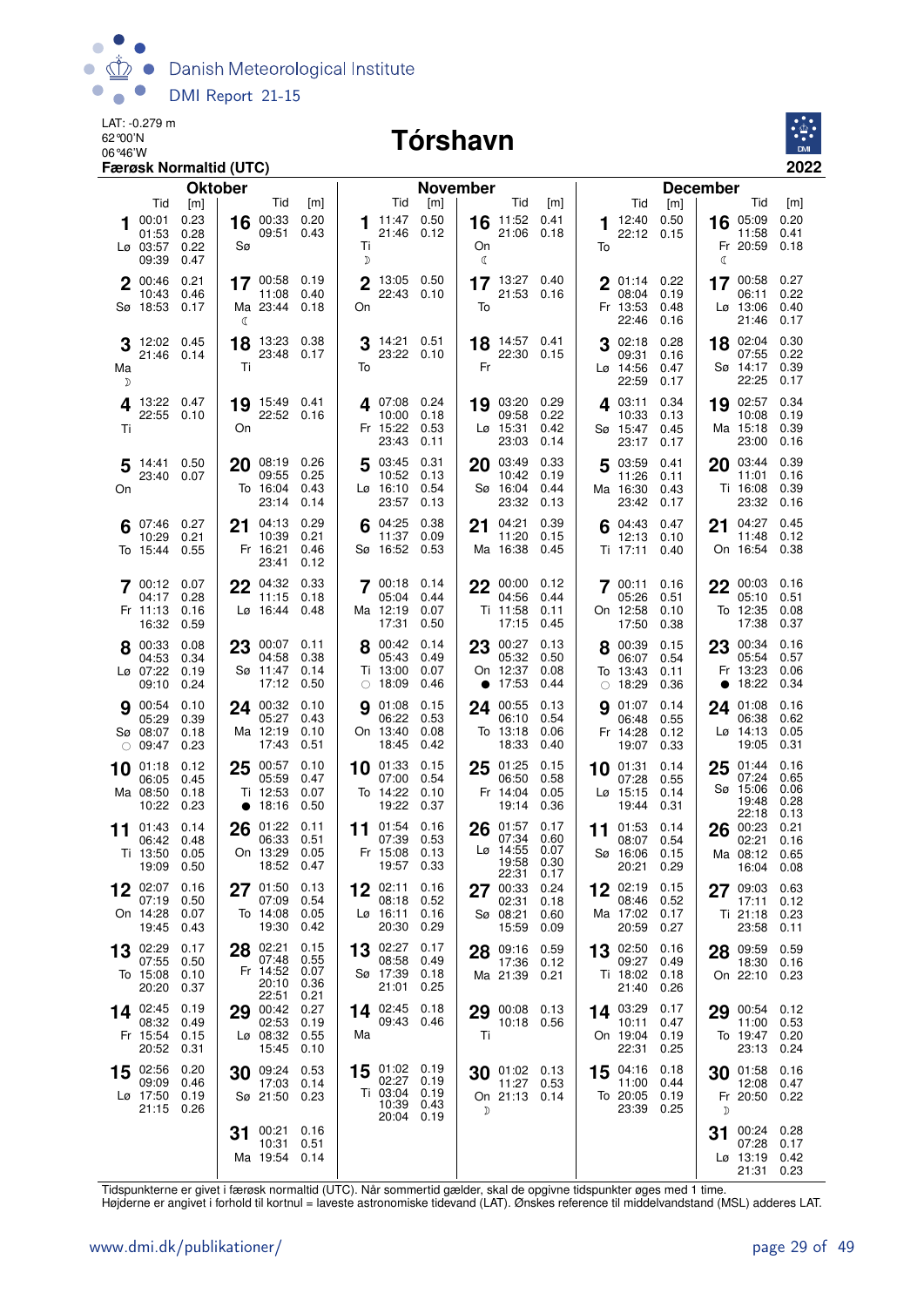

#### 06°46'W **Tórshavn**



|    |                          | Færøsk Normaltid (UTC) |                |                           |              |         |                          |                 |                    |                            |              |    |                             |              |                 |                     | 2022         |
|----|--------------------------|------------------------|----------------|---------------------------|--------------|---------|--------------------------|-----------------|--------------------|----------------------------|--------------|----|-----------------------------|--------------|-----------------|---------------------|--------------|
|    |                          |                        | <b>Oktober</b> |                           |              |         |                          | <b>November</b> |                    |                            |              |    |                             |              | <b>December</b> |                     |              |
|    | Tid                      | [m]                    |                | Tid                       | [m]          |         | Tid                      | [m]             |                    | Tid                        | [m]          |    | Tid                         | [m]          |                 | Tid                 | [m]          |
| 1  | 00:01<br>01:53           | 0.23<br>0.28           | 16             | 00:33<br>09:51            | 0.20<br>0.43 | 1       | 11:47 0.50<br>21:46 0.12 |                 |                    | $16^{11:52}$<br>21:06 0.18 | 0.41         | 1  | 12:40<br>22:12 0.15         | 0.50         |                 | 16 05:09<br>11:58   | 0.20<br>0.41 |
|    | Lø 03:57<br>09:39        | 0.22<br>0.47           | Sø             |                           |              | Τi<br>D |                          |                 | On<br>$\mathbb{C}$ |                            |              | To |                             |              | ℂ               | Fr 20:59            | 0.18         |
|    | 00:46                    | 0.21                   |                | 17 00:58 0.19             |              |         | <b>2</b> 13:05 0.50      |                 |                    | 17 $13:27$ 0.40            |              |    | $2^{01:14}$                 | 0.22         |                 | 17 00:58            | 0.27         |
|    | 10:43<br>Sø 18:53        | 0.46<br>0.17           |                | 11:08<br>Ma 23:44 0.18    | 0.40         | On      | 22:43 0.10               |                 | To                 | 21:53 0.16                 |              |    | 08:04<br>Fr 13:53           | 0.19<br>0.48 |                 | 06:11<br>Lø 13:06   | 0.22<br>0.40 |
|    |                          |                        | ℭ              |                           |              |         |                          |                 |                    |                            |              |    | 22:46                       | 0.16         |                 | 21:46               | 0.17         |
|    | 12:02 0.45               |                        | 18             | 13:23 0.38                |              |         | 14:21  0.51              |                 | 18                 |                            |              |    | 202:18                      | 0.28         |                 | 18 02:04            | 0.30         |
| Ma | 21:46 0.14               |                        | Τi             | 23:48 0.17                |              | To      | 23:22 0.10               |                 | Fr                 | 22:30 0.15                 |              |    | 09:31<br>Lø 14:56           | 0.16<br>0.47 |                 | 07:55<br>Sø 14:17   | 0.22<br>0.39 |
| D  |                          |                        |                |                           |              |         |                          |                 |                    |                            |              |    | 22:59                       | 0.17         |                 | 22:25               | 0.17         |
|    | 4 13:22 0.47             |                        |                | 19 15:49 0.41             |              |         | 4 07:08 0.24             |                 |                    | 19 03:20                   | 0.29         |    | 4 03:11                     | 0.34         |                 | 19 02:57            | 0.34         |
| Τi | 22:55 0.10               |                        | On             | 22:52 0.16                |              |         | 10:00<br>Fr 15:22 0.53   | 0.18            |                    | 09:58<br>Lø 15:31          | 0.22<br>0.42 |    | 10:33<br>Sø 15:47           | 0.13<br>0.45 |                 | 10:08<br>Ma 15:18   | 0.19<br>0.39 |
|    |                          |                        |                |                           |              |         | 23:43                    | 0.11            |                    | 23:03                      | 0.14         |    | 23:17                       | 0.17         |                 | 23:00               | 0.16         |
| 5  | 14:41 0.50               |                        |                | 20 08:19 0.26             |              | 5       | 03:45 0.31               |                 |                    | 20 03:49                   | 0.33         |    | 03:59 0.41                  |              |                 | 20 03:44            | 0.39         |
| On | 23:40 0.07               |                        |                | 09:55<br>To 16:04         | 0.25<br>0.43 |         | 10:52<br>Lø 16:10        | 0.13<br>0.54    |                    | 10:42<br>Sø 16:04          | 0.19<br>0.44 |    | 11:26<br>Ma 16:30           | 0.11<br>0.43 |                 | 11:01<br>Ti 16:08   | 0.16<br>0.39 |
|    |                          |                        |                | 23:14                     | 0.14         |         | 23:57 0.13               |                 |                    | 23:32                      | 0.13         |    | 23:42                       | 0.17         |                 | 23:32               | 0.16         |
|    | 07:46 0.27               |                        | 21             | 04:13                     | 0.29         |         | 04:25                    | 0.38            | 21                 | 04:21                      | 0.39         |    | 04:43                       | 0.47         |                 | 21 04:27            | 0.45         |
|    | 10:29<br>To 15:44        | 0.21<br>0.55           |                | 10:39<br>Fr 16:21         | 0.21<br>0.46 |         | 11:37<br>Sø 16:52 0.53   | 0.09            |                    | 11:20<br>Ma 16:38          | 0.15<br>0.45 |    | 12:13<br>Ti 17:11           | 0.10<br>0.40 |                 | 11:48<br>On 16:54   | 0.12<br>0.38 |
|    |                          |                        |                | 23:41                     | 0.12         |         |                          |                 |                    |                            |              |    |                             |              |                 |                     |              |
|    | 700:12                   | 0.07                   |                | 22 04:32<br>11:15         | 0.33         |         | 7 00:18 0.14             |                 |                    | 22 00:00                   | 0.12         |    | 700:11                      | 0.16         |                 | 22 00:03            | 0.16         |
|    | 04:17<br>Fr 11:13        | 0.28<br>0.16           |                | $L\varnothing$ 16:44 0.48 | 0.18         |         | 05:04<br>Ma 12:19        | 0.44<br>0.07    |                    | 04:56<br>Ti 11:58          | 0.44<br>0.11 |    | 05:26<br>On 12:58           | 0.51<br>0.10 |                 | 05:10<br>To 12:35   | 0.51<br>0.08 |
|    | 16:32                    | 0.59                   |                |                           |              |         | 17:31                    | 0.50            |                    | 17:15                      | 0.45         |    | 17:50                       | 0.38         |                 | 17:38               | 0.37         |
|    | 8 00:33<br>04:53         | 0.08                   |                | 23 00:07<br>04:58         | 0.11<br>0.38 |         | 00:42<br>05:43           | 0.14<br>0.49    | 23                 | 00:27<br>05:32             | 0.13<br>0.50 |    | 8 00:39<br>06:07            | 0.15<br>0.54 |                 | 23 00:34<br>05:54   | 0.16<br>0.57 |
|    | Lø 07:22                 | 0.34<br>0.19           |                | Sø 11:47                  | 0.14         |         | Ti 13:00                 | 0.07            |                    | On 12:37                   | 0.08         |    | To 13:43                    | 0.11         |                 | Fr 13:23            | 0.06         |
|    | 09:10                    | 0.24                   |                | 17:12                     | 0.50         |         | $\circ$ 18:09            | 0.46            |                    | $\bullet$ 17:53            | 0.44         |    | $\circ$ 18:29               | 0.36         | $\bullet$       | 18:22               | 0.34         |
|    | <b>9</b> 00:54<br>05:29  | 0.10<br>0.39           |                | 24 00:32<br>05:27         | 0.10<br>0.43 | 9       | 01:08<br>06:22           | 0.15<br>0.53    |                    | 24 00:55<br>06:10          | 0.13<br>0.54 | g  | 01:07<br>06:48              | 0.14<br>0.55 |                 | 24 01:08<br>06:38   | 0.16<br>0.62 |
|    | Sø 08:07                 | 0.18                   |                | Ma 12:19                  | 0.10         |         | On 13:40                 | 0.08            |                    | To 13:18                   | 0.06         |    | Fr 14:28                    | 0.12         |                 | Lø 14:13            | 0.05         |
|    | $\circ$ 09:47            | 0.23                   |                | 17:43                     | 0.51         |         | 18:45                    | 0.42            |                    | 18:33                      | 0.40         |    | 19:07                       | 0.33         |                 | 19:05               | 0.31         |
| 10 | 01:18<br>06:05           | 0.12<br>0.45           | 25             | 00:57<br>05:59            | 0.10<br>0.47 | 10      | 01:33<br>07:00           | 0.15<br>0.54    | 25                 | 01:25<br>06:50             | 0.15<br>0.58 | 10 | 01:31<br>07:28              | 0.14<br>0.55 | 25              | 01:44<br>07:24      | 0.16<br>0.65 |
|    | Ma 08:50                 | 0.18                   |                | Ti 12:53                  | 0.07         |         | To 14:22                 | 0.10            |                    | Fr 14:04                   | 0.05         |    | $L\varnothing$ 15:15        | 0.14         |                 | Sø 15:06<br>19:48   | 0.06<br>0.28 |
|    | 10:22                    | 0.23                   |                | • 18:16                   | 0.50         |         | 19:22                    | 0.37            |                    | 19:14                      | 0.36         |    | 19:44 0.31                  |              |                 | 22:18               | 0.13         |
| 11 | 01:43 0.14<br>06:42 0.48 |                        |                | $26$ 01:22<br>06:33       | 0.11<br>0.51 |         | 11 01:54 0.16<br>07:39   | 0.53            | 26                 | 01:57<br>07:34             | 0.17<br>0.60 |    | 11 01:53 0.14<br>08:07 0.54 |              |                 | 26 00:23<br>02:21   | 0.21<br>0.16 |
|    | Ti 13:50 0.05            |                        |                | On 13:29 0.05             |              |         | Fr 15:08 0.13            |                 |                    | Lø 14:55 0.07<br>19:58     | 0.30         |    | Sø 16:06 0.15               |              |                 | Ma 08:12 0.65       |              |
|    | 19:09 0.50               |                        |                | 18:52 0.47                |              |         | 19:57 0.33               |                 |                    | 22:31                      | 0.17         |    | 20:21 0.29                  |              |                 | 16:04 0.08          |              |
|    | 02:07<br>07:19           | 0.16<br>0.50           |                | 27 01:50<br>07:09         | 0.13<br>0.54 |         | 12 02:11<br>08:18 0.52   | 0.16            | 27                 | 00:33<br>02:31             | 0.24<br>0.18 |    | 12 02:19<br>08:46           | 0.15<br>0.52 |                 | 27 09:03<br>17:11   | 0.63<br>0.12 |
|    | On 14:28                 | 0.07                   |                | To 14:08                  | 0.05         |         | Lø 16:11                 | 0.16            |                    | Sø 08:21                   | 0.60         |    | Ma 17:02                    | 0.17         |                 | Ti 21:18            | 0.23         |
|    | 19:45                    | 0.43                   |                | 19:30                     | 0.42         |         | 20:30 0.29               |                 |                    | 15:59                      | 0.09         |    | 20:59                       | 0.27         |                 | 23:58               | 0.11         |
|    | 13 02:29<br>07:55        | 0.17<br>0.50           |                | 28 02:21<br>07:48         | 0.15<br>0.55 |         | 13 $02:27$<br>08:58      | 0.17<br>0.49    |                    | 28 09:16<br>17:36          | 0.59<br>0.12 |    | 13 02:50<br>09:27           | 0.16<br>0.49 |                 | 28 09:59<br>18:30   | 0.59<br>0.16 |
|    | To 15:08                 | 0.10                   |                | Fr 14:52<br>20:10         | 0.07<br>0.36 |         | Sø 17:39                 | 0.18            |                    | Ma 21:39                   | 0.21         |    | Ti 18:02                    | 0.18         |                 | On 22:10            | 0.23         |
|    | 20:20<br><b>14</b> 02:45 | 0.37<br>0.19           |                | 22:51<br>00:42            | 0.21         |         | 21:01<br>14 02:45 0.18   | 0.25            |                    |                            |              |    | 21:40                       | 0.26<br>0.17 |                 |                     |              |
|    | 08:32                    | 0.49                   | 29             | 02:53                     | 0.27<br>0.19 |         | 09:43 0.46               |                 | 29                 | 00:08 0.13<br>10:18 0.56   |              |    | 14 03:29<br>10:11           | 0.47         | 29              | 00:54 0.12<br>11:00 | 0.53         |
|    | Fr 15:54<br>20:52        | 0.15<br>0.31           |                | Lø 08:32<br>15:45         | 0.55<br>0.10 | Ma      |                          |                 | Τi                 |                            |              |    | On 19:04<br>22:31           | 0.19<br>0.25 |                 | To 19:47<br>23:13   | 0.20<br>0.24 |
|    | 15 02:56                 | 0.20                   |                | 09:24                     | 0.53         |         | 15 $01:02$ 0.19          |                 |                    |                            |              |    | 04:16                       | 0.18         |                 |                     | 0.16         |
|    | 09:09                    | 0.46                   | 30             | 17:03                     | 0.14         |         | 02:27                    | 0.19            |                    | 30 $01:02$ 0.13<br>11:27   | 0.53         | 15 | 11:00                       | 0.44         |                 | 30 01:58<br>12:08   | 0.47         |
|    | Lø 17:50<br>21:15 0.26   | 0.19                   |                | Sø 21:50                  | 0.23         |         | Ti 03:04 0.19<br>10:39   | 0.43            | D                  | On 21:13 0.14              |              |    | To 20:05<br>23:39 0.25      | 0.19         | D               | Fr 20:50            | 0.22         |
|    |                          |                        |                | 00:21 0.16                |              |         | 20:04 0.19               |                 |                    |                            |              |    |                             |              |                 | 00:24               | 0.28         |
|    |                          |                        | 31             | 10:31 0.51                |              |         |                          |                 |                    |                            |              |    |                             |              | 31              | 07:28               | 0.17         |
|    |                          |                        |                | Ma 19:54 0.14             |              |         |                          |                 |                    |                            |              |    |                             |              |                 | Lø 13:19<br>21:31   | 0.42<br>0.23 |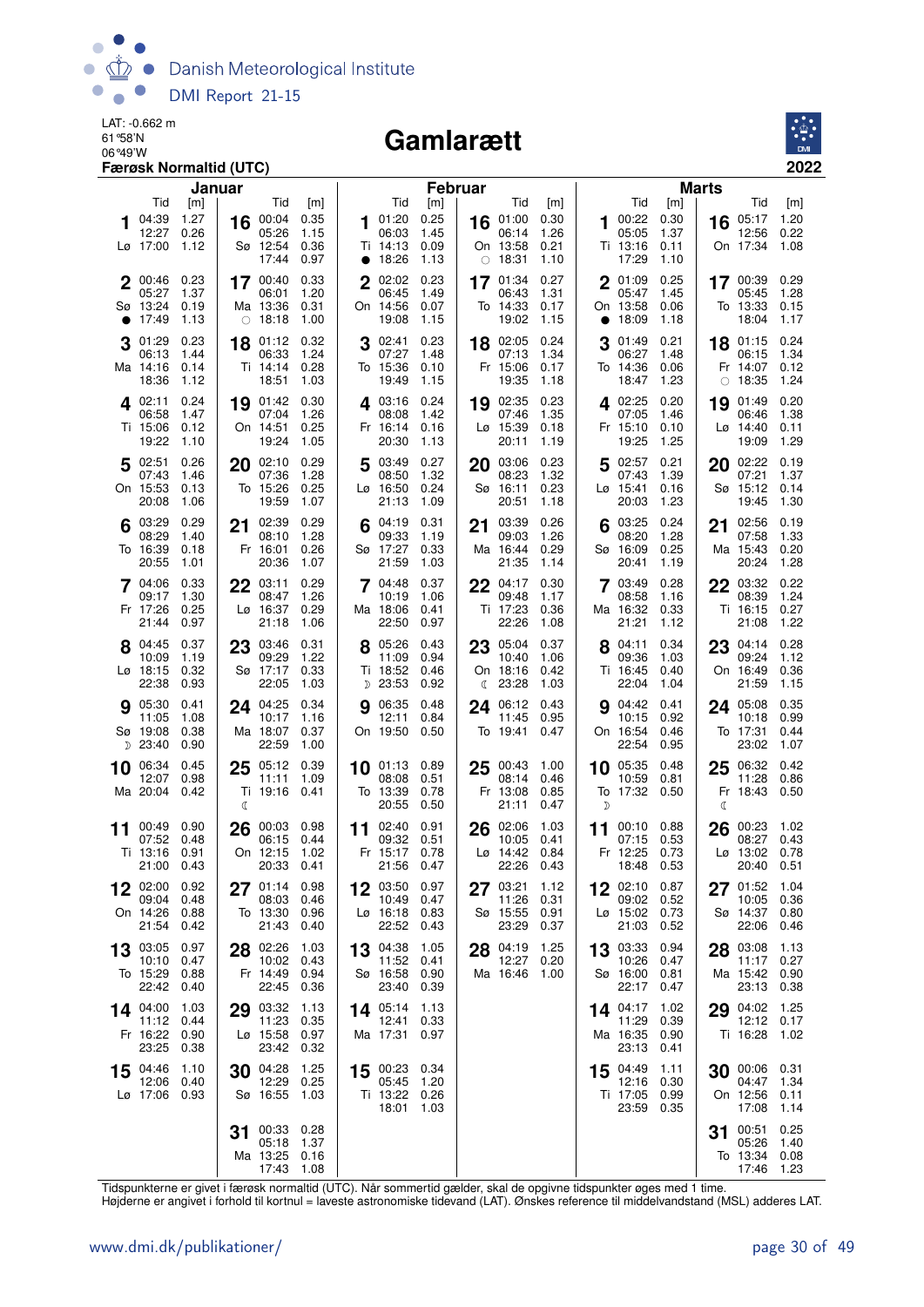

#### Gamlarætt



|    |                                                   | Januar                       |                                                |                              |                                                    |                              | <b>Februar</b>                                      |                              |                                                    |                              | <b>Marts</b>                                            |                              |
|----|---------------------------------------------------|------------------------------|------------------------------------------------|------------------------------|----------------------------------------------------|------------------------------|-----------------------------------------------------|------------------------------|----------------------------------------------------|------------------------------|---------------------------------------------------------|------------------------------|
|    | Tid                                               | [m]                          | Tid                                            | [m]                          | Tid                                                | [m]                          | Tid                                                 | [m]                          | Tid                                                | [m]                          | Tid                                                     | [m]                          |
|    | 04:39<br>12:27<br>Lø 17:00                        | 1.27<br>0.26<br>1.12         | 00:04<br>16<br>05:26<br>Sø 12:54<br>17:44      | 0.35<br>1.15<br>0.36<br>0.97 | 01:20<br>1.<br>06:03<br>Ti 14:13<br>• 18:26        | 0.25<br>1.45<br>0.09<br>1.13 | 16 01:00<br>06:14<br>On 13:58<br>$\circ$ 18:31      | 0.30<br>1.26<br>0.21<br>1.10 | 100:22<br>05:05<br>Ti 13:16<br>17:29               | 0.30<br>1.37<br>0.11<br>1.10 | 05:17<br>16<br>12:56<br>On 17:34                        | 1.20<br>0.22<br>1.08         |
| 2  | 00:46<br>05:27<br>Sø 13:24<br>17:49               | 0.23<br>1.37<br>0.19<br>1.13 | 17 00:40<br>06:01<br>Ma 13:36<br>$\circ$ 18:18 | 0.33<br>1.20<br>0.31<br>1.00 | $\mathbf 2$<br>02:02<br>06:45<br>On 14:56<br>19:08 | 0.23<br>1.49<br>0.07<br>1.15 | 17 01:34<br>06:43<br>To 14:33<br>19:02              | 0.27<br>1.31<br>0.17<br>1.15 | 2 01:09<br>05:47<br>On 13:58<br>18:09<br>$\bullet$ | 0.25<br>1.45<br>0.06<br>1.18 | 17 00:39<br>05:45<br>To 13:33<br>18:04                  | 0.29<br>1.28<br>0.15<br>1.17 |
| 3  | 01:29<br>06:13<br>Ma 14:16<br>18:36               | 0.23<br>1.44<br>0.14<br>1.12 | 01:12<br>18<br>06:33<br>Ti 14:14<br>18:51      | 0.32<br>1.24<br>0.28<br>1.03 | 02:41<br>07:27<br>To 15:36<br>19:49                | 0.23<br>1.48<br>0.10<br>1.15 | 18 02:05<br>07:13<br>Fr 15:06<br>19:35              | 0.24<br>1.34<br>0.17<br>1.18 | 01:49<br>3<br>06:27<br>To 14:36<br>18:47           | 0.21<br>1.48<br>0.06<br>1.23 | 01:15<br>18<br>06:15<br>Fr 14:07<br>18:35<br>$\bigcirc$ | 0.24<br>1.34<br>0.12<br>1.24 |
|    | 402:11<br>06:58<br>Ti 15:06<br>19:22              | 0.24<br>1.47<br>0.12<br>1.10 | 19 01:42<br>07:04<br>On 14:51<br>19:24         | 0.30<br>1.26<br>0.25<br>1.05 | 403:16<br>08:08<br>Fr 16:14<br>20:30               | 0.24<br>1.42<br>0.16<br>1.13 | 19 02:35<br>07:46<br>$Lg$ 15:39<br>20:11            | 0.23<br>1.35<br>0.18<br>1.19 | $4^{02:25}$<br>07:05<br>Fr 15:10<br>19:25          | 0.20<br>1.46<br>0.10<br>1.25 | 01:49<br>19<br>06:46<br>$L\varnothing$ 14:40<br>19:09   | 0.20<br>1.38<br>0.11<br>1.29 |
| 5  | 02:51<br>07:43<br>On 15:53<br>20:08               | 0.26<br>1.46<br>0.13<br>1.06 | 02:10<br>20<br>07:36<br>To 15:26<br>19:59      | 0.29<br>1.28<br>0.25<br>1.07 | 5<br>03:49<br>08:50<br>Lø 16:50<br>21:13           | 0.27<br>1.32<br>0.24<br>1.09 | 03:06<br>20<br>08:23<br>Sø 16:11<br>20:51           | 0.23<br>1.32<br>0.23<br>1.18 | 502:57<br>07:43<br>Lø 15:41<br>20:03               | 0.21<br>1.39<br>0.16<br>1.23 | 20<br>02:22<br>07:21<br>Sø 15:12<br>19:45               | 0.19<br>1.37<br>0.14<br>1.30 |
|    | 03:29<br>08:29<br>To 16:39<br>20:55               | 0.29<br>1.40<br>0.18<br>1.01 | 02:39<br>21<br>08:10<br>Fr 16:01<br>20:36      | 0.29<br>1.28<br>0.26<br>1.07 | 04:19<br>09:33<br>Sø 17:27<br>21:59                | 0.31<br>1.19<br>0.33<br>1.03 | 03:39<br>21<br>09:03<br>Ma 16:44<br>21:35           | 0.26<br>1.26<br>0.29<br>1.14 | 03:25<br>08:20<br>Sø 16:09<br>20:41                | 0.24<br>1.28<br>0.25<br>1.19 | 02:56<br>21<br>07:58<br>Ma 15:43<br>20:24               | 0.19<br>1.33<br>0.20<br>1.28 |
|    | 7 04:06<br>09:17<br>Fr 17:26<br>21:44             | 0.33<br>1.30<br>0.25<br>0.97 | $22^{03:11}$<br>08:47<br>Lø 16:37<br>21:18     | 0.29<br>1.26<br>0.29<br>1.06 | 7 04:48<br>10:19<br>Ma 18:06<br>22:50              | 0.37<br>1.06<br>0.41<br>0.97 | $22^{04:17}$<br>09:48<br>Ti 17:23<br>22:26          | 0.30<br>1.17<br>0.36<br>1.08 | 7 03:49<br>08:58<br>Ma 16:32<br>21:21              | 0.28<br>1.16<br>0.33<br>1.12 | 22 03:32<br>08:39<br>Ti 16:15<br>21:08                  | 0.22<br>1.24<br>0.27<br>1.22 |
|    | 8 04:45<br>10:09<br>$L\varnothing$ 18:15<br>22:38 | 0.37<br>1.19<br>0.32<br>0.93 | 03:46<br>23<br>09:29<br>Sø 17:17<br>22:05      | 0.31<br>1.22<br>0.33<br>1.03 | 8 05:26<br>11:09<br>Ti 18:52<br>D 23:53            | 0.43<br>0.94<br>0.46<br>0.92 | 23 05:04<br>10:40<br>On 18:16<br>$\binom{23:28}{ }$ | 0.37<br>1.06<br>0.42<br>1.03 | 8 04:11<br>09:36<br>Ti 16:45<br>22:04              | 0.34<br>1.03<br>0.40<br>1.04 | 23<br>04:14<br>09:24<br>On 16:49<br>21:59               | 0.28<br>1.12<br>0.36<br>1.15 |
|    | 9 05:30<br>11:05<br>Sø 19:08<br>D 23:40           | 0.41<br>1.08<br>0.38<br>0.90 | 24 04:25<br>10:17<br>Ma 18:07<br>22:59         | 0.34<br>1.16<br>0.37<br>1.00 | 06:35<br>12:11<br>On 19:50                         | 0.48<br>0.84<br>0.50         | 24 06:12<br>11:45<br>To 19:41                       | 0.43<br>0.95<br>0.47         | <b>9</b> 04:42<br>10:15<br>On 16:54<br>22:54       | 0.41<br>0.92<br>0.46<br>0.95 | 24 05:08<br>10:18<br>To 17:31<br>23:02                  | 0.35<br>0.99<br>0.44<br>1.07 |
|    | 10 06:34<br>12:07<br>Ma 20:04                     | 0.45<br>0.98<br>0.42         | 05:12<br>25<br>11:11<br>Ti 19:16<br>ℭ          | 0.39<br>1.09<br>0.41         | $10$ 01:13<br>08:08<br>To 13:39<br>20:55           | 0.89<br>0.51<br>0.78<br>0.50 | 25<br>00:43<br>08:14<br>Fr 13:08<br>21:11           | 1.00<br>0.46<br>0.85<br>0.47 | 10 05:35<br>10:59<br>To 17:32<br>$\mathcal{D}$     | 0.48<br>0.81<br>0.50         | 06:32<br>25<br>11:28<br>Fr 18:43<br>C                   | 0.42<br>0.86<br>0.50         |
| 11 | 00:49<br>07:52<br>Ti 13:16<br>21:00 0.43          | 0.90<br>0.48<br>0.91         | 26<br>00:03<br>06:15<br>On 12:15<br>20:33      | 0.98<br>0.44<br>1.02<br>0.41 | 02:40<br>11<br>09:32<br>Fr 15:17<br>21:56 0.47     | 0.91<br>0.51<br>0.78         | 02:06<br>26<br>10:05<br>Lø 14:42<br>22:26           | 1.03<br>0.41<br>0.84<br>0.43 | 00:10<br>11<br>07:15<br>Fr 12:25<br>18:48          | 0.88<br>0.53<br>0.73<br>0.53 | 00:23<br>26<br>08:27<br>Lø 13:02<br>20:40               | 1.02<br>0.43<br>0.78<br>0.51 |
| 12 | 02:00<br>09:04<br>On 14:26<br>21:54               | 0.92<br>0.48<br>0.88<br>0.42 | $27^{01:14}$<br>08:03<br>To 13:30<br>21:43     | 0.98<br>0.46<br>0.96<br>0.40 | 12 03:50 0.97<br>10:49<br>Lø 16:18<br>22:52        | 0.47<br>0.83<br>0.43         | 03:21<br>27<br>11:26<br>Sø 15:55<br>23:29           | 1.12<br>0.31<br>0.91<br>0.37 | 12 02:10<br>09:02<br>Lø 15:02 0.73<br>21:03        | 0.87<br>0.52<br>0.52         | 01:52<br>27<br>10:05<br>Sø 14:37<br>22:06               | 1.04<br>0.36<br>0.80<br>0.46 |
| 13 | 03:05<br>10:10<br>To 15:29<br>22:42               | 0.97<br>0.47<br>0.88<br>0.40 | 28 02:26<br>10:02<br>Fr 14:49<br>22:45         | 1.03<br>0.43<br>0.94<br>0.36 | 13 04:38<br>11:52<br>Sø 16:58<br>23:40             | 1.05<br>0.41<br>0.90<br>0.39 | 28 04:19<br>12:27<br>Ma 16:46                       | 1.25<br>0.20<br>1.00         | 13 03:33<br>10:26<br>Sø 16:00<br>22:17             | 0.94<br>0.47<br>0.81<br>0.47 | 28 03:08<br>11:17<br>Ma 15:42 0.90<br>23:13             | 1.13<br>0.27<br>0.38         |
|    | 14 04:00<br>11:12<br>Fr 16:22<br>23:25            | 1.03<br>0.44<br>0.90<br>0.38 | 03:32<br>29<br>11:23<br>Lø 15:58<br>23:42      | 1.13<br>0.35<br>0.97<br>0.32 | 14 05:14<br>12:41<br>Ma 17:31                      | 1.13<br>0.33<br>0.97         |                                                     |                              | 14 04:17<br>11:29<br>Ma 16:35<br>23:13             | 1.02<br>0.39<br>0.90<br>0.41 | 04:02<br>29<br>Ti 16:28                                 | 1.25<br>12:12 0.17<br>1.02   |
|    | 15 04:46<br>12:06<br>Lø 17:06 0.93                | 1.10<br>0.40                 | 30 04:28<br>12:29<br>Sø 16:55                  | 1.25<br>0.25<br>1.03         | 15 00:23 0.34<br>05:45<br>Ti 13:22 0.26<br>18:01   | 1.20<br>1.03                 |                                                     |                              | 15 04:49<br>12:16<br>Ti 17:05<br>23:59             | 1.11<br>0.30<br>0.99<br>0.35 | 30 00:06 0.31<br>04:47<br>On 12:56<br>17:08             | 1.34<br>0.11<br>1.14         |
|    |                                                   |                              | 00:33<br>31<br>05:18<br>Ma 13:25<br>17:43      | 0.28<br>1.37<br>0.16<br>1.08 |                                                    |                              |                                                     |                              |                                                    |                              | 00:51<br>31<br>05:26<br>To 13:34<br>17:46               | 0.25<br>1.40<br>0.08<br>1.23 |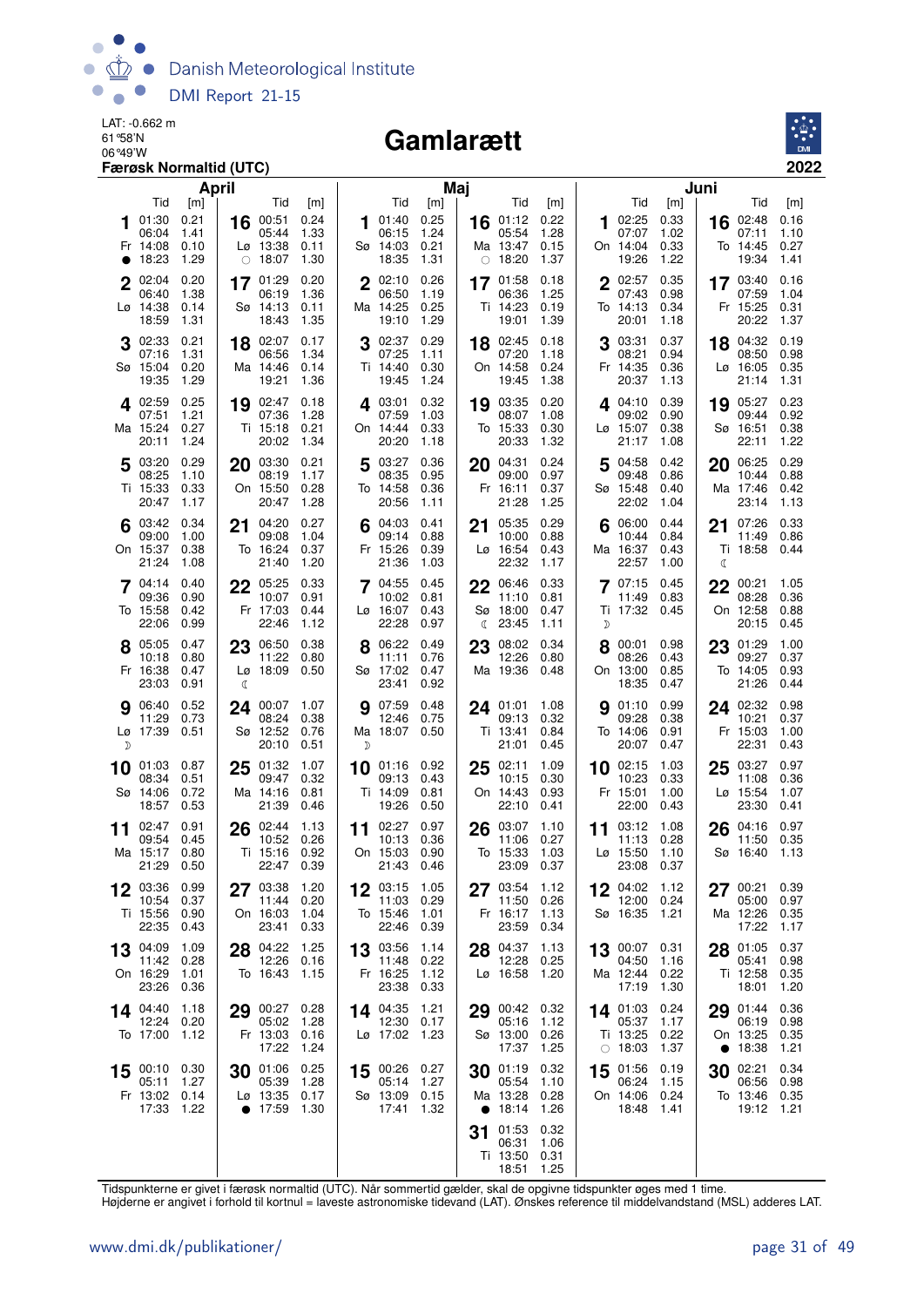

#### Gamlarætt



|           |                                             | April                               |    |                                                    |                                     |        |                                                            | Maj                                 |         |                                                       |                                     |    |                                                       |                                     | Juni      |                                               |                                     |
|-----------|---------------------------------------------|-------------------------------------|----|----------------------------------------------------|-------------------------------------|--------|------------------------------------------------------------|-------------------------------------|---------|-------------------------------------------------------|-------------------------------------|----|-------------------------------------------------------|-------------------------------------|-----------|-----------------------------------------------|-------------------------------------|
| $\bullet$ | Tid<br>01:30<br>06:04<br>Fr 14:08<br>18:23  | [m]<br>0.21<br>1.41<br>0.10<br>1.29 | 16 | Tid<br>00:51<br>05:44<br>Lø 13:38<br>$\circ$ 18:07 | [m]<br>0.24<br>1.33<br>0.11<br>1.30 |        | Tid<br>01:40<br>06:15<br>Sø 14:03<br>18:35                 | [m]<br>0.25<br>1.24<br>0.21<br>1.31 |         | Tid<br>16 01:12<br>05:54<br>Ma 13:47<br>$\circ$ 18:20 | [m]<br>0.22<br>1.28<br>0.15<br>1.37 | 1  | Tid<br>02:25<br>07:07<br>On 14:04<br>19:26            | [m]<br>0.33<br>1.02<br>0.33<br>1.22 | 16        | Tid<br>02:48<br>07:11<br>To 14:45<br>19:34    | [m]<br>0.16<br>1.10<br>0.27<br>1.41 |
|           | $2^{02:04}$<br>06:40<br>Lø 14:38<br>18:59   | 0.20<br>1.38<br>0.14<br>1.31        |    | 17 01:29<br>06:19<br>Sø 14:13<br>18:43             | 0.20<br>1.36<br>0.11<br>1.35        |        | $2^{02:10}$<br>06:50<br>Ma 14:25<br>19:10                  | 0.26<br>1.19<br>0.25<br>1.29        |         | 17 01:58<br>06:36<br>Ti 14:23<br>19:01                | 0.18<br>1.25<br>0.19<br>1.39        |    | $2^{02:57}$<br>07:43<br>To 14:13<br>20:01             | 0.35<br>0.98<br>0.34<br>1.18        |           | 17 03:40<br>07:59<br>Fr 15:25<br>20:22        | 0.16<br>1.04<br>0.31<br>1.37        |
|           | 02:33<br>07:16<br>Sø 15:04<br>19:35         | 0.21<br>1.31<br>0.20<br>1.29        |    | 18 02:07<br>06:56<br>Ma 14:46<br>19:21             | 0.17<br>1.34<br>0.14<br>1.36        | 3      | 02:37<br>07:25<br>Ti 14:40<br>19:45                        | 0.29<br>1.11<br>0.30<br>1.24        |         | 18 02:45<br>07:20<br>On 14:58<br>19:45                | 0.18<br>1.18<br>0.24<br>1.38        |    | 03:31<br>08:21<br>Fr 14:35<br>20:37                   | 0.37<br>0.94<br>0.36<br>1.13        | 18        | 04:32<br>08:50<br>Lø 16:05<br>21:14           | 0.19<br>0.98<br>0.35<br>1.31        |
|           | 402:59<br>07:51<br>Ma 15:24<br>20:11        | 0.25<br>1.21<br>0.27<br>1.24        |    | 19 02:47<br>07:36<br>Ti 15:18<br>20:02             | 0.18<br>1.28<br>0.21<br>1.34        |        | 403:01<br>07:59<br>On 14:44<br>20:20                       | 0.32<br>1.03<br>0.33<br>1.18        |         | 19 03:35<br>08:07<br>To 15:33<br>20:33                | 0.20<br>1.08<br>0.30<br>1.32        |    | 4.04:10<br>09:02<br>Lø 15:07<br>21:17                 | 0.39<br>0.90<br>0.38<br>1.08        |           | 19 05:27<br>09:44<br>Sø 16:51<br>22:11        | 0.23<br>0.92<br>0.38<br>1.22        |
|           | 5 03:20<br>08:25<br>Ti 15:33<br>20:47       | 0.29<br>1.10<br>0.33<br>1.17        | 20 | 03:30<br>08:19<br>On 15:50<br>20:47                | 0.21<br>1.17<br>0.28<br>1.28        | 5      | 03:27<br>08:35<br>To 14:58<br>20:56                        | 0.36<br>0.95<br>0.36<br>1.11        | 20      | 04:31<br>09:00<br>Fr 16:11<br>21:28                   | 0.24<br>0.97<br>0.37<br>1.25        | 5  | 04:58<br>09:48<br>Sø 15:48<br>22:02                   | 0.42<br>0.86<br>0.40<br>1.04        | 20        | 06:25<br>10:44<br>Ma 17:46<br>23:14           | 0.29<br>0.88<br>0.42<br>1.13        |
|           | $6^{03:42}$<br>09:00<br>On 15:37<br>21:24   | 0.34<br>1.00<br>0.38<br>1.08        | 21 | 04:20<br>09:08<br>To 16:24<br>21:40                | 0.27<br>1.04<br>0.37<br>1.20        |        | 04:03<br>09:14<br>Fr 15:26<br>21:36                        | 0.41<br>0.88<br>0.39<br>1.03        | 21      | 05:35<br>10:00<br>Lø 16:54<br>22:32                   | 0.29<br>0.88<br>0.43<br>1.17        | 6  | 06:00<br>10:44<br>Ma 16:37<br>22:57                   | 0.44<br>0.84<br>0.43<br>1.00        | 21<br>a   | 07:26<br>11:49<br>Ti 18:58                    | 0.33<br>0.86<br>0.44                |
|           | 04:14<br>09:36<br>To 15:58<br>22:06         | 0.40<br>0.90<br>0.42<br>0.99        | 22 | 05:25<br>10:07<br>Fr 17:03<br>22:46                | 0.33<br>0.91<br>0.44<br>1.12        | 7      | 04:55<br>10:02<br>Lø 16:07<br>22:28                        | 0.45<br>0.81<br>0.43<br>0.97        | 22<br>ℂ | 06:46<br>11:10<br>Sø 18:00<br>23:45                   | 0.33<br>0.81<br>0.47<br>1.11        | D  | 07:15<br>11:49<br>Ti 17:32 0.45                       | 0.45<br>0.83                        | 22        | 00:21<br>08:28<br>On 12:58<br>20:15           | 1.05<br>0.36<br>0.88<br>0.45        |
|           | 8 05:05<br>10:18<br>Fr 16:38<br>23:03       | 0.47<br>0.80<br>0.47<br>0.91        | C  | 23 06:50<br>11:22<br>$L\varnothing$ 18:09          | 0.38<br>0.80<br>0.50                |        | 06:22<br>11:11<br>Sø 17:02<br>23:41                        | 0.49<br>0.76<br>0.47<br>0.92        |         | 23 08:02<br>12:26<br>Ma 19:36                         | 0.34<br>0.80<br>0.48                |    | 8 00:01<br>08:26<br>On 13:00<br>18:35                 | 0.98<br>0.43<br>0.85<br>0.47        | 23        | 01:29<br>09:27<br>To 14:05<br>21:26           | 1.00<br>0.37<br>0.93<br>0.44        |
| D         | <b>9</b> 06:40<br>11:29<br>Lø 17:39 0.51    | 0.52<br>0.73                        | 24 | 00:07<br>08:24<br>Sø 12:52<br>20:10                | 1.07<br>0.38<br>0.76<br>0.51        | 9<br>D | 07:59<br>12:46<br>Ma 18:07 0.50                            | 0.48<br>0.75                        |         | 24 01:01<br>09:13<br>Ti 13:41<br>21:01                | 1.08<br>0.32<br>0.84<br>0.45        | 9  | 01:10<br>09:28<br>To 14:06<br>20:07                   | 0.99<br>0.38<br>0.91<br>0.47        | 24        | 02:32<br>10:21<br>Fr 15:03<br>22:31           | 0.98<br>0.37<br>1.00<br>0.43        |
|           | 10 01:03<br>08:34<br>Sø 14:06<br>18:57      | 0.87<br>0.51<br>0.72<br>0.53        | 25 | 01:32<br>09:47<br>Ma 14:16<br>21:39                | 1.07<br>0.32<br>0.81<br>0.46        | 10     | 01:16 0.92<br>09:13<br>Ti 14:09<br>19:26                   | 0.43<br>0.81<br>0.50                |         | 25 02:11<br>10:15<br>On 14:43<br>22:10                | 1.09<br>0.30<br>0.93<br>0.41        |    | 10 02:15<br>10:23<br>Fr 15:01<br>22:00                | 1.03<br>0.33<br>1.00<br>0.43        | 25        | 03:27<br>11:08<br>Lø 15:54<br>23:30           | 0.97<br>0.36<br>1.07<br>0.41        |
| 11        | 02:47<br>09:54<br>Ma 15:17<br>21:29         | 0.91<br>0.45<br>0.80<br>0.50        | 26 | 02:44<br>10:52<br>Ti 15:16<br>22:47                | 1.13<br>0.26<br>0.92<br>0.39        | 11     | 02:27<br>10:13<br>On 15:03<br>21:43                        | 0.97<br>0.36<br>0.90<br>0.46        | 26      | 03:07<br>11:06<br>To 15:33<br>23:09                   | 1.10<br>0.27<br>1.03<br>0.37        | 11 | 03:12<br>11:13<br>$L\varnothing$ 15:50<br>23:08       | 1.08<br>0.28<br>1.10<br>0.37        | 26        | 04:16<br>11:50<br>Sø 16:40                    | 0.97<br>0.35<br>1.13                |
|           | 12 03:36 0.99<br>10:54<br>Ti 15:56<br>22:35 | 0.37<br>0.90<br>0.43                |    | 27 03:38<br>11:44<br>On 16:03<br>23:41             | 1.20<br>0.20<br>1.04<br>0.33        | 12     | 03:15 1.05<br>11:03 0.29<br>To 15:46<br>22:46              | 1.01<br>0.39                        |         | 27 03:54 1.12<br>11:50<br>Fr 16:17<br>23:59           | 0.26<br>1.13<br>0.34                | 12 | 04:02 1.12<br>12:00 0.24<br>Sø 16:35 1.21             |                                     | 27        | 00:21<br>05:00<br>Ma 12:26<br>17:22           | 0.39<br>0.97<br>0.35<br>1.17        |
|           | 13 04:09<br>11:42<br>On 16:29<br>23:26      | 1.09<br>0.28<br>1.01<br>0.36        |    | 28 04:22<br>12:26 0.16<br>To 16:43                 | 1.25<br>- 1.15                      |        | 13 03:56<br>11:48 0.22<br>Fr 16:25<br>23:38                | 1.14<br>1.12<br>0.33                |         | 28 04:37<br>12:28<br>$L\varnothing$ 16:58             | 1.13<br>0.25<br>1.20                |    | 13 00:07 0.31<br>04:50<br>Ma 12:44 0.22<br>17:19      | 1.16<br>1.30                        |           | 28 01:05<br>05:41<br>Ti 12:58<br>18:01        | 0.37<br>0.98<br>0.35<br>1.20        |
|           | 14 04:40<br>12:24<br>To 17:00               | 1.18<br>0.20<br>1.12                |    | 29 00:27<br>05:02<br>Fr 13:03 0.16<br>17:22        | 0.28<br>1.28<br>1.24                |        | 14 04:35<br>12:30<br>Lø 17:02 1.23                         | 1.21<br>0.17                        |         | 29 00:42<br>05:16<br>Sø 13:00<br>17:37                | 0.32<br>1.12<br>0.26<br>1.25        |    | 14 01:03 0.24<br>05:37<br>Ti 13:25<br>$\circ$ 18:03   | 1.17<br>0.22<br>1.37                | $\bullet$ | 29 01:44<br>06:19<br>On 13:25<br>18:38        | 0.36<br>0.98<br>0.35<br>1.21        |
| 15        | 00:10 0.30<br>05:11<br>Fr 13:02<br>17:33    | 1.27<br>0.14<br>1.22                |    | 30 01:06<br>05:39<br>Lø 13:35<br>$\bullet$ 17:59   | 0.25<br>1.28<br>0.17<br>1.30        |        | 15 00:26 0.27<br>05:14 1.27<br>Sø 13:09 0.15<br>17:41 1.32 |                                     |         | 30 01:19<br>05:54<br>Ma 13:28<br>• $18:14$            | 0.32<br>1.10<br>0.28<br>1.26        |    | 15 01:56 0.19<br>06:24<br>On 14:06 0.24<br>18:48 1.41 | 1.15                                | 30        | 02:21<br>06:56<br>To 13:46 0.35<br>19:12 1.21 | 0.34<br>0.98                        |
|           |                                             |                                     |    |                                                    |                                     |        |                                                            |                                     | 31      | 01:53<br>06:31<br>Ti 13:50<br>18:51                   | 0.32<br>1.06<br>0.31<br>1.25        |    |                                                       |                                     |           |                                               |                                     |

Tidspunkterne er givet i færøsk normaltid (UTC). Når sommertid gælder, skal de opgivne tidspunkter øges med 1 time.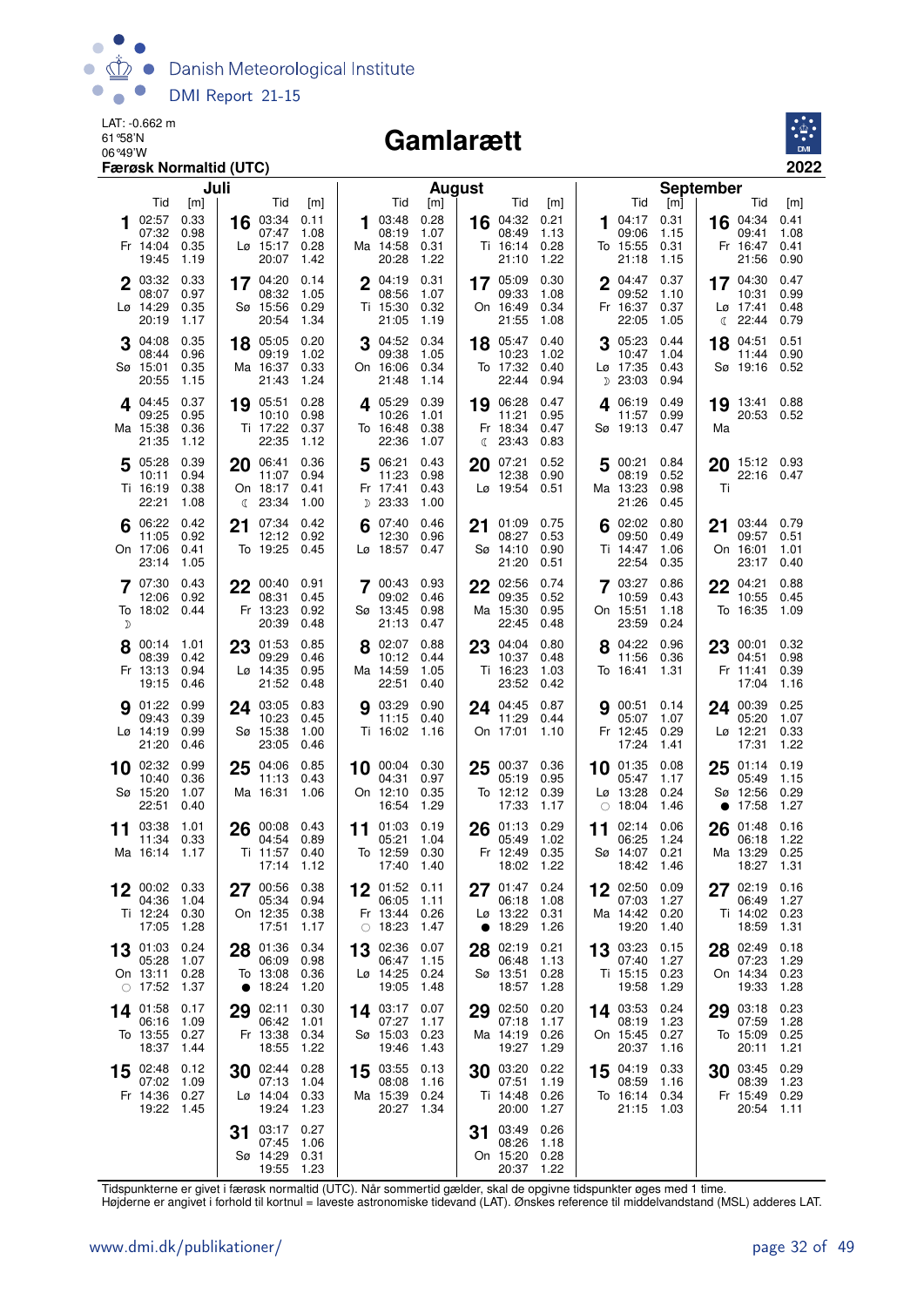

#### Gamlarætt



|    |                                                          | Juli                         |    |                                                    |                              |    |                                             | <b>August</b>                |    |                                          |                              |            |                                            |                              | <b>September</b> |                                             |                              |
|----|----------------------------------------------------------|------------------------------|----|----------------------------------------------------|------------------------------|----|---------------------------------------------|------------------------------|----|------------------------------------------|------------------------------|------------|--------------------------------------------|------------------------------|------------------|---------------------------------------------|------------------------------|
|    | Tid                                                      | [m]                          |    | Tid                                                | [m]                          |    | Tid                                         | [m]                          |    | Tid                                      | [m]                          |            | Tid                                        | [m]                          |                  | Tid                                         | [m]                          |
|    | 02:57<br>07:32<br>Fr 14:04<br>19:45                      | 0.33<br>0.98<br>0.35<br>1.19 | 16 | 03:34<br>07:47<br>Lø 15:17<br>20:07                | 0.11<br>1.08<br>0.28<br>1.42 | 1  | 03:48<br>08:19<br>Ma 14:58<br>20:28         | 0.28<br>1.07<br>0.31<br>1.22 | 16 | 04:32<br>08:49<br>Ti 16:14<br>21:10      | 0.21<br>1.13<br>0.28<br>1.22 |            | 04:17<br>09:06<br>To 15:55<br>21:18        | 0.31<br>1.15<br>0.31<br>1.15 |                  | 16 04:34<br>09:41<br>Fr 16:47<br>21:56      | 0.41<br>1.08<br>0.41<br>0.90 |
|    | 2 03:32<br>08:07<br>Lø 14:29<br>20:19                    | 0.33<br>0.97<br>0.35<br>1.17 |    | 17 04:20<br>08:32<br>Sø 15:56<br>20:54             | 0.14<br>1.05<br>0.29<br>1.34 |    | 2 04:19<br>08:56<br>Ti 15:30<br>21:05       | 0.31<br>1.07<br>0.32<br>1.19 |    | 17 05:09<br>09:33<br>On 16:49<br>21:55   | 0.30<br>1.08<br>0.34<br>1.08 |            | 2 04:47<br>09:52<br>Fr 16:37<br>22:05      | 0.37<br>1.10<br>0.37<br>1.05 | €                | 17 04:30<br>10:31<br>Lø 17:41<br>22:44      | 0.47<br>0.99<br>0.48<br>0.79 |
|    | 04:08<br>08:44<br>Sø 15:01<br>20:55                      | 0.35<br>0.96<br>0.35<br>1.15 |    | 18 05:05<br>09:19<br>Ma 16:37<br>21:43             | 0.20<br>1.02<br>0.33<br>1.24 |    | 04:52<br>09:38<br>On 16:06<br>21:48         | 0.34<br>1.05<br>0.34<br>1.14 | 18 | 05:47<br>10:23<br>To 17:32<br>22:44      | 0.40<br>1.02<br>0.40<br>0.94 |            | 05:23<br>10:47<br>Lø 17:35<br>D 23:03      | 0.44<br>1.04<br>0.43<br>0.94 | 18               | 04:51<br>11:44<br>Sø 19:16 0.52             | 0.51<br>0.90                 |
|    | 4.04:45<br>09:25<br>Ma 15:38<br>21:35                    | 0.37<br>0.95<br>0.36<br>1.12 |    | 19 05:51<br>10:10<br>Ti 17:22<br>22:35             | 0.28<br>0.98<br>0.37<br>1.12 |    | 405:29<br>10:26<br>To 16:48<br>22:36        | 0.39<br>1.01<br>0.38<br>1.07 | ℂ  | 19 06:28<br>11:21<br>Fr 18:34<br>23:43   | 0.47<br>0.95<br>0.47<br>0.83 |            | 406:19<br>11:57<br>Sø 19:13                | 0.49<br>0.99<br>0.47         | Ma               | 19 13:41 0.88<br>20:53 0.52                 |                              |
|    | 5 05:28<br>10:11<br>Ti 16:19<br>22:21                    | 0.39<br>0.94<br>0.38<br>1.08 | 20 | 06:41<br>11:07<br>On 18:17<br>$\binom{23:34}{ }$   | 0.36<br>0.94<br>0.41<br>1.00 | 5  | 06:21<br>11:23<br>Fr 17:41<br>D 23:33       | 0.43<br>0.98<br>0.43<br>1.00 | 20 | 07:21<br>12:38<br>Lø 19:54               | 0.52<br>0.90<br>0.51         | 5          | 00:21<br>08:19<br>Ma 13:23<br>21:26        | 0.84<br>0.52<br>0.98<br>0.45 | 20<br>Ti         | 15:12 0.93<br>22:16 0.47                    |                              |
|    | $6^{06:22}$<br>11:05<br>On 17:06<br>23:14                | 0.42<br>0.92<br>0.41<br>1.05 |    | $21^{07:34}$<br>12:12<br>To 19:25                  | 0.42<br>0.92<br>0.45         | 6  | 07:40<br>12:30<br>Lø 18:57                  | 0.46<br>0.96<br>0.47         | 21 | 01:09<br>08:27<br>Sø 14:10<br>21:20      | 0.75<br>0.53<br>0.90<br>0.51 |            | 6 $02:02$<br>09:50<br>Ti 14:47<br>22:54    | 0.80<br>0.49<br>1.06<br>0.35 |                  | 21 03:44 0.79<br>09:57<br>On 16:01<br>23:17 | 0.51<br>1.01<br>0.40         |
| D  | 7 07:30<br>12:06<br>To 18:02 0.44                        | 0.43<br>0.92                 |    | 22 00:40<br>08:31<br>Fr 13:23<br>20:39             | 0.91<br>0.45<br>0.92<br>0.48 |    | 7 00:43 0.93<br>09:02<br>Sø 13:45<br>21:13  | 0.46<br>0.98<br>0.47         | 22 | 02:56<br>09:35<br>Ma 15:30<br>22:45      | 0.74<br>0.52<br>0.95<br>0.48 |            | $7^{03:27}$<br>10:59<br>On 15:51<br>23:59  | 0.86<br>0.43<br>1.18<br>0.24 |                  | $22^{04:21}$<br>10:55<br>To 16:35           | 0.88<br>0.45<br>1.09         |
|    | 8 00:14<br>08:39<br>Fr 13:13<br>19:15                    | 1.01<br>0.42<br>0.94<br>0.46 |    | 23 01:53<br>09:29<br>$L\varnothing$ 14:35<br>21:52 | 0.85<br>0.46<br>0.95<br>0.48 |    | 8 02:07<br>10:12<br>Ma 14:59<br>22:51       | 0.88<br>0.44<br>1.05<br>0.40 |    | 23 04:04<br>10:37<br>Ti 16:23<br>23:52   | 0.80<br>0.48<br>1.03<br>0.42 |            | 8 04:22<br>11:56<br>To 16:41               | 0.96<br>0.36<br>1.31         |                  | 23 00:01<br>04:51<br>Fr 11:41<br>17:04      | 0.32<br>0.98<br>0.39<br>1.16 |
|    | <b>9</b> 01:22<br>09:43<br>$L\varnothing$ 14:19<br>21:20 | 0.99<br>0.39<br>0.99<br>0.46 |    | 24 03:05<br>10:23<br>Sø 15:38<br>23:05             | 0.83<br>0.45<br>1.00<br>0.46 |    | 03:29<br>11:15<br>Ti 16:02 1.16             | 0.90<br>0.40                 |    | 24 04:45<br>11:29<br>On 17:01            | 0.87<br>0.44<br>1.10         |            | 90:51<br>05:07<br>Fr 12:45<br>17:24        | 0.14<br>1.07<br>0.29<br>1.41 |                  | 24 00:39<br>05:20<br>Lø 12:21<br>17:31      | 0.25<br>1.07<br>0.33<br>1.22 |
|    | $10^{02:32}$<br>10:40<br>Sø 15:20<br>22:51               | 0.99<br>0.36<br>1.07<br>0.40 |    | 25 04:06<br>11:13<br>Ma 16:31                      | 0.85<br>0.43<br>1.06         |    | 10 00:04<br>04:31<br>On 12:10<br>16:54      | 0.30<br>0.97<br>0.35<br>1.29 | 25 | 00:37<br>05:19<br>To 12:12<br>17:33      | 0.36<br>0.95<br>0.39<br>1.17 | $\bigcirc$ | 10 01:35<br>05:47<br>Lø 13:28<br>18:04     | 0.08<br>1.17<br>0.24<br>1.46 | 25<br>●          | 01:14<br>05:49<br>Sø 12:56<br>17:58         | 0.19<br>1.15<br>0.29<br>1.27 |
| 11 | 03:38<br>11:34<br>Ma 16:14                               | 1.01<br>0.33<br>1.17         | 26 | 00:08<br>04:54<br>Ti 11:57<br>17:14                | 0.43<br>0.89<br>0.40<br>1.12 | 11 | 01:03<br>05:21<br>To 12:59<br>17:40         | 0.19<br>1.04<br>0.30<br>1.40 | 26 | 01:13<br>05:49<br>Fr 12:49<br>18:02      | 0.29<br>1.02<br>0.35<br>1.22 | 11         | 02:14<br>06:25<br>Sø 14:07<br>18:42        | 0.06<br>1.24<br>0.21<br>1.46 | 26               | 01:48<br>06:18<br>Ma 13:29<br>18:27         | 0.16<br>1.22<br>0.25<br>1.31 |
| 12 | 00:02 0.33<br>04:36<br>Ti 12:24<br>17:05                 | 1.04<br>0.30<br>1.28         | 27 | 00:56<br>05:34<br>On 12:35<br>17:51                | 0.38<br>0.94<br>0.38<br>1.17 | 12 | 01:52<br>06:05<br>Fr 13:44<br>$\circ$ 18:23 | 0.11<br>1.11<br>0.26<br>1.47 | 27 | 01:47 0.24<br>06:18<br>Lø 13:22<br>18:29 | 1.08<br>0.31<br>1.26         |            | $12^{02:50}$<br>07:03<br>Ma 14:42<br>19:20 | 0.09<br>1.27<br>0.20<br>1.40 | 27               | 02:19<br>06:49<br>Ti 14:02<br>18:59         | 0.16<br>1.27<br>0.23<br>1.31 |
| 13 | 01:03<br>05:28<br>On 13:11<br>$\circ$ 17:52              | 0.24<br>1.07<br>0.28<br>1.37 | 28 | 01:36<br>06:09<br>To 13:08<br>• 18:24              | 0.34<br>0.98<br>0.36<br>1.20 | 13 | 02:36<br>06:47<br>Lø 14:25<br>19:05         | 0.07<br>1.15<br>0.24<br>1.48 | 28 | 02:19<br>06:48<br>Sø 13:51<br>18:57      | 0.21<br>1.13<br>0.28<br>1.28 |            | 13 03:23<br>07:40<br>Ti 15:15<br>19:58     | 0.15<br>1.27<br>0.23<br>1.29 | 28               | 02:49<br>07:23<br>On 14:34<br>19:33         | 0.18<br>1.29<br>0.23<br>1.28 |
|    | 14 01:58<br>06:16<br>To 13:55<br>18:37                   | 0.17<br>1.09<br>0.27<br>1.44 | 29 | 02:11<br>06:42<br>Fr 13:38<br>18:55                | 0.30<br>1.01<br>0.34<br>1.22 |    | 14 03:17<br>07:27<br>Sø 15:03<br>19:46      | 0.07<br>1.17<br>0.23<br>1.43 | 29 | 02:50<br>07:18<br>Ma 14:19<br>19:27      | 0.20<br>1.17<br>0.26<br>1.29 |            | 14 03:53<br>08:19<br>On 15:45<br>20:37     | 0.24<br>1.23<br>0.27<br>1.16 | 29               | 03:18<br>07:59<br>To 15:09<br>20:11         | 0.23<br>1.28<br>0.25<br>1.21 |
| 15 | 02:48<br>07:02<br>Fr 14:36<br>19:22                      | 0.12<br>1.09<br>0.27<br>1.45 | 30 | 02:44<br>07:13<br>Lø 14:04<br>19:24                | 0.28<br>1.04<br>0.33<br>1.23 |    | 15 03:55<br>08:08<br>Ma 15:39<br>20:27 1.34 | 0.13<br>1.16<br>0.24         | 30 | 03:20<br>07:51<br>Ti 14:48<br>20:00      | 0.22<br>1.19<br>0.26<br>1.27 | 15         | 04:19<br>08:59<br>To 16:14 0.34<br>21:15   | 0.33<br>1.16<br>1.03         | 30               | 03:45<br>08:39<br>Fr 15:49<br>20:54         | 0.29<br>1.23<br>0.29<br>1.11 |
|    |                                                          |                              | 31 | 03:17<br>07:45<br>Sø 14:29<br>19:55                | 0.27<br>1.06<br>0.31<br>1.23 |    |                                             |                              | 31 | 03:49<br>08:26<br>On 15:20<br>20:37      | 0.26<br>1.18<br>0.28<br>1.22 |            |                                            |                              |                  |                                             |                              |

Tidspunkterne er givet i færøsk normaltid (UTC). Når sommertid gælder, skal de opgivne tidspunkter øges med 1 time.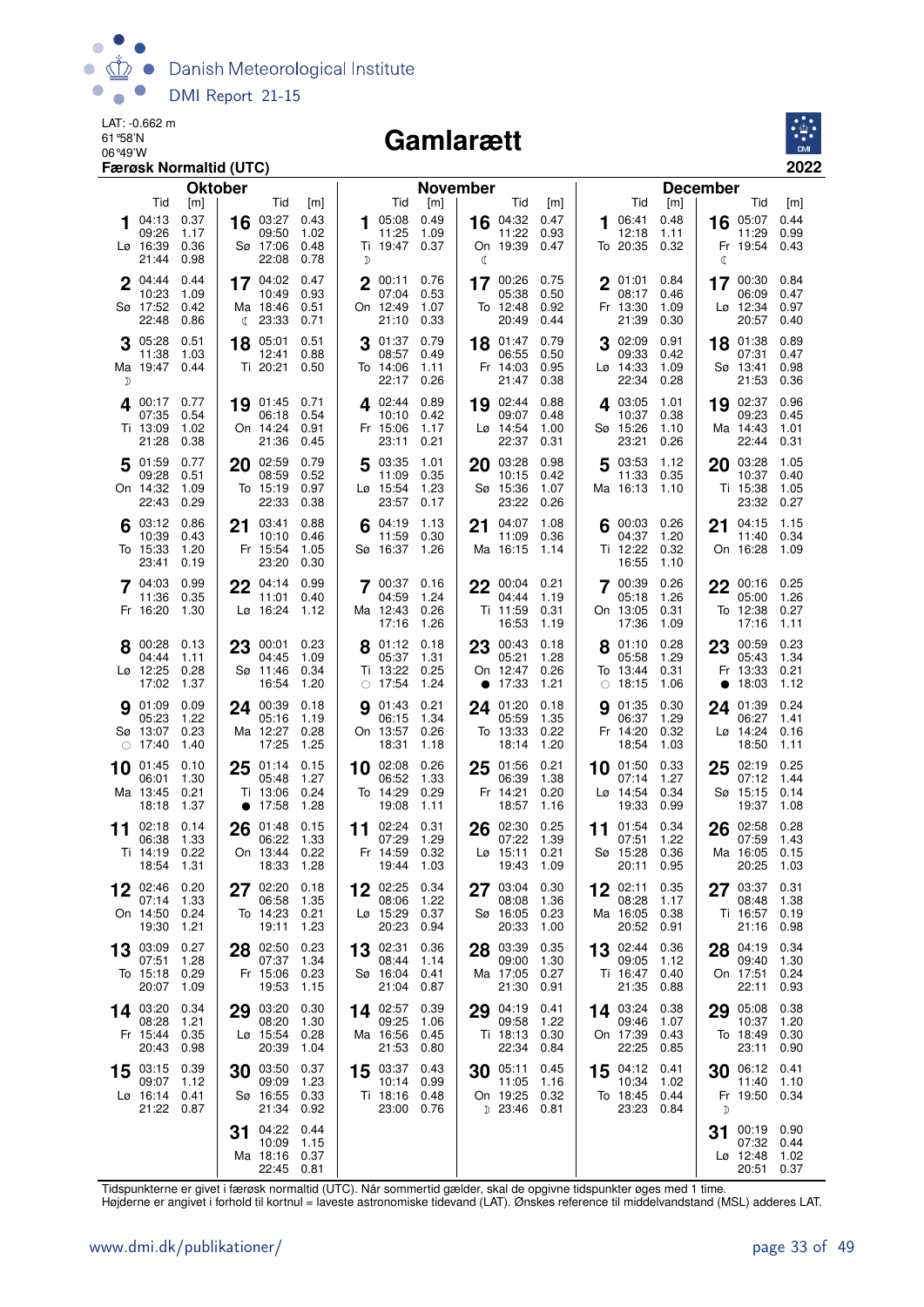

#### Gamlarætt



|              |                           | Færøsk Normaltid (UTC)    |                |                        |              |             |                             |              |          |                     |              |    |                        |              |                      | 2022               |  |
|--------------|---------------------------|---------------------------|----------------|------------------------|--------------|-------------|-----------------------------|--------------|----------|---------------------|--------------|----|------------------------|--------------|----------------------|--------------------|--|
|              |                           |                           | <b>Oktober</b> |                        |              |             |                             |              | November |                     |              |    |                        |              | <b>December</b>      |                    |  |
| 1            | Tid<br>04:13              | $\lceil m \rceil$<br>0.37 | 16             | Tid<br>03:27           | [m]<br>0.43  | 1           | Tid<br>05:08                | [m]<br>0.49  |          | Tid<br>16 04:32     | [m]<br>0.47  |    | Tid<br>06:41           | [m]<br>0.48  | 05:07<br>16          | Tid<br>[m]<br>0.44 |  |
|              | 09:26                     | 1.17                      |                | 09:50                  | 1.02         |             | 11:25                       | 1.09         |          | 11:22               | 0.93         |    | 12:18                  | 1.11         | 11:29                | 0.99               |  |
|              | Lø 16:39<br>21:44         | 0.36<br>0.98              |                | Sø 17:06<br>22:08      | 0.48<br>0.78 | D           | Ti 19:47 0.37               |              | ℂ        | On 19:39            | 0.47         |    | To 20:35 0.32          |              | Fr 19:54<br>ℭ        | 0.43               |  |
| $\mathbf{2}$ | 04:44                     | 0.44                      |                | 17 04:02               | 0.47         | $\mathbf 2$ | 00:11                       | 0.76         |          | 17 00:26            | 0.75         |    | $2^{01:01}$            | 0.84         | 17 00:30             | 0.84               |  |
|              | 10:23<br>Sø 17:52         | 1.09<br>0.42              |                | 10:49<br>Ma 18:46      | 0.93<br>0.51 |             | 07:04<br>On 12:49           | 0.53<br>1.07 |          | 05:38<br>To 12:48   | 0.50<br>0.92 |    | 08:17<br>Fr 13:30      | 0.46<br>1.09 | 06:09<br>Lø 12:34    | 0.47<br>0.97       |  |
|              | 22:48                     | 0.86                      |                | (23:33)                | 0.71         |             | 21:10                       | 0.33         |          | 20:49               | 0.44         |    | 21:39                  | 0.30         | 20:57                | 0.40               |  |
|              | 05:28                     | 0.51                      | 18             | 05:01                  | 0.51         |             | 01:37                       | 0.79         |          | 18 01:47            | 0.79         |    | 02:09                  | 0.91         | 18 01:38             | 0.89               |  |
|              | 11:38<br>Ma 19:47         | 1.03<br>0.44              |                | 12:41<br>Ti 20:21      | 0.88<br>0.50 |             | 08:57<br>To 14:06           | 0.49<br>1.11 |          | 06:55<br>Fr 14:03   | 0.50<br>0.95 |    | 09:33<br>Lø 14:33      | 0.42<br>1.09 | 07:31<br>Sø 13:41    | 0.47<br>0.98       |  |
| D            |                           |                           |                |                        |              |             | 22:17                       | 0.26         |          | 21:47               | 0.38         |    | 22:34                  | 0.28         | 21:53                | 0.36               |  |
|              | 4 00:17<br>07:35          | 0.77<br>0.54              |                | 19 01:45<br>06:18      | 0.71<br>0.54 |             | 4 02:44 0.89<br>10:10       | 0.42         | 19       | 02:44<br>09:07      | 0.88<br>0.48 |    | 4 03:05<br>10:37       | 1.01<br>0.38 | 02:37<br>19<br>09:23 | 0.96<br>0.45       |  |
|              | Ti 13:09                  | 1.02                      |                | On 14:24               | 0.91         |             | Fr 15:06                    | 1.17         |          | Lø 14:54            | 1.00         |    | Sø 15:26               | 1.10         | Ma 14:43             | 1.01               |  |
|              | 21:28<br>5 01:59          | 0.38<br>0.77              |                | 21:36<br>02:59         | 0.45<br>0.79 |             | 23:11<br>03:35              | 0.21<br>1.01 |          | 22:37<br>20 03:28   | 0.31<br>0.98 |    | 23:21<br>5 03:53       | 0.26<br>1.12 | 22:44                | 0.31<br>1.05       |  |
|              | 09:28                     | 0.51                      | 20             | 08:59                  | 0.52         | 5           | 11:09                       | 0.35         |          | 10:15               | 0.42         |    | 11:33                  | 0.35         | 20 03:28<br>10:37    | 0.40               |  |
|              | On 14:32<br>22:43         | 1.09<br>0.29              |                | To 15:19<br>22:33      | 0.97<br>0.38 |             | Lø 15:54<br>23:57           | 1.23<br>0.17 |          | Sø 15:36<br>23:22   | 1.07<br>0.26 |    | Ma 16:13 1.10          |              | Ti 15:38<br>23:32    | 1.05<br>0.27       |  |
|              | 03:12                     | 0.86                      | 21             | 03:41                  | 0.88         |             | 04:19                       | 1.13         | 21       | 04:07               | 1.08         |    | 00:03                  | 0.26         | 04:15<br>21          | 1.15               |  |
|              | 10:39<br>To 15:33         | 0.43<br>1.20              |                | 10:10<br>Fr 15:54      | 0.46<br>1.05 |             | 11:59<br>Sø 16:37           | 0.30<br>1.26 |          | 11:09<br>Ma 16:15   | 0.36<br>1.14 |    | 04:37<br>Ti 12:22      | 1.20<br>0.32 | 11:40<br>On 16:28    | 0.34<br>1.09       |  |
|              | 23:41                     | 0.19                      |                | 23:20                  | 0.30         |             |                             |              |          |                     |              |    | 16:55                  | 1.10         |                      |                    |  |
|              | 7 04:03                   | 0.99                      |                | $22^{04:14}$           | 0.99         |             | 7 00:37 0.16                |              |          | 22 00:04            | 0.21         |    | 7 00:39                | 0.26         | 22 00:16             | 0.25               |  |
|              | 11:36<br>Fr 16:20         | 0.35<br>1.30              |                | 11:01<br>Lø 16:24      | 0.40<br>1.12 |             | 04:59<br>Ma 12:43           | 1.24<br>0.26 |          | 04:44<br>Ti 11:59   | 1.19<br>0.31 |    | 05:18<br>On 13:05      | 1.26<br>0.31 | 05:00<br>To 12:38    | 1.26<br>0.27       |  |
|              |                           |                           |                |                        |              |             | 17:16                       | 1.26         |          | 16:53               | 1.19         |    | 17:36                  | 1.09         | 17:16                | 1.11               |  |
|              | 00:28<br>04:44            | 0.13<br>1.11              | 23             | 00:01<br>04:45         | 0.23<br>1.09 |             | 01:12<br>05:37              | 0.18<br>1.31 | 23       | 00:43<br>05:21      | 0.18<br>1.28 |    | 01:10<br>05:58         | 0.28<br>1.29 | 23 00:59<br>05:43    | 0.23<br>1.34       |  |
|              | Lø 12:25                  | 0.28                      |                | Sø 11:46<br>16:54      | 0.34         |             | Ti 13:22                    | 0.25         |          | On 12:47            | 0.26         |    | To 13:44               | 0.31         | Fr 13:33             | 0.21               |  |
|              | 17:02<br><b>9</b> 01:09   | 1.37<br>0.09              |                | 24 00:39               | 1.20<br>0.18 |             | $\circ$ 17:54<br>01:43      | 1.24<br>0.21 |          | • 17:33<br>24 01:20 | 1.21<br>0.18 |    | $\circ$ 18:15<br>01:35 | 1.06<br>0.30 | 18:03<br>$\bullet$   | 1.12<br>0.24       |  |
|              | 05:23                     | 1.22                      |                | 05:16                  | 1.19         | g           | 06:15                       | 1.34         |          | 05:59               | 1.35         | g  | 06:37                  | 1.29         | 24 01:39<br>06:27    | 1.41               |  |
|              | Sø 13:07<br>$\circ$ 17:40 | 0.23<br>1.40              |                | Ma 12:27<br>17:25      | 0.28<br>1.25 |             | On 13:57<br>18:31           | 0.26<br>1.18 |          | To 13:33<br>18:14   | 0.22<br>1.20 |    | Fr 14:20<br>18:54      | 0.32<br>1.03 | Lø 14:24<br>18:50    | 0.16<br>1.11       |  |
| 10           | 01:45                     | 0.10                      | 25             | 01:14                  | 0.15         | 10          | 02:08                       | 0.26         | 25       | 01:56               | 0.21         | 10 | 01:50                  | 0.33         | 02:19<br>25          | 0.25               |  |
|              | 06:01<br>Ma 13:45         | 1.30<br>0.21              |                | 05:48<br>Ti 13:06      | 1.27<br>0.24 |             | 06:52<br>To 14:29           | 1.33<br>0.29 |          | 06:39<br>Fr 14:21   | 1.38<br>0.20 |    | 07:14<br>Lø 14:54      | 1.27<br>0.34 | 07:12<br>Sø 15:15    | 1.44<br>0.14       |  |
|              | 18:18                     | 1.37                      |                | $\bullet$ 17:58        | 1.28         |             | 19:08                       | 1.11         |          | 18:57               | 1.16         |    | 19:33                  | 0.99         | 19:37                | 1.08               |  |
| 11           | 02:18<br>06:38            | 0.14<br>1.33              |                | 26 01:48<br>06:22      | 0.15<br>1.33 |             | 11 $02:24$<br>07:29         | 0.31<br>1.29 | 26       | 02:30<br>07:22      | 0.25<br>1.39 | 11 | 01:54<br>07:51         | 0.34<br>1.22 | 26 02:58<br>07:59    | 0.28<br>1.43       |  |
|              | Ti 14:19 0.22             |                           |                | On 13:44 0.22          |              |             | Fr 14:59 0.32               |              |          | Lø 15:11 0.21       |              |    | Sø 15:28 0.36          |              |                      | Ma 16:05 0.15      |  |
|              | 18:54 1.31                |                           |                | 18:33 1.28             |              |             | 19:44 1.03                  |              |          | 19:43 1.09          |              |    | 20:11 0.95             |              | 20:25                | 1.03               |  |
|              | 02:46<br>07:14            | 0.20<br>1.33              |                | 27 02:20<br>06:58      | 0.18<br>1.35 |             | 12 02:25<br>08:06           | 0.34<br>1.22 |          | 27 03:04<br>08:08   | 0.30<br>1.36 |    | 12 02:11<br>08:28      | 0.35<br>1.17 | 27 03:37<br>08:48    | 0.31<br>1.38       |  |
|              | On 14:50<br>19:30         | 0.24<br>1.21              |                | To 14:23<br>19:11      | 0.21<br>1.23 |             | Lø 15:29<br>20:23 0.94      | 0.37         |          | Sø 16:05<br>20:33   | 0.23<br>1.00 |    | Ma 16:05<br>20:52 0.91 | 0.38         | Ti 16:57<br>21:16    | 0.19<br>0.98       |  |
|              | 13 03:09                  | 0.27                      |                | 28 02:50               | 0.23         |             | 13 02:31                    | 0.36         |          | 28 03:39            | 0.35         |    | 13 02:44               | 0.36         | 28 04:19             | 0.34               |  |
|              | 07:51                     | 1.28                      |                | 07:37                  | 1.34         |             | 08:44                       | 1.14         |          | 09:00<br>Ma 17:05   | 1.30         |    | 09:05                  | 1.12         | 09:40                | 1.30               |  |
|              | To 15:18<br>20:07         | 0.29<br>1.09              |                | Fr 15:06<br>19:53      | 0.23<br>1.15 |             | Sø 16:04<br>21:04           | 0.41<br>0.87 |          | 21:30               | 0.27<br>0.91 |    | Ti 16:47<br>21:35      | 0.40<br>0.88 | On 17:51<br>22:11    | 0.24<br>0.93       |  |
|              | 14 03:20                  | 0.34                      | 29             | 03:20                  | 0.30         |             | 14 02:57 0.39               |              |          | 29 04:19            | 0.41         |    | 14 03:24               | 0.38         | 05:08<br>29          | 0.38               |  |
|              | 08:28<br>Fr 15:44         | 1.21<br>0.35              |                | 08:20<br>Lø 15:54      | 1.30<br>0.28 |             | 09:25<br>Ma 16:56           | 1.06<br>0.45 |          | 09:58<br>Ti 18:13   | 1.22<br>0.30 |    | 09:46<br>On 17:39      | 1.07<br>0.43 | 10:37<br>To 18:49    | 1.20<br>0.30       |  |
|              | 20:43                     | 0.98                      |                | 20:39                  | 1.04         |             | 21:53                       | 0.80         |          | 22:34               | 0.84         |    | 22:25                  | 0.85         | 23:11                | 0.90               |  |
|              | 15 03:15 0.39<br>09:07    | 1.12                      |                | 30 03:50<br>09:09      | 0.37<br>1.23 |             | 15 03:37 0.43<br>10:14 0.99 |              |          | 30 05:11<br>11:05   | 0.45<br>1.16 |    | 15 04:12 0.41<br>10:34 | 1.02         | 30 06:12<br>11:40    | 0.41<br>1.10       |  |
|              | Lø 16:14 0.41             |                           |                | Sø 16:55               | 0.33         |             | Ti 18:16 0.48               |              |          | On 19:25            | 0.32         |    | To 18:45 0.44          |              | Fr 19:50             | 0.34               |  |
|              | 21:22 0.87                |                           |                | 21:34                  | 0.92         |             | 23:00 0.76                  |              |          | D 23:46 0.81        |              |    | 23:23 0.84             |              | D                    |                    |  |
|              |                           |                           | 31             | 04:22<br>10:09         | 0.44<br>1.15 |             |                             |              |          |                     |              |    |                        |              | 00:19<br>31<br>07:32 | 0.90<br>0.44       |  |
|              |                           |                           |                | Ma 18:16<br>22:45 0.81 | 0.37         |             |                             |              |          |                     |              |    |                        |              | Lø 12:48<br>20:51    | 1.02<br>0.37       |  |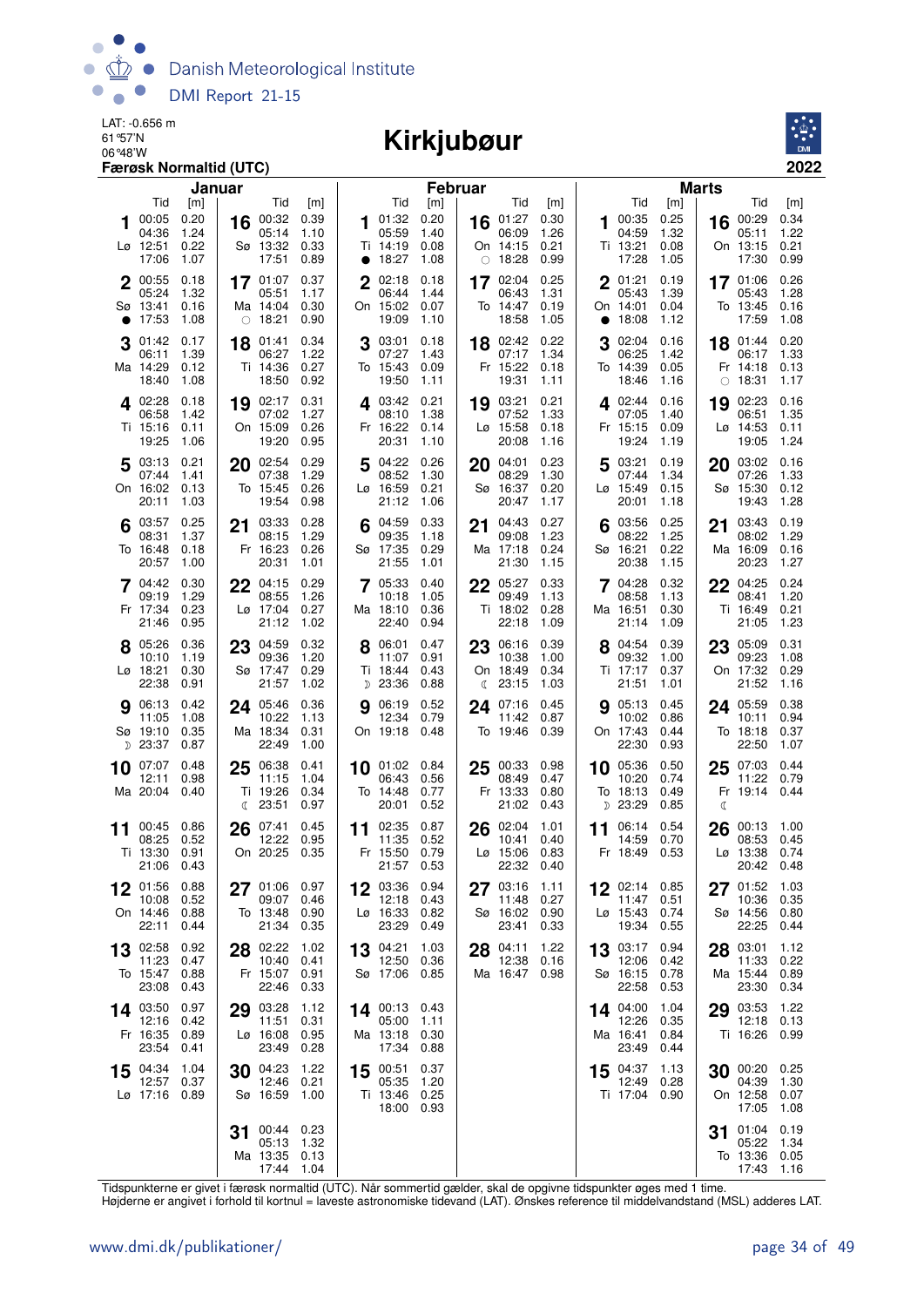

#### 06°48'W **Kirkjubøur**



|    |                   | Januar       |    |                    |              |             |                        | <b>Februar</b> |    |                               |              |           |                   |              | <b>Marts</b> |                        |              |
|----|-------------------|--------------|----|--------------------|--------------|-------------|------------------------|----------------|----|-------------------------------|--------------|-----------|-------------------|--------------|--------------|------------------------|--------------|
|    | Tid               | [m]          |    | Tid                | [m]          |             | Tid                    | [m]            |    | Tid                           | [m]          |           | Tid               | [m]          |              | Tid                    | [m]          |
|    | 00:05<br>04:36    | 0.20<br>1.24 | 16 | 00:32<br>05:14     | 0.39<br>1.10 | 1           | 01:32<br>05:59         | 0.20<br>1.40   |    | 16 01:27<br>06:09             | 0.30<br>1.26 |           | 100:35<br>04:59   | 0.25<br>1.32 |              | 16 00:29<br>05:11      | 0.34<br>1.22 |
|    | Lø 12:51          | 0.22         |    | Sø 13:32           | 0.33         |             | Ti 14:19               | 0.08           |    | On 14:15                      | 0.21         |           | Ti 13:21          | 0.08         |              | On 13:15               | 0.21         |
|    | 17:06             | 1.07         |    | 17:51              | 0.89         |             | • 18:27                | 1.08           |    | $\circ$ 18:28                 | 0.99         |           | 17:28             | 1.05         |              | 17:30                  | 0.99         |
|    | 2 00:55           | 0.18         |    | 17 01:07           | 0.37         | $\mathbf 2$ | 02:18                  | 0.18           |    | 17 02:04                      | 0.25         |           | 2 01:21           | 0.19         |              | 17 01:06               | 0.26         |
|    | 05:24<br>Sø 13:41 | 1.32<br>0.16 |    | 05:51<br>Ma 14:04  | 1.17<br>0.30 |             | 06:44<br>On 15:02      | 1.44<br>0.07   |    | 06:43<br>To 14:47             | 1.31<br>0.19 |           | 05:43<br>On 14:01 | 1.39<br>0.04 |              | 05:43<br>To 13:45      | 1.28<br>0.16 |
|    | $\bullet$ 17:53   | 1.08         |    | $\circ$ 18:21      | 0.90         |             | 19:09                  | 1.10           |    | 18:58                         | 1.05         | $\bullet$ | 18:08             | 1.12         |              | 17:59                  | 1.08         |
|    | 01:42             | 0.17         | 18 | 01:41              | 0.34         | 3           | 03:01                  | 0.18           |    | 18 02:42                      | 0.22         | 3         | 02:04             | 0.16         |              | 18 01:44               | 0.20         |
|    | 06:11             | 1.39         |    | 06:27              | 1.22         |             | 07:27                  | 1.43           |    | 07:17                         | 1.34         |           | 06:25             | 1.42         |              | 06:17                  | 1.33         |
|    | Ma 14:29          | 0.12<br>1.08 |    | Ti 14:36           | 0.27<br>0.92 |             | To 15:43<br>19:50      | 0.09           |    | Fr 15:22                      | 0.18         |           | To 14:39<br>18:46 | 0.05<br>1.16 |              | Fr 14:18               | 0.13<br>1.17 |
|    | 18:40             |              |    | 18:50              |              |             |                        | 1.11           |    | 19:31                         | 1.11         |           |                   |              | $\bigcirc$   | 18:31                  |              |
|    | 4 02:28<br>06:58  | 0.18<br>1.42 |    | 19 02:17<br>07:02  | 0.31<br>1.27 |             | 403:42<br>08:10        | 0.21<br>1.38   |    | 19 03:21<br>07:52             | 0.21<br>1.33 |           | 402:44<br>07:05   | 0.16<br>1.40 | 19           | 02:23<br>06:51         | 0.16<br>1.35 |
|    | Ti 15:16          | 0.11         |    | On 15:09           | 0.26         |             | Fr 16:22               | 0.14           |    | Lø 15:58                      | 0.18         |           | Fr 15:15          | 0.09         |              | Lø 14:53               | 0.11         |
|    | 19:25             | 1.06         |    | 19:20              | 0.95         |             | 20:31                  | 1.10           |    | 20:08                         | 1.16         |           | 19:24             | 1.19         |              | 19:05                  | 1.24         |
|    | 503:13            | 0.21         |    | 20 02:54           | 0.29         | 5           | 04:22                  | 0.26           | 20 | 04:01                         | 0.23         |           | 5 03:21           | 0.19         | 20           | 03:02                  | 0.16         |
|    | 07:44<br>On 16:02 | 1.41<br>0.13 |    | 07:38<br>To 15:45  | 1.29<br>0.26 |             | 08:52<br>Lø 16:59      | 1.30<br>0.21   |    | 08:29<br>Sø 16:37             | 1.30<br>0.20 |           | 07:44<br>Lø 15:49 | 1.34<br>0.15 |              | 07:26<br>Sø 15:30      | 1.33<br>0.12 |
|    | 20:11             | 1.03         |    | 19:54              | 0.98         |             | 21:12                  | 1.06           |    | 20:47                         | 1.17         |           | 20:01             | 1.18         |              | 19:43                  | 1.28         |
|    | 03:57             | 0.25         | 21 | 03:33              | 0.28         |             | 04:59                  | 0.33           | 21 | 04:43                         | 0.27         |           | 03:56             | 0.25         | 21           | 03:43                  | 0.19         |
|    | 08:31             | 1.37         |    | 08:15              | 1.29         |             | 09:35                  | 1.18           |    | 09:08                         | 1.23         |           | 08:22             | 1.25         |              | 08:02                  | 1.29         |
|    | To 16:48<br>20:57 | 0.18<br>1.00 |    | Fr 16:23<br>20:31  | 0.26<br>1.01 |             | Sø 17:35<br>21:55      | 0.29<br>1.01   |    | Ma 17:18<br>21:30             | 0.24<br>1.15 |           | Sø 16:21<br>20:38 | 0.22<br>1.15 |              | Ma 16:09<br>20:23      | 0.16<br>1.27 |
|    | 7 04:42           | 0.30         |    | $22^{04:15}$       | 0.29         |             | 7 05:33                | 0.40           |    | 22 05:27                      | 0.33         |           | 7 04:28           | 0.32         |              | 22 04:25               | 0.24         |
|    | 09:19             | 1.29         |    | 08:55              | 1.26         |             | 10:18                  | 1.05           |    | 09:49                         | 1.13         |           | 08:58             | 1.13         |              | 08:41                  | 1.20         |
|    | Fr 17:34<br>21:46 | 0.23         |    | Lø 17:04           | 0.27         |             | Ma 18:10               | 0.36           |    | Ti 18:02                      | 0.28         |           | Ma 16:51          | 0.30         |              | Ti 16:49               | 0.21         |
|    |                   | 0.95         |    | 21:12              | 1.02         |             | 22:40                  | 0.94           |    | 22:18                         | 1.09         |           | 21:14             | 1.09         |              | 21:05                  | 1.23         |
|    | 8 05:26<br>10:10  | 0.36<br>1.19 | 23 | 04:59<br>09:36     | 0.32<br>1.20 | 8           | 06:01<br>11:07         | 0.47<br>0.91   |    | 23 06:16<br>10:38             | 0.39<br>1.00 |           | 04:54<br>09:32    | 0.39<br>1.00 | 23           | 05:09<br>09:23         | 0.31<br>1.08 |
|    | Lø 18:21          | 0.30         |    | Sø 17:47           | 0.29         |             | Ti 18:44               | 0.43           |    | On 18:49                      | 0.34         |           | Ti 17:17          | 0.37         |              | On 17:32               | 0.29         |
|    | 22:38             | 0.91         |    | 21:57              | 1.02         |             | D 23:36                | 0.88           |    | $\binom{23:15}{ }$            | 1.03         |           | 21:51             | 1.01         |              | 21:52                  | 1.16         |
|    | <b>9</b> 06:13    | 0.42         |    | 24 05:46           | 0.36         | g           | 06:19                  | 0.52           |    | 24 07:16                      | 0.45         |           | <b>9</b> 05:13    | 0.45         |              | 24 05:59               | 0.38         |
|    | 11:05<br>Sø 19:10 | 1.08<br>0.35 |    | 10:22<br>Ma 18:34  | 1.13<br>0.31 |             | 12:34<br>On 19:18 0.48 | 0.79           |    | 11:42<br>To 19:46             | 0.87<br>0.39 |           | 10:02<br>On 17:43 | 0.86<br>0.44 |              | 10:11<br>To 18:18      | 0.94<br>0.37 |
|    | D 23:37           | 0.87         |    | 22:49              | 1.00         |             |                        |                |    |                               |              |           | 22:30             | 0.93         |              | 22:50                  | 1.07         |
| 10 | 07:07             | 0.48         | 25 | 06:38              | 0.41         |             | 10 01:02 0.84          |                | 25 | 00:33                         | 0.98         |           | 10 05:36          | 0.50         | 25           | 07:03                  | 0.44         |
|    | 12:11<br>Ma 20:04 | 0.98<br>0.40 |    | 11:15<br>Ti 19:26  | 1.04<br>0.34 |             | 06:43<br>To 14:48      | 0.56<br>0.77   |    | 08:49<br>Fr 13:33             | 0.47<br>0.80 |           | 10:20<br>To 18:13 | 0.74<br>0.49 |              | 11:22<br>Fr 19:14      | 0.79<br>0.44 |
|    |                   |              |    | $\binom{23:51}{ }$ | 0.97         |             | 20:01                  | 0.52           |    | 21:02                         | 0.43         |           | D 23:29           | 0.85         | C            |                        |              |
| 11 | 00:45             | 0.86         | 26 | 07:41              | 0.45         |             | 11 02:35               | 0.87           | 26 | 02:04                         | 1.01         |           | 11 06:14          | 0.54         | 26           | 00:13                  | 1.00         |
|    | 08:25             | 0.52         |    | 12:22              | 0.95         |             | 11:35                  | 0.52           |    | 10:41                         | 0.40         |           | 14:59             | 0.70         |              | 08:53                  | 0.45         |
|    | Ti 13:30<br>21:06 | 0.91<br>0.43 |    | On 20:25           | 0.35         |             | Fr 15:50<br>21:57      | 0.79<br>0.53   |    | $L\varnothing$ 15:06<br>22:32 | 0.83<br>0.40 |           | Fr 18:49          | 0.53         |              | Lø 13:38<br>20:42 0.48 | 0.74         |
|    |                   | 0.88         |    | 01:06              | 0.97         |             | 03:36 0.94             |                |    |                               | 1.11         |           |                   | 0.85         |              | 01:52                  | 1.03         |
|    | 01:56<br>10:08    | 0.52         | 27 | 09:07              | 0.46         |             | 12:18                  | 0.43           | 27 | 03:16<br>11:48                | 0.27         |           | 12 02:14<br>11:47 | 0.51         | 27           | 10:36                  | 0.35         |
|    | On 14:46          | 0.88         |    | To 13:48           | 0.90         |             | Lø 16:33               | 0.82           |    | Sø 16:02                      | 0.90         |           | Lø 15:43          | 0.74         |              | Sø 14:56               | 0.80         |
|    | 22:11             | 0.44         |    | 21:34              | 0.35         |             | 23:29                  | 0.49           |    | 23:41                         | 0.33         |           | 19:34             | 0.55         |              | 22:25                  | 0.44         |
| 13 | 02:58<br>11:23    | 0.92<br>0.47 |    | 28 02:22<br>10:40  | 1.02<br>0.41 |             | 13 04:21<br>12:50      | 1.03<br>0.36   | 28 | 04:11<br>12:38                | 1.22<br>0.16 |           | 13 03:17<br>12:06 | 0.94<br>0.42 |              | 28 03:01<br>11:33      | 1.12<br>0.22 |
|    | To 15:47          | 0.88         |    | Fr 15:07           | 0.91         |             | Sø 17:06               | 0.85           |    | Ma 16:47                      | 0.98         |           | Sø 16:15          | 0.78         |              | Ma 15:44               | 0.89         |
|    | 23:08             | 0.43         |    | 22:46              | 0.33         |             |                        |                |    |                               |              |           | 22:58             | 0.53         |              | 23:30                  | 0.34         |
|    | 14 03:50          | 0.97         | 29 | 03:28              | 1.12         |             | $14^{00:13}$           | 0.43           |    |                               |              |           | 14 04:00          | 1.04         | 29           | 03:53                  | 1.22         |
|    | 12:16<br>Fr 16:35 | 0.42<br>0.89 |    | 11:51<br>Lø 16:08  | 0.31<br>0.95 |             | 05:00<br>Ma 13:18      | 1.11<br>0.30   |    |                               |              |           | 12:26<br>Ma 16:41 | 0.35<br>0.84 |              | 12:18<br>Ti 16:26      | 0.13<br>0.99 |
|    | 23:54             | 0.41         |    | 23:49              | 0.28         |             | 17:34                  | 0.88           |    |                               |              |           | 23:49             | 0.44         |              |                        |              |
|    | 15 04:34          | 1.04         |    | 30 04:23           | 1.22         |             | 15 00:51               | 0.37           |    |                               |              |           | 15 04:37          | 1.13         |              | 30 00:20               | 0.25         |
|    | 12:57             | 0.37         |    | 12:46              | 0.21         |             | 05:35                  | 1.20           |    |                               |              |           | 12:49             | 0.28         |              | 04:39                  | 1.30         |
|    | Lø 17:16 0.89     |              |    | Sø 16:59           | 1.00         |             | Ti 13:46<br>18:00 0.93 | 0.25           |    |                               |              |           | Ti 17:04 0.90     |              |              | On 12:58<br>17:05      | 0.07<br>1.08 |
|    |                   |              |    | 00:44 0.23         |              |             |                        |                |    |                               |              |           |                   |              |              | 01:04                  | 0.19         |
|    |                   |              | 31 | 05:13              | 1.32         |             |                        |                |    |                               |              |           |                   |              | 31           | 05:22                  | 1.34         |
|    |                   |              |    | Ma 13:35 0.13      |              |             |                        |                |    |                               |              |           |                   |              |              | To 13:36               | 0.05         |
|    |                   |              |    | 17:44 1.04         |              |             |                        |                |    |                               |              |           |                   |              |              | 17:43                  | 1.16         |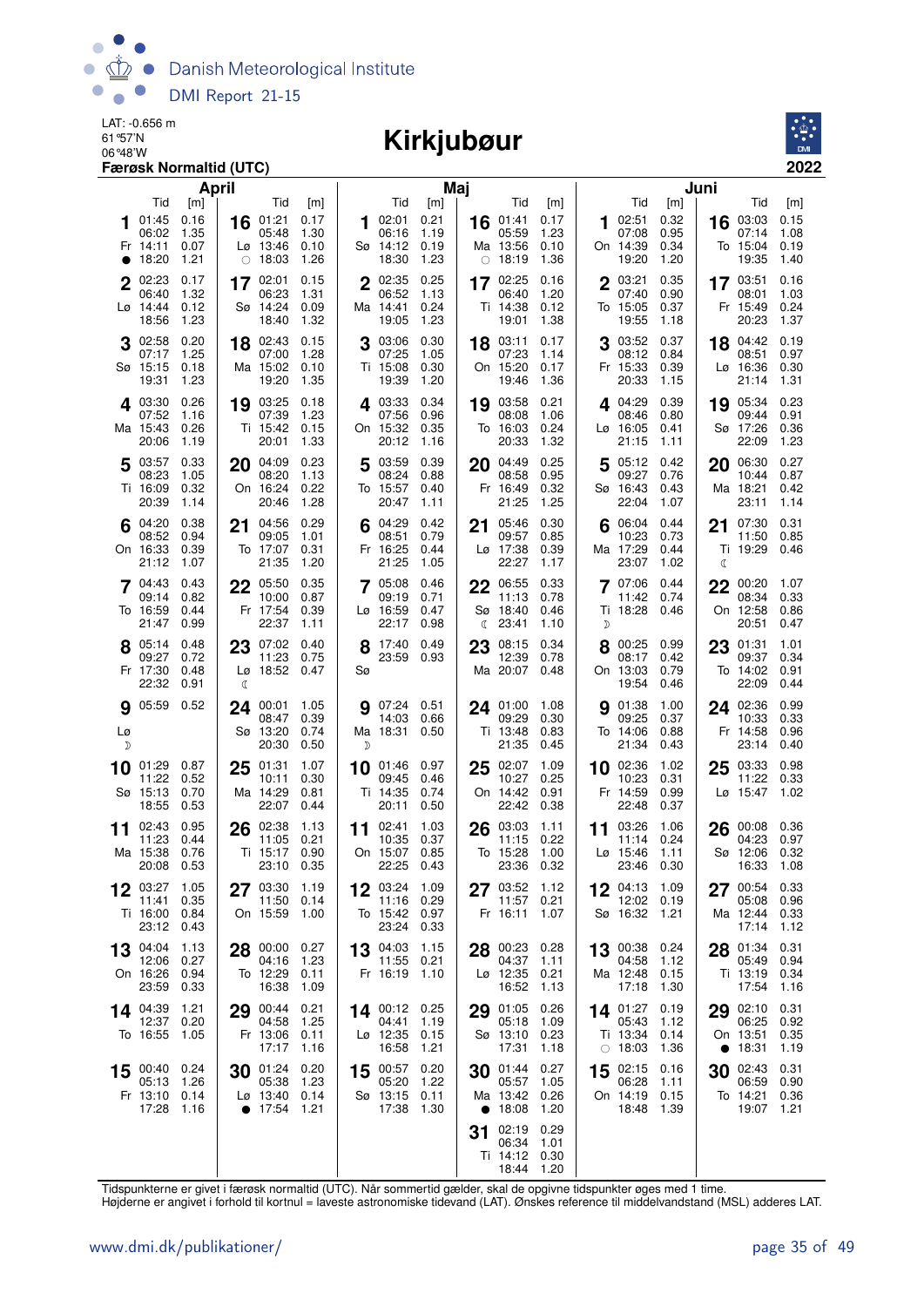

# 06°48'W **Kirkjubøur**



| April                                                                             |                                                                                                                   | Maj                                                                                    |                                                                                                       |                                                                                        | Juni                                                                                    |
|-----------------------------------------------------------------------------------|-------------------------------------------------------------------------------------------------------------------|----------------------------------------------------------------------------------------|-------------------------------------------------------------------------------------------------------|----------------------------------------------------------------------------------------|-----------------------------------------------------------------------------------------|
| Tid<br>[m]<br>01:45<br>0.16<br>06:02<br>1.35<br>Fr 14:11<br>0.07<br>18:20<br>1.21 | Tid<br>[m]<br>01:21<br>0.17<br>16<br>05:48<br>1.30<br>$L\varnothing$ 13:46<br>0.10<br>18:03<br>1.26<br>$\bigcirc$ | Tid<br>[m]<br>0.21<br>02:01<br>1<br>06:16<br>1.19<br>Sø 14:12<br>0.19<br>18:30<br>1.23 | Tid<br>[m]<br>01:41<br>0.17<br>16<br>05:59<br>1.23<br>Ma 13:56<br>0.10<br>1.36<br>18:19<br>$\bigcirc$ | Tid<br>[m]<br>0.32<br>02:51<br>1<br>07:08<br>0.95<br>On 14:39<br>0.34<br>19:20<br>1.20 | Tid<br>[m]<br>03:03<br>0.15<br>16<br>07:14<br>1.08<br>To 15:04<br>0.19<br>19:35<br>1.40 |
| 2 02:23<br>0.17<br>1.32<br>06:40<br>Lø 14:44<br>0.12<br>1.23<br>18:56             | 17 02:01<br>0.15<br>06:23<br>1.31<br>Sø 14:24<br>0.09<br>18:40<br>1.32                                            | 0.25<br>2 02:35<br>06:52<br>1.13<br>Ma 14:41<br>0.24<br>19:05<br>1.23                  | 17 02:25<br>0.16<br>1.20<br>06:40<br>Ti 14:38<br>0.12<br>1.38<br>19:01                                | 0.35<br>2 03:21<br>07:40<br>0.90<br>To 15:05<br>0.37<br>19:55<br>1.18                  | 17 03:51<br>0.16<br>08:01<br>1.03<br>Fr 15:49<br>0.24<br>20:23<br>1.37                  |
| 0.20<br>02:58<br>1.25<br>07:17<br>Sø 15:15<br>0.18<br>1.23<br>19:31               | 02:43<br>0.15<br>18<br>07:00<br>1.28<br>Ma 15:02<br>0.10<br>19:20<br>1.35                                         | 0.30<br>03:06<br>3<br>07:25<br>1.05<br>Ti 15:08<br>0.30<br>19:39<br>1.20               | 03:11<br>0.17<br>18<br>07:23<br>1.14<br>On 15:20<br>0.17<br>19:46<br>1.36                             | 03:52<br>0.37<br>08:12<br>0.84<br>Fr 15:33<br>0.39<br>20:33<br>1.15                    | 04:42<br>0.19<br>18<br>08:51<br>0.97<br>Lø 16:36<br>0.30<br>21:14<br>1.31               |
| 4 03:30<br>0.26<br>07:52<br>1.16<br>Ma 15:43<br>0.26<br>20:06<br>1.19             | 19 03:25<br>0.18<br>07:39<br>1.23<br>Ti 15:42<br>0.15<br>20:01<br>1.33                                            | 0.34<br>403:33<br>07:56<br>0.96<br>On 15:32<br>0.35<br>20:12<br>1.16                   | 03:58<br>0.21<br>19<br>1.06<br>08:08<br>To 16:03<br>0.24<br>1.32<br>20:33                             | 4.04:29<br>0.39<br>08:46<br>0.80<br>Lø 16:05<br>0.41<br>21:15<br>1.11                  | 0.23<br>19 05:34<br>09:44<br>0.91<br>Sø 17:26<br>0.36<br>1.23<br>22:09                  |
| 0.33<br>5 03:57<br>08:23<br>1.05<br>Ti 16:09<br>0.32<br>20:39<br>1.14             | 04:09<br>0.23<br>20<br>08:20<br>1.13<br>On 16:24<br>0.22<br>20:46<br>1.28                                         | 03:59<br>0.39<br>5<br>08:24<br>0.88<br>To 15:57<br>0.40<br>20:47<br>1.11               | 0.25<br>04:49<br>20<br>08:58<br>0.95<br>Fr 16:49<br>0.32<br>21:25<br>1.25                             | 05:12<br>0.42<br>5<br>09:27<br>0.76<br>Sø 16:43<br>0.43<br>22:04<br>1.07               | 0.27<br>06:30<br>20<br>10:44<br>0.87<br>Ma 18:21<br>0.42<br>23:11<br>1.14               |
| 0.38<br>$6^{04:20}$<br>0.94<br>08:52<br>On 16:33<br>0.39<br>21:12<br>1.07         | 04:56<br>0.29<br>21<br>09:05<br>1.01<br>To 17:07<br>0.31<br>21:35<br>1.20                                         | 04:29<br>0.42<br>08:51<br>0.79<br>Fr 16:25<br>0.44<br>21:25<br>1.05                    | 0.30<br>05:46<br>21<br>09:57<br>0.85<br>Lø 17:38<br>0.39<br>22:27<br>1.17                             | 06:04<br>0.44<br>6<br>10:23<br>0.73<br>Ma 17:29<br>0.44<br>23:07<br>1.02               | 0.31<br>07:30<br>21<br>11:50<br>0.85<br>Ti 19:29<br>0.46<br>C                           |
| 7 04:43<br>0.43<br>0.82<br>09:14<br>To 16:59<br>0.44<br>21:47<br>0.99             | 22<br>05:50<br>0.35<br>10:00<br>0.87<br>Fr 17:54<br>0.39<br>22:37<br>1.11                                         | 7 05:08<br>0.46<br>09:19<br>0.71<br>Lø 16:59<br>0.47<br>22:17<br>0.98                  | 0.33<br>22<br>06:55<br>0.78<br>11:13<br>Sø 18:40<br>0.46<br>23:41<br>1.10<br>ℂ                        | 07:06<br>0.44<br>11:42<br>0.74<br>Ti 18:28<br>0.46<br>D                                | 22<br>00:20<br>1.07<br>08:34<br>0.33<br>On 12:58<br>0.86<br>20:51<br>0.47               |
| 8 05:14<br>0.48<br>0.72<br>09:27<br>Fr 17:30<br>0.48<br>22:32<br>0.91             | 07:02<br>23<br>0.40<br>11:23<br>0.75<br>Lø 18:52 0.47<br>₫                                                        | 17:40 0.49<br>8<br>23:59 0.93<br>Sø                                                    | 08:15<br>0.34<br>23<br>12:39<br>0.78<br>Ma 20:07<br>0.48                                              | 8 00:25 0.99<br>08:17<br>0.42<br>On 13:03<br>0.79<br>19:54<br>0.46                     | 23<br>01:31<br>1.01<br>0.34<br>09:37<br>To 14:02<br>0.91<br>22:09<br>0.44               |
| <b>g</b> 05:59 0.52<br>Lø<br>D                                                    | 1.05<br>00:01<br>24<br>0.39<br>08:47<br>Sø 13:20<br>0.74<br>20:30<br>0.50                                         | 07:24 0.51<br>g<br>14:03<br>0.66<br>Ma 18:31 0.50<br>D                                 | 24 01:00<br>1.08<br>0.30<br>09:29<br>Ti 13:48<br>0.83<br>21:35<br>0.45                                | 01:38<br>1.00<br>9<br>09:25<br>0.37<br>To 14:06<br>0.88<br>21:34<br>0.43               | 24 02:36<br>0.99<br>0.33<br>10:33<br>Fr 14:58<br>0.96<br>23:14<br>0.40                  |
| 10 01:29<br>0.87<br>11:22<br>0.52<br>Sø 15:13<br>0.70<br>18:55<br>0.53            | 01:31<br>1.07<br>25<br>10:11<br>0.30<br>Ma 14:29<br>0.81<br>22:07<br>0.44                                         | 0.97<br>01:46<br>10<br>09:45<br>0.46<br>Ti 14:35<br>0.74<br>20:11<br>0.50              | 1.09<br>02:07<br>25<br>10:27<br>0.25<br>On 14:42<br>0.91<br>22:42<br>0.38                             | 10 02:36<br>1.02<br>10:23<br>0.31<br>Fr 14:59<br>0.99<br>22:48<br>0.37                 | 03:33<br>0.98<br>25<br>11:22<br>0.33<br>Lø 15:47<br>1.02                                |
| 0.95<br>02:43<br>11<br>11:23<br>0.44<br>Ma 15:38<br>0.76<br>20:08 0.53            | 02:38<br>26<br>1.13<br>11:05<br>0.21<br>Ti 15:17<br>0.90<br>23:10<br>0.35                                         | 02:41<br>1.03<br>11<br>10:35<br>0.37<br>On 15:07<br>0.85<br>22:25 0.43                 | 03:03<br>26<br>1.11<br>0.22<br>11:15<br>To 15:28<br>1.00<br>23:36<br>0.32                             | 03:26<br>1.06<br>11<br>11:14<br>0.24<br>$L\varnothing$ 15:46<br>1.11<br>23:46<br>0.30  | 00:08<br>0.36<br>26<br>04:23<br>0.97<br>0.32<br>Sø 12:06<br>16:33<br>1.08               |
| 03:27 1.05<br>12<br>11:41<br>0.35<br>Ti 16:00<br>0.84<br>23:12<br>0.43            | 03:30<br>1.19<br>11:50<br>0.14<br>On 15:59<br>1.00                                                                | 03:24 1.09<br>12<br>11:16 0.29<br>To 15:42 0.97<br>23:24 0.33                          | $27^{03:52}$<br>1.12<br>11:57<br>0.21<br>Fr 16:11<br>1.07                                             | 12 $04:13$ 1.09<br>12:02 0.19<br>Sø 16:32 1.21                                         | 00:54<br>0.33<br>05:08<br>0.96<br>Ma 12:44<br>0.33<br>17:14<br>1.12                     |
| 04:04<br>1.13<br>13<br>0.27<br>12:06<br>On 16:26<br>0.94<br>23:59<br>0.33         | 28 00:00<br>0.27<br>04:16<br>1.23<br>To 12:29<br>0.11<br>16:38<br>1.09                                            | 13 04:03<br>1.15<br>11:55<br>0.21<br>Fr 16:19 1.10                                     | 00:23<br>0.28<br>28<br>04:37<br>1.11<br>Lø 12:35<br>0.21<br>16:52<br>1.13                             | 13 00:38 0.24<br>04:58<br>1.12<br>Ma 12:48 0.15<br>17:18<br>1.30                       | 0.31<br>28 01:34<br>0.94<br>05:49<br>Ti 13:19<br>0.34<br>17:54<br>1.16                  |
| 14 04:39<br>1.21<br>12:37<br>0.20<br>To 16:55<br>1.05                             | 00:44<br>0.21<br>29<br>04:58<br>1.25<br>Fr 13:06<br>0.11<br>17:17<br>1.16                                         | 14 00:12 0.25<br>04:41<br>1.19<br>0.15<br>Lø 12:35<br>16:58<br>1.21                    | 01:05<br>0.26<br>29<br>05:18<br>1.09<br>Sø 13:10<br>0.23<br>17:31<br>1.18                             | 14 01:27<br>0.19<br>05:43<br>1.12<br>Ti 13:34 0.14<br>$\circ$ 18:03<br>1.36            | 29 02:10<br>0.31<br>06:25<br>0.92<br>On 13:51<br>0.35<br>• 18:31<br>1.19                |
| 00:40 0.24<br>15<br>05:13<br>1.26<br>Fr 13:10 0.14<br>17:28<br>1.16               | 01:24<br>0.20<br>30<br>05:38<br>1.23<br>$L\varnothing$ 13:40 0.14<br>• 17:54<br>1.21                              | 0.20<br>00:57<br>15<br>05:20<br>1.22<br>Sø 13:15 0.11<br>17:38<br>1.30                 | 01:44<br>0.27<br>30<br>05:57<br>1.05<br>Ma 13:42<br>0.26<br>• $18:08$<br>1.20                         | 02:15 0.16<br>15<br>06:28<br>1.11<br>On 14:19 0.15<br>18:48 1.39                       | 02:43<br>0.31<br>30<br>06:59<br>0.90<br>To 14:21<br>0.36<br>19:07<br>1.21               |
|                                                                                   |                                                                                                                   |                                                                                        | 02:19<br>0.29<br>31<br>06:34<br>1.01<br>Ti 14:12<br>0.30<br>18:44 1.20                                |                                                                                        |                                                                                         |

Tidspunkterne er givet i færøsk normaltid (UTC). Når sommertid gælder, skal de opgivne tidspunkter øges med 1 time.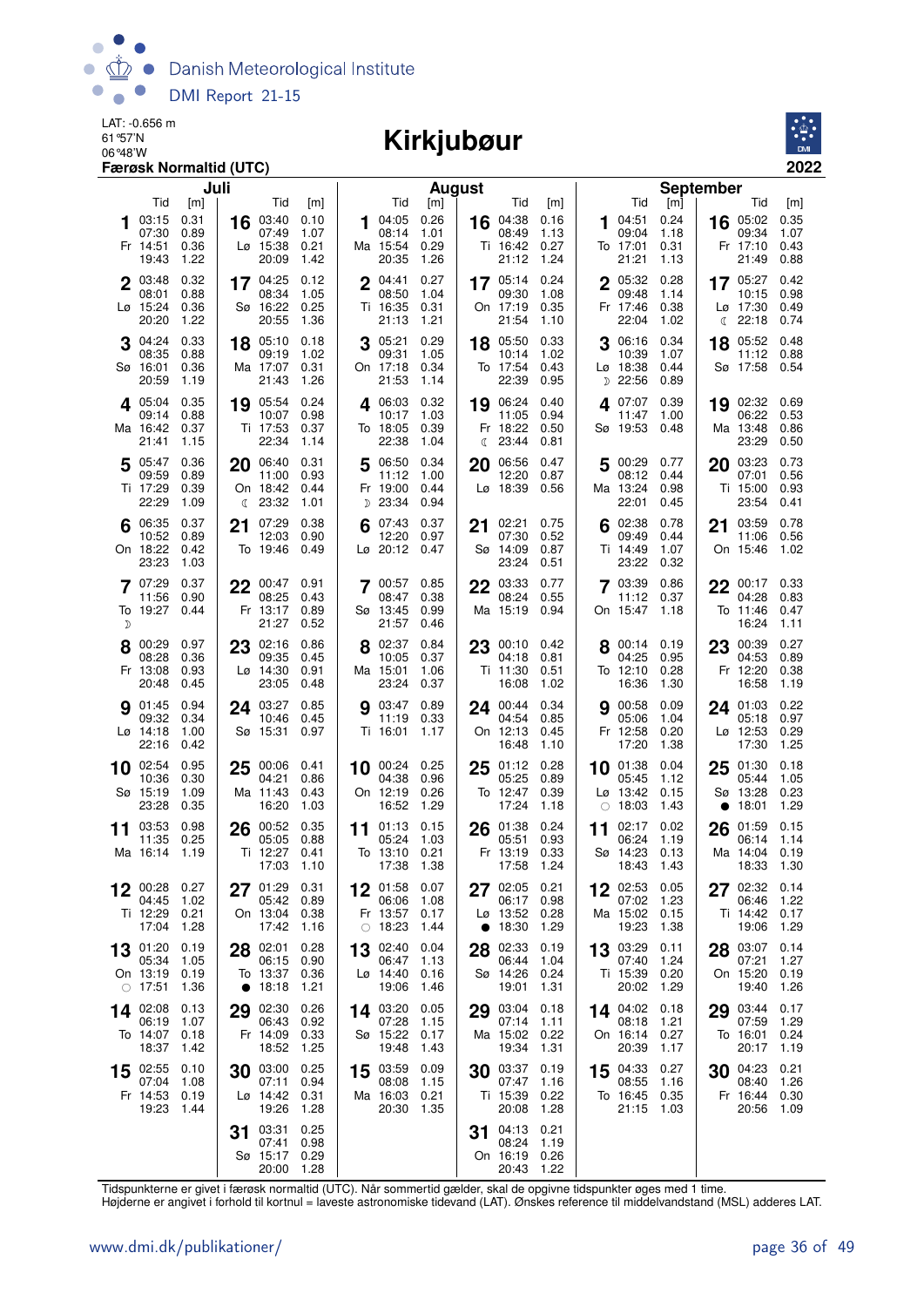

# 06°48'W **Kirkjubøur**



| Juli                                                                                 |                                                                                         | August                                                                                 |                                                                                         | <b>September</b>                                                                                                                                                                 |
|--------------------------------------------------------------------------------------|-----------------------------------------------------------------------------------------|----------------------------------------------------------------------------------------|-----------------------------------------------------------------------------------------|----------------------------------------------------------------------------------------------------------------------------------------------------------------------------------|
| Tid<br>[m]<br>0.31<br>03:15<br>07:30<br>0.89<br>Fr 14:51<br>0.36<br>19:43<br>1.22    | Tid<br>[m]<br>03:40<br>0.10<br>16<br>07:49<br>1.07<br>Lø 15:38<br>0.21<br>20:09<br>1.42 | Tid<br>[m]<br>0.26<br>04:05<br>1<br>08:14<br>1.01<br>Ma 15:54<br>0.29<br>20:35<br>1.26 | Tid<br>[m]<br>04:38<br>0.16<br>16<br>1.13<br>08:49<br>0.27<br>Ti 16:42<br>21:12<br>1.24 | Tid<br>Tid<br>[m]<br>[m]<br>04:51<br>0.24<br>16 05:02<br>0.35<br>1<br>09:04<br>09:34<br>1.07<br>1.18<br>To 17:01<br>0.31<br>Fr 17:10<br>0.43<br>21:21<br>21:49<br>0.88<br>1.13   |
| 2 03:48<br>0.32<br>0.88<br>08:01<br>Lø 15:24<br>0.36<br>20:20<br>1.22                | 17 04:25<br>0.12<br>08:34<br>1.05<br>Sø 16:22<br>0.25<br>20:55<br>1.36                  | 2 04:41<br>0.27<br>08:50<br>1.04<br>Ti 16:35<br>0.31<br>21:13<br>1.21                  | 0.24<br>17 05:14<br>09:30<br>1.08<br>On 17:19<br>0.35<br>21:54<br>1.10                  | 0.28<br>0.42<br>2 05:32<br>17 05:27<br>0.98<br>09:48<br>1.14<br>10:15<br>Fr 17:46<br>0.38<br>Lø 17:30<br>0.49<br>22:04<br>1.02<br>22:18<br>0.74<br>€                             |
| 04:24<br>0.33<br>08:35<br>0.88<br>Sø 16:01<br>0.36<br>20:59<br>1.19                  | 05:10<br>0.18<br>18<br>09:19<br>1.02<br>Ma 17:07<br>0.31<br>21:43<br>1.26               | 0.29<br>05:21<br>3<br>09:31<br>1.05<br>On 17:18<br>0.34<br>21:53<br>1.14               | 0.33<br>18 05:50<br>10:14<br>1.02<br>To 17:54<br>0.43<br>22:39<br>0.95                  | 0.34<br>06:16<br>05:52<br>0.48<br>3<br>18<br>10:39<br>1.07<br>11:12<br>0.88<br>Lø 18:38<br>0.44<br>Sø 17:58<br>0.54<br>D 22:56<br>0.89                                           |
| 0.35<br>405:04<br>0.88<br>09:14<br>Ma 16:42<br>0.37<br>21:41<br>1.15                 | 0.24<br>19 05:54<br>0.98<br>10:07<br>Ti 17:53<br>0.37<br>22:34<br>1.14                  | 4 06:03<br>0.32<br>10:17<br>1.03<br>To 18:05<br>0.39<br>22:38<br>1.04                  | 19 06:24<br>0.40<br>0.94<br>11:05<br>Fr 18:22<br>0.50<br>23:44<br>0.81<br>ℂ             | 407:07<br>0.39<br>19 02:32 0.69<br>06:22<br>0.53<br>11:47<br>1.00<br>Sø 19:53<br>0.48<br>Ma 13:48<br>0.86<br>23:29<br>0.50                                                       |
| 0.36<br>5 05:47<br>09:59<br>0.89<br>Ti 17:29<br>0.39<br>22:29<br>1.09                | 20 06:40<br>0.31<br>11:00<br>0.93<br>On 18:42<br>0.44<br>$\binom{23:32}{ }$<br>1.01     | 06:50<br>0.34<br>5<br>11:12<br>1.00<br>Fr 19:00<br>0.44<br>D 23:34<br>0.94             | 06:56<br>0.47<br>20<br>12:20<br>0.87<br>Lø 18:39<br>0.56                                | 0.73<br>00:29 0.77<br>03:23<br>20<br>5<br>08:12<br>07:01<br>0.56<br>0.44<br>Ma 13:24<br>0.98<br>Ti 15:00<br>0.93<br>22:01<br>23:54<br>0.45<br>0.41                               |
| 0.37<br>6 06:35<br>0.89<br>10:52<br>On 18:22<br>0.42<br>23:23<br>1.03                | 07:29<br>0.38<br>21<br>12:03<br>0.90<br>To 19:46<br>0.49                                | 0.37<br>07:43<br>6<br>12:20<br>0.97<br>$L\varnothing$ 20:12<br>0.47                    | 02:21<br>0.75<br>21<br>07:30<br>0.52<br>Sø 14:09<br>0.87<br>23:24<br>0.51               | 02:38<br>03:59<br>0.78<br>0.78<br>6<br>21<br>0.56<br>09:49<br>0.44<br>11:06<br>Ti 14:49<br>On 15:46<br>1.07<br>1.02<br>23:22<br>0.32                                             |
| 0.37<br>7 07:29<br>0.90<br>11:56<br>To 19:27<br>0.44<br>D                            | 22 00:47 0.91<br>08:25<br>0.43<br>Fr 13:17<br>0.89<br>21:27<br>0.52                     | 700:57<br>0.85<br>0.38<br>08:47<br>0.99<br>Sø 13:45<br>21:57<br>0.46                   | 0.77<br>03:33<br>22<br>08:24<br>0.55<br>Ma 15:19<br>0.94                                | 03:39<br>0.86<br>22<br>00:17 0.33<br>11:12<br>04:28<br>0.37<br>0.83<br>On 15:47<br>1.18<br>To 11:46<br>0.47<br>16:24<br>1.11                                                     |
| 00:29<br>0.97<br>08:28<br>0.36<br>Fr 13:08<br>0.93<br>20:48<br>0.45                  | 02:16<br>0.86<br>23<br>09:35<br>0.45<br>Lø 14:30<br>0.91<br>23:05<br>0.48               | 8 02:37<br>0.84<br>10:05<br>0.37<br>Ma 15:01<br>1.06<br>23:24<br>0.37                  | 23 00:10<br>0.42<br>0.81<br>04:18<br>Ti 11:30<br>0.51<br>16:08<br>1.02                  | 8 00:14 0.19<br>23<br>00:39<br>0.27<br>04:25<br>04:53<br>0.89<br>0.95<br>To 12:10<br>0.28<br>Fr 12:20<br>0.38<br>16:36<br>1.30<br>16:58<br>1.19                                  |
| 01:45<br>0.94<br>9<br>09:32<br>0.34<br>$L\varnothing$ 14:18<br>1.00<br>22:16<br>0.42 | 03:27 0.85<br>24<br>10:46<br>0.45<br>Sø 15:31 0.97                                      | <b>9</b> 03:47<br>0.89<br>11:19<br>0.33<br>Ti 16:01<br>1.17                            | 0.34<br>24 00:44<br>04:54<br>0.85<br>On 12:13<br>0.45<br>16:48<br>1.10                  | <b>9</b> 00:58<br>0.09<br>24 01:03<br>0.22<br>0.97<br>05:06<br>1.04<br>05:18<br>Fr 12:58<br>0.20<br>Lø 12:53<br>0.29<br>17:20<br>1.38<br>17:30<br>1.25                           |
| $10$ 02:54<br>0.95<br>10:36<br>0.30<br>Sø 15:19<br>1.09<br>23:28<br>0.35             | 00:06 0.41<br>25<br>04:21<br>0.86<br>Ma 11:43<br>0.43<br>16:20<br>1.03                  | $10$ 00:24<br>0.25<br>04:38<br>0.96<br>On 12:19<br>0.26<br>16:52<br>1.29               | $25^{01:12}_{07:27}$<br>0.28<br>05:25<br>0.89<br>To 12:47<br>0.39<br>17:24<br>1.18      | 10 01:38<br>0.04<br>01:30<br>0.18<br>25<br>05:44<br>1.05<br>05:45<br>1.12<br>$Lg$ 13:42<br>Sø 13:28<br>0.23<br>0.15<br>18:03<br>1.43<br>18:01<br>1.29<br>$\bigcirc$<br>$\bullet$ |
| 0.98<br>03:53<br>11<br>11:35<br>0.25<br>Ma 16:14<br>- 1.19                           | 00:52<br>0.35<br>26<br>05:05<br>0.88<br>Ti 12:27<br>0.41<br>17:03<br>1.10               | 01:13<br>0.15<br>11<br>05:24<br>1.03<br>To 13:10<br>0.21<br>17:38<br>1.38              | 0.24<br>26<br>01:38<br>05:51<br>0.93<br>Fr 13:19<br>0.33<br>17:58<br>1.24               | 02:17<br>0.02<br>26<br>01:59<br>0.15<br>11<br>06:24<br>1.19<br>06:14<br>1.14<br>Sø 14:23<br>0.13<br>Ma 14:04<br>0.19<br>18:43<br>18:33<br>1.30<br>1.43                           |
| 00:28<br>0.27<br>12<br>1.02<br>04:45<br>Ti 12:29<br>0.21<br>17:04<br>1.28            | 27 01:29 0.31<br>05:42<br>0.89<br>On 13:04<br>0.38<br>17:42<br>1.16                     | 01:58<br>0.07<br>12<br>06:06<br>1.08<br>Fr 13:57<br>0.17<br>$\circ$ 18:23<br>1.44      | 02:05<br>0.21<br>27<br>0.98<br>06:17<br>Lø 13:52<br>0.28<br>18:30<br>1.29               | $12^{02:53}$<br>0.05<br>02:32<br>0.14<br>27<br>07:02<br>1.23<br>1.22<br>06:46<br>Ma 15:02<br>0.15<br>Ti 14:42<br>0.17<br>19:23<br>1.38<br>19:06<br>1.29                          |
| 01:20<br>0.19<br>13<br>05:34<br>1.05<br>On 13:19<br>0.19<br>$\circ$ 17:51<br>1.36    | 02:01<br>0.28<br>28<br>06:15<br>0.90<br>To 13:37 0.36<br>18:18<br>1.21<br>$\bullet$     | 02:40<br>0.04<br>13<br>1.13<br>06:47<br>$L\varnothing$ 14:40<br>0.16<br>19:06<br>1.46  | 02:33<br>0.19<br>28<br>1.04<br>06:44<br>Sø 14:26<br>0.24<br>19:01<br>1.31               | 03:29<br>03:07<br>0.14<br>0.11<br>13<br>28<br>07:40<br>1.24<br>07:21<br>1.27<br>On 15:20<br>Ti 15:39<br>0.20<br>0.19<br>20:02<br>1.29<br>19:40<br>1.26                           |
| 14 02:08<br>0.13<br>06:19<br>1.07<br>To 14:07<br>0.18<br>18:37<br>1.42               | 02:30<br>0.26<br>29<br>06:43<br>0.92<br>Fr 14:09<br>0.33<br>18:52<br>1.25               | 14 03:20<br>0.05<br>07:28<br>1.15<br>Sø 15:22<br>0.17<br>19:48<br>1.43                 | 03:04<br>0.18<br>29<br>07:14<br>1.11<br>Ma 15:02<br>0.22<br>19:34<br>1.31               | 14 04:02<br>03:44<br>0.17<br>0.18<br>29<br>08:18<br>07:59<br>1.29<br>1.21<br>On 16:14<br>0.27<br>To 16:01<br>0.24<br>20:39<br>1.19<br>1.17<br>20:17                              |
| 02:55<br>0.10<br>15<br>07:04<br>1.08<br>Fr 14:53<br>0.19<br>19:23<br>1.44            | 03:00<br>0.25<br>30<br>07:11<br>0.94<br>Lø 14:42<br>0.31<br>19:26<br>1.28               | 03:59<br>0.09<br>15<br>08:08<br>1.15<br>Ma 16:03<br>0.21<br>20:30<br>1.35              | 03:37<br>0.19<br>30<br>07:47<br>1.16<br>Ti 15:39<br>0.22<br>20:08<br>1.28               | 04:33<br>04:23<br>0.21<br>0.27<br>15<br>30<br>08:55<br>1.16<br>08:40<br>1.26<br>To 16:45 0.35<br>Fr 16:44<br>0.30<br>21:15<br>20:56<br>1.03<br>1.09                              |
|                                                                                      | 03:31<br>0.25<br>31<br>07:41<br>0.98<br>Sø 15:17<br>0.29<br>20:00<br>1.28               |                                                                                        | 04:13<br>0.21<br>31<br>08:24<br>1.19<br>On 16:19<br>0.26<br>20:43<br>1.22               |                                                                                                                                                                                  |

Tidspunkterne er givet i færøsk normaltid (UTC). Når sommertid gælder, skal de opgivne tidspunkter øges med 1 time.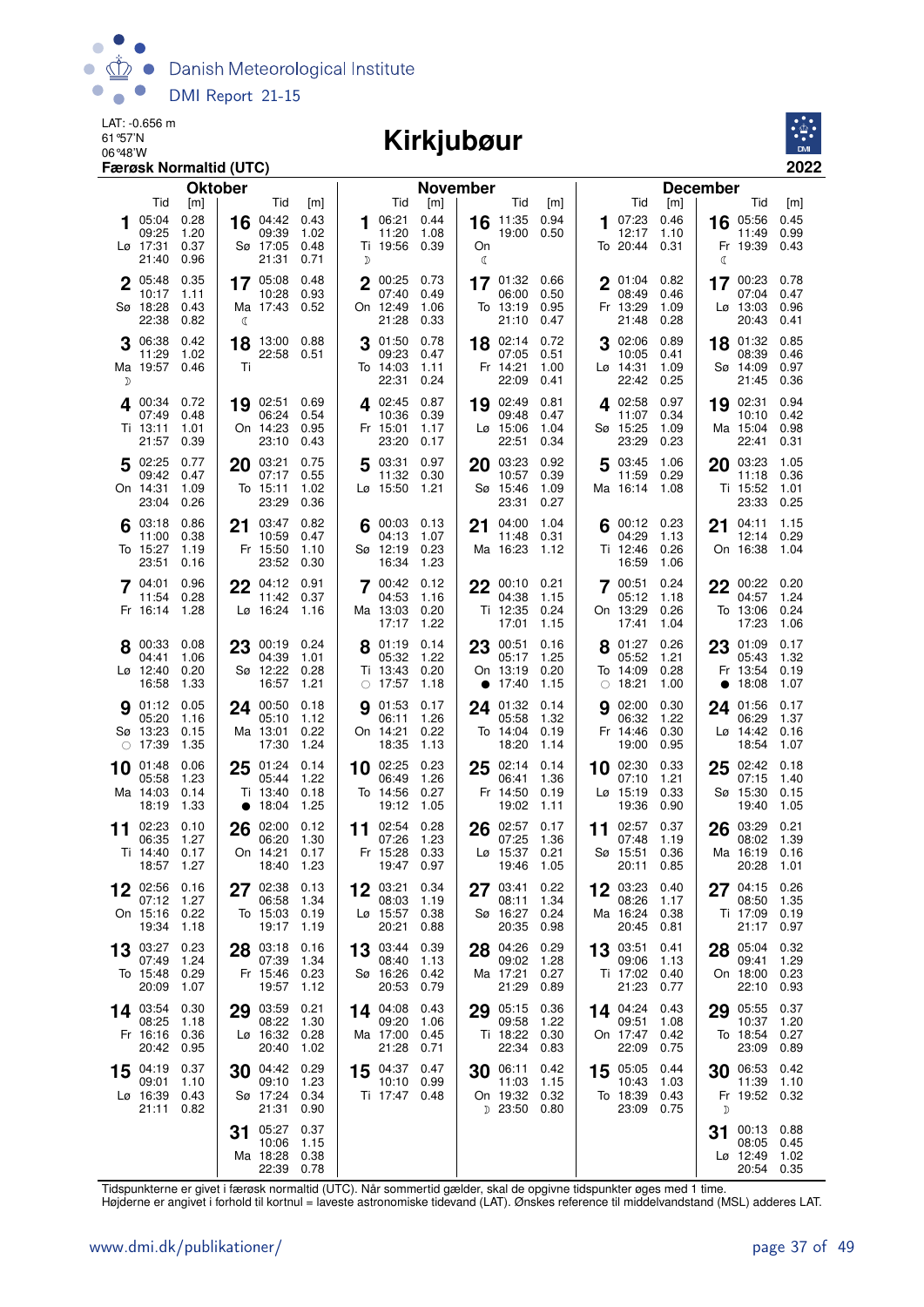

#### 06°48'W **Kirkjubøur**



|    |                         | <b>Oktober</b> |           |                       |              |    |                        | <b>November</b> |    |                               |              |    |                        |              | <b>December</b> |                          |              |
|----|-------------------------|----------------|-----------|-----------------------|--------------|----|------------------------|-----------------|----|-------------------------------|--------------|----|------------------------|--------------|-----------------|--------------------------|--------------|
|    | Tid                     | [m]            |           | Tid                   | [m]          |    | Tid                    | [m]             |    | Tid                           | [m]          |    | Tid                    | [m]          |                 | Tid                      | [m]          |
|    | 05:04<br>09:25          | 0.28<br>1.20   |           | 16 $04:42$<br>09:39   | 0.43<br>1.02 |    | 106:21<br>11:20        | 0.44<br>1.08    |    | 16 11:35<br>19:00             | 0.94<br>0.50 | 1  | 07:23<br>12:17         | 0.46<br>1.10 |                 | 16 05:56<br>11:49        | 0.45<br>0.99 |
|    | Lø 17:31                | 0.37           |           | Sø 17:05              | 0.48         |    | Ti 19:56 0.39          |                 | On |                               |              |    | To 20:44               | 0.31         |                 | Fr 19:39                 | 0.43         |
|    | 21:40                   | 0.96           |           | 21:31                 | 0.71         | D  |                        |                 | ℂ  |                               |              |    |                        |              | ℂ               |                          |              |
|    | 2 05:48                 | 0.35<br>1.11   |           | 17 05:08<br>10:28     | 0.48         |    | 20.25                  | 0.73            |    | $17^{01:32}$                  | 0.66         |    | 2 01:04 0.82           |              |                 | <b>17</b> 00:23<br>07:04 | 0.78         |
|    | 10:17<br>Sø 18:28       | 0.43           |           | Ma 17:43              | 0.93<br>0.52 |    | 07:40<br>On 12:49      | 0.49<br>1.06    |    | 06:00<br>To 13:19             | 0.50<br>0.95 |    | 08:49<br>Fr 13:29      | 0.46<br>1.09 |                 | Lø 13:03                 | 0.47<br>0.96 |
|    | 22:38                   | 0.82           | ℂ         |                       |              |    | 21:28                  | 0.33            |    | 21:10                         | 0.47         |    | 21:48                  | 0.28         |                 | 20:43                    | 0.41         |
|    | 06:38                   | 0.42           |           | $18^{13:00}$ 0.88     |              | 3  | 01:50                  | 0.78            |    | 18 02:14                      | 0.72         | 3  | 02:06                  | 0.89         |                 | 18 01:32                 | 0.85         |
|    | 11:29<br>Ma 19:57       | 1.02<br>0.46   | Τi        | 22:58 0.51            |              |    | 09:23<br>To 14:03      | 0.47<br>1.11    |    | 07:05<br>Fr 14:21             | 0.51<br>1.00 |    | 10:05<br>Lø 14:31      | 0.41<br>1.09 |                 | 08:39<br>Sø 14:09        | 0.46<br>0.97 |
| D  |                         |                |           |                       |              |    | 22:31                  | 0.24            |    | 22:09                         | 0.41         |    | 22:42                  | 0.25         |                 | 21:45                    | 0.36         |
|    | 4 00:34 0.72            |                |           | 19 02:51              | 0.69         |    | 402:45                 | 0.87            |    | 19 02:49                      | 0.81         |    | 402:58                 | 0.97         | 19              | 02:31                    | 0.94         |
|    | 07:49<br>Ti 13:11       | 0.48<br>1.01   |           | 06:24<br>On 14:23     | 0.54<br>0.95 |    | 10:36<br>Fr 15:01      | 0.39<br>1.17    |    | 09:48<br>$L\varnothing$ 15:06 | 0.47<br>1.04 |    | 11:07<br>Sø 15:25      | 0.34<br>1.09 |                 | 10:10<br>Ma 15:04        | 0.42<br>0.98 |
|    | 21:57                   | 0.39           |           | 23:10                 | 0.43         |    | 23:20                  | 0.17            |    | 22:51                         | 0.34         |    | 23:29                  | 0.23         |                 | 22:41                    | 0.31         |
|    | 502:25                  | 0.77           | 20        | 03:21                 | 0.75         | 5  | 03:31                  | 0.97            | 20 | 03:23                         | 0.92         |    | 5 03:45                | 1.06         | 20              | 03:23                    | 1.05         |
|    | 09:42                   | 0.47           |           | 07:17                 | 0.55         |    | 11:32                  | 0.30            |    | 10:57                         | 0.39         |    | 11:59                  | 0.29         |                 | 11:18                    | 0.36         |
|    | On 14:31<br>23:04       | 1.09<br>0.26   |           | To 15:11<br>23:29     | 1.02<br>0.36 |    | Lø 15:50               | 1.21            |    | Sø 15:46<br>23:31             | 1.09<br>0.27 |    | Ma 16:14               | 1.08         |                 | Ti 15:52<br>23:33        | 1.01<br>0.25 |
|    | 03:18                   | 0.86           | 21        | 03:47                 | 0.82         |    | 00:03                  | 0.13            | 21 | 04:00                         | 1.04         |    | 00:12 0.23             |              | 21              | 04:11                    | 1.15         |
|    | 11:00                   | 0.38           |           | 10:59                 | 0.47         |    | 04:13                  | 1.07            |    | 11:48                         | 0.31         |    | 04:29                  | 1.13         |                 | 12:14                    | 0.29         |
|    | To 15:27<br>23:51       | 1.19<br>0.16   |           | Fr 15:50<br>23:52     | 1.10<br>0.30 |    | Sø 12:19<br>16:34      | 0.23<br>1.23    |    | Ma 16:23                      | 1.12         |    | Ti 12:46<br>16:59      | 0.26<br>1.06 |                 | On 16:38                 | 1.04         |
|    | 704:01                  | 0.96           |           |                       | 0.91         |    | 700:42                 | 0.12            |    | 22 00:10                      | 0.21         |    | 700:51                 | 0.24         |                 | 22 $^{00:22}$ 0.20       |              |
|    | 11:54                   | 0.28           |           | $22^{04:12}$<br>11:42 | 0.37         |    | 04:53                  | 1.16            |    | 04:38                         | 1.15         |    | 05:12                  | 1.18         |                 | 04:57                    | 1.24         |
|    | Fr 16:14                | 1.28           |           | Lø 16:24              | 1.16         |    | Ma 13:03<br>17:17      | 0.20<br>1.22    |    | Ti 12:35<br>17:01             | 0.24<br>1.15 |    | On 13:29<br>17:41      | 0.26<br>1.04 |                 | To 13:06<br>17:23        | 0.24<br>1.06 |
|    |                         |                |           |                       |              |    |                        |                 |    |                               |              |    |                        |              |                 |                          |              |
|    | 8 00:33<br>04:41        | 0.08<br>1.06   | 23        | 00:19<br>04:39        | 0.24<br>1.01 |    | 01:19<br>05:32         | 0.14<br>1.22    |    | 23 00:51<br>05:17             | 0.16<br>1.25 |    | 01:27<br>05:52         | 0.26<br>1.21 | 23              | 01:09<br>05:43           | 0.17<br>1.32 |
|    | $L\varnothing$ 12:40    | 0.20           |           | Sø 12:22              | 0.28         |    | Ti 13:43               | 0.20            |    | On 13:19                      | 0.20         |    | To 14:09               | 0.28         |                 | Fr 13:54                 | 0.19         |
|    | 16:58                   | 1.33           |           | 16:57                 | 1.21         |    | $\circ$ 17:57          | 1.18            |    | • 17:40                       | 1.15         |    | $\circ$ 18:21          | 1.00         |                 | • 18:08                  | 1.07         |
|    | <b>9</b> 01:12<br>05:20 | 0.05<br>1.16   |           | 24 00:50<br>05:10     | 0.18<br>1.12 | 9  | 01:53<br>06:11         | 0.17<br>1.26    |    | 24 01:32<br>05:58             | 0.14<br>1.32 | 9  | 02:00<br>06:32         | 0.30<br>1.22 |                 | 24 01:56<br>06:29        | 0.17<br>1.37 |
|    | Sø 13:23                | 0.15           |           | Ma 13:01              | 0.22         |    | On 14:21               | 0.22            |    | To 14:04                      | 0.19         |    | Fr 14:46               | 0.30         |                 | Lø 14:42                 | 0.16         |
|    | $\circ$ 17:39           | 1.35           |           | 17:30                 | 1.24         |    | 18:35                  | 1.13            |    | 18:20                         | 1.14         |    | 19:00                  | 0.95         |                 | 18:54                    | 1.07         |
| 10 | 01:48<br>05:58          | 0.06<br>1.23   | 25        | 01:24<br>05:44        | 0.14<br>1.22 | 10 | 02:25<br>06:49         | 0.23<br>1.26    |    | $25^{02:14}$<br>06:41         | 0.14<br>1.36 |    | 10 02:30<br>07:10      | 0.33<br>1.21 | 25              | 02:42<br>07:15           | 0.18<br>1.40 |
|    | Ma 14:03                | 0.14           |           | Ti 13:40              | 0.18         |    | To 14:56               | 0.27            |    | Fr 14:50                      | 0.19         |    | $L\varnothing$ 15:19   | 0.33         |                 | Sø 15:30                 | 0.15         |
|    | 18:19                   | 1.33           | $\bullet$ | 18:04                 | 1.25         |    | 19:12                  | 1.05            |    | 19:02                         | 1.11         |    | 19:36                  | 0.90         |                 | 19:40                    | 1.05         |
| 11 | 02:23<br>06:35          | 0.10<br>1.27   | 26        | 02:00<br>06:20        | 0.12<br>1.30 | 11 | 02:54<br>07:26         | 0.28<br>1.23    |    | 26 02:57<br>07:25             | 0.17<br>1.36 | 11 | 02:57<br>07:48         | 0.37<br>1.19 | 26              | 03:29<br>08:02           | 0.21<br>1.39 |
|    | Ti 14:40                | 0.17           |           | On 14:21              | 0.17         |    | Fr 15:28               | 0.33            |    | Lø 15:37                      | 0.21         |    | Sø 15:51               | 0.36         |                 | Ma 16:19                 | 0.16         |
|    | 18:57                   | 1.27           |           | 18:40                 | 1.23         |    | 19:47 0.97             |                 |    | 19:46                         | 1.05         |    | 20:11                  | 0.85         |                 | 20:28                    | - 1.01       |
|    | 02:56<br>07:12          | 0.16<br>1.27   |           | 02:38<br>06:58        | 0.13<br>1.34 |    | 03:21<br>08:03         | 0.34<br>1.19    | 27 | 03:41<br>08:11                | 0.22<br>1.34 |    | 03:23<br>08:26         | 0.40<br>1.17 | 27              | 04:15<br>08:50           | 0.26<br>1.35 |
|    | On 15:16                | 0.22           |           | To 15:03              | 0.19         |    | Lø 15:57               | 0.38            |    | Sø 16:27                      | 0.24         |    | Ma 16:24               | 0.38         |                 | Ti 17:09                 | 0.19         |
|    | 19:34                   | 1.18           |           | 19:17                 | 1.19         |    | 20:21                  | 0.88            |    | 20:35                         | 0.98         |    | 20:45                  | 0.81         |                 | 21:17                    | 0.97         |
| 13 | 03:27                   | 0.23           |           | 28 03:18<br>07:39     | 0.16         | 13 | 03:44                  | 0.39            | 28 | 04:26                         | 0.29<br>1.28 |    | 13 03:51               | 0.41         |                 | 28 05:04                 | 0.32         |
|    | 07:49<br>To 15:48       | 1.24<br>0.29   |           | Fr 15:46              | 1.34<br>0.23 |    | 08:40<br>Sø 16:26      | 1.13<br>0.42    |    | 09:02<br>Ma 17:21             | 0.27         |    | 09:06<br>Ti 17:02 0.40 | 1.13         |                 | 09:41<br>On 18:00        | 1.29<br>0.23 |
|    | 20:09                   | 1.07           |           | 19:57                 | 1.12         |    | 20:53                  | 0.79            |    | 21:29                         | 0.89         |    | 21:23                  | 0.77         |                 | 22:10                    | 0.93         |
|    | 14 03:54                | 0.30           | 29        | 03:59                 | 0.21         |    | 14 04:08               | 0.43            | 29 | 05:15                         | 0.36         |    | 14 04:24               | 0.43         | 29              | 05:55                    | 0.37         |
|    | 08:25<br>Fr 16:16       | 1.18<br>0.36   |           | 08:22<br>Lø 16:32     | 1.30<br>0.28 |    | 09:20<br>Ma 17:00      | 1.06<br>0.45    |    | 09:58<br>Ti 18:22             | 1.22<br>0.30 |    | 09:51<br>On 17:47      | 1.08<br>0.42 |                 | 10:37<br>To 18:54        | 1.20<br>0.27 |
|    | 20:42                   | 0.95           |           | 20:40                 | 1.02         |    | 21:28                  | 0.71            |    | 22:34                         | 0.83         |    | 22:09                  | 0.75         |                 | 23:09                    | 0.89         |
|    | 15 04:19                | 0.37           | 30        | 04:42                 | 0.29         |    | $15^{04:37}$           | 0.47            |    | 30 06:11                      | 0.42         | 15 | 05:05                  | 0.44         | 30              | 06:53                    | 0.42         |
|    | 09:01<br>Lø 16:39       | 1.10<br>0.43   |           | 09:10<br>Sø 17:24     | 1.23<br>0.34 |    | 10:10<br>Ti 17:47 0.48 | 0.99            |    | 11:03<br>On 19:32             | 1.15<br>0.32 |    | 10:43<br>To 18:39      | 1.03<br>0.43 |                 | 11:39<br>Fr 19:52        | 1.10<br>0.32 |
|    | 21:11                   | 0.82           |           | 21:31                 | 0.90         |    |                        |                 |    | D 23:50                       | 0.80         |    | 23:09                  | 0.75         | D               |                          |              |
|    |                         |                | 31        | 05:27                 | 0.37         |    |                        |                 |    |                               |              |    |                        |              | 31              | 00:13                    | 0.88         |
|    |                         |                |           | 10:06<br>Ma 18:28     | 1.15<br>0.38 |    |                        |                 |    |                               |              |    |                        |              |                 | 08:05<br>Lø 12:49        | 0.45<br>1.02 |
|    |                         |                |           | 22:39                 | 0.78         |    |                        |                 |    |                               |              |    |                        |              |                 | 20:54                    | 0.35         |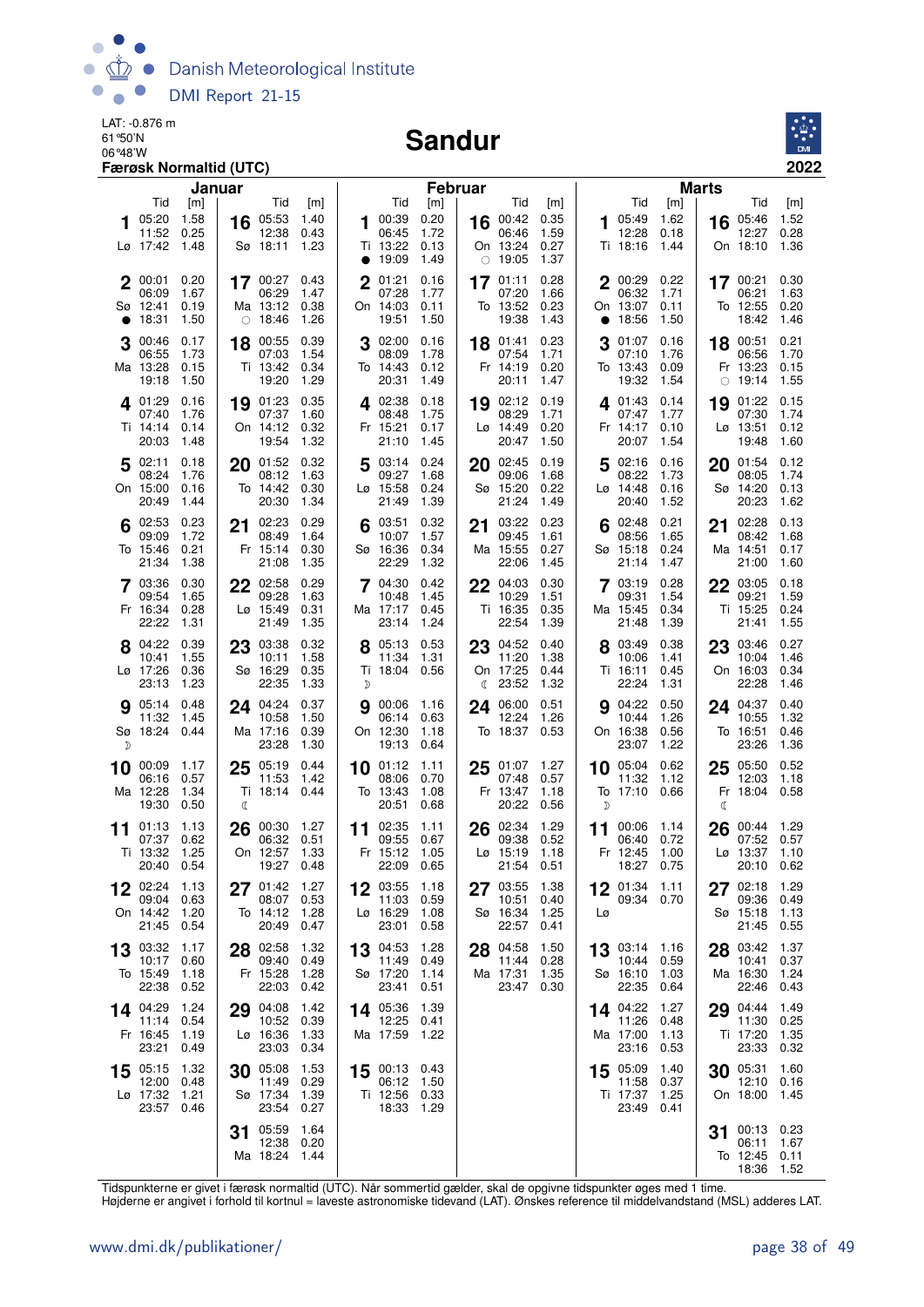

#### Sandur



|    |                                             | Januar                       |         |                                                     |                              |               |                                               | Februar                      |    |                                                     |                              |          |                                              |                              | <b>Marts</b> |                                                |                              |
|----|---------------------------------------------|------------------------------|---------|-----------------------------------------------------|------------------------------|---------------|-----------------------------------------------|------------------------------|----|-----------------------------------------------------|------------------------------|----------|----------------------------------------------|------------------------------|--------------|------------------------------------------------|------------------------------|
|    | Tid                                         | [m]                          |         | Tid                                                 | [m]                          |               | Tid                                           | [m]                          |    | Tid                                                 | [m]                          |          | Tid                                          | [m]                          |              | Tid                                            | [m]                          |
|    | 05:20<br>11:52<br>Lø 17:42 1.48             | 1.58<br>0.25                 | 16      | 05:53<br>12:38<br>Sø 18:11                          | 1.40<br>0.43<br>1.23         |               | 100:39<br>06:45<br>Ti 13:22                   | 0.20<br>1.72<br>0.13         |    | 16 00:42<br>06:46<br>On 13:24                       | 0.35<br>1.59<br>0.27         |          | 105:49<br>12:28<br>Ti 18:16                  | 1.62<br>0.18<br>1.44         |              | 16 05:46<br>12:27<br>On 18:10                  | 1.52<br>0.28<br>1.36         |
|    |                                             |                              |         |                                                     |                              | $\bullet$     | 19:09                                         | 1.49                         |    | $\circ$ 19:05                                       | 1.37                         |          |                                              |                              |              |                                                |                              |
|    | 00:01<br>06:09<br>Sø 12:41<br>• 18:31       | 0.20<br>1.67<br>0.19<br>1.50 |         | 17 00:27 0.43<br>06:29<br>Ma 13:12<br>$\circ$ 18:46 | 1.47<br>0.38<br>1.26         | $\mathbf 2$   | 01:21<br>07:28<br>On 14:03<br>19:51           | 0.16<br>1.77<br>0.11<br>1.50 |    | 17 01:11<br>07:20<br>To 13:52<br>19:38              | 0.28<br>1.66<br>0.23<br>1.43 |          | 2 00:29<br>06:32<br>On 13:07<br>• 18:56      | 0.22<br>1.71<br>0.11<br>1.50 |              | $17^{00:21}$<br>06:21<br>To 12:55<br>18:42     | 0.30<br>1.63<br>0.20<br>1.46 |
| 3  | 00:46<br>06:55<br>Ma 13:28<br>19:18         | 0.17<br>1.73<br>0.15<br>1.50 |         | 18 00:55<br>07:03<br>Ti 13:42<br>19:20              | 0.39<br>1.54<br>0.34<br>1.29 |               | 302:00<br>08:09<br>To 14:43<br>20:31          | 0.16<br>1.78<br>0.12<br>1.49 |    | 18 01:41<br>07:54<br>Fr 14:19<br>20:11              | 0.23<br>1.71<br>0.20<br>1.47 |          | $3^{01:07}$<br>07:10<br>To 13:43<br>19:32    | 0.16<br>1.76<br>0.09<br>1.54 |              | 18 00:51<br>06:56<br>Fr 13:23<br>$\circ$ 19:14 | 0.21<br>1.70<br>0.15<br>1.55 |
|    | 4 01:29<br>07:40<br>Ti 14:14<br>20:03       | 0.16<br>1.76<br>0.14<br>1.48 | 19      | 01:23<br>07:37<br>On 14:12<br>19:54                 | 0.35<br>1.60<br>0.32<br>1.32 |               | 402:38<br>08:48<br>Fr 15:21<br>21:10          | 0.18<br>1.75<br>0.17<br>1.45 |    | $19^{02:12}$<br>08:29<br>$Lg$ 14:49<br>20:47        | 0.19<br>1.71<br>0.20<br>1.50 |          | $4^{01:43}$<br>07:47<br>Fr 14:17<br>20:07    | 0.14<br>1.77<br>0.10<br>1.54 | 19           | 01:22<br>07:30<br>Lø 13:51<br>19:48            | 0.15<br>1.74<br>0.12<br>1.60 |
|    | 502:11<br>08:24<br>On 15:00<br>20:49        | 0.18<br>1.76<br>0.16<br>1.44 |         | 20 01:52 0.32<br>08:12<br>To 14:42<br>20:30         | 1.63<br>0.30<br>1.34         |               | 503:14<br>09:27<br>Lø 15:58<br>21:49          | 0.24<br>1.68<br>0.24<br>1.39 |    | 20 02:45<br>09:06<br>Sø 15:20<br>21:24              | 0.19<br>1.68<br>0.22<br>1.49 |          | 502:16<br>08:22<br>Lø 14:48<br>20:40         | 0.16<br>1.73<br>0.16<br>1.52 |              | 20 01:54<br>08:05<br>Sø 14:20<br>20:23         | 0.12<br>1.74<br>0.13<br>1.62 |
|    | 02:53<br>09:09<br>To 15:46<br>21:34         | 0.23<br>1.72<br>0.21<br>1.38 | 21      | 02:23<br>08:49<br>Fr 15:14<br>21:08                 | 0.29<br>1.64<br>0.30<br>1.35 |               | 03:51<br>10:07<br>Sø 16:36<br>22:29           | 0.32<br>1.57<br>0.34<br>1.32 | 21 | 03:22<br>09:45<br>Ma 15:55<br>22:06                 | 0.23<br>1.61<br>0.27<br>1.45 |          | 02:48<br>08:56<br>Sø 15:18<br>21:14          | 0.21<br>1.65<br>0.24<br>1.47 | 21           | 02:28<br>08:42<br>Ma 14:51<br>21:00            | 0.13<br>1.68<br>0.17<br>1.60 |
|    | 7 03:36<br>09:54<br>Fr 16:34<br>22:22       | 0.30<br>1.65<br>0.28<br>1.31 |         | 22 02:58<br>09:28<br>$L\varnothing$ 15:49<br>21:49  | 0.29<br>1.63<br>0.31<br>1.35 |               | 704:30<br>10:48<br>Ma 17:17<br>23:14          | 0.42<br>1.45<br>0.45<br>1.24 |    | 22 04:03<br>10:29<br>Ti 16:35<br>22:54              | 0.30<br>1.51<br>0.35<br>1.39 |          | 703:19<br>09:31<br>Ma 15:45<br>21:48         | 0.28<br>1.54<br>0.34<br>1.39 |              | 22 03:05<br>09:21<br>Ti 15:25<br>21:41         | 0.18<br>1.59<br>0.24<br>1.55 |
| 8  | 04:22<br>10:41<br>Lø 17:26<br>23:13         | 0.39<br>1.55<br>0.36<br>1.23 | 23      | 03:38<br>10:11<br>Sø 16:29<br>22:35                 | 0.32<br>1.58<br>0.35<br>1.33 | $\mathcal{D}$ | 8 05:13<br>11:34<br>Ti 18:04 0.56             | 0.53<br>1.31                 |    | 23 04:52<br>11:20<br>On 17:25<br>$\binom{23:52}{ }$ | 0.40<br>1.38<br>0.44<br>1.32 |          | 8 03:49<br>10:06<br>Ti 16:11<br>22:24        | 0.38<br>1.41<br>0.45<br>1.31 | 23           | 03:46<br>10:04<br>On 16:03<br>22:28            | 0.27<br>1.46<br>0.34<br>1.46 |
| D  | 905:14<br>11:32 1.45<br>Sø 18:24 0.44       | 0.48                         |         | 24 04:24<br>10:58<br>Ma 17:16<br>23:28              | 0.37<br>1.50<br>0.39<br>1.30 | a             | 00:06 1.16<br>06:14<br>On 12:30<br>19:13      | 0.63<br>1.18<br>0.64         |    | 24 06:00<br>12:24<br>To 18:37 0.53                  | 0.51<br>1.26                 |          | <b>9</b> 04:22<br>10:44<br>On 16:38<br>23:07 | 0.50<br>1.26<br>0.56<br>1.22 |              | 24 04:37<br>10:55<br>To 16:51<br>23:26         | 0.40<br>1.32<br>0.46<br>1.36 |
|    | 10 00:09 1.17<br>06:16<br>Ma 12:28<br>19:30 | 0.57<br>1.34<br>0.50         | 25<br>C | 05:19<br>11:53<br>Ti 18:14 0.44                     | 0.44<br>1.42                 |               | 10 01:12<br>08:06<br>To 13:43<br>20:51        | 1.11<br>0.70<br>1.08<br>0.68 | 25 | 01:07<br>07:48<br>Fr 13:47<br>20:22                 | 1.27<br>0.57<br>1.18<br>0.56 | D        | 10 05:04 0.62<br>11:32<br>To 17:10 0.66      | 1.12                         | 25<br>ℂ      | 05:50<br>12:03<br>Fr 18:04                     | 0.52<br>1.18<br>0.58         |
|    | 11 01:13<br>07:37<br>Ti 13:32<br>20:40      | 1.13<br>0.62<br>1.25<br>0.54 | 26      | 00:30<br>06:32<br>On 12:57<br>19:27                 | 1.27<br>0.51<br>1.33<br>0.48 |               | 11 02:35<br>09:55<br>Fr 15:12<br>22:09        | 1.11<br>0.67<br>1.05<br>0.65 |    | 26 02:34<br>09:38<br>$Lo$ 15:19<br>21:54            | 1.29<br>0.52<br>1.18<br>0.51 |          | 11 00:06<br>06:40<br>Fr 12:45<br>18:27 0.75  | 1.14<br>0.72<br>1.00         | 26           | 00:44<br>07:52<br>Lø 13:37<br>20:10            | 1.29<br>0.57<br>1.10<br>0.62 |
| 12 | 02:24 1.13<br>09:04<br>On 14:42<br>21:45    | 0.63<br>1.20<br>0.54         | 27      | 01:42<br>08:07<br>To 14:12<br>20:49                 | 1.27<br>0.53<br>1.28<br>0.47 | 12            | 03:55<br>11:03<br>Lø 16:29<br>23:01           | 1.18<br>0.59<br>1.08<br>0.58 | 27 | 03:55<br>10:51<br>Sø 16:34<br>22:57                 | 1.38<br>0.40<br>1.25<br>0.41 | 12<br>Lø | 01:34<br>09:34 0.70                          | $-1.11$                      | 27           | 02:18<br>09:36<br>Sø 15:18<br>21:45            | 1.29<br>0.49<br>1.13<br>0.55 |
| 13 | 03:32<br>10:17<br>To 15:49<br>22:38         | 1.17<br>0.60<br>1.18<br>0.52 | 28      | 02:58<br>09:40<br>Fr 15:28<br>22:03                 | 1.32<br>0.49<br>1.28<br>0.42 | 13            | 04:53<br>11:49<br>Sø 17:20<br>23:41           | 1.28<br>0.49<br>1.14<br>0.51 | 28 | 04:58<br>11:44<br>Ma 17:31<br>23:47                 | 1.50<br>0.28<br>1.35<br>0.30 |          | 13 03:14<br>10:44<br>Sø 16:10<br>22:35       | 1.16<br>0.59<br>1.03<br>0.64 | 28           | 03:42<br>10:41<br>Ma 16:30<br>22:46            | 1.37<br>0.37<br>1.24<br>0.43 |
|    | 14 04:29<br>11:14<br>Fr 16:45<br>23:21      | 1.24<br>0.54<br>1.19<br>0.49 | 29      | 04:08<br>10:52<br>Lø 16:36<br>23:03                 | 1.42<br>0.39<br>1.33<br>0.34 | 14.           | 05:36<br>12:25<br>Ma 17:59                    | 1.39<br>0.41<br>1.22         |    |                                                     |                              |          | 14 04:22<br>11:26<br>Ma 17:00<br>23:16       | 1.27<br>0.48<br>1.13<br>0.53 | 29           | 04:44<br>11:30<br>Ti 17:20<br>23:33            | 1.49<br>0.25<br>1.35<br>0.32 |
| 15 | 05:15<br>12:00<br>Lø 17:32<br>23:57         | 1.32<br>0.48<br>1.21<br>0.46 | 30      | 05:08<br>11:49<br>Sø 17:34<br>23:54                 | 1.53<br>0.29<br>1.39<br>0.27 | 15            | 00:13 0.43<br>06:12<br>Ti 12:56 0.33<br>18:33 | 1.50<br>1.29                 |    |                                                     |                              | 15       | 05:09<br>11:58<br>Ti 17:37<br>23:49          | 1.40<br>0.37<br>1.25<br>0.41 | 30           | 05:31<br>12:10<br>On 18:00                     | 1.60<br>0.16<br>1.45         |
|    |                                             |                              | 31      | 05:59<br>12:38<br>Ma 18:24                          | 1.64<br>0.20<br>1.44         |               |                                               |                              |    |                                                     |                              |          |                                              |                              | 31           | 00:13<br>06:11<br>To 12:45<br>18:36            | 0.23<br>1.67<br>0.11<br>1.52 |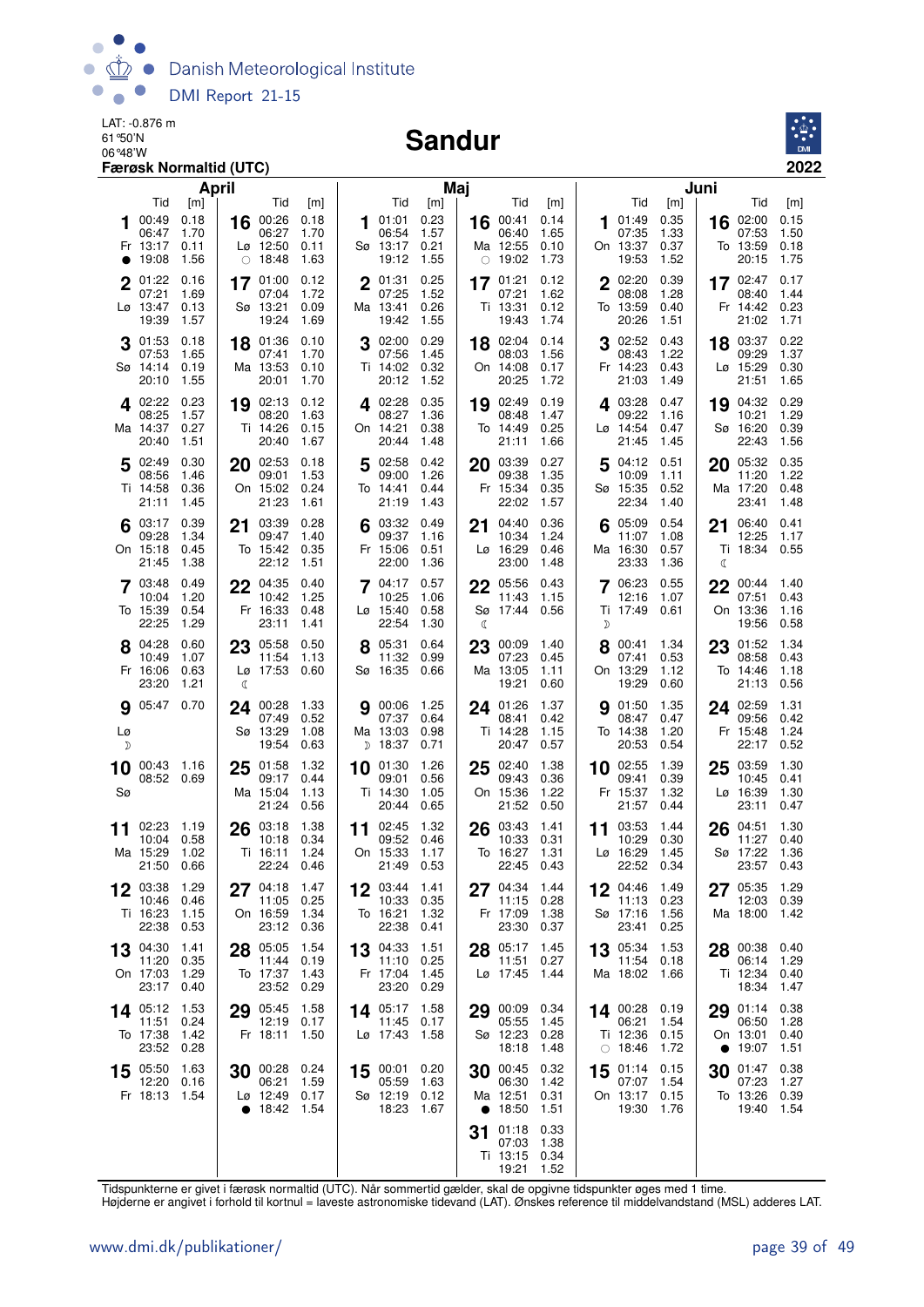

#### Sandur



| April                                                                                          |                                                                                                             | Maj                                                                                    |                                                                                              |                                                                                        | Juni                                                                                 |
|------------------------------------------------------------------------------------------------|-------------------------------------------------------------------------------------------------------------|----------------------------------------------------------------------------------------|----------------------------------------------------------------------------------------------|----------------------------------------------------------------------------------------|--------------------------------------------------------------------------------------|
| Tid<br>[m]<br>0.18<br>00:49<br>1.70<br>06:47<br>Fr 13:17<br>0.11<br>1.56<br>19:08<br>$\bullet$ | Tid<br>[m]<br>00:26<br>0.18<br>16<br>06:27<br>1.70<br>$L\varnothing$ 12:50<br>0.11<br>$\circ$ 18:48<br>1.63 | Tid<br>[m]<br>0.23<br>01:01<br>1<br>06:54<br>1.57<br>Sø 13:17<br>0.21<br>19:12<br>1.55 | Tid<br>[m]<br>16 00:41<br>0.14<br>06:40<br>1.65<br>Ma 12:55<br>0.10<br>$\circ$ 19:02<br>1.73 | Tid<br>[m]<br>0.35<br>01:49<br>1<br>07:35<br>1.33<br>On 13:37<br>0.37<br>19:53<br>1.52 | Tid<br>[m]<br>16 02:00<br>0.15<br>07:53<br>1.50<br>To 13:59<br>0.18<br>1.75<br>20:15 |
| 01:22<br>0.16<br>07:21<br>1.69<br>Lø 13:47<br>0.13<br>19:39<br>1.57                            | 17 01:00<br>0.12<br>07:04<br>1.72<br>0.09<br>Sø 13:21<br>19:24<br>1.69                                      | 2 01:31<br>0.25<br>07:25<br>1.52<br>0.26<br>Ma 13:41<br>19:42<br>1.55                  | 0.12<br>17 01:21<br>07:21<br>1.62<br>Ti 13:31<br>0.12<br>19:43<br>1.74                       | $2^{02:20}$<br>0.39<br>08:08<br>1.28<br>To 13:59<br>0.40<br>20:26<br>1.51              | 17 $02:47$<br>0.17<br>1.44<br>08:40<br>Fr 14:42<br>0.23<br>21:02<br>1.71             |
| 01:53<br>0.18<br>07:53<br>1.65<br>Sø 14:14<br>0.19<br>20:10<br>1.55                            | 18 01:36<br>0.10<br>07:41<br>1.70<br>Ma 13:53<br>0.10<br>20:01<br>1.70                                      | 0.29<br>302:00<br>07:56<br>1.45<br>Ti 14:02<br>0.32<br>20:12<br>1.52                   | 18 02:04<br>0.14<br>08:03<br>1.56<br>On 14:08<br>0.17<br>20:25<br>1.72                       | 02:52<br>0.43<br>08:43<br>1.22<br>Fr 14:23<br>0.43<br>21:03<br>1.49                    | 18 03:37<br>0.22<br>09:29<br>1.37<br>Lø 15:29<br>0.30<br>21:51<br>1.65               |
| 0.23<br>4 02:22<br>1.57<br>08:25<br>0.27<br>Ma 14:37<br>1.51<br>20:40                          | 19 02:13<br>0.12<br>1.63<br>08:20<br>Ti 14:26<br>0.15<br>20:40<br>1.67                                      | 0.35<br><b>4</b> 02:28<br>08:27<br>1.36<br>On 14:21<br>0.38<br>20:44<br>1.48           | 19 02:49<br>0.19<br>1.47<br>08:48<br>0.25<br>To 14:49<br>21:11<br>1.66                       | 4 03:28<br>0.47<br>09:22<br>1.16<br>Lø 14:54<br>0.47<br>21:45<br>1.45                  | 0.29<br>19 04:32<br>10:21<br>1.29<br>Sø 16:20<br>0.39<br>1.56<br>22:43               |
| 5 02:49<br>0.30<br>08:56<br>1.46<br>Ti 14:58<br>0.36<br>21:11<br>1.45                          | 20 02:53<br>0.18<br>09:01<br>1.53<br>On 15:02<br>0.24<br>21:23<br>1.61                                      | 02:58<br>0.42<br>5<br>09:00<br>1.26<br>To 14:41<br>0.44<br>21:19<br>1.43               | 20 03:39<br>0.27<br>09:38<br>1.35<br>Fr 15:34<br>0.35<br>22:02<br>1.57                       | 04:12<br>0.51<br>10:09<br>1.11<br>Sø 15:35<br>0.52<br>22:34<br>1.40                    | 0.35<br>05:32<br>20<br>11:20<br>1.22<br>Ma 17:20<br>0.48<br>23:41<br>1.48            |
| 0.39<br>$6^{03:17}$<br>1.34<br>09:28<br>On 15:18<br>0.45<br>21:45<br>1.38                      | 03:39<br>0.28<br>21<br>09:47<br>1.40<br>To 15:42<br>0.35<br>22:12<br>1.51                                   | $6^{03:32}$<br>0.49<br>09:37<br>1.16<br>Fr 15:06<br>0.51<br>22:00<br>1.36              | 0.36<br>04:40<br>21<br>10:34<br>1.24<br>Lø 16:29<br>0.46<br>23:00<br>1.48                    | $6^{05:09}$<br>0.54<br>11:07<br>1.08<br>Ma 16:30<br>0.57<br>23:33<br>1.36              | 06:40<br>0.41<br>21<br>12:25<br>1.17<br>Ti 18:34<br>0.55<br>ℂ                        |
| 7 03:48<br>0.49<br>1.20<br>10:04<br>To 15:39<br>0.54<br>22:25<br>1.29                          | 04:35<br>22<br>0.40<br>10:42<br>1.25<br>Fr 16:33<br>0.48<br>23:11<br>1.41                                   | 0.57<br>$7^{04:17}$<br>10:25<br>1.06<br>$L\varnothing$ 15:40<br>0.58<br>22:54<br>1.30  | 05:56<br>0.43<br>22<br>11:43<br>1.15<br>Sø 17:44<br>0.56<br>ℂ                                | 06:23<br>0.55<br>12:16<br>1.07<br>Ti 17:49<br>0.61<br>D                                | 22<br>00:44<br>1.40<br>07:51<br>0.43<br>On 13:36<br>1.16<br>19:56<br>0.58            |
| 8 04:28<br>0.60<br>10:49<br>1.07<br>Fr 16:06<br>0.63<br>23:20<br>1.21                          | 23 05:58<br>0.50<br>11:54<br>1.13<br>Lø 17:53<br>0.60<br>₫                                                  | 8 05:31<br>0.64<br>11:32<br>0.99<br>Sø 16:35<br>0.66                                   | 23 00:09<br>1.40<br>07:23<br>0.45<br>Ma 13:05<br>1.11<br>19:21<br>0.60                       | 8 00:41<br>1.34<br>07:41<br>0.53<br>On 13:29<br>1.12<br>19:29<br>0.60                  | 23 01:52<br>1.34<br>08:58<br>0.43<br>To 14:46<br>1.18<br>21:13<br>0.56               |
| <b>9</b> 05:47 0.70<br>Lø<br>D                                                                 | 00:28<br>1.33<br>24<br>07:49<br>0.52<br>Sø 13:29<br>1.08<br>19:54<br>0.63                                   | 00:06<br>1.25<br>9<br>07:37<br>0.64<br>Ma 13:03<br>0.98<br>$D$ 18:37<br>0.71           | 1.37<br>24 01:26<br>08:41<br>0.42<br>1.15<br>Ti 14:28<br>20:47<br>0.57                       | 01:50<br>1.35<br>9<br>08:47<br>0.47<br>To 14:38<br>1.20<br>20:53<br>0.54               | 24 02:59<br>1.31<br>09:56<br>0.42<br>Fr 15:48<br>1.24<br>22:17<br>0.52               |
| 10 00:43 1.16<br>08:52 0.69<br>Sø                                                              | 25 01:58<br>1.32<br>09:17<br>0.44<br>Ma 15:04<br>1.13<br>21:24<br>0.56                                      | 1.26<br>10 01:30<br>09:01<br>0.56<br>Ti 14:30<br>1.05<br>20:44<br>0.65                 | 25 02:40<br>1.38<br>09:43<br>0.36<br>On 15:36<br>1.22<br>21:52<br>0.50                       | 10 02:55<br>1.39<br>09:41<br>0.39<br>Fr 15:37<br>1.32<br>21:57<br>0.44                 | 1.30<br>03:59<br>25<br>10:45<br>0.41<br>Lø 16:39<br>1.30<br>23:11<br>0.47            |
| 02:23<br>1.19<br>11<br>10:04<br>0.58<br>Ma 15:29<br>1.02<br>21:50<br>0.66                      | 03:18<br>1.38<br>26<br>10:18<br>0.34<br>Ti 16:11<br>1.24<br>22:24<br>0.46                                   | 1.32<br>02:45<br>11<br>09:52<br>0.46<br>On 15:33<br>1.17<br>21:49<br>0.53              | 03:43<br>1.41<br>26<br>10:33<br>0.31<br>To 16:27<br>1.31<br>22:45<br>0.43                    | 03:53<br>1.44<br>11<br>10:29<br>0.30<br>Lø 16:29<br>1.45<br>22:52<br>0.34              | 1.30<br>04:51<br>26<br>11:27<br>0.40<br>Sø 17:22<br>1.36<br>23:57<br>0.43            |
| 12 03:38<br>1.29<br>10:46<br>0.46<br>Ti 16:23<br>1.15<br>22:38<br>0.53                         | 27 04:18<br>1.47<br>0.25<br>11:05<br>On 16:59<br>1.34<br>23:12 0.36                                         | 12 03:44 1.41<br>10:33<br>0.35<br>To 16:21<br>1.32<br>22:38<br>0.41                    | 27 04:34 1.44<br>11:15<br>0.28<br>Fr 17:09<br>1.38<br>23:30<br>0.37                          | 12 04:46 1.49<br>11:13 0.23<br>Sø 17:16 1.56<br>23:41<br>0.25                          | 27 05:35 1.29<br>12:03<br>0.39<br>Ma 18:00<br>1.42                                   |
| 13 04:30<br>1.41<br>11:20<br>0.35<br>On 17:03<br>1.29<br>23:17<br>0.40                         | 05:05<br>1.54<br>28<br>11:44 0.19<br>To 17:37<br>1.43<br>23:52<br>0.29                                      | 13 04:33<br>1.51<br>11:10 0.25<br>Fr 17:04<br>1.45<br>23:20<br>0.29                    | 28 05:17<br>1.45<br>11:51<br>0.27<br>Lø 17:45<br>1.44                                        | 13 05:34<br>1.53<br>11:54 0.18<br>Ma 18:02 1.66                                        | 28 00:38 0.40<br>06:14 1.29<br>Ti 12:34<br>0.40<br>18:34<br>1.47                     |
| 1.53<br>14 05:12<br>11:51<br>0.24<br>To 17:38<br>1.42<br>23:52<br>0.28                         | 29 05:45<br>1.58<br>12:19<br>0.17<br>Fr 18:11<br>1.50                                                       | 1.58<br>14 $05:17$<br>11:45<br>0.17<br>Lø 17:43<br>1.58                                | 29 00:09<br>0.34<br>05:55<br>1.45<br>Sø 12:23<br>0.28<br>18:18<br>1.48                       | 14 00:28 0.19<br>1.54<br>06:21<br>Ti 12:36 0.15<br>$\circ$ 18:46<br>1.72               | 29 01:14<br>0.38<br>06:50<br>1.28<br>On 13:01<br>0.40<br>19:07<br>1.51<br>$\bullet$  |
| 15 05:50<br>1.63<br>12:20<br>0.16<br>Fr 18:13 1.54                                             | 30 00:28 0.24<br>06:21<br>1.59<br>$L\varnothing$ 12:49 0.17<br>• $18:42$<br>1.54                            | 00:01 0.20<br>15<br>05:59<br>1.63<br>Sø 12:19 0.12<br>18:23<br>1.67                    | 30 00:45<br>0.32<br>06:30<br>1.42<br>Ma 12:51<br>0.31<br>• $18:50$<br>1.51                   | 15 01:14 0.15<br>1.54<br>07:07<br>On 13:17 0.15<br>19:30<br>1.76                       | $30^{01:47}$<br>0.38<br>07:23<br>1.27<br>To 13:26<br>0.39<br>19:40<br>1.54           |
|                                                                                                |                                                                                                             |                                                                                        | 31 01:18<br>0.33<br>07:03<br>1.38<br>Ti 13:15<br>0.34<br>19:21<br>1.52                       |                                                                                        |                                                                                      |

Tidspunkterne er givet i færøsk normaltid (UTC). Når sommertid gælder, skal de opgivne tidspunkter øges med 1 time.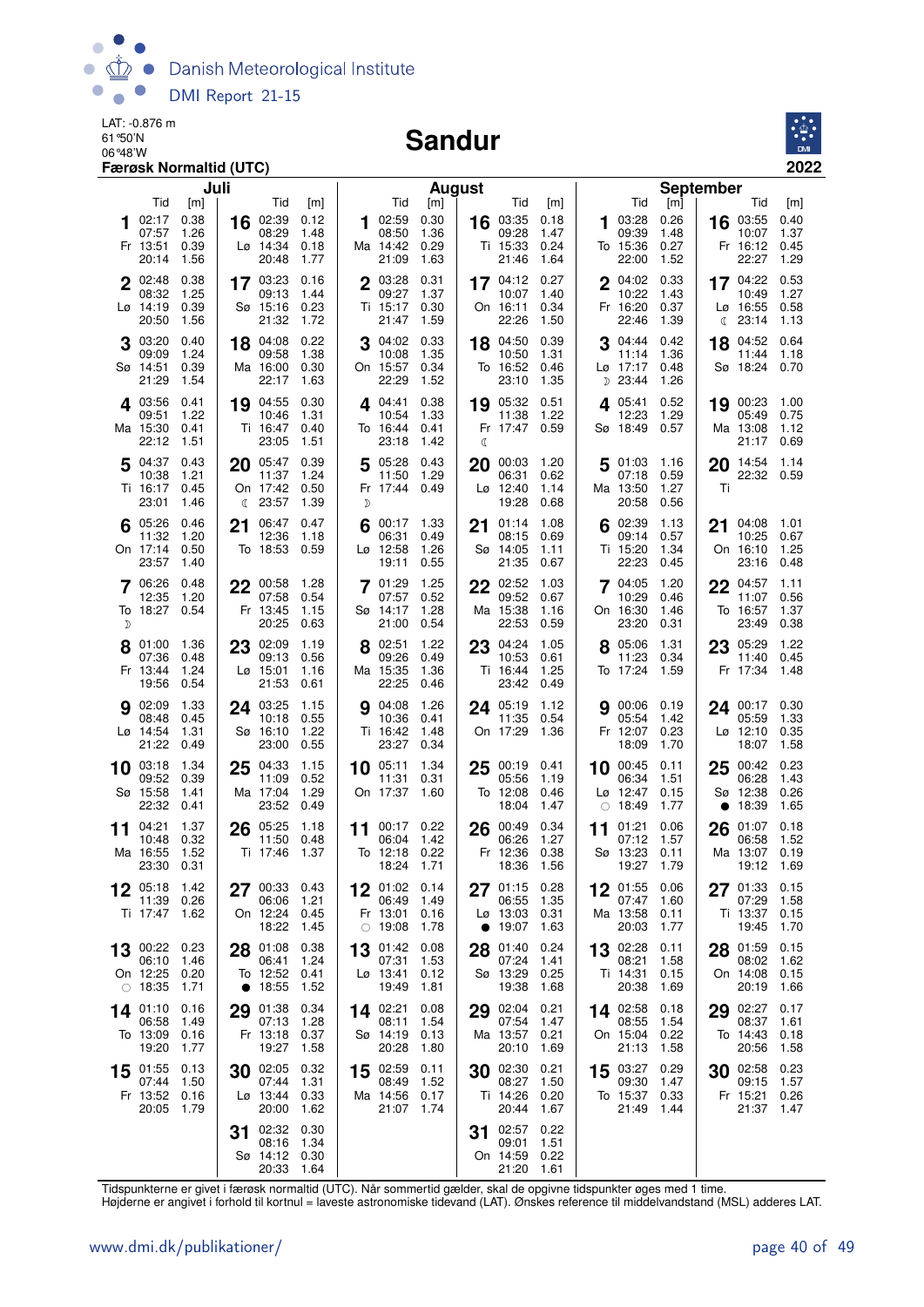

#### Sandur



| Juli                                                                                                                                        |                                                            | <b>August</b>                                                                |                                                       |                                                                                                   | <b>September</b>                                |                                                                                      |
|---------------------------------------------------------------------------------------------------------------------------------------------|------------------------------------------------------------|------------------------------------------------------------------------------|-------------------------------------------------------|---------------------------------------------------------------------------------------------------|-------------------------------------------------|--------------------------------------------------------------------------------------|
| Tid<br>Tid<br>[m]<br>02:17<br>0.38<br>02:39<br>16<br>07:57<br>1.26<br>08:29<br>Fr 13:51<br>0.39<br>Lø 14:34<br>1.56<br>20:48<br>20:14       | [m]<br>0.12<br>1<br>1.48<br>0.18<br>Ma 14:42<br>1.77       | Tid<br>[m]<br>0.30<br>02:59<br>08:50<br>1.36<br>0.29<br>21:09<br>1.63        | Tid<br>03:35<br>16<br>09:28<br>Ti 15:33<br>21:46      | $[\mathsf{m}]$<br>Tid<br>0.18<br>03:28<br>1<br>1.47<br>09:39<br>0.24<br>To 15:36<br>1.64<br>22:00 | [m]<br>0.26<br>1.48<br>0.27<br>1.52             | Tid<br>[m]<br>16 03:55<br>0.40<br>1.37<br>10:07<br>Fr 16:12<br>0.45<br>22:27<br>1.29 |
| 2 02:48<br>0.38<br>17 03:23<br>08:32<br>1.25<br>09:13<br>Lø 14:19<br>0.39<br>Sø 15:16<br>21:32<br>20:50<br>1.56                             | 0.16<br>1.44<br>0.23<br>1.72                               | 2 03:28<br>0.31<br>09:27<br>1.37<br>Ti 15:17<br>0.30<br>21:47<br>1.59        | 17 $04:12$<br>10:07<br>On 16:11<br>22:26              | 0.27<br>2 04:02<br>1.40<br>10:22<br>0.34<br>Fr 16:20<br>1.50<br>22:46                             | 0.33<br>1.43<br>0.37<br>1.39<br>ℂ               | 17 04:22<br>0.53<br>1.27<br>10:49<br>$L\varnothing$ 16:55<br>0.58<br>23:14<br>1.13   |
| 03:20<br>0.40<br>18 04:08<br>09:09<br>1.24<br>09:58<br>Sø 14:51<br>0.39<br>Ma 16:00<br>21:29<br>1.54<br>22:17                               | 0.22<br>3<br>1.38<br>0.30<br>On 15:57<br>1.63              | 0.33<br>04:02<br>10:08<br>1.35<br>0.34<br>22:29<br>1.52                      | 18 04:50<br>10:50<br>To 16:52<br>23:10                | 0.39<br>04:44<br>1.31<br>11:14<br>0.46<br>Lø 17:17<br>1.35<br>D 23:44                             | 0.42<br>18<br>1.36<br>0.48<br>1.26              | 04:52<br>0.64<br>11:44<br>1.18<br>Sø 18:24<br>0.70                                   |
| 403:56<br>0.41<br>19 04:55<br>1.22<br>09:51<br>10:46<br>Ma 15:30<br>0.41<br>Ti 16:47<br>22:12<br>23:05<br>1.51                              | 0.30<br>1.31<br>0.40<br>1.51                               | 0.38<br>4.04:41<br>1.33<br>10:54<br>To 16:44<br>0.41<br>23:18<br>1.42        | 19 05:32<br>11:38<br>Fr 17:47<br>ℭ                    | 0.51<br>405:41<br>1.22<br>12:23<br>0.59<br>Sø 18:49                                               | 0.52<br>1.29<br>0.57                            | 19 00:23<br>1.00<br>05:49<br>0.75<br>Ma 13:08<br>1.12<br>21:17<br>0.69               |
| 5 04:37<br>0.43<br>20 05:47<br>10:38<br>1.21<br>11:37<br>Ti 16:17<br>0.45<br>On 17:42<br>23:01<br>23:57<br>1.46<br>ℂ                        | 0.39<br>5<br>1.24<br>0.50<br>1.39<br>D                     | 05:28<br>0.43<br>11:50<br>1.29<br>Fr 17:44 0.49                              | 00:03<br>20<br>06:31<br>$L\varnothing$ 12:40<br>19:28 | 1.20<br>5<br>0.62<br>07:18<br>1.14<br>Ma 13:50<br>20:58<br>0.68                                   | 01:03 1.16<br>20<br>0.59<br>1.27<br>Τi<br>0.56  | 14:54 1.14<br>22:32 0.59                                                             |
| $6^{05:26}$<br>0.46<br>06:47<br>21<br>11:32<br>1.20<br>12:36<br>To 18:53<br>On 17:14<br>0.50<br>23:57<br>1.40                               | 0.47<br>1.18<br>0.59                                       | 00:17 1.33<br>06:31<br>0.49<br>Lø 12:58<br>1.26<br>19:11<br>0.55             | 01:14<br>21<br>08:15<br>Sø 14:05<br>21:35             | 02:39<br>1.08<br>6<br>09:14<br>0.69<br>Ti 15:20<br>1.11<br>22:23<br>0.67                          | 1.13<br>21<br>0.57<br>1.34<br>0.45              | 04:08<br>1.01<br>10:25<br>0.67<br>On 16:10<br>1.25<br>23:16<br>0.48                  |
| 06:26<br>0.48<br>22 00:58<br>12:35<br>1.20<br>07:58<br>To 18:27<br>0.54<br>Fr 13:45<br>20:25<br>D                                           | 1.28<br>0.54<br>1.15<br>0.63                               | 1.25<br>7 01:29<br>07:57<br>0.52<br>Sø 14:17<br>1.28<br>21:00<br>0.54        | 02:52<br>22<br>09:52<br>Ma 15:38<br>22:53             | 1.03<br>04:05<br>10:29<br>0.67<br>1.16<br>On 16:30<br>0.59<br>23:20                               | 1.20<br>22<br>0.46<br>1.46<br>0.31              | 04:57<br>1.11<br>0.56<br>11:07<br>To 16:57<br>1.37<br>23:49<br>0.38                  |
| 23 02:09<br>01:00<br>1.36<br>07:36<br>0.48<br>09:13<br>1.24<br>Fr 13:44<br>$L\varnothing$ 15:01<br>19:56<br>0.54<br>21:53                   | 1.19<br>0.56<br>1.16<br>Ma 15:35<br>0.61                   | 8 02:51<br>1.22<br>09:26<br>0.49<br>1.36<br>22:25<br>0.46                    | $23^{04:24}$<br>10:53<br>Ti 16:44<br>23:42            | 1.05<br>8 05:06<br>11:23<br>0.61<br>To 17:24<br>1.25<br>0.49                                      | 1.31<br>23<br>0.34<br>1.59                      | 05:29<br>1.22<br>11:40<br>0.45<br>Fr 17:34<br>1.48                                   |
| 9 02:09<br>1.33<br>24 03:25<br>08:48<br>0.45<br>10:18<br>Lø 14:54<br>1.31<br>Sø 16:10<br>21:22<br>0.49<br>23:00                             | 1.15<br>0.55<br>1.22<br>0.55                               | <b>9</b> 04:08<br>1.26<br>10:36<br>0.41<br>Ti 16:42<br>1.48<br>23:27<br>0.34 | 24 05:19<br>11:35<br>On 17:29                         | 1.12<br><b>g</b> 00:06 0.19<br>0.54<br>05:54<br>1.36<br>Fr 12:07<br>18:09                         | 1.42<br>0.23<br>1.70                            | 24 00:17 0.30<br>1.33<br>05:59<br>$L\varnothing$ 12:10<br>0.35<br>18:07<br>1.58      |
| 1.34<br>10 03:18<br>04:33<br>25<br>09:52<br>11:09<br>0.39<br>Sø 15:58<br>Ma 17:04<br>1.41<br>22:32<br>0.41<br>23:52                         | 1.15<br>10 05:11<br>0.52<br>1.29<br>On 17:37<br>0.49       | 1.34<br>11:31<br>0.31<br>1.60                                                | $25\frac{00:19}{25}$<br>05:56<br>To 12:08<br>18:04    | 0.41<br>10 00:45<br>06:34<br>1.19<br>Lø 12:47<br>0.46<br>1.47<br>18:49<br>$\bigcirc$              | 0.11<br>25<br>1.51<br>0.15<br>1.77<br>$\bullet$ | 00:42<br>0.23<br>06:28<br>1.43<br>Sø 12:38<br>0.26<br>18:39<br>1.65                  |
| 04:21<br>1.37<br>05:25<br>26<br>11<br>11:50<br>10:48<br>0.32<br>1.52<br>Ma 16:55<br>Ti 17:46<br>23:30<br>0.31                               | 1.18<br>11<br>0.48<br>1.37                                 | 00:17<br>0.22<br>06:04<br>1.42<br>0.22<br>To 12:18<br>18:24 1.71             | 26<br>00:49<br>06:26<br>Fr 12:36<br>18:36             | 0.34<br>01:21<br>11<br>1.27<br>07:12<br>0.38<br>Sø 13:23<br>1.56<br>19:27                         | 0.06<br>26<br>1.57<br>0.11<br>1.79              | 01:07<br>0.18<br>1.52<br>06:58<br>Ma 13:07<br>0.19<br>19:12 1.69                     |
| 1.42<br>00:33<br>12<br>05:18<br>27<br>11:39<br>0.26<br>06:06<br>Ti 17:47<br>1.62<br>On 12:24<br>18:22                                       | 0.43<br>12<br>1.21<br>0.45<br>1.45                         | 0.14<br>01:02<br>06:49<br>1.49<br>Fr 13:01<br>0.16<br>$\circ$ 19:08<br>1.78  | 27<br>01:15<br>06:55<br>Lø 13:03<br>19:07             | 0.28<br>$12^{01:55}$<br>1.35<br>07:47<br>0.31<br>Ma 13:58<br>20:03<br>1.63                        | 0.06<br>27<br>1.60<br>0.11<br>1.77              | 0.15<br>01:33<br>1.58<br>07:29<br>Ti 13:37<br>0.15<br>19:45<br>1.70                  |
| 01:08<br>00:22<br>0.23<br>13<br>28<br>1.46<br>06:41<br>06:10<br>On 12:25<br>0.20<br>To 12:52<br>18:55<br>$\circ$ 18:35<br>1.71<br>$\bullet$ | 0.38<br>13<br>1.24<br>$L\varnothing$ 13:41<br>0.41<br>1.52 | 0.08<br>01:42<br>07:31<br>1.53<br>0.12<br>19:49<br>1.81                      | 01:40<br>28<br>07:24<br>Sø 13:29<br>19:38             | 0.24<br>02:28<br>13<br>1.41<br>08:21<br>0.25<br>Ti 14:31<br>20:38<br>1.68                         | 0.11<br>28<br>1.58<br>0.15<br>1.69              | 01:59<br>0.15<br>08:02<br>1.62<br>On 14:08<br>0.15<br>20:19<br>1.66                  |
| 01:38<br>14 01:10<br>0.16<br>29<br>06:58<br>1.49<br>07:13<br>To 13:09<br>Fr 13:18<br>0.16<br>19:20<br>19:27<br>1.77                         | 0.34<br>14 02:21<br>1.28<br>0.37<br>1.58                   | 0.08<br>08:11<br>1.54<br>Sø 14:19<br>0.13<br>20:28<br>1.80                   | 02:04<br>29<br>07:54<br>Ma 13:57<br>20:10             | 14 02:58<br>0.21<br>08:55<br>1.47<br>0.21<br>On 15:04<br>21:13<br>1.69                            | 0.18<br>1.54<br>0.22<br>1.58                    | 29 02:27<br>0.17<br>08:37<br>1.61<br>To 14:43<br>0.18<br>20:56<br>1.58               |
| 01:55<br>30 02:05<br>0.13<br>15<br>07:44<br>1.50<br>07:44<br>Fr 13:52<br>Lø 13:44<br>0.16<br>20:05<br>20:00<br>1.79                         | 0.32<br>15<br>1.31<br>0.33<br>Ma 14:56<br>1.62             | 02:59<br>0.11<br>08:49<br>1.52<br>0.17<br>21:07<br>1.74                      | 02:30<br>30<br>08:27<br>Ti 14:26<br>20:44             | 0.21<br>03:27<br>15<br>1.50<br>09:30<br>To 15:37 0.33<br>0.20<br>21:49<br>1.67                    | 0.29<br>1.47<br>1.44                            | 30 02:58<br>0.23<br>09:15<br>1.57<br>Fr 15:21<br>0.26<br>21:37<br>1.47               |
| 02:32<br>31<br>08:16<br>Sø 14:12 0.30<br>20:33                                                                                              | 0.30<br>1.34<br>1.64                                       |                                                                              | 02:57<br>31<br>09:01<br>On 14:59<br>21:20             | 0.22<br>1.51<br>0.22<br>1.61                                                                      |                                                 |                                                                                      |

Tidspunkterne er givet i færøsk normaltid (UTC). Når sommertid gælder, skal de opgivne tidspunkter øges med 1 time.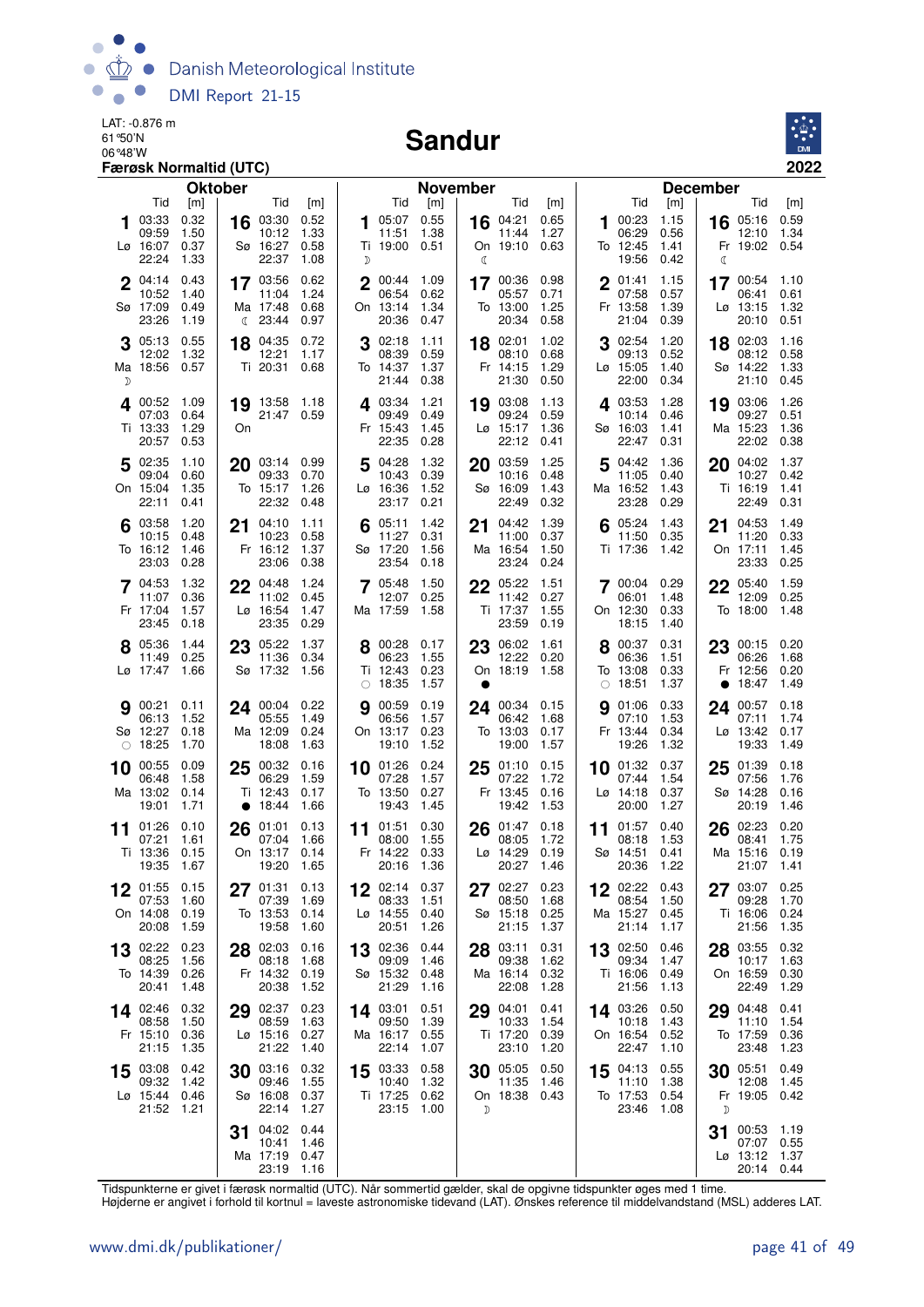

#### Sandur



| <b>Oktober</b>                                                                               |                                                                          |                                               | <b>November</b>                                                             |                              | <b>December</b>                                    |                                                 |                                                                                    |  |  |  |  |
|----------------------------------------------------------------------------------------------|--------------------------------------------------------------------------|-----------------------------------------------|-----------------------------------------------------------------------------|------------------------------|----------------------------------------------------|-------------------------------------------------|------------------------------------------------------------------------------------|--|--|--|--|
| Tid<br>[m]<br>03:33<br>0.32<br>1.50<br>09:59                                                 | Tid<br>[m]<br>16 03:30 0.52<br>1.33<br>10:12                             | Tid<br>105:07<br>11:51                        | Tid<br>[m]<br>0.55<br>16 04:21<br>1.38<br>11:44                             | [m]<br>0.65<br>1.27          | Tid<br>00:23<br>1.<br>06:29                        | [m]<br>1.15<br>0.56                             | Tid<br>[m]<br>0.59<br>16 05:16<br>1.34<br>12:10                                    |  |  |  |  |
| 0.37<br>Lø 16:07<br>22:24<br>1.33                                                            | Sø 16:27<br>0.58<br>22:37<br>1.08                                        | Ti 19:00 0.51<br>D                            | On 19:10<br>ℂ                                                               | 0.63                         | To 12:45<br>19:56                                  | 1.41<br>0.42<br>ℭ                               | Fr 19:02 0.54                                                                      |  |  |  |  |
| 0.43<br>$2^{04:14}$<br>10:52<br>1.40<br>Sø 17:09<br>0.49<br>23:26<br>1.19                    | 0.62<br>17 03:56<br>11:04<br>1.24<br>Ma 17:48<br>0.68<br>(23:44)<br>0.97 | 2 00:44 1.09<br>06:54<br>On 13:14<br>20:36    | 17 00:36<br>05:57<br>0.62<br>1.34<br>To 13:00<br>0.47<br>20:34              | 0.98<br>0.71<br>1.25<br>0.58 | $2^{01:41}$<br>07:58<br>Fr 13:58<br>21:04          | 1.15<br>0.57<br>1.39<br>0.39                    | 17 00:54 1.10<br>06:41<br>0.61<br>$Lg$ 13:15<br>1.32<br>20:10<br>0.51              |  |  |  |  |
| 0.55<br>$3^{05:13}$<br>12:02<br>1.32<br>Ma 18:56<br>0.57<br>D                                | 18 04:35<br>0.72<br>12:21<br>1.17<br>Ti 20:31<br>0.68                    | 3 02:18<br>08:39<br>To 14:37<br>21:44         | 18 02:01<br>1.11<br>0.59<br>08:10<br>1.37<br>Fr 14:15<br>0.38<br>21:30      | 1.02<br>0.68<br>1.29<br>0.50 | 3 02:54<br>09:13<br>$L\varnothing$ 15:05<br>22:00  | 1.20<br>0.52<br>1.40<br>0.34                    | 18 02:03<br>1.16<br>08:12<br>0.58<br>Sø 14:22<br>1.33<br>21:10<br>0.45             |  |  |  |  |
| 400:52<br>1.09<br>0.64<br>07:03<br>Ti 13:33<br>1.29<br>On<br>20:57<br>0.53                   | 19 13:58 1.18<br>21:47 0.59                                              | 4 03:34<br>09:49<br>Fr 15:43<br>22:35         | 1.21<br>19 03:08<br>0.49<br>09:24<br>1.45<br>$Lø$ 15:17<br>0.28<br>22:12    | 1.13<br>0.59<br>1.36<br>0.41 | 403:53<br>10:14<br>Sø 16:03<br>22:47               | 1.28<br>0.46<br>1.41<br>0.31                    | 1.26<br>19 03:06<br>09:27<br>0.51<br>Ma 15:23<br>1.36<br>22:02<br>0.38             |  |  |  |  |
| 5 02:35<br>1.10<br>0.60<br>09:04<br>On 15:04<br>1.35<br>22:11<br>0.41                        | 20 03:14 0.99<br>09:33<br>0.70<br>To 15:17<br>1.26<br>22:32<br>0.48      | 5 04:28<br>10:43<br>Lø 16:36<br>23:17         | 1.32<br>20 03:59<br>0.39<br>10:16<br>1.52<br>Sø 16:09<br>22:49<br>0.21      | 1.25<br>0.48<br>1.43<br>0.32 | $5^{04:42}$<br>11:05<br>Ma 16:52<br>23:28          | 1.36<br>0.40<br>1.43<br>0.29                    | 1.37<br>20 04:02<br>10:27<br>0.42<br>Ti 16:19<br>1.41<br>22:49<br>0.31             |  |  |  |  |
| 03:58<br>1.20<br>21<br>10:15<br>0.48<br>To 16:12<br>1.46<br>23:03<br>0.28                    | 04:10<br>1.11<br>10:23<br>0.58<br>Fr 16:12<br>1.37<br>23:06<br>0.38      | 05:11<br>6<br>11:27<br>Sø 17:20<br>23:54      | 1.42<br>04:42<br>21<br>0.31<br>11:00<br>Ma 16:54<br>1.56<br>23:24<br>0.18   | 1.39<br>0.37<br>1.50<br>0.24 | 05:24<br>11:50<br>Ti 17:36                         | 1.43<br>21<br>0.35<br>1.42                      | 1.49<br>04:53<br>11:20<br>0.33<br>On 17:11<br>1.45<br>23:33<br>0.25                |  |  |  |  |
| 7 04:53<br>1.32<br>0.36<br>11:07<br>1.57<br>Fr 17:04<br>23:45<br>0.18                        | 22 04:48<br>1.24<br>11:02<br>0.45<br>Lø 16:54<br>1.47<br>23:35<br>0.29   | 705:48<br>12:07<br>Ma 17:59                   | 1.50<br>22 05:22<br>0.25<br>11:42<br>1.58<br>Ti 17:37<br>23:59              | 1.51<br>0.27<br>1.55<br>0.19 | 700:04<br>06:01<br>On 12:30<br>18:15               | 0.29<br>1.48<br>0.33<br>1.40                    | 22 05:40<br>1.59<br>0.25<br>12:09<br>To 18:00<br>1.48                              |  |  |  |  |
| 8 05:36<br>1.44<br>11:49<br>0.25<br>Lø 17:47<br>1.66                                         | 23 05:22<br>1.37<br>11:36<br>0.34<br>Sø 17:32 1.56                       | 8 00:28<br>06:23<br>Ti 12:43<br>$\circ$ 18:35 | 23 06:02<br>0.17<br>1.55<br>12:22<br>0.23<br>On 18:19<br>1.57<br>●          | 1.61<br>0.20<br>1.58         | 00:37<br>06:36<br>To 13:08<br>$\circ$ 18:51        | 0.31<br>23<br>1.51<br>0.33<br>1.37<br>$\bullet$ | 00:15 0.20<br>06:26<br>1.68<br>Fr 12:56<br>0.20<br>18:47<br>1.49                   |  |  |  |  |
| 900:21<br>0.11<br>1.52<br>06:13<br>Sø 12:27<br>0.18<br>$\circ$ 18:25<br>1.70                 | 24 00:04 0.22<br>05:55<br>1.49<br>Ma 12:09<br>0.24<br>18:08<br>1.63      | <b>9</b> 00:59<br>06:56<br>On 13:17<br>19:10  | 0.19<br>24 00:34 0.15<br>1.57<br>06:42<br>0.23<br>To 13:03<br>1.52<br>19:00 | 1.68<br>0.17<br>1.57         | 901:06<br>07:10<br>Fr 13:44<br>19:26               | 0.33<br>1.53<br>0.34<br>1.32                    | 0.18<br>24 00:57<br>1.74<br>07:11<br>$L\varnothing$ 13:42<br>0.17<br>19:33<br>1.49 |  |  |  |  |
| 0.09<br>00:55<br>25<br>10<br>06:48<br>1.58<br>Ma 13:02<br>0.14<br>19:01<br>1.71<br>$\bullet$ | 00:32<br>0.16<br>06:29<br>1.59<br>Ti 12:43<br>0.17<br>18:44<br>1.66      | 10 01:26<br>07:28<br>To 13:50<br>19:43        | 0.24<br>01:10<br>25<br>1.57<br>07:22<br>0.27<br>Fr 13:45<br>1.45<br>19:42   | 0.15<br>1.72<br>0.16<br>1.53 | 10 01:32<br>07:44<br>$L\varnothing$ 14:18<br>20:00 | 0.37<br>25<br>1.54<br>0.37<br>1.27              | 0.18<br>01:39<br>07:56<br>1.76<br>Sø 14:28<br>0.16<br>20:19<br>1.46                |  |  |  |  |
| 01:26<br>0.10<br>11<br>07:21<br>1.61<br>Ti 13:36<br>0.15<br>19:35<br>1.67                    | 26 01:01<br>0.13<br>07:04<br>1.66<br>On 13:17 0.14<br>19:20<br>1.65      | 11 01:51<br>08:00<br>Fr 14:22<br>20:16 1.36   | 0.30<br>26 01:47<br>1.55<br>08:05<br>0.33<br>$Lg$ 14:29<br>20:27            | 0.18<br>1.72<br>0.19<br>1.46 | 11 $01:57$<br>08:18<br>Sø 14:51<br>20:36           | 0.40<br>26<br>1.53<br>0.41<br>1.22              | 02:23<br>0.20<br>1.75<br>08:41<br>Ma 15:16<br>0.19<br>21:07 1.41                   |  |  |  |  |
| 01:55<br>0.15<br>27<br>07:53<br>1.60<br>On 14:08<br>0.19<br>20:08<br>1.59                    | 01:31<br>0.13<br>07:39<br>1.69<br>To 13:53<br>0.14<br>19:58<br>1.60      | 02:14<br>08:33<br>Lø 14:55<br>20:51           | 0.37<br>02:27<br>27<br>1.51<br>08:50<br>0.40<br>Sø 15:18<br>1.26<br>21:15   | 0.23<br>1.68<br>0.25<br>1.37 | 02:22<br>08:54<br>Ma 15:27<br>21:14                | 0.43<br>1.50<br>0.45<br>1.17                    | 0.25<br>03:07<br>09:28<br>1.70<br>Ti 16:06<br>0.24<br>21:56<br>1.35                |  |  |  |  |
| 02:22<br>0.23<br>13<br>08:25<br>1.56<br>To 14:39<br>0.26<br>20:41<br>1.48                    | 28 02:03<br>0.16<br>08:18<br>1.68<br>Fr 14:32 0.19<br>20:38<br>1.52      | 13 02:36<br>09:09<br>Sø 15:32<br>21:29        | 0.44<br>03:11<br>28<br>09:38<br>1.46<br>0.48<br>Ma 16:14<br>1.16<br>22:08   | 0.31<br>1.62<br>0.32<br>1.28 | 13 02:50<br>09:34<br>Ti 16:06<br>21:56             | 0.46<br>1.47<br>0.49<br>1.13                    | 28 03:55<br>0.32<br>1.63<br>10:17<br>On 16:59<br>0.30<br>1.29<br>22:49             |  |  |  |  |
| 0.32<br>14 02:46<br>29<br>08:58<br>1.50<br>Fr 15:10<br>0.36<br>21:15<br>1.35                 | 02:37<br>0.23<br>08:59<br>1.63<br>0.27<br>Lø 15:16<br>21:22<br>1.40      | 14 03:01<br>09:50<br>Ma 16:17<br>22:14        | 0.51<br>04:01<br>29<br>1.39<br>10:33<br>0.55<br>Ti 17:20<br>23:10<br>1.07   | 0.41<br>1.54<br>0.39<br>1.20 | 14 03:26<br>10:18<br>On 16:54<br>22:47             | 0.50<br>29<br>1.43<br>0.52<br>1.10              | 04:48<br>0.41<br>1.54<br>11:10<br>To 17:59<br>0.36<br>1.23<br>23:48                |  |  |  |  |
| 15 03:08<br>0.42<br>09:32<br>1.42<br>Lø 15:44<br>0.46<br>21:52<br>1.21                       | 30 03:16<br>0.32<br>1.55<br>09:46<br>Sø 16:08<br>0.37<br>22:14<br>1.27   | 15 03:33<br>10:40<br>Ti 17:25<br>23:15        | 0.58<br>30 05:05<br>1.32<br>11:35<br>0.62<br>On 18:38<br>1.00<br>D          | 0.50<br>1.46<br>0.43         | 15 04:13<br>11:10<br>To 17:53<br>23:46             | 0.55<br>30<br>1.38<br>0.54<br>1.08<br>D         | 05:51<br>0.49<br>12:08<br>1.45<br>Fr 19:05<br>0.42                                 |  |  |  |  |
| 31                                                                                           | 04:02<br>0.44<br>10:41<br>1.46<br>Ma 17:19 0.47<br>23:19<br>1.16         |                                               |                                                                             |                              |                                                    | 31                                              | 00:53<br>1.19<br>07:07<br>0.55<br>Lø 13:12 1.37<br>20:14 0.44                      |  |  |  |  |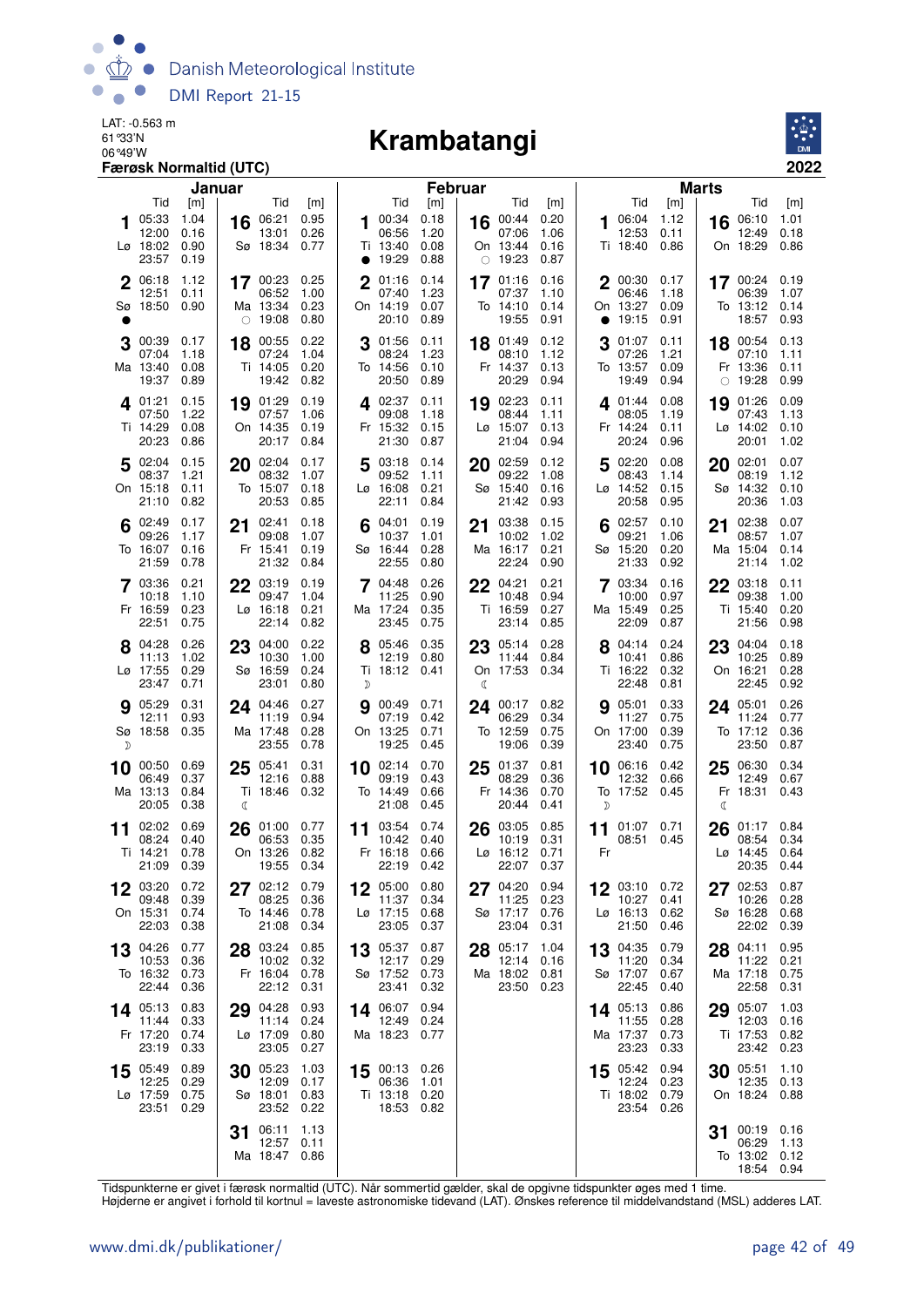

## 06°49'W **Krambatangi**



|             |                                                 | Færøsk Normaltid (UTC)              |         |                                                  |                              |                |                                                            |                                     |                |                                                       |                                     |           | 2022                                                  |                              |         |                                                    |                              |  |
|-------------|-------------------------------------------------|-------------------------------------|---------|--------------------------------------------------|------------------------------|----------------|------------------------------------------------------------|-------------------------------------|----------------|-------------------------------------------------------|-------------------------------------|-----------|-------------------------------------------------------|------------------------------|---------|----------------------------------------------------|------------------------------|--|
|             | Tid                                             |                                     | Januar  |                                                  |                              |                | Tid                                                        |                                     | <b>Februar</b> |                                                       |                                     |           | Tid                                                   | <b>Marts</b>                 |         |                                                    |                              |  |
|             | 05:33<br>12:00<br>$L\varnothing$ 18:02<br>23:57 | [m]<br>1.04<br>0.16<br>0.90<br>0.19 | 16      | Tid<br>06:21<br>13:01<br>Sø 18:34                | [m]<br>0.95<br>0.26<br>0.77  | 1              | 00:34<br>06:56<br>Ti 13:40<br>• 19:29                      | [m]<br>0.18<br>1.20<br>0.08<br>0.88 |                | Tid<br>16 00:44<br>07:06<br>On 13:44<br>$\circ$ 19:23 | [m]<br>0.20<br>1.06<br>0.16<br>0.87 | 1         | 06:04<br>12:53<br>Ti 18:40                            | [m]<br>1.12<br>0.11<br>0.86  | 16      | Tid<br>06:10<br>12:49<br>On 18:29                  | [m]<br>1.01<br>0.18<br>0.86  |  |
| $\mathbf 2$ | 06:18<br>12:51<br>Sø 18:50                      | 1.12<br>0.11<br>0.90                |         | 17 00:23<br>06:52<br>Ma 13:34<br>$\circ$ 19:08   | 0.25<br>1.00<br>0.23<br>0.80 | $\mathbf 2$    | 01:16<br>07:40<br>On 14:19<br>20:10                        | 0.14<br>1.23<br>0.07<br>0.89        |                | 17 01:16<br>07:37<br>To 14:10<br>19:55                | 0.16<br>1.10<br>0.14<br>0.91        | $\bullet$ | 2 00:30<br>06:46<br>On 13:27<br>19:15                 | 0.17<br>1.18<br>0.09<br>0.91 |         | 17 00:24 0.19<br>06:39<br>To 13:12 0.14<br>18:57   | 1.07<br>0.93                 |  |
| 3           | 00:39<br>07:04<br>Ma 13:40<br>19:37             | 0.17<br>1.18<br>0.08<br>0.89        | 18      | 00:55<br>07:24<br>Ti 14:05<br>19:42              | 0.22<br>1.04<br>0.20<br>0.82 | 3              | 01:56<br>08:24<br>To 14:56<br>20:50                        | 0.11<br>1.23<br>0.10<br>0.89        |                | 18 01:49<br>08:10<br>Fr 14:37<br>20:29                | 0.12<br>1.12<br>0.13<br>0.94        | 3         | 01:07<br>07:26<br>To 13:57<br>19:49                   | 0.11<br>1.21<br>0.09<br>0.94 | 18<br>0 | 00:54<br>07:10<br>Fr 13:36<br>19:28                | 0.13<br>1.11<br>0.11<br>0.99 |  |
|             | 4 01:21<br>07:50<br>Ti 14:29<br>20:23           | 0.15<br>1.22<br>0.08<br>0.86        | 19      | 01:29<br>07:57<br>On 14:35<br>20:17              | 0.19<br>1.06<br>0.19<br>0.84 |                | 4 02:37<br>09:08<br>Fr 15:32<br>21:30                      | 0.11<br>1.18<br>0.15<br>0.87        | 19             | 02:23<br>08:44<br>Lø 15:07<br>21:04                   | 0.11<br>1.11<br>0.13<br>0.94        |           | $4^{01:44}$<br>08:05<br>Fr 14:24<br>20:24             | 0.08<br>1.19<br>0.11<br>0.96 | 19      | 01:26<br>07:43<br>$Lg$ 14:02 0.10<br>20:01         | 0.09<br>1.13<br>1.02         |  |
|             | 502:04<br>08:37<br>On 15:18<br>21:10            | 0.15<br>1.21<br>0.11<br>0.82        | 20      | 02:04<br>08:32<br>To 15:07<br>20:53              | 0.17<br>1.07<br>0.18<br>0.85 | 5              | 03:18<br>09:52<br>Lø 16:08<br>22:11                        | 0.14<br>1.11<br>0.21<br>0.84        | 20             | 02:59<br>09:22<br>Sø 15:40<br>21:42                   | 0.12<br>1.08<br>0.16<br>0.93        | 5         | 02:20<br>08:43<br>Lø 14:52<br>20:58                   | 0.08<br>1.14<br>0.15<br>0.95 | 20      | 02:01<br>08:19<br>Sø 14:32 0.10<br>20:36           | 0.07<br>1.12<br>1.03         |  |
|             | 02:49<br>09:26<br>To 16:07<br>21:59             | 0.17<br>1.17<br>0.16<br>0.78        | 21      | 02:41<br>09:08<br>Fr 15:41<br>21:32              | 0.18<br>1.07<br>0.19<br>0.84 |                | 04:01<br>10:37<br>Sø 16:44<br>22:55                        | 0.19<br>1.01<br>0.28<br>0.80        | 21             | 03:38<br>10:02<br>Ma 16:17<br>22:24                   | 0.15<br>1.02<br>0.21<br>0.90        | 6         | 02:57<br>09:21<br>Sø 15:20<br>21:33                   | 0.10<br>1.06<br>0.20<br>0.92 | 21      | 02:38<br>08:57<br>Ma 15:04<br>21:14                | 0.07<br>1.07<br>0.14<br>1.02 |  |
|             | 7 03:36<br>10:18<br>Fr 16:59<br>22:51           | 0.21<br>1.10<br>0.23<br>0.75        | 22      | 03:19<br>09:47<br>Lø 16:18<br>22:14              | 0.19<br>1.04<br>0.21<br>0.82 | $\overline{7}$ | 04:48<br>11:25<br>Ma 17:24<br>23:45                        | 0.26<br>0.90<br>0.35<br>0.75        |                | 22 04:21<br>10:48<br>Ti 16:59<br>23:14                | 0.21<br>0.94<br>0.27<br>0.85        |           | 7 03:34<br>10:00<br>Ma 15:49<br>22:09                 | 0.16<br>0.97<br>0.25<br>0.87 |         | 22 03:18<br>09:38<br>Ti 15:40<br>21:56             | 0.11<br>1.00<br>0.20<br>0.98 |  |
|             | 04:28<br>11:13<br>Lø 17:55<br>23:47             | 0.26<br>1.02<br>0.29<br>0.71        | 23      | 04:00<br>10:30<br>Sø 16:59<br>23:01              | 0.22<br>1.00<br>0.24<br>0.80 | D              | 8 05:46<br>12:19<br>Ti 18:12 0.41                          | 0.35<br>0.80                        | ℂ              | 23 05:14<br>11:44<br>On 17:53 0.34                    | 0.28<br>0.84                        |           | 8 04:14 0.24<br>10:41<br>Ti 16:22<br>22:48            | 0.86<br>0.32<br>0.81         | 23      | 04:04<br>10:25<br>On 16:21<br>22:45                | 0.18<br>0.89<br>0.28<br>0.92 |  |
| D           | 9 05:29<br>12:11<br>Sø 18:58 0.35               | 0.31<br>0.93                        |         | 24 04:46<br>11:19<br>Ma 17:48<br>23:55           | 0.27<br>0.94<br>0.28<br>0.78 | 9              | 00:49<br>07:19<br>On 13:25<br>19:25                        | 0.71<br>0.42<br>0.71<br>0.45        | 24             | 00:17<br>06:29<br>To 12:59<br>19:06                   | 0.82<br>0.34<br>0.75<br>0.39        |           | 905:01<br>11:27<br>On 17:00<br>23:40                  | 0.33<br>0.75<br>0.39<br>0.75 |         | 24 05:01<br>11:24<br>To 17:12<br>23:50             | 0.26<br>0.77<br>0.36<br>0.87 |  |
|             | 10 00:50<br>06:49<br>Ma 13:13<br>20:05          | 0.69<br>0.37<br>0.84<br>0.38        | 25<br>ℂ | 05:41<br>12:16<br>Ti 18:46 0.32                  | 0.31<br>0.88                 |                | $10^{02:14}$<br>09:19<br>To 14:49<br>21:08                 | 0.70<br>0.43<br>0.66<br>0.45        | 25             | 01:37<br>08:29<br>Fr 14:36<br>20:44                   | 0.81<br>0.36<br>0.70<br>0.41        | 10<br>D   | 06:16<br>12:32<br>To 17:52 0.45                       | 0.42<br>0.66                 | 25<br>C | 06:30<br>12:49<br>Fr 18:31 0.43                    | 0.34<br>0.67                 |  |
| 11          | 02:02<br>08:24<br>Ti 14:21 0.78<br>21:09 0.39   | 0.69<br>0.40                        | 26      | 01:00<br>06:53<br>On 13:26 0.82<br>19:55 0.34    | 0.77<br>0.35                 |                | 11 03:54 0.74<br>10:42 0.40<br>Fr 16:18 0.66<br>22:19 0.42 |                                     |                | 26 03:05<br>10:19<br>Lø 16:12 0.71<br>22:07 0.37      | 0.85<br>0.31                        | Fr        | 11 $01:07$<br>08:51                                   | 0.71<br>0.45                 |         | 26 01:17<br>08:54<br>Lø 14:45 0.64<br>20:35 0.44   | 0.84<br>0.34                 |  |
|             | 03:20<br>09:48<br>On 15:31<br>22:03             | 0.72<br>0.39<br>0.74<br>0.38        | 27      | 02:12<br>08:25<br>To 14:46<br>21:08 0.34         | 0.79<br>0.36<br>0.78         |                | 12 05:00<br>11:37<br>$Lo$ 17:15<br>23:05 0.37              | 0.80<br>0.34<br>0.68                |                | 27 04:20<br>11:25<br>Sø 17:17<br>23:04                | 0.94<br>0.23<br>0.76<br>0.31        |           | 12 03:10<br>10:27<br>Lø 16:13<br>21:50                | 0.72<br>0.41<br>0.62<br>0.46 |         | 27 02:53<br>10:26<br>Sø 16:28<br>22:02 0.39        | 0.87<br>0.28<br>0.68         |  |
|             | 13 04:26<br>10:53<br>To 16:32 0.73<br>22:44     | 0.77<br>0.36<br>0.36                |         | 28 03:24<br>10:02 0.32<br>Fr 16:04 0.78<br>22:12 | 0.85<br>0.31                 |                | $13^{05:37}$<br>12:17<br>Sø 17:52 0.73<br>23:41            | 0.87<br>0.29<br>0.32                | 28             | 05:17<br>12:14<br>Ma 18:02 0.81<br>23:50 0.23         | 1.04<br>0.16                        | 13        | 04:35<br>11:20<br>Sø 17:07<br>22:45                   | 0.79<br>0.34<br>0.67<br>0.40 |         | 28 04:11<br>11:22<br>Ma 17:18 0.75<br>22:58        | 0.95<br>0.21<br>0.31         |  |
|             | 14 $05:13$<br>11:44<br>Fr 17:20<br>23:19        | 0.83<br>0.33<br>0.74<br>0.33        | 29      | 04:28<br>11:14<br>Lø 17:09<br>23:05              | 0.93<br>0.24<br>0.80<br>0.27 |                | 14 06:07<br>12:49<br>Ma 18:23                              | 0.94<br>0.24<br>0.77                |                |                                                       |                                     |           | 14 05:13<br>11:55<br>Ma 17:37<br>23:23                | 0.86<br>0.28<br>0.73<br>0.33 |         | 29 05:07<br>12:03<br>Ti 17:53<br>23:42             | 1.03<br>0.16<br>0.82<br>0.23 |  |
|             | 15 05:49<br>12:25<br>Lø 17:59<br>23:51          | 0.89<br>0.29<br>0.75<br>0.29        | 30      | 05:23<br>12:09<br>Sø 18:01<br>23:52              | 1.03<br>0.17<br>0.83<br>0.22 |                | 15 00:13 0.26<br>06:36<br>Ti 13:18 0.20<br>18:53 0.82      | 1.01                                |                |                                                       |                                     |           | 15 05:42 0.94<br>12:24<br>Ti 18:02 0.79<br>23:54 0.26 | 0.23                         |         | 30 05:51<br>12:35 0.13<br>On 18:24 0.88            | 1.10                         |  |
|             |                                                 |                                     | 31      | 06:11<br>12:57<br>Ma 18:47 0.86                  | 1.13<br>0.11                 |                |                                                            |                                     |                |                                                       |                                     |           |                                                       |                              | 31      | 00:19 0.16<br>06:29<br>To 13:02 0.12<br>18:54 0.94 | - 1.13                       |  |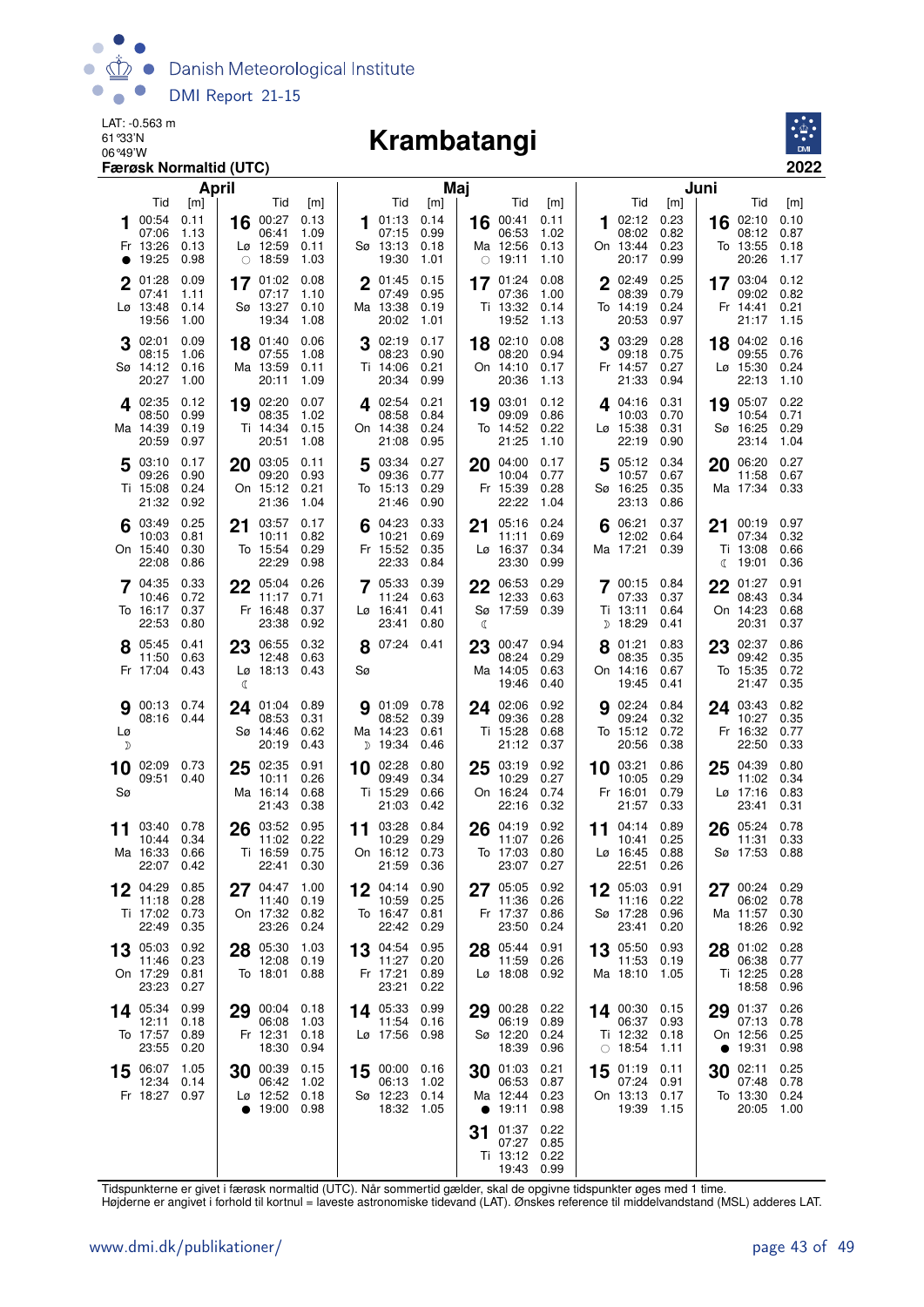

## 06°49'W **Krambatangi**



| April                                                                                          |                                                                                                 | Maj                                                                               |                                                                                              | Juni                                                                                   |                                                                                         |  |  |  |  |  |
|------------------------------------------------------------------------------------------------|-------------------------------------------------------------------------------------------------|-----------------------------------------------------------------------------------|----------------------------------------------------------------------------------------------|----------------------------------------------------------------------------------------|-----------------------------------------------------------------------------------------|--|--|--|--|--|
| Tid<br>[m]<br>00:54<br>0.11<br>07:06<br>1.13<br>Fr 13:26<br>0.13<br>19:25<br>0.98<br>$\bullet$ | Tid<br>[m]<br>00:27<br>0.13<br>16<br>06:41<br>1.09<br>Lø 12:59<br>0.11<br>$\circ$ 18:59<br>1.03 | Tid<br>[m]<br>01:13<br>0.14<br>07:15<br>0.99<br>Sø 13:13<br>0.18<br>19:30<br>1.01 | Tid<br>[m]<br>16 00:41<br>0.11<br>06:53<br>1.02<br>Ma 12:56<br>0.13<br>$\circ$ 19:11<br>1.10 | Tid<br>[m]<br>0.23<br>02:12<br>1<br>08:02<br>0.82<br>On 13:44<br>0.23<br>20:17<br>0.99 | Tid<br>[m]<br>02:10<br>0.10<br>16<br>08:12<br>0.87<br>To 13:55<br>0.18<br>20:26<br>1.17 |  |  |  |  |  |
| 01:28<br>0.09<br>07:41<br>1.11<br>$L\varnothing$ 13:48<br>0.14<br>19:56<br>1.00                | 17 01:02<br>0.08<br>07:17<br>1.10<br>Sø 13:27<br>0.10<br>19:34<br>1.08                          | 2 01:45<br>0.15<br>07:49<br>0.95<br>Ma 13:38<br>0.19<br>20:02<br>1.01             | 17 01:24<br>0.08<br>07:36<br>1.00<br>Ti 13:32<br>0.14<br>19:52<br>1.13                       | $2^{02:49}$<br>0.25<br>08:39<br>0.79<br>To 14:19<br>0.24<br>20:53<br>0.97              | 17 03:04<br>0.12<br>0.82<br>09:02<br>Fr 14:41<br>0.21<br>21:17<br>1.15                  |  |  |  |  |  |
| 02:01<br>0.09<br>08:15<br>1.06<br>Sø 14:12<br>0.16<br>20:27<br>1.00                            | 01:40<br>0.06<br>18<br>07:55<br>1.08<br>Ma 13:59<br>0.11<br>20:11<br>1.09                       | 02:19<br>0.17<br>08:23<br>0.90<br>Ti 14:06<br>0.21<br>20:34<br>0.99               | 0.08<br>18 02:10<br>08:20<br>0.94<br>On 14:10<br>0.17<br>20:36<br>1.13                       | 03:29<br>0.28<br>09:18<br>0.75<br>Fr 14:57<br>0.27<br>21:33<br>0.94                    | 04:02<br>0.16<br>18<br>09:55<br>0.76<br>$L\varnothing$ 15:30<br>0.24<br>22:13<br>1.10   |  |  |  |  |  |
| 4 02:35<br>0.12<br>08:50<br>0.99<br>Ma 14:39<br>0.19<br>0.97<br>20:59                          | 0.07<br>19 02:20<br>08:35<br>1.02<br>Ti 14:34<br>0.15<br>20:51<br>1.08                          | 0.21<br>402:54<br>08:58<br>0.84<br>On 14:38<br>0.24<br>21:08<br>0.95              | 19 03:01<br>0.12<br>09:09<br>0.86<br>0.22<br>To 14:52<br>21:25<br>1.10                       | 404:16<br>0.31<br>10:03<br>0.70<br>Lø 15:38<br>0.31<br>22:19<br>0.90                   | 19 05:07<br>0.22<br>10:54<br>0.71<br>Sø 16:25<br>0.29<br>23:14<br>1.04                  |  |  |  |  |  |
| 5 03:10<br>0.17<br>09:26<br>0.90<br>0.24<br>Ti 15:08<br>21:32<br>0.92                          | 03:05<br>0.11<br>20<br>09:20<br>0.93<br>On 15:12<br>0.21<br>21:36<br>1.04                       | 03:34<br>0.27<br>5<br>09:36<br>0.77<br>0.29<br>To 15:13<br>21:46<br>0.90          | 04:00<br>0.17<br>20<br>10:04<br>0.77<br>0.28<br>Fr 15:39<br>22:22<br>1.04                    | 05:12<br>0.34<br>5<br>10:57<br>0.67<br>Sø 16:25<br>0.35<br>23:13<br>0.86               | 06:20<br>0.27<br>20<br>11:58<br>0.67<br>Ma 17:34<br>0.33                                |  |  |  |  |  |
| 0.25<br>$6^{03:49}$<br>10:03<br>0.81<br>0.30<br>On 15:40<br>22:08<br>0.86                      | 03:57<br>0.17<br>21<br>10:11<br>0.82<br>To 15:54<br>0.29<br>22:29<br>0.98                       | 0.33<br>04:23<br>6<br>10:21<br>0.69<br>Fr 15:52<br>0.35<br>22:33<br>0.84          | 0.24<br>05:16<br>21<br>11:11<br>0.69<br>Lø 16:37<br>0.34<br>23:30<br>0.99                    | 06:21<br>0.37<br>6<br>12:02<br>0.64<br>Ma 17:21<br>0.39                                | 00:19 0.97<br>21<br>07:34<br>0.32<br>Ti 13:08<br>0.66<br>19:01<br>0.36<br>C             |  |  |  |  |  |
| 7 04:35<br>0.33<br>10:46<br>0.72<br>To 16:17<br>0.37<br>22:53<br>0.80                          | 05:04<br>0.26<br>22<br>11:17<br>0.71<br>Fr 16:48<br>0.37<br>23:38<br>0.92                       | 05:33<br>0.39<br>11:24<br>0.63<br>$L\varnothing$ 16:41<br>0.41<br>23:41<br>0.80   | 06:53<br>0.29<br>22<br>12:33<br>0.63<br>Sø 17:59<br>0.39<br>₫                                | 7 00:15 0.84<br>07:33<br>0.37<br>Ti 13:11<br>0.64<br>D 18:29<br>0.41                   | 0.91<br>22<br>01:27<br>08:43<br>0.34<br>On 14:23<br>0.68<br>20:31<br>0.37               |  |  |  |  |  |
| 8 05:45<br>0.41<br>11:50<br>0.63<br>Fr 17:04<br>0.43                                           | 23 06:55<br>0.32<br>12:48<br>0.63<br>$L\sigma$ 18:13 0.43<br>C                                  | 8 07:24 0.41<br>Sø                                                                | 0.94<br>23 00:47<br>08:24<br>0.29<br>Ma 14:05<br>0.63<br>19:46<br>0.40                       | 8 01:21<br>0.83<br>08:35<br>0.35<br>On 14:16<br>0.67<br>19:45<br>0.41                  | 02:37<br>0.86<br>23<br>0.35<br>09:42<br>To 15:35<br>0.72<br>21:47<br>0.35               |  |  |  |  |  |
| <b>9</b> 00:13 0.74<br>08:16 0.44<br>Lø<br>D                                                   | 01:04<br>0.89<br>24<br>08:53<br>0.31<br>Sø 14:46<br>0.62<br>20:19<br>0.43                       | 01:09 0.78<br>9<br>08:52<br>0.39<br>Ma 14:23<br>0.61<br>D 19:34<br>0.46           | 24 02:06<br>0.92<br>09:36<br>0.28<br>Ti 15:28<br>0.68<br>21:12<br>0.37                       | 02:24 0.84<br>9<br>09:24<br>0.32<br>To 15:12<br>0.72<br>20:56<br>0.38                  | 03:43<br>0.82<br>24<br>0.35<br>10:27<br>Fr 16:32<br>0.77<br>22:50<br>0.33               |  |  |  |  |  |
| 10 02:09 0.73<br>09:51 0.40<br>Sø                                                              | 02:35<br>0.91<br>25<br>10:11<br>0.26<br>Ma 16:14<br>0.68<br>21:43<br>0.38                       | 10 02:28<br>0.80<br>09:49<br>0.34<br>Ti 15:29<br>0.66<br>21:03<br>0.42            | 03:19<br>0.92<br>25<br>10:29<br>0.27<br>On 16:24<br>0.74<br>22:16<br>0.32                    | $10^{03:21}$<br>0.86<br>0.29<br>10:05<br>Fr 16:01<br>0.79<br>21:57<br>0.33             | 04:39<br>0.80<br>25<br>11:02<br>0.34<br>$Lg$ 17:16<br>0.83<br>23:41<br>0.31             |  |  |  |  |  |
| 03:40<br>0.78<br>11<br>0.34<br>10:44<br>Ma 16:33<br>0.66<br>22:07<br>0.42                      | 03:52<br>0.95<br>26<br>0.22<br>11:02<br>Ti 16:59<br>0.75<br>22:41<br>0.30                       | 03:28<br>0.84<br>11<br>10:29<br>0.29<br>On 16:12<br>0.73<br>21:59<br>0.36         | 04:19<br>0.92<br>26<br>11:07<br>0.26<br>To 17:03<br>0.80<br>23:07<br>0.27                    | 04:14<br>0.89<br>11<br>10:41<br>0.25<br>Lø 16:45<br>0.88<br>22:51<br>0.26              | 05:24<br>0.78<br>26<br>11:31<br>0.33<br>Sø 17:53<br>0.88                                |  |  |  |  |  |
| 04:29 0.85<br>12<br>11:18<br>0.28<br>Ti 17:02<br>0.73<br>22:49<br>0.35                         | 04:47<br>1.00<br>0.19<br>11:40<br>On 17:32 0.82<br>23:26<br>0.24                                | 04:14 0.90<br>$\mathbf 2$<br>10:59<br>0.25<br>To 16:47 0.81<br>22:42<br>0.29      | 0.92<br>27 05:05<br>0.26<br>11:36<br>Fr 17:37<br>0.86<br>23:50<br>0.24                       | 05:03 0.91<br>12<br>11:16 0.22<br>Sø 17:28 0.96<br>23:41<br>0.20                       | 00:24 0.29<br>27<br>06:02<br>0.78<br>0.30<br>Ma 11:57<br>18:26<br>0.92                  |  |  |  |  |  |
| 05:03<br>0.92<br>13<br>0.23<br>11:46<br>On 17:29<br>0.81<br>23:23<br>0.27                      | 05:30<br>1.03<br>28<br>12:08<br>0.19<br>To 18:01<br>0.88                                        | 13 04:54 0.95<br>11:27<br>0.20<br>Fr 17:21<br>0.89<br>23:21<br>0.22               | 28 05:44<br>0.91<br>11:59<br>0.26<br>$L\varnothing$ 18:08<br>0.92                            | 13 05:50 0.93<br>11:53 0.19<br>Ma 18:10 1.05                                           | 0.28<br>28 01:02<br>06:38<br>0.77<br>Ti 12:25<br>0.28<br>0.96<br>18:58                  |  |  |  |  |  |
| 14 05:34 0.99<br>12:11<br>0.18<br>To 17:57<br>0.89<br>23:55<br>0.20                            | 29 00:04<br>0.18<br>06:08<br>1.03<br>Fr 12:31<br>0.18<br>18:30<br>0.94                          | 14 05:33<br>0.99<br>11:54<br>0.16<br>Lø 17:56 0.98                                | 29 00:28<br>0.22<br>0.89<br>06:19<br>Sø 12:20<br>0.24<br>18:39<br>0.96                       | 14 00:30 0.15<br>06:37<br>0.93<br>Ti 12:32 0.18<br>$\circ$ 18:54<br>1.11               | 29 01:37<br>0.26<br>07:13<br>0.78<br>On 12:56<br>0.25<br>19:31<br>0.98<br>$\bullet$     |  |  |  |  |  |
| 15 06:07<br>1.05<br>12:34 0.14<br>Fr 18:27 0.97                                                | 00:39<br>0.15<br>30<br>06:42<br>1.02<br>Lø 12:52 0.18<br>19:00<br>0.98                          | 15 00:00 0.16<br>06:13<br>1.02<br>Sø 12:23 0.14<br>18:32 1.05                     | 30 01:03<br>0.21<br>06:53<br>0.87<br>Ma 12:44<br>0.23<br>• 19:11<br>0.98                     | 15 01:19 0.11<br>07:24 0.91<br>On 13:13 0.17<br>19:39 1.15                             | 02:11<br>0.25<br>30<br>07:48<br>0.78<br>To 13:30<br>0.24<br>20:05<br>1.00               |  |  |  |  |  |
|                                                                                                |                                                                                                 |                                                                                   | 31 01:37<br>0.22<br>07:27<br>0.85<br>Ti 13:12<br>0.22<br>19:43 0.99                          |                                                                                        |                                                                                         |  |  |  |  |  |

Tidspunkterne er givet i færøsk normaltid (UTC). Når sommertid gælder, skal de opgivne tidspunkter øges med 1 time.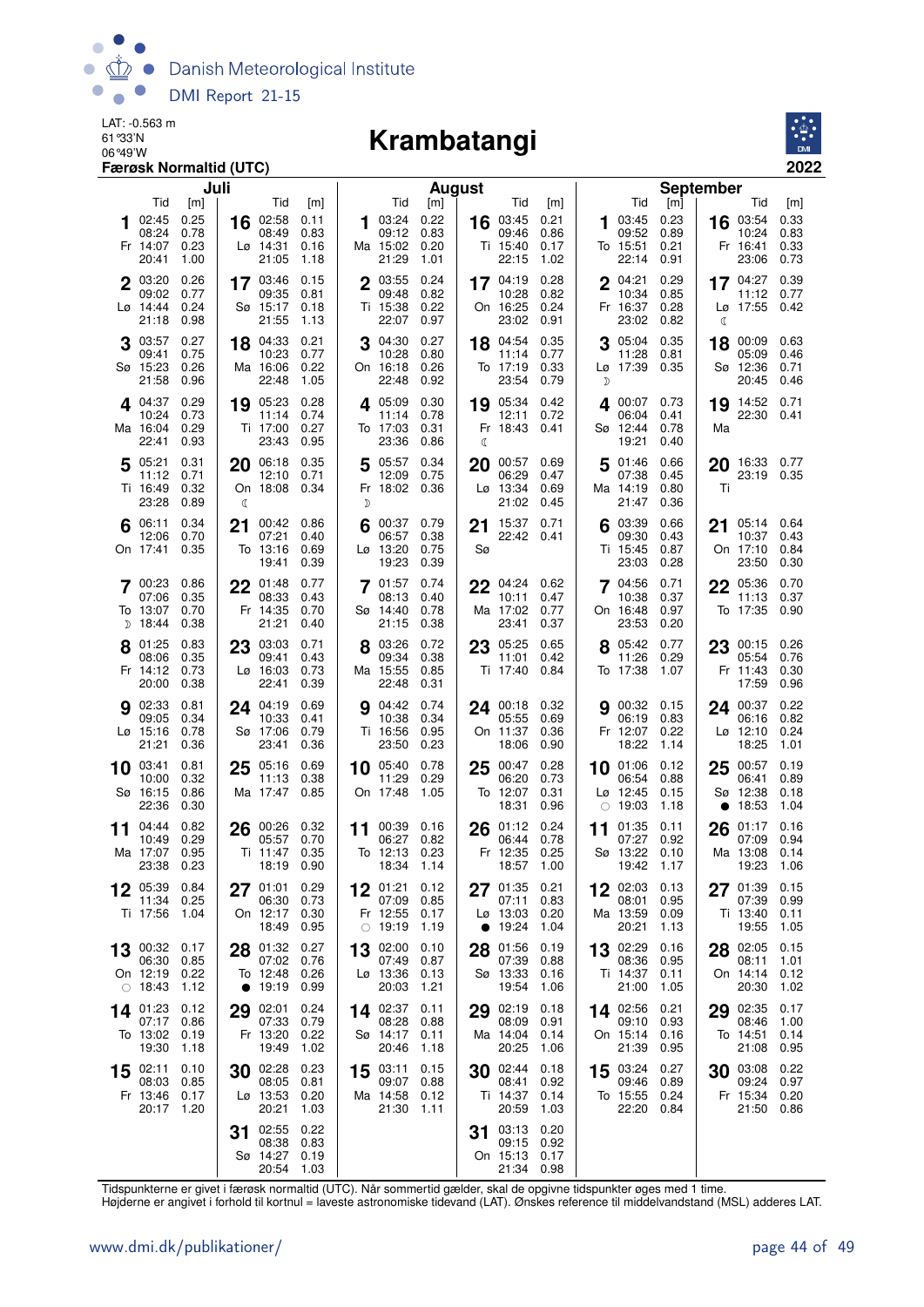

## 06°49'W **Krambatangi**



|    | Juli                                            |                              |                 |                                                    |                              |        | <b>August</b>                                 |                              |          |                                        |                              |    |                                                            | <b>September</b>             |          |                                               |                              |  |  |  |
|----|-------------------------------------------------|------------------------------|-----------------|----------------------------------------------------|------------------------------|--------|-----------------------------------------------|------------------------------|----------|----------------------------------------|------------------------------|----|------------------------------------------------------------|------------------------------|----------|-----------------------------------------------|------------------------------|--|--|--|
|    | Tid                                             | [m]                          |                 | Tid                                                | [m]                          |        | Tid                                           | [m]                          |          | Tid                                    | [m]                          |    | Tid                                                        | [m]                          |          | Tid                                           | [m]                          |  |  |  |
|    | 02:45<br>08:24<br>Fr 14:07<br>20:41             | 0.25<br>0.78<br>0.23<br>1.00 | 16              | 02:58<br>08:49<br>$L\varnothing$ 14:31<br>21:05    | 0.11<br>0.83<br>0.16<br>1.18 |        | 03:24<br>09:12<br>Ma 15:02<br>21:29           | 0.22<br>0.83<br>0.20<br>1.01 |          | 16 03:45<br>09:46<br>Ti 15:40<br>22:15 | 0.21<br>0.86<br>0.17<br>1.02 | 1  | 03:45<br>09:52<br>To 15:51<br>22:14                        | 0.23<br>0.89<br>0.21<br>0.91 |          | 16 03:54<br>10:24<br>Fr 16:41<br>23:06        | 0.33<br>0.83<br>0.33<br>0.73 |  |  |  |
|    | 2 03:20<br>09:02<br>Lø 14:44<br>21:18           | 0.26<br>0.77<br>0.24<br>0.98 |                 | 17 03:46<br>09:35<br>Sø 15:17<br>21:55             | 0.15<br>0.81<br>0.18<br>1.13 |        | 2 03:55<br>09:48<br>Ti 15:38<br>22:07         | 0.24<br>0.82<br>0.22<br>0.97 |          | 17 04:19<br>10:28<br>On 16:25<br>23:02 | 0.28<br>0.82<br>0.24<br>0.91 |    | $2^{04:21}$<br>10:34<br>Fr 16:37<br>23:02                  | 0.29<br>0.85<br>0.28<br>0.82 | C        | 17 $04:27$<br>11:12<br>Lø 17:55               | 0.39<br>0.77<br>0.42         |  |  |  |
|    | 03:57<br>09:41<br>Sø 15:23<br>21:58             | 0.27<br>0.75<br>0.26<br>0.96 | 18              | 04:33<br>10:23<br>Ma 16:06<br>22:48                | 0.21<br>0.77<br>0.22<br>1.05 |        | 04:30<br>10:28<br>On 16:18<br>22:48           | 0.27<br>0.80<br>0.26<br>0.92 |          | 18 04:54<br>11:14<br>To 17:19<br>23:54 | 0.35<br>0.77<br>0.33<br>0.79 | D  | 05:04<br>11:28<br>Lø 17:39 0.35                            | 0.35<br>0.81                 | 18       | 00:09<br>05:09<br>Sø 12:36<br>20:45           | 0.63<br>0.46<br>0.71<br>0.46 |  |  |  |
|    | 4.04:37<br>10:24<br>Ma 16:04<br>22:41           | 0.29<br>0.73<br>0.29<br>0.93 |                 | 19 05:23<br>11:14<br>Ti 17:00<br>23:43             | 0.28<br>0.74<br>0.27<br>0.95 |        | 405:09<br>11:14<br>To 17:03<br>23:36          | 0.30<br>0.78<br>0.31<br>0.86 | ℂ        | 19 05:34<br>12:11<br>Fr 18:43          | 0.42<br>0.72<br>0.41         |    | 4 00:07 0.73<br>06:04<br>Sø 12:44<br>19:21                 | 0.41<br>0.78<br>0.40         | Ma       | 19 14:52 0.71<br>22:30 0.41                   |                              |  |  |  |
|    | $5^{05:21}$<br>11:12<br>Ti 16:49<br>23:28       | 0.31<br>0.71<br>0.32<br>0.89 | ℂ               | 20 06:18<br>12:10<br>On 18:08 0.34                 | 0.35<br>0.71                 | 5<br>D | 05:57<br>12:09<br>Fr 18:02 0.36               | 0.34<br>0.75                 | 20       | 00:57<br>06:29<br>Lø 13:34<br>21:02    | 0.69<br>0.47<br>0.69<br>0.45 | 5  | 01:46<br>07:38<br>Ma 14:19<br>21:47                        | 0.66<br>0.45<br>0.80<br>0.36 | 20<br>Ti | 16:33 0.77<br>23:19 0.35                      |                              |  |  |  |
|    | $6^{06:11}$<br>12:06<br>On 17:41                | 0.34<br>0.70<br>0.35         |                 | 21 $00.42$ 0.86<br>07:21<br>To 13:16<br>19:41      | 0.40<br>0.69<br>0.39         |        | 00:37 0.79<br>06:57<br>Lø 13:20<br>19:23      | 0.38<br>0.75<br>0.39         | 21<br>Sø | 15:37 0.71<br>22:42 0.41               |                              |    | 6 03:39<br>09:30<br>Ti 15:45<br>23:03                      | 0.66<br>0.43<br>0.87<br>0.28 | 21       | 05:14 0.64<br>10:37<br>On 17:10<br>23:50      | 0.43<br>0.84<br>0.30         |  |  |  |
|    | 00:23<br>07:06<br>To 13:07<br>$D$ 18:44         | 0.86<br>0.35<br>0.70<br>0.38 |                 | 22 01:48<br>08:33<br>Fr 14:35<br>21:21             | 0.77<br>0.43<br>0.70<br>0.40 |        | <b>7</b> 01:57<br>08:13<br>Sø 14:40<br>21:15  | 0.74<br>0.40<br>0.78<br>0.38 | 22       | 04:24<br>10:11<br>Ma 17:02<br>23:41    | 0.62<br>0.47<br>0.77<br>0.37 |    | 04:56<br>10:38<br>On 16:48<br>23:53                        | 0.71<br>0.37<br>0.97<br>0.20 | 22       | 05:36<br>11:13<br>To 17:35                    | 0.70<br>0.37<br>0.90         |  |  |  |
|    | 8 01:25<br>08:06<br>Fr 14:12<br>20:00           | 0.83<br>0.35<br>0.73<br>0.38 |                 | 23 03:03<br>09:41<br>$L\varnothing$ 16:03<br>22:41 | 0.71<br>0.43<br>0.73<br>0.39 |        | 8 03:26<br>09:34<br>Ma 15:55<br>22:48         | 0.72<br>0.38<br>0.85<br>0.31 |          | 23 05:25<br>11:01<br>Ti 17:40          | 0.65<br>0.42<br>0.84         |    | 8 05:42 0.77<br>11:26<br>To 17:38                          | 0.29<br>1.07                 |          | 23 $00:15$ 0.26<br>05:54<br>Fr 11:43<br>17:59 | 0.76<br>0.30<br>0.96         |  |  |  |
|    | 02:33<br>09:05<br>$L\varnothing$ 15:16<br>21:21 | 0.81<br>0.34<br>0.78<br>0.36 |                 | 24 04:19<br>10:33<br>Sø 17:06<br>23:41             | 0.69<br>0.41<br>0.79<br>0.36 |        | 04:42<br>10:38<br>Ti 16:56<br>23:50           | 0.74<br>0.34<br>0.95<br>0.23 |          | 24 00:18<br>05:55<br>On 11:37<br>18:06 | 0.32<br>0.69<br>0.36<br>0.90 | 9  | 00:32 0.15<br>06:19<br>Fr 12:07<br>18:22                   | 0.83<br>0.22<br>1.14         | 24       | 00:37<br>06:16<br>$Lo$ 12:10<br>18:25         | 0.22<br>0.82<br>0.24<br>1.01 |  |  |  |
|    | 10 03:41<br>10:00<br>Sø 16:15<br>22:36          | 0.81<br>0.32<br>0.86<br>0.30 |                 | 25 05:16<br>11:13<br>Ma 17:47                      | 0.69<br>0.38<br>0.85         |        | 10 05:40<br>11:29<br>On 17:48                 | 0.78<br>0.29<br>1.05         | 25       | 00:47<br>06:20<br>To 12:07<br>18:31    | 0.28<br>0.73<br>0.31<br>0.96 |    | 10 01:06<br>06:54<br>$L\varnothing$ 12:45<br>$\circ$ 19:03 | 0.12<br>0.88<br>0.15<br>1.18 | 25       | 00:57<br>06:41<br>Sø 12:38<br>18:53           | 0.19<br>0.89<br>0.18<br>1.04 |  |  |  |
| 11 | 04:44<br>10:49<br>Ma 17:07<br>23:38             | 0.82<br>0.29<br>0.95<br>0.23 | 26              | 00:26<br>05:57<br>Ti 11:47<br>18:19                | 0.32<br>0.70<br>0.35<br>0.90 | 11     | 00:39 0.16<br>06:27<br>To 12:13<br>18:34 1.14 | 0.82<br>0.23                 | 26       | 01:12<br>06:44<br>Fr 12:35<br>18:57    | 0.24<br>0.78<br>0.25<br>1.00 | 11 | 01:35<br>07:27<br>Sø 13:22<br>19:42                        | 0.11<br>0.92<br>0.10<br>1.17 | 26       | 01:17<br>07:09<br>Ma 13:08<br>19:23           | 0.16<br>0.94<br>0.14<br>1.06 |  |  |  |
| 12 | 05:39<br>11:34<br>Ti 17:56                      | 0.84<br>0.25<br>1.04         | 27              | 01:01<br>06:30<br>On 12:17<br>18:49                | 0.29<br>0.73<br>0.30<br>0.95 | 12     | 01:21<br>07:09<br>Fr 12:55<br>$\circ$ 19:19   | 0.12<br>0.85<br>0.17<br>1.19 | 27       | 01:35<br>07:11<br>Lø 13:03<br>19:24    | 0.21<br>0.83<br>0.20<br>1.04 |    | $12^{02:03}$<br>08:01<br>Ma 13:59<br>20:21                 | 0.13<br>0.95<br>0.09<br>1.13 | 27       | 01:39<br>07:39<br>Ti 13:40<br>19:55           | 0.15<br>0.99<br>0.11<br>1.05 |  |  |  |
| 13 | 00:32<br>06:30<br>On 12:19<br>$\circ$ 18:43     | 0.17<br>0.85<br>0.22<br>1.12 | 28<br>$\bullet$ | 01:32<br>07:02 0.76<br>To 12:48<br>19:19           | 0.27<br>0.26<br>0.99         | 13     | 02:00<br>07:49<br>Lø 13:36<br>20:03           | 0.10<br>0.87<br>0.13<br>1.21 | 28       | 01:56<br>07:39<br>Sø 13:33<br>19:54    | 0.19<br>0.88<br>0.16<br>1.06 | 13 | 02:29<br>08:36<br>Ti 14:37<br>21:00                        | 0.16<br>0.95<br>0.11<br>1.05 | 28       | 02:05<br>08:11<br>On 14:14<br>20:30           | 0.15<br>1.01<br>0.12<br>1.02 |  |  |  |
|    | 14 01:23<br>07:17<br>To 13:02<br>19:30          | 0.12<br>0.86<br>0.19<br>1.18 | 29              | 02:01<br>07:33<br>Fr 13:20<br>19:49                | 0.24<br>0.79<br>0.22<br>1.02 |        | 14 02:37<br>08:28<br>Sø 14:17<br>20:46        | 0.11<br>0.88<br>0.11<br>1.18 | 29       | 02:19<br>08:09<br>Ma 14:04<br>20:25    | 0.18<br>0.91<br>0.14<br>1.06 |    | 14 02:56<br>09:10<br>On 15:14<br>21:39                     | 0.21<br>0.93<br>0.16<br>0.95 | 29       | 02:35<br>08:46<br>To 14:51<br>21:08           | 0.17<br>1.00<br>0.14<br>0.95 |  |  |  |
| 15 | 02:11<br>08:03<br>Fr 13:46<br>20:17             | 0.10<br>0.85<br>0.17<br>1.20 | 30              | 02:28<br>08:05<br>Lø 13:53<br>20:21                | 0.23<br>0.81<br>0.20<br>1.03 | 15     | 03:11<br>09:07<br>Ma 14:58<br>21:30           | 0.15<br>0.88<br>0.12<br>1.11 | 30       | 02:44<br>08:41<br>Ti 14:37<br>20:59    | 0.18<br>0.92<br>0.14<br>1.03 | 15 | 03:24<br>09:46<br>To 15:55 0.24<br>22:20                   | 0.27<br>0.89<br>0.84         | 30       | 03:08<br>09:24<br>Fr 15:34<br>21:50           | 0.22<br>0.97<br>0.20<br>0.86 |  |  |  |
|    |                                                 |                              | 31              | 02:55<br>08:38<br>Sø 14:27<br>20:54                | 0.22<br>0.83<br>0.19<br>1.03 |        |                                               |                              | 31       | 03:13<br>09:15<br>On 15:13<br>21:34    | 0.20<br>0.92<br>0.17<br>0.98 |    |                                                            |                              |          |                                               |                              |  |  |  |

Tidspunkterne er givet i færøsk normaltid (UTC). Når sommertid gælder, skal de opgivne tidspunkter øges med 1 time.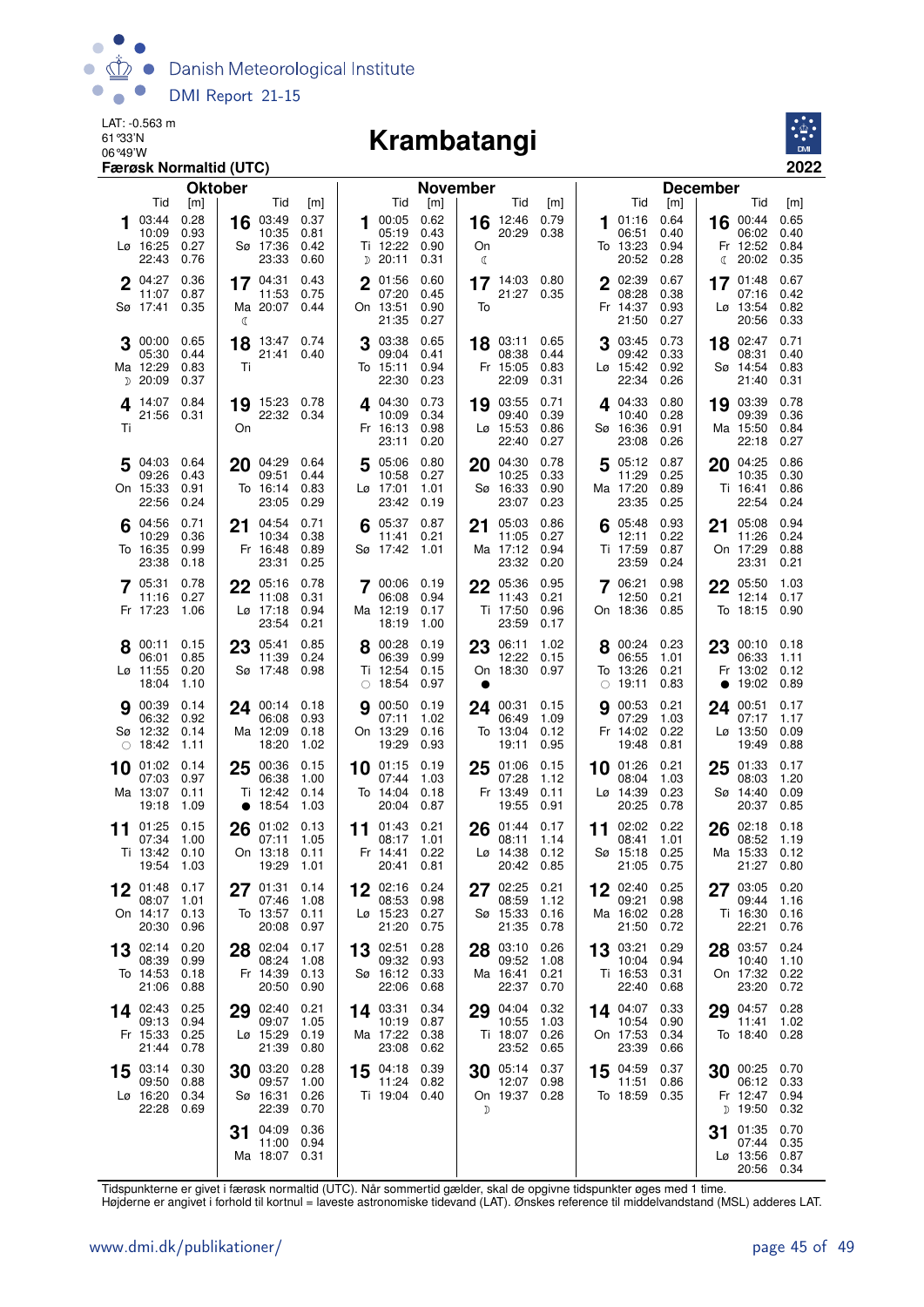

### 06°49'W **Krambatangi**



|    |                                                      | Færøsk Normaltid (UTC)        |                |                                                          |                              |             |                                                              |                                      |         |                                                      |                              |    |                                                       |                                      |                                                      | 2022                                 |
|----|------------------------------------------------------|-------------------------------|----------------|----------------------------------------------------------|------------------------------|-------------|--------------------------------------------------------------|--------------------------------------|---------|------------------------------------------------------|------------------------------|----|-------------------------------------------------------|--------------------------------------|------------------------------------------------------|--------------------------------------|
|    |                                                      |                               | <b>Oktober</b> |                                                          |                              |             |                                                              | November                             |         |                                                      |                              |    |                                                       |                                      | <b>December</b>                                      |                                      |
| 1  | Tid<br>03:44<br>10:09<br>Lø 16:25                    | [m]<br>0.28<br>0.93<br>0.27   |                | Tid<br>16 03:49<br>10:35<br>Sø 17:36                     | [m]<br>0.37<br>0.81<br>0.42  |             | Tid<br>100:050.62<br>05:19<br>Ti 12:22                       | [m]<br>0.43<br>0.90                  | On      | Tid<br>16 12:46<br>20:29                             | [m]<br>0.79<br>0.38          |    | Tid<br>01:16<br>06:51<br>To 13:23                     | [m]<br>0.64<br>0.40<br>0.94          | Tid<br>$16^{00:44}$<br>06:02<br>Fr 12:52             | [m]<br>0.65<br>0.40<br>0.84          |
|    | 22:43<br>$2^{04:27}$<br>11:07<br>Sø 17:41            | 0.76<br>0.36<br>0.87<br>0.35  |                | 23:33<br>$17^{04:31}$<br>11:53<br>Ma 20:07 0.44          | 0.60<br>0.43<br>0.75         | $\mathbf 2$ | $D$ 20:11<br>01:56<br>07:20<br>On 13:51<br>21:35             | 0.31<br>0.60<br>0.45<br>0.90<br>0.27 | ℂ<br>To | 17 $14:03$ 0.80<br>21:27 0.35                        |                              |    | 20:52<br>2 02:39<br>08:28<br>Fr 14:37<br>21:50        | 0.28<br>0.67<br>0.38<br>0.93<br>0.27 | 20:02<br>ℂ<br>17 01:48<br>07:16<br>Lø 13:54<br>20:56 | 0.35<br>0.67<br>0.42<br>0.82<br>0.33 |
|    | 00:00<br>05:30<br>Ma 12:29<br>$D$ 20:09              | 0.65<br>0.44<br>0.83<br>0.37  | ℭ<br>18<br>Τi  | 13:47 0.74<br>21:41 0.40                                 |                              | 3           | 03:38<br>09:04<br>To 15:11<br>22:30                          | 0.65<br>0.41<br>0.94<br>0.23         |         | 18 03:11<br>08:38<br>Fr 15:05<br>22:09               | 0.65<br>0.44<br>0.83<br>0.31 |    | 03:45<br>09:42<br>Lø 15:42<br>22:34                   | 0.73<br>0.33<br>0.92<br>0.26         | 18 02:47<br>08:31<br>Sø 14:54<br>21:40               | 0.71<br>0.40<br>0.83<br>0.31         |
| Τi | 4 14:07 0.84<br>21:56 0.31                           |                               | On             | 19 15:23 0.78<br>22:32 0.34                              |                              |             | 4 04:30<br>10:09<br>Fr 16:13<br>23:11                        | 0.73<br>0.34<br>0.98<br>0.20         |         | 19 03:55<br>09:40<br>Lø 15:53<br>22:40               | 0.71<br>0.39<br>0.86<br>0.27 |    | 4 04:33 0.80<br>10:40<br>Sø 16:36<br>23:08            | 0.28<br>0.91<br>0.26                 | 19 03:39<br>09:39<br>Ma 15:50<br>22:18               | 0.78<br>0.36<br>0.84<br>0.27         |
|    | $5^{04:03}$<br>09:26<br>On 15:33<br>22:56            | 0.64<br>0.43<br>0.91<br>0.24  |                | 20 04:29 0.64<br>09:51<br>To 16:14<br>23:05              | 0.44<br>0.83<br>0.29         | 5           | 05:06 0.80<br>10:58<br>$L\varnothing$ 17:01<br>23:42         | 0.27<br>1.01<br>0.19                 |         | 20 04:30<br>10:25<br>Sø 16:33<br>23:07               | 0.78<br>0.33<br>0.90<br>0.23 |    | 5 05:12 0.87<br>11:29<br>Ma 17:20<br>23:35            | 0.25<br>0.89<br>0.25                 | 20 04:25<br>10:35<br>Ti 16:41<br>22:54               | 0.86<br>0.30<br>0.86<br>0.24         |
|    | 04:56<br>10:29<br>To 16:35<br>23:38                  | 0.71<br>0.36<br>0.99<br>0.18  | 21             | 04:54<br>10:34<br>Fr 16:48<br>23:31                      | 0.71<br>0.38<br>0.89<br>0.25 |             | 05:37 0.87<br>11:41<br>Sø 17:42                              | 0.21<br>1.01                         | 21      | 05:03<br>11:05<br>Ma 17:12<br>23:32                  | 0.86<br>0.27<br>0.94<br>0.20 |    | 05:48<br>12:11<br>Ti 17:59<br>23:59                   | 0.93<br>0.22<br>0.87<br>0.24         | 05:08<br>21<br>11:26<br>On 17:29<br>23:31            | 0.94<br>0.24<br>0.88<br>0.21         |
|    | 7 05:31<br>11:16<br>Fr 17:23                         | 0.78<br>0.27<br>1.06          |                | 22 05:16<br>11:08<br>$L\varnothing$ 17:18<br>23:54       | 0.78<br>0.31<br>0.94<br>0.21 |             | 7 00:06 0.19<br>06:08<br>Ma 12:19<br>18:19                   | 0.94<br>0.17<br>1.00                 |         | 22 05:36<br>11:43<br>Ti 17:50<br>23:59               | 0.95<br>0.21<br>0.96<br>0.17 |    | 7 06:21<br>12:50<br>On 18:36 0.85                     | 0.98<br>0.21                         | 22 05:50<br>12:14<br>To 18:15                        | 1.03<br>0.17<br>0.90                 |
|    | $8^{00:11}$<br>06:01<br>Lø 11:55<br>18:04            | 0.15<br>0.85<br>0.20<br>1.10  |                | 23 05:41<br>11:39<br>Sø 17:48                            | 0.85<br>0.24<br>0.98         |             | 00:28<br>06:39<br>Ti 12:54<br>$\circ$ 18:54                  | 0.19<br>0.99<br>0.15<br>0.97         |         | 23 06:11<br>12:22<br>On 18:30 0.97                   | 1.02<br>0.15                 |    | 8 00:24<br>06:55<br>To 13:26<br>$\circ$ 19:11         | 0.23<br>1.01<br>0.21<br>0.83         | 23 00:10<br>06:33<br>Fr 13:02<br>19:02<br>$\bullet$  | 0.18<br>1.11<br>0.12<br>0.89         |
|    | <b>9</b> 00:39<br>06:32<br>Sø 12:32<br>$\circ$ 18:42 | 0.14<br>0.92<br>0.14<br>1.11  |                | 24 00:14 0.18<br>06:08<br>Ma 12:09<br>18:20              | 0.93<br>0.18<br>1.02         | 9           | 00:50<br>07:11<br>On 13:29<br>19:29                          | 0.19<br>1.02<br>0.16<br>0.93         |         | $24$ 00:31<br>06:49<br>To 13:04<br>19:11             | 0.15<br>1.09<br>0.12<br>0.95 | g  | 00:53<br>07:29<br>Fr 14:02<br>19:48                   | 0.21<br>1.03<br>0.22<br>0.81         | 24 00:51<br>07:17<br>Lø 13:50<br>19:49               | 0.17<br>1.17<br>0.09<br>0.88         |
| 10 | 01:02<br>07:03<br>Ma 13:07<br>19:18                  | 0.14<br>0.97<br>0.11<br>1.09  | 25             | 00:36<br>06:38<br>Ti 12:42<br>• $18:54$                  | 0.15<br>1.00<br>0.14<br>1.03 | 10          | 01:15<br>07:44<br>To 14:04<br>20:04 0.87                     | 0.19<br>1.03<br>0.18                 | 25      | 01:06<br>07:28<br>Fr 13:49<br>19:55                  | 0.15<br>1.12<br>0.11<br>0.91 | 10 | 01:26<br>08:04<br>$L\varnothing$ 14:39<br>20:25       | 0.21<br>1.03<br>0.23<br>0.78         | 01:33<br>25<br>08:03<br>Sø 14:40<br>20:37            | 0.17<br>1.20<br>0.09<br>0.85         |
| 11 | 01:25<br>07:34<br>19:54 1.03                         | 0.15<br>1.00<br>Ti 13:42 0.10 |                | 26 $^{01:02}_{07}:11$<br>07:11<br>On 13:18 0.11<br>19:29 | 1.05<br>- 1.01               |             | 11 $01:43$ 0.21<br>08:17 1.01<br>Fr 14:41 0.22<br>20:41 0.81 |                                      |         | $26^{01:44}$<br>08:11<br>Lø 14:38 0.12<br>20:42 0.85 | 0.17<br>1.14                 |    | 11 02:02 0.22<br>08:41<br>Sø 15:18 0.25<br>21:05 0.75 | 1.01                                 | 26 02:18<br>08:52<br>Ma 15:33 0.12                   | 0.18<br>1.19<br>21:27 0.80           |
|    | 01:48<br>08:07<br>On 14:17<br>20:30                  | 0.17<br>1.01<br>0.13<br>0.96  |                | 27 01:31<br>07:46<br>To 13:57<br>20:08                   | 0.14<br>1.08<br>0.11<br>0.97 |             | $12^{02:16}$<br>08:53<br>Lø 15:23<br>21:20 0.75              | 0.24<br>0.98<br>0.27                 |         | 27 02:25<br>08:59<br>Sø 15:33<br>21:35               | 0.21<br>1.12<br>0.16<br>0.78 |    | 12 02:40<br>09:21<br>Ma 16:02<br>21:50                | 0.25<br>0.98<br>0.28<br>0.72         | 27 03:05<br>09:44<br>Ti 16:30<br>22:21               | 0.20<br>1.16<br>0.16<br>0.76         |
|    | 13 02:14<br>08:39<br>To 14:53<br>21:06               | 0.20<br>0.99<br>0.18<br>0.88  |                | 28 02:04<br>08:24<br>Fr 14:39<br>20:50                   | 0.17<br>1.08<br>0.13<br>0.90 |             | 13 02:51<br>09:32<br>Sø 16:12<br>22:06                       | 0.28<br>0.93<br>0.33<br>0.68         |         | 28 03:10<br>09:52<br>Ma 16:41<br>22:37               | 0.26<br>1.08<br>0.21<br>0.70 |    | 13 03:21<br>10:04<br>Ti 16:53<br>22:40                | 0.29<br>0.94<br>0.31<br>0.68         | 28 03:57<br>10:40<br>On 17:32<br>23:20               | 0.24<br>1.10<br>0.22<br>0.72         |
|    | 14 $02:43$<br>09:13<br>Fr 15:33<br>21:44             | 0.25<br>0.94<br>0.25<br>0.78  |                | 29 02:40<br>09:07<br>Lø 15:29<br>21:39                   | 0.21<br>1.05<br>0.19<br>0.80 |             | 14 03:31 0.34<br>10:19 0.87<br>Ma 17:22 0.38<br>23:08        | 0.62                                 |         | 29 04:04<br>10:55<br>Ti 18:07<br>23:52               | 0.32<br>1.03<br>0.26<br>0.65 |    | 14 04:07<br>10:54<br>On 17:53<br>23:39                | 0.33<br>0.90<br>0.34<br>0.66         | 04:57<br>29<br>11:41<br>To 18:40                     | 0.28<br>1.02<br>0.28                 |
|    | $15^{03:14}$<br>09:50<br>Lø 16:20<br>22:28           | 0.30<br>0.88<br>0.34<br>0.69  |                | 30 03:20<br>09:57<br>Sø 16:31<br>22:39                   | 0.28<br>1.00<br>0.26<br>0.70 |             | 15 04:18 0.39<br>11:24 0.82<br>Ti 19:04 0.40                 |                                      | D       | 30 05:14<br>12:07<br>On 19:37 0.28                   | 0.37<br>0.98                 |    | 15 04:59<br>11:51<br>To 18:59 0.35                    | 0.37<br>0.86                         | 30 00:25 0.70<br>06:12<br>Fr 12:47<br>$D$ 19:50      | 0.33<br>0.94<br>0.32                 |
|    |                                                      |                               | 31             | 04:09<br>11:00<br>Ma 18:07 0.31                          | 0.36<br>0.94                 |             |                                                              |                                      |         |                                                      |                              |    |                                                       |                                      | 01:35<br>31<br>07:44<br>Lø 13:56<br>20:56            | 0.70<br>0.35<br>0.87<br>0.34         |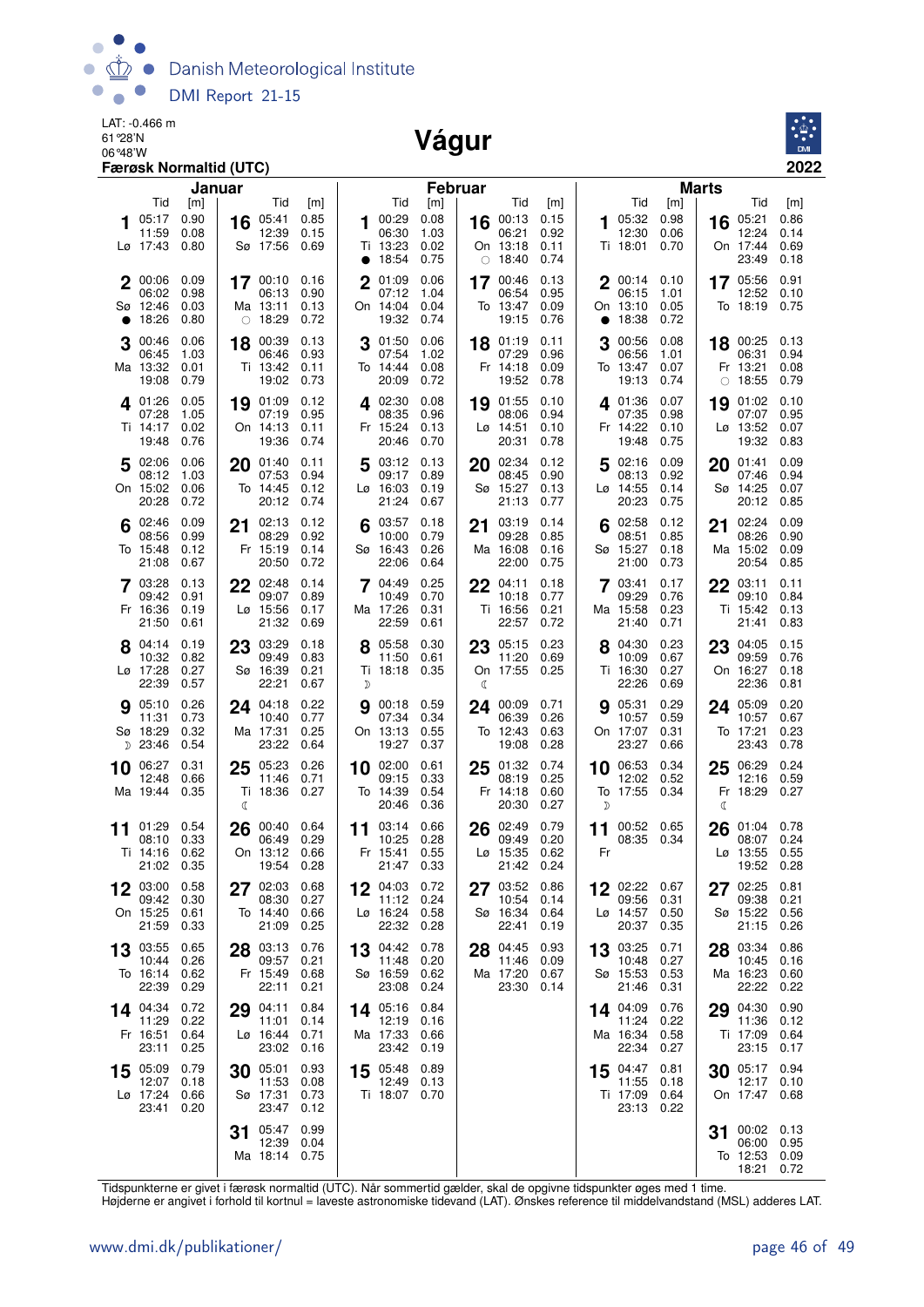

LAT: -0.466 m 61°28'N

#### 06°48'W **Vágur**



|           |                                                | Færøsk Normaltid (UTC)       |         |                                                     |                              |             |                                                       |                                      |                |                                                         |                                      |           |                                                 |                              |              |                                                                   | 2022                         |
|-----------|------------------------------------------------|------------------------------|---------|-----------------------------------------------------|------------------------------|-------------|-------------------------------------------------------|--------------------------------------|----------------|---------------------------------------------------------|--------------------------------------|-----------|-------------------------------------------------|------------------------------|--------------|-------------------------------------------------------------------|------------------------------|
|           | Tid                                            |                              | Januar  | Tid                                                 |                              |             | Tid                                                   |                                      | <b>Februar</b> | Tid                                                     |                                      |           | Tid                                             |                              | <b>Marts</b> | Tid                                                               |                              |
| 1         | 05:17<br>11:59<br>Lø 17:43                     | [m]<br>0.90<br>0.08<br>0.80  | 16      | 05:41<br>12:39<br>Sø 17:56                          | [m]<br>0.85<br>0.15<br>0.69  | 1           | 00:29<br>06:30<br>Ti 13:23                            | [m]<br>0.08<br>1.03<br>0.02          | 16             | 00:13<br>06:21<br>On 13:18                              | [m]<br>0.15<br>0.92<br>0.11          | 1         | 05:32<br>12:30<br>Ti 18:01                      | [m]<br>0.98<br>0.06<br>0.70  | 16           | 05:21<br>12:24<br>On 17:44                                        | [m]<br>0.86<br>0.14<br>0.69  |
| $\bullet$ | 2 00:06<br>06:02<br>Sø 12:46<br>18:26          | 0.09<br>0.98<br>0.03<br>0.80 |         | 17 00:10 0.16<br>06:13<br>Ma 13:11<br>$\circ$ 18:29 | 0.90<br>0.13<br>0.72         | $\mathbf 2$ | • 18:54<br>01:09<br>07:12<br>On 14:04<br>19:32        | 0.75<br>0.06<br>1.04<br>0.04<br>0.74 |                | $\circ$ 18:40<br>17 00:46<br>06:54<br>To 13:47<br>19:15 | 0.74<br>0.13<br>0.95<br>0.09<br>0.76 | $\bullet$ | 200:140<br>06:15<br>On 13:10<br>18:38           | 1.01<br>0.05<br>0.72         |              | 23:49<br>17 05:56<br>12:52<br>To 18:19                            | 0.18<br>0.91<br>0.10<br>0.75 |
| 3         | 00:46<br>06:45<br>Ma 13:32<br>19:08            | 0.06<br>1.03<br>0.01<br>0.79 | 18      | 00:39<br>06:46<br>Ti 13:42<br>19:02                 | 0.13<br>0.93<br>0.11<br>0.73 | 3           | 01:50<br>07:54<br>To 14:44<br>20:09                   | 0.06<br>1.02<br>0.08<br>0.72         |                | 18 01:19<br>07:29<br>Fr 14:18<br>19:52                  | 0.11<br>0.96<br>0.09<br>0.78         | З         | 00:56<br>06:56<br>To 13:47<br>19:13             | 0.08<br>1.01<br>0.07<br>0.74 | $\bigcirc$   | 18 00:25<br>06:31<br>Fr 13:21<br>18:55                            | 0.13<br>0.94<br>0.08<br>0.79 |
|           | 4 01:26<br>07:28<br>Ti 14:17<br>19:48          | 0.05<br>1.05<br>0.02<br>0.76 | 19      | 01:09<br>07:19<br>On 14:13<br>19:36                 | 0.12<br>0.95<br>0.11<br>0.74 |             | 4 02:30<br>08:35<br>Fr 15:24<br>20:46                 | 0.08<br>0.96<br>0.13<br>0.70         | 19             | 01:55<br>08:06<br>Lø 14:51<br>20:31                     | 0.10<br>0.94<br>0.10<br>0.78         |           | 401:36<br>07:35<br>Fr 14:22<br>19:48            | 0.07<br>0.98<br>0.10<br>0.75 | 19           | 01:02<br>07:07<br>Lø 13:52 0.07<br>19:32                          | 0.10<br>0.95<br>0.83         |
|           | 5 02:06<br>08:12<br>On 15:02<br>20:28          | 0.06<br>1.03<br>0.06<br>0.72 | 20      | 01:40<br>07:53<br>To 14:45<br>20:12                 | 0.11<br>0.94<br>0.12<br>0.74 | 5           | 03:12<br>09:17<br>$La$ 16:03<br>21:24                 | 0.13<br>0.89<br>0.19<br>0.67         | 20             | 02:34<br>08:45<br>Sø 15:27<br>21:13                     | 0.12<br>0.90<br>0.13<br>0.77         | 5         | 02:16<br>08:13<br>Lø 14:55<br>20:23             | 0.09<br>0.92<br>0.14<br>0.75 | 20           | 01:41<br>07:46<br>Sø 14:25<br>20:12                               | 0.09<br>0.94<br>0.07<br>0.85 |
|           | 02:46<br>08:56<br>To 15:48<br>21:08            | 0.09<br>0.99<br>0.12<br>0.67 | 21      | 02:13<br>08:29<br>Fr 15:19<br>20:50                 | 0.12<br>0.92<br>0.14<br>0.72 |             | 03:57<br>10:00<br>Sø 16:43<br>22:06                   | 0.18<br>0.79<br>0.26<br>0.64         | 21             | 03:19<br>09:28<br>Ma 16:08<br>22:00                     | 0.14<br>0.85<br>0.16<br>0.75         | 6         | 02:58<br>08:51<br>Sø 15:27<br>21:00             | 0.12<br>0.85<br>0.18<br>0.73 | 21           | 02:24<br>08:26<br>Ma 15:02<br>20:54                               | 0.09<br>0.90<br>0.09<br>0.85 |
|           | 7 03:28<br>09:42<br>Fr 16:36<br>21:50          | 0.13<br>0.91<br>0.19<br>0.61 | 22      | 02:48<br>09:07<br>Lø 15:56<br>21:32                 | 0.14<br>0.89<br>0.17<br>0.69 | 7           | 04:49<br>10:49<br>Ma 17:26<br>22:59                   | 0.25<br>0.70<br>0.31<br>0.61         |                | 22 04:11<br>10:18<br>Ti 16:56<br>22:57                  | 0.18<br>0.77<br>0.21<br>0.72         |           | 7 03:41<br>09:29<br>Ma 15:58<br>21:40           | 0.17<br>0.76<br>0.23<br>0.71 |              | $22^{03:11}$<br>09:10<br>Ti 15:42<br>21:41                        | 0.11<br>0.84<br>0.13<br>0.83 |
|           | 04:14<br>10:32<br>Lø 17:28<br>22:39            | 0.19<br>0.82<br>0.27<br>0.57 | 23      | 03:29<br>09:49<br>Sø 16:39<br>22:21                 | 0.18<br>0.83<br>0.21<br>0.67 | D           | 05:58<br>11:50<br>Ti 18:18                            | 0.30<br>0.61<br>0.35                 | ℂ              | 23 05:15<br>11:20<br>On 17:55 0.25                      | 0.23<br>0.69                         |           | 04:30<br>10:09<br>Ti 16:30<br>22:26             | 0.23<br>0.67<br>0.27<br>0.69 | 23           | 04:05 0.15<br>09:59<br>On 16:27<br>22:36                          | 0.76<br>0.18<br>0.81         |
|           | <b>9</b> 05:10<br>11:31<br>Sø 18:29<br>D 23:46 | 0.26<br>0.73<br>0.32<br>0.54 |         | 24 04:18<br>10:40<br>Ma 17:31<br>23:22              | 0.22<br>0.77<br>0.25<br>0.64 | 9           | 00:18 0.59<br>07:34<br>On 13:13<br>19:27              | 0.34<br>0.55<br>0.37                 | 24             | 00:09<br>06:39<br>To 12:43<br>19:08                     | 0.71<br>0.26<br>0.63<br>0.28         |           | <b>g</b> 05:31<br>10:57<br>On 17:07<br>23:27    | 0.29<br>0.59<br>0.31<br>0.66 |              | 24 05:09<br>10:57<br>To 17:21<br>23:43                            | 0.20<br>0.67<br>0.23<br>0.78 |
| 10        | 06:27<br>12:48<br>Ma 19:44                     | 0.31<br>0.66<br>0.35         | 25<br>ℂ | 05:23<br>11:46<br>Ti 18:36                          | 0.26<br>0.71<br>0.27         |             | 10 02:00<br>09:15<br>To 14:39<br>20:46                | 0.61<br>0.33<br>0.54<br>0.36         | 25             | 01:32<br>08:19<br>Fr 14:18<br>20:30                     | 0.74<br>0.25<br>0.60<br>0.27         | 10<br>D   | 06:53<br>12:02<br>To 17:55 0.34                 | 0.34<br>0.52                 | 25<br>C      | 06:29<br>12:16<br>Fr 18:29                                        | 0.24<br>0.59<br>0.27         |
| 11        | 01:29<br>08:10<br>Ti 14:16 0.62<br>21:02 0.35  | 0.54<br>0.33                 | 26      | 00:40<br>06:49 0.29<br>On 13:12 0.66<br>19:54 0.28  | 0.64                         |             | $11^{03:14}$<br>10:25<br>Fr 15:41 0.55<br>21:47 0.33  | 0.66<br>0.28                         |                | 26 02:49<br>09:49<br>Lø 15:35 0.62<br>21:42 0.24        | 0.79<br>0.20                         | 11<br>Fr  | 00:52 0.65<br>08:35 0.34                        |                              |              | 26 01:04<br>08:07 0.24<br>$L\varnothing$ 13:55 0.55<br>19:52 0.28 | 0.78                         |
|           | 03:00<br>09:42<br>On 15:25<br>21:59            | 0.58<br>0.30<br>0.61<br>0.33 | 27      | 02:03<br>08:30<br>To 14:40<br>21:09                 | 0.68<br>0.27<br>0.66<br>0.25 |             | 12 04:03<br>11:12 0.24<br>Lø 16:24 0.58<br>22:32 0.28 | 0.72                                 |                | 27 03:52<br>10:54<br>Sø 16:34<br>22:41                  | 0.86<br>0.14<br>0.64<br>0.19         |           | $12$ 02:22<br>09:56<br>Lø 14:57<br>20:37        | 0.67<br>0.31<br>0.50<br>0.35 |              | 27 02:25<br>09:38<br>Sø 15:22 0.56<br>21:15                       | 0.81<br>0.21<br>0.26         |
|           | 13 03:55<br>10:44<br>To 16:14 0.62<br>22:39    | 0.65<br>0.26<br>0.29         |         | 28 03:13<br>09:57<br>Fr 15:49<br>22:11              | 0.76<br>0.21<br>0.68<br>0.21 |             | $13^{04:42}$<br>11:48<br>Sø 16:59<br>23:08            | 0.78<br>0.20<br>0.62<br>0.24         | 28             | 04:45<br>11:46<br>Ma 17:20<br>23:30 0.14                | 0.93<br>0.09<br>0.67                 | 13        | 03:25<br>10:48<br>Sø 15:53<br>21:46             | 0.71<br>0.27<br>0.53<br>0.31 |              | 28 03:34<br>10:45<br>Ma 16:23<br>22:22                            | 0.86<br>0.16<br>0.60<br>0.22 |
|           | 14 04:34<br>11:29<br>Fr 16:51<br>23:11         | 0.72<br>0.22<br>0.64<br>0.25 | 29      | 04:11<br>11:01<br>Lø 16:44<br>23:02                 | 0.84<br>0.14<br>0.71<br>0.16 |             | 14 05:16<br>12:19<br>Ma 17:33<br>23:42                | 0.84<br>0.16<br>0.66<br>0.19         |                |                                                         |                                      |           | 14 04:09<br>11:24<br>Ma 16:34 0.58<br>22:34     | 0.76<br>0.22<br>0.27         | 29           | 04:30<br>11:36<br>Ti 17:09<br>23:15                               | 0.90<br>0.12<br>0.64<br>0.17 |
|           | 15 05:09<br>12:07<br>Lø 17:24<br>23:41         | 0.79<br>0.18<br>0.66<br>0.20 | 30      | 05:01<br>11:53<br>Sø 17:31<br>23:47                 | 0.93<br>0.08<br>0.73<br>0.12 |             | 15 05:48<br>12:49<br>Ti 18:07 0.70                    | 0.89<br>0.13                         |                |                                                         |                                      |           | $15^{04:47}$<br>11:55<br>Ti 17:09<br>23:13 0.22 | 0.81<br>0.18<br>0.64         |              | $30$ 05:17<br>12:17<br>On 17:47 0.68                              | 0.94<br>0.10                 |
|           |                                                |                              | 31      | 05:47<br>12:39 0.04<br>Ma 18:14 0.75                | 0.99                         |             |                                                       |                                      |                |                                                         |                                      |           |                                                 |                              | 31           | 00:02 0.13<br>06:00<br>To 12:53 0.09<br>18:21                     | 0.95<br>0.72                 |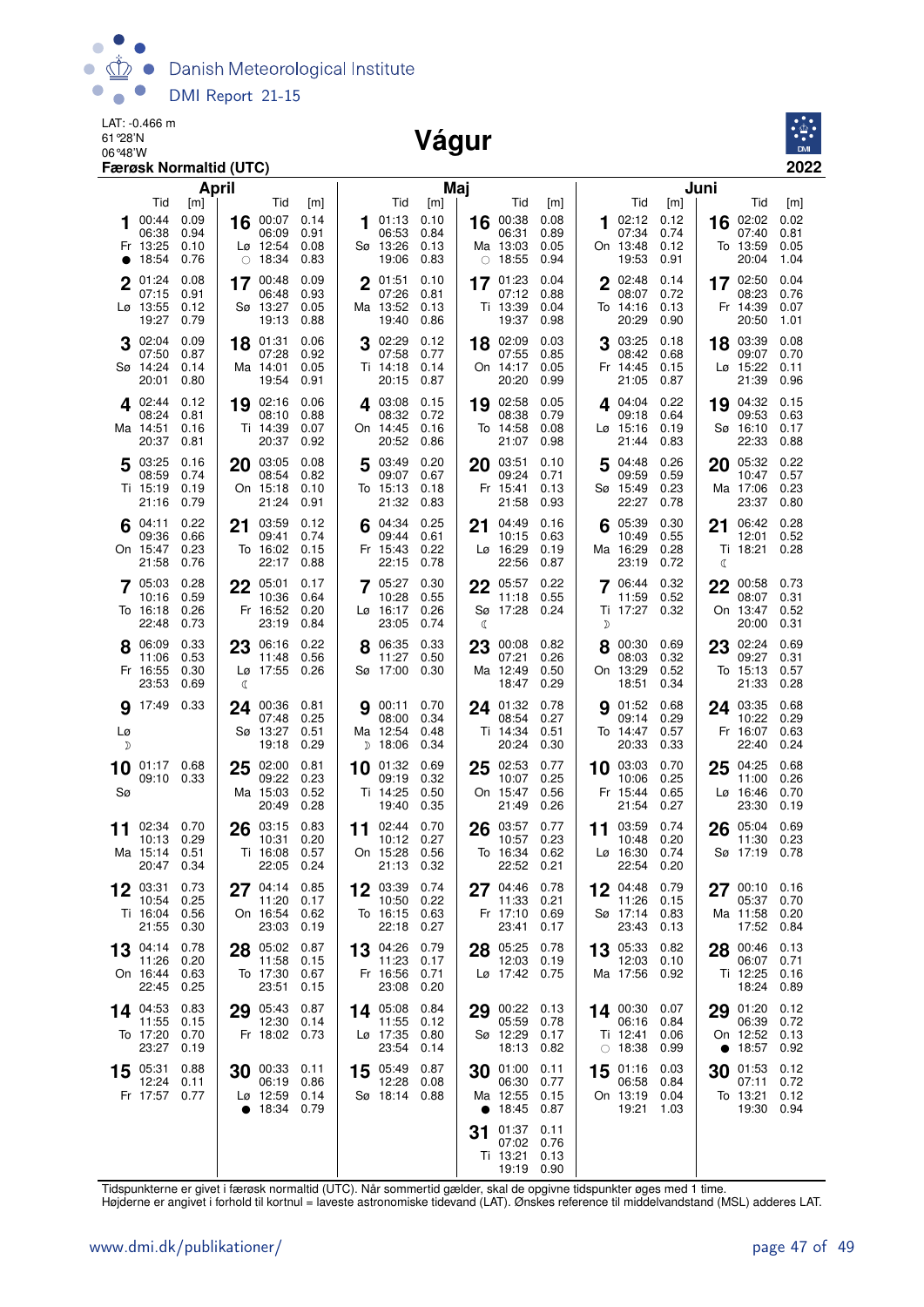

LAT: -0.466 m 61°28'N LAI: -0.466 m<br>61 28'N<br>06 <sup>248'W</sup> 2001



| April                                                                                                                                                                                             | Maj                                                                               |                                                                                              | Juni                                                                                                                                                                         |  |  |  |  |  |  |
|---------------------------------------------------------------------------------------------------------------------------------------------------------------------------------------------------|-----------------------------------------------------------------------------------|----------------------------------------------------------------------------------------------|------------------------------------------------------------------------------------------------------------------------------------------------------------------------------|--|--|--|--|--|--|
| Tid<br>Tid<br>[m]<br>[m]<br>0.09<br>00:44<br>00:07<br>0.14<br>16<br>06:38<br>0.94<br>06:09<br>0.91<br>0.10<br>Lø 12:54<br>0.08<br>Fr 13:25<br>$\circ$ 18:34<br>18:54<br>0.76<br>0.83<br>$\bullet$ | Tid<br>[m]<br>0.10<br>01:13<br>06:53<br>0.84<br>Sø 13:26<br>0.13<br>19:06<br>0.83 | Tid<br>[m]<br>0.08<br>16 00:38<br>06:31<br>0.89<br>Ma 13:03<br>0.05<br>0.94<br>$\circ$ 18:55 | Tid<br>Tid<br>[m]<br>[m]<br>02:12<br>0.12<br>0.02<br>02:02<br>16<br>07:34<br>07:40<br>0.81<br>0.74<br>On 13:48<br>0.12<br>To 13:59<br>0.05<br>19:53<br>20:04<br>0.91<br>1.04 |  |  |  |  |  |  |
| 01:24<br>0.08<br>17 00:48<br>0.09<br>$\mathbf{2}$<br>07:15<br>0.91<br>06:48<br>0.93<br>Sø 13:27<br>0.05<br>Lø 13:55<br>0.12<br>19:13<br>19:27<br>0.79<br>0.88                                     | $2^{01:51}$<br>0.10<br>07:26<br>0.81<br>Ma 13:52<br>0.13<br>19:40<br>0.86         | 0.04<br>17 01:23<br>0.88<br>07:12<br>Ti 13:39<br>0.04<br>19:37<br>0.98                       | 2 02:48<br>0.14<br>17 02:50<br>0.04<br>08:07<br>0.72<br>08:23<br>0.76<br>Fr 14:39<br>0.07<br>To 14:16<br>0.13<br>20:29<br>0.90<br>20:50<br>1.01                              |  |  |  |  |  |  |
| 02:04<br>0.09<br>18 01:31<br>0.06<br>3<br>07:50<br>0.87<br>07:28<br>0.92<br>Sø 14:24<br>0.14<br>Ma 14:01<br>0.05<br>19:54<br>20:01<br>0.80<br>0.91                                                | 3 02:29<br>0.12<br>07:58<br>0.77<br>Ti 14:18<br>0.14<br>20:15<br>0.87             | 18 02:09<br>0.03<br>07:55<br>0.85<br>On 14:17<br>0.05<br>20:20<br>0.99                       | 03:25<br>0.08<br>0.18<br>18 03:39<br>08:42<br>09:07<br>0.70<br>0.68<br>Fr 14:45<br>0.15<br>Lø 15:22<br>0.11<br>21:05<br>21:39<br>0.87<br>0.96                                |  |  |  |  |  |  |
| 19 02:16<br>402:44<br>0.12<br>0.06<br>08:24<br>0.81<br>08:10<br>0.88<br>Ti 14:39<br>Ma 14:51<br>0.16<br>0.07<br>20:37<br>0.81<br>20:37<br>0.92                                                    | 4 03:08<br>0.15<br>08:32<br>0.72<br>On 14:45<br>0.16<br>20:52<br>0.86             | 02:58<br>0.05<br>19<br>08:38<br>0.79<br>To 14:58<br>0.08<br>21:07<br>0.98                    | 19 04:32<br>4.04:04<br>0.22<br>0.15<br>09:18<br>0.64<br>09:53<br>0.63<br>$L\varnothing$ 15:16<br>0.19<br>Sø 16:10<br>0.17<br>21:44<br>0.83<br>22:33<br>0.88                  |  |  |  |  |  |  |
| 5 03:25<br>0.16<br>20 03:05<br>0.08<br>08:59<br>0.74<br>08:54<br>0.82<br>Ti 15:19<br>0.19<br>On 15:18<br>0.10<br>0.79<br>21:24<br>21:16<br>0.91                                                   | 03:49<br>0.20<br>5<br>09:07<br>0.67<br>To 15:13<br>0.18<br>21:32<br>0.83          | 03:51<br>0.10<br>20<br>09:24<br>0.71<br>Fr 15:41<br>0.13<br>21:58<br>0.93                    | 0.22<br>04:48<br>0.26<br>05:32<br>20<br>09:59<br>0.59<br>10:47<br>0.57<br>Sø 15:49<br>0.23<br>Ma 17:06<br>0.23<br>22:27<br>23:37<br>0.80<br>0.78                             |  |  |  |  |  |  |
| 0.22<br>03:59<br>$6^{04:11}$<br>0.12<br>21<br>0.66<br>0.74<br>09:36<br>09:41<br>On 15:47<br>0.23<br>To 16:02<br>0.15<br>21:58<br>0.76<br>22:17<br>0.88                                            | 6 $04:34$<br>0.25<br>09:44<br>0.61<br>Fr 15:43<br>0.22<br>22:15<br>0.78           | 04:49<br>0.16<br>21<br>0.63<br>10:15<br>$Lg$ 16:29<br>0.19<br>22:56<br>0.87                  | 6 05:39<br>0.30<br>0.28<br>21<br>06:42<br>0.55<br>0.52<br>10:49<br>12:01<br>Ma 16:29<br>0.28<br>Ti 18:21<br>0.28<br>23:19<br>0.72<br>ℭ                                       |  |  |  |  |  |  |
| 0.28<br>22 05:01<br>05:03<br>0.17<br>0.59<br>10:36<br>0.64<br>10:16<br>0.26<br>Fr 16:52<br>0.20<br>To 16:18<br>22:48<br>23:19<br>0.73<br>0.84                                                     | 705:27<br>0.30<br>10:28<br>0.55<br>Lø 16:17<br>0.26<br>23:05<br>0.74              | 05:57<br>0.22<br>22<br>0.55<br>11:18<br>Sø 17:28<br>0.24<br>€                                | 0.32<br>0.73<br>06:44<br>22<br>00:58<br>11:59<br>0.52<br>08:07<br>0.31<br>Ti 17:27<br>On 13:47<br>0.52<br>0.32<br>20:00<br>0.31<br>D                                         |  |  |  |  |  |  |
| 0.33<br>23 06:16<br>8 06:09<br>0.22<br>0.53<br>0.56<br>11:06<br>11:48<br>Lø 17:55 0.26<br>Fr 16:55<br>0.30<br>23:53<br>0.69<br>ℂ                                                                  | 8 06:35<br>0.33<br>11:27<br>0.50<br>Sø 17:00<br>0.30                              | 0.82<br>23 00:08<br>0.26<br>07:21<br>0.50<br>Ma 12:49<br>0.29<br>18:47                       | 8 00:30<br>23 02:24<br>0.69<br>0.69<br>08:03<br>0.32<br>09:27<br>0.31<br>On 13:29<br>0.52<br>To 15:13<br>0.57<br>18:51<br>21:33<br>0.28<br>0.34                              |  |  |  |  |  |  |
| 0.33<br>17:49<br>00:36<br>0.81<br>9<br>24<br>07:48<br>0.25<br>Sø 13:27<br>0.51<br>Lø<br>19:18<br>0.29<br>D                                                                                        | 00:11<br>0.70<br>9<br>08:00<br>0.34<br>Ma 12:54<br>0.48<br>$D$ 18:06<br>0.34      | 0.78<br>24 01:32<br>0.27<br>08:54<br>0.51<br>Ti 14:34<br>20:24<br>0.30                       | 01:52<br>0.68<br>24 03:35<br>0.68<br>9<br>09:14<br>0.29<br>10:22<br>0.29<br>0.57<br>Fr 16:07<br>0.63<br>To 14:47<br>20:33<br>22:40<br>0.24<br>0.33                           |  |  |  |  |  |  |
| 02:00<br>0.81<br>10 01:17 0.68<br>25<br>09:10 0.33<br>09:22<br>0.23<br>Sø<br>0.52<br>Ma 15:03<br>20:49<br>0.28                                                                                    | $10$ 01:32<br>0.69<br>09:19<br>0.32<br>Ti 14:25<br>0.50<br>19:40<br>0.35          | 25 02:53<br>0.77<br>0.25<br>10:07<br>On 15:47<br>0.56<br>21:49<br>0.26                       | 0.70<br>0.68<br>10 03:03<br>04:25<br>25<br>10:06<br>0.25<br>11:00<br>0.26<br>Fr 15:44<br>0.65<br>$L\varnothing$ 16:46<br>0.70<br>21:54<br>0.27<br>23:30<br>0.19              |  |  |  |  |  |  |
| 02:34 0.70<br>03:15<br>0.83<br>26<br>11<br>0.29<br>10:13<br>10:31<br>0.20<br>0.51<br>Ti 16:08<br>0.57<br>Ma 15:14<br>20:47 0.34<br>22:05<br>0.24                                                  | 0.70<br>02:44<br>11<br>10:12<br>0.27<br>On 15:28<br>0.56<br>21:13 0.32            | 0.77<br>03:57<br>26<br>0.23<br>10:57<br>To 16:34<br>0.62<br>22:52<br>0.21                    | 0.74<br>0.69<br>03:59<br>05:04<br>26<br>11<br>11:30<br>10:48<br>0.20<br>0.23<br>$L\varnothing$ 16:30<br>0.74<br>Sø 17:19<br>0.78<br>22:54<br>0.20                            |  |  |  |  |  |  |
| 12 03:31<br>0.73<br>04:14 0.85<br>27<br>10:54<br>0.25<br>11:20<br>0.17<br>Ti 16:04<br>0.56<br>On 16:54 0.62<br>23:03<br>21:55<br>0.30<br>0.19                                                     | 03:39 0.74<br>12<br>10:50<br>0.22<br>To 16:15 0.63<br>22:18<br>0.27               | 0.78<br>27 04:46<br>11:33<br>0.21<br>Fr 17:10<br>0.69<br>23:41<br>0.17                       | 04:48<br>0.79<br>00:10<br>12<br>27<br>0.16<br>11:26<br>0.15<br>05:37<br>0.70<br>Sø 17:14 0.83<br>Ma 11:58<br>0.20<br>23:43<br>0.13<br>17:52<br>0.84                          |  |  |  |  |  |  |
| 0.78<br>05:02<br>0.87<br>04:14<br>13<br>28<br>11:26<br>0.20<br>11:58<br>0.15<br>On 16:44<br>0.63<br>To 17:30<br>0.67<br>22:45<br>0.25<br>23:51<br>0.15                                            | 13 04:26<br>0.79<br>11:23<br>0.17<br>0.71<br>Fr 16:56<br>23:08<br>0.20            | 28 05:25<br>0.78<br>12:03<br>0.19<br>Lø 17:42 0.75                                           | 13 05:33<br>0.82<br>00:46<br>0.13<br>28<br>12:03<br>0.10<br>06:07<br>0.71<br>Ma 17:56 0.92<br>Ti 12:25<br>0.16<br>18:24<br>0.89                                              |  |  |  |  |  |  |
| 14 04:53<br>0.83<br>29 05:43<br>0.87<br>12:30<br>11:55<br>0.15<br>0.14<br>To 17:20<br>0.70<br>Fr 18:02 0.73<br>23:27<br>0.19                                                                      | 14 05:08<br>0.84<br>11:55<br>0.12<br>0.80<br>Lø 17:35<br>23:54<br>0.14            | 29 00:22<br>0.13<br>05:59<br>0.78<br>Sø 12:29<br>0.17<br>18:13<br>0.82                       | 29 01:20<br>0.12<br>14 00:30<br>0.07<br>06:39<br>0.72<br>06:16<br>0.84<br>Ti 12:41<br>On 12:52<br>0.13<br>0.06<br>$\circ$ 18:38<br>18:57<br>0.92<br>0.99<br>$\bullet$        |  |  |  |  |  |  |
| 15 05:31<br>0.88<br>00:33 0.11<br>30<br>12:24<br>06:19<br>0.86<br>0.11<br>Fr 17:57 0.77<br>0.14<br>Lø 12:59<br>18:34 0.79                                                                         | 15 05:49<br>0.87<br>12:28<br>0.08<br>Sø 18:14 0.88                                | 01:00<br>0.11<br>30<br>06:30<br>0.77<br>Ma 12:55<br>0.15<br>18:45<br>0.87<br>$\bullet$       | 01:16<br>0.03<br>01:53<br>0.12<br>15<br>30<br>06:58<br>0.84<br>07:11<br>0.72<br>0.04<br>0.12<br>On 13:19<br>To 13:21<br>19:21<br>19:30<br>0.94<br>1.03                       |  |  |  |  |  |  |
|                                                                                                                                                                                                   |                                                                                   | 01:37<br>0.11<br>31<br>07:02<br>0.76<br>Ti 13:21<br>0.13<br>19:19 0.90                       |                                                                                                                                                                              |  |  |  |  |  |  |

Tidspunkterne er givet i færøsk normaltid (UTC). Når sommertid gælder, skal de opgivne tidspunkter øges med 1 time.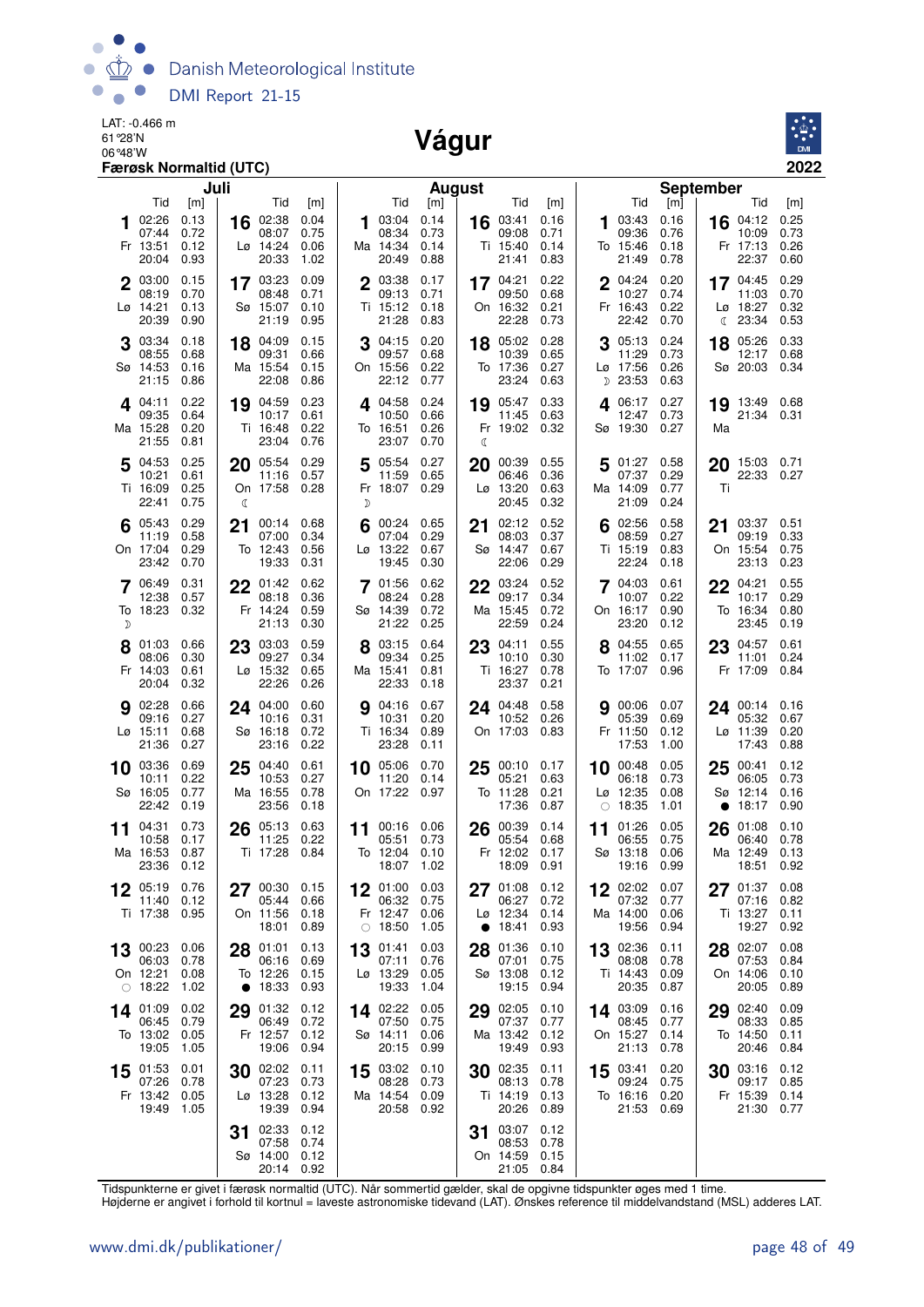

LAT: -0.466 m 61°28'N

#### 06°48'W **Vágur**



|             |                                                            | Færøsk Normaltid (UTC)              |         |                                                        |                                     |        |                                                       |                                     |    |                                             |                                     |    |                                                  |                                     |                                                        | 2022                                |
|-------------|------------------------------------------------------------|-------------------------------------|---------|--------------------------------------------------------|-------------------------------------|--------|-------------------------------------------------------|-------------------------------------|----|---------------------------------------------|-------------------------------------|----|--------------------------------------------------|-------------------------------------|--------------------------------------------------------|-------------------------------------|
|             |                                                            |                                     | Juli    |                                                        |                                     |        |                                                       | August                              |    |                                             |                                     |    |                                                  |                                     | <b>September</b>                                       |                                     |
|             | Tid<br>02:26<br>07:44<br>Fr 13:51<br>20:04                 | [m]<br>0.13<br>0.72<br>0.12<br>0.93 | 16      | Tid<br>02:38<br>08:07<br>$L\varnothing$ 14:24<br>20:33 | [m]<br>0.04<br>0.75<br>0.06<br>1.02 | 1      | Tid<br>03:04<br>08:34<br>Ma 14:34<br>20:49            | [m]<br>0.14<br>0.73<br>0.14<br>0.88 | 16 | Tid<br>03:41<br>09:08<br>Ti 15:40<br>21:41  | [m]<br>0.16<br>0.71<br>0.14<br>0.83 | 1  | Tid<br>03:43<br>09:36<br>To 15:46<br>21:49       | [m]<br>0.16<br>0.76<br>0.18<br>0.78 | Tid<br>16 $04:12$<br>10:09<br>Fr 17:13<br>22:37        | [m]<br>0.25<br>0.73<br>0.26<br>0.60 |
| $\mathbf 2$ | 03:00<br>08:19<br>Lø 14:21<br>20:39                        | 0.15<br>0.70<br>0.13<br>0.90        |         | 17 03:23<br>08:48<br>Sø 15:07<br>21:19                 | 0.09<br>0.71<br>0.10<br>0.95        |        | 03:38<br>09:13<br>Ti 15:12<br>21:28                   | 0.17<br>0.71<br>0.18<br>0.83        |    | 17 04:21<br>09:50<br>On 16:32<br>22:28      | 0.22<br>0.68<br>0.21<br>0.73        |    | 04:24<br>10:27<br>Fr 16:43<br>22:42 0.70         | 0.20<br>0.74<br>0.22                | 17 04:45<br>11:03<br>Lø 18:27<br>23:34<br>C            | 0.29<br>0.70<br>0.32<br>0.53        |
|             | 03:34<br>08:55<br>Sø 14:53<br>21:15                        | 0.18<br>0.68<br>0.16<br>0.86        | 18      | 04:09<br>09:31<br>Ma 15:54<br>22:08                    | 0.15<br>0.66<br>0.15<br>0.86        |        | 04:15<br>09:57<br>On 15:56<br>22:12                   | 0.20<br>0.68<br>0.22<br>0.77        | 18 | 05:02<br>10:39<br>To 17:36<br>23:24         | 0.28<br>0.65<br>0.27<br>0.63        | D  | 05:13<br>11:29<br>Lø 17:56<br>23:53              | 0.24<br>0.73<br>0.26<br>0.63        | 05:26<br>18<br>12:17<br>Sø 20:03                       | 0.33<br>0.68<br>0.34                |
|             | 4 04:11<br>09:35<br>Ma 15:28<br>21:55                      | 0.22<br>0.64<br>0.20<br>0.81        | 19      | 04:59<br>10:17<br>Ti 16:48<br>23:04                    | 0.23<br>0.61<br>0.22<br>0.76        | 4      | 04:58<br>10:50<br>To 16:51<br>23:07                   | 0.24<br>0.66<br>0.26<br>0.70        | ℂ  | 19 05:47<br>11:45<br>Fr 19:02 0.32          | 0.33<br>0.63                        | 4  | 06:17<br>12:47<br>Sø 19:30 0.27                  | 0.27<br>0.73                        | 19 13:49 0.68<br>21:34 0.31<br>Ma                      |                                     |
| 5           | 04:53<br>10:21<br>Ti 16:09<br>22:41                        | 0.25<br>0.61<br>0.25<br>0.75        | 20<br>ℂ | 05:54<br>11:16<br>On 17:58 0.28                        | 0.29<br>0.57                        | 5<br>D | 05:54<br>11:59<br>Fr 18:07 0.29                       | 0.27<br>0.65                        | 20 | 00:39<br>06:46<br>Lø 13:20<br>20:45         | 0.55<br>0.36<br>0.63<br>0.32        | 5  | 01:27<br>07:37<br>Ma 14:09<br>21:09              | 0.58<br>0.29<br>0.77<br>0.24        | 15:03 0.71<br>20<br>22:33<br>Τi                        | 0.27                                |
| 6           | 05:43<br>11:19<br>On 17:04<br>23:42                        | 0.29<br>0.58<br>0.29<br>0.70        | 21      | 00:14<br>07:00<br>To 12:43<br>19:33                    | 0.68<br>0.34<br>0.56<br>0.31        | 6      | 00:24<br>07:04<br>$L\varnothing$ 13:22<br>19:45       | 0.65<br>0.29<br>0.67<br>0.30        | 21 | 02:12<br>08:03<br>Sø 14:47<br>22:06         | 0.52<br>0.37<br>0.67<br>0.29        | 6  | 02:56<br>08:59<br>Ti 15:19<br>22:24              | 0.58<br>0.27<br>0.83<br>0.18        | 03:37 0.51<br>21<br>09:19<br>On 15:54<br>23:13         | 0.33<br>0.75<br>0.23                |
| D           | 06:49<br>12:38<br>To 18:23                                 | 0.31<br>0.57<br>0.32                |         | $22^{01:42}$<br>08:18<br>Fr 14:24<br>21:13             | 0.62<br>0.36<br>0.59<br>0.30        | 7      | 01:56<br>08:24<br>Sø 14:39<br>21:22                   | 0.62<br>0.28<br>0.72<br>0.25        | 22 | 03:24<br>09:17<br>Ma 15:45<br>22:59         | 0.52<br>0.34<br>0.72<br>0.24        |    | 7 04:03<br>10:07<br>On 16:17<br>23:20            | 0.61<br>0.22<br>0.90<br>0.12        | $22^{04:21}$<br>10:17<br>To 16:34<br>23:45             | 0.55<br>0.29<br>0.80<br>0.19        |
|             | 01:03<br>08:06<br>Fr 14:03<br>20:04                        | 0.66<br>0.30<br>0.61<br>0.32        | 23      | 03:03<br>09:27<br>Lø 15:32<br>22:26                    | 0.59<br>0.34<br>0.65<br>0.26        |        | 03:15<br>09:34<br>Ma 15:41<br>22:33                   | 0.64<br>0.25<br>0.81<br>0.18        | 23 | 04:11<br>10:10<br>Ti 16:27<br>23:37         | 0.55<br>0.30<br>0.78<br>0.21        |    | 04:55<br>11:02<br>To 17:07                       | 0.65<br>0.17<br>0.96                | 04:57<br>23<br>11:01<br>Fr 17:09                       | 0.61<br>0.24<br>0.84                |
|             | <b>9</b> 02:28<br>09:16<br>Lø 15:11<br>21:36               | 0.66<br>0.27<br>0.68<br>0.27        |         | 24 04:00<br>10:16<br>Sø 16:18<br>23:16                 | 0.60<br>0.31<br>0.72<br>0.22        |        | <b>9</b> 04:16<br>10:31<br>Ti 16:34<br>23:28          | 0.67<br>0.20<br>0.89<br>0.11        |    | 24 04:48<br>10:52<br>On 17:03               | 0.58<br>0.26<br>0.83                |    | 900:060007<br>05:39<br>Fr 11:50<br>17:53         | 0.69<br>0.12<br>1.00                | 24 00:14 0.16<br>05:32<br>$Lo$ 11:39<br>17:43          | 0.67<br>0.20<br>0.88                |
| 10          | 03:36<br>10:11<br>Sø 16:05<br>22:42                        | 0.69<br>0.22<br>0.77<br>0.19        | 25      | 04:40<br>10:53<br>Ma 16:55<br>23:56                    | 0.61<br>0.27<br>0.78<br>0.18        |        | 10 05:06<br>11:20<br>On 17:22                         | 0.70<br>0.14<br>0.97                | 25 | 00:10<br>05:21<br>To 11:28<br>17:36         | 0.17<br>0.63<br>0.21<br>0.87        | 10 | 00:48<br>06:18<br>Lø 12:35<br>$\circ$ 18:35      | 0.05<br>0.73<br>0.08<br>1.01        | 00:41<br>25<br>06:05<br>Sø 12:14<br>18:17<br>$\bullet$ | 0.12<br>0.73<br>0.16<br>0.90        |
| 11          | 04:31<br>10:58<br>Ma 16:53 0.87<br>23:36 0.12              | 0.73<br>0.17                        | 26      | 05:13<br>11:25<br>Ti 17:28 0.84                        | 0.63<br>0.22                        | 11     | 00:16<br>05:51<br>To 12:04 0.10<br>18:07 1.02         | 0.06<br>0.73                        | 26 | 00:39<br>05:54<br>18:09 0.91                | 0.14<br>0.68<br>Fr 12:02 0.17       | 11 | 01:26<br>06:55<br>Sø 13:18 0.06<br>19:16 0.99    | 0.05<br>0.75                        | 26<br>01:08<br>06:40<br>Ma 12:49 0.13                  | 0.10<br>0.78<br>18:51 0.92          |
|             | 12 05:19<br>11:40<br>Ti 17:38                              | 0.76<br>0.12<br>0.95                |         | 27 00:30 0.15<br>05:44<br>On 11:56<br>18:01            | 0.66<br>0.18<br>0.89                |        | 12 01:00<br>06:32<br>Fr 12:47<br>$\circ$ 18:50        | 0.03<br>0.75<br>0.06<br>1.05        |    | 27 01:08<br>06:27<br>Lø 12:34<br>• 18:41    | 0.12<br>0.72<br>0.14<br>0.93        |    | $12^{02:02}$<br>07:32<br>Ma 14:00<br>19:56       | 0.07<br>0.77<br>0.06<br>0.94        | $27^{01:37}$<br>07:16<br>Ti 13:27 0.11                 | 0.08<br>0.82<br>19:27 0.92          |
|             | $13^{00:23}$<br>06:03<br>On 12:21<br>$\circ$ 18:22         | 0.06<br>0.78<br>0.08<br>1.02        |         | 28 01:01<br>06:16<br>To 12:26<br>• 18:33               | 0.13<br>0.69<br>0.15<br>0.93        |        | 13 01:41<br>07:11<br>Lø 13:29<br>19:33                | 0.03<br>0.76<br>0.05<br>1.04        |    | 28 01:36<br>07:01<br>Sø 13:08<br>19:15      | 0.10<br>0.75<br>0.12<br>0.94        |    | 13 02:36<br>08:08<br>Ti 14:43<br>20:35           | 0.11<br>0.78<br>0.09<br>0.87        | 28 02:07<br>07:53<br>On 14:06<br>20:05                 | 0.08<br>0.84<br>0.10<br>0.89        |
|             | 14 01:09<br>06:45<br>To 13:02<br>19:05                     | 0.02<br>0.79<br>0.05<br>1.05        | 29      | 01:32<br>06:49<br>Fr 12:57<br>19:06                    | 0.12<br>0.72<br>0.12<br>0.94        |        | 14 02:22<br>07:50<br>Sø 14:11<br>20:15                | 0.05<br>0.75<br>0.06<br>0.99        |    | 29 02:05<br>07:37<br>Ma 13:42 0.12<br>19:49 | 0.10<br>0.77<br>0.93                |    | 14 03:09<br>08:45 0.77<br>On 15:27<br>21:13      | 0.16<br>0.14<br>0.78                | 29 02:40<br>08:33<br>To 14:50<br>20:46                 | 0.09<br>0.85<br>0.11<br>0.84        |
|             | 15 01:53 0.01<br>07:26 0.78<br>Fr 13:42 0.05<br>19:49 1.05 |                                     |         | 30 02:02<br>07:23<br>Lø 13:28<br>19:39                 | 0.11<br>0.73<br>0.12<br>0.94        |        | 15 03:02 0.10<br>08:28<br>Ma 14:54 0.09<br>20:58 0.92 | 0.73                                |    | 30 02:35<br>08:13<br>Ti 14:19 0.13<br>20:26 | 0.11<br>0.78<br>0.89                |    | 15 03:41<br>09:24<br>To 16:16 0.20<br>21:53 0.69 | 0.20<br>0.75                        | <b>30</b> $03:16$ 0.12<br>09:17<br>Fr 15:39            | 0.85<br>0.14<br>21:30 0.77          |
|             |                                                            |                                     | 31      | 02:33<br>07:58 0.74<br>Sø 14:00<br>20:14 0.92          | 0.12<br>0.12                        |        |                                                       |                                     | 31 | 03:07<br>08:53<br>On 14:59<br>21:05 0.84    | 0.12<br>0.78<br>0.15                |    |                                                  |                                     |                                                        |                                     |

Tidspunkterne er givet i færøsk normaltid (UTC). Når sommertid gælder, skal de opgivne tidspunkter øges med 1 time.